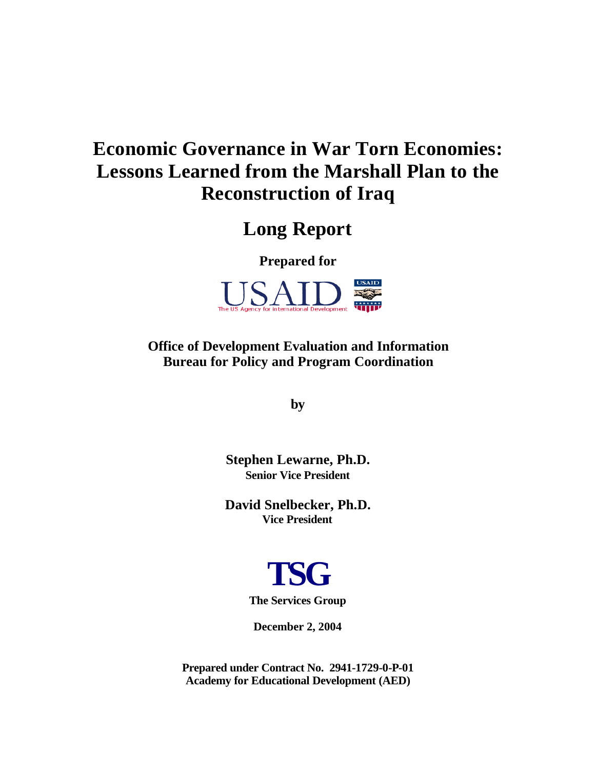# **Economic Governance in War Torn Economies: Lessons Learned from the Marshall Plan to the Reconstruction of Iraq**

## **Long Report**

**Prepared for**



**Office of Development Evaluation and Information Bureau for Policy and Program Coordination**

**by**

**Stephen Lewarne, Ph.D. Senior Vice President**

**David Snelbecker, Ph.D. Vice President**



**December 2, 2004**

**Prepared under Contract No. 2941-1729-0-P-01 Academy for Educational Development (AED)**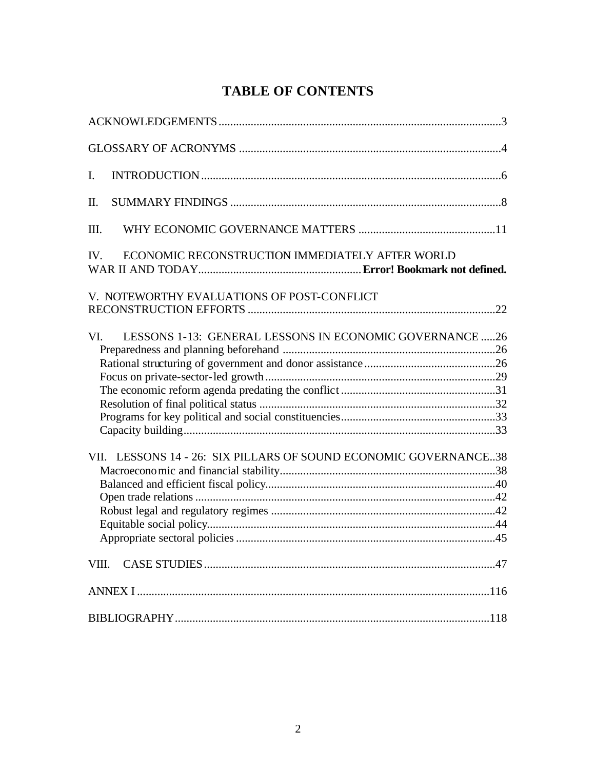## **TABLE OF CONTENTS**

| $\mathbf{I}$ .                                                   |  |
|------------------------------------------------------------------|--|
| II.                                                              |  |
| Ш.                                                               |  |
| ECONOMIC RECONSTRUCTION IMMEDIATELY AFTER WORLD<br>IV.           |  |
| V. NOTEWORTHY EVALUATIONS OF POST-CONFLICT                       |  |
|                                                                  |  |
| LESSONS 1-13: GENERAL LESSONS IN ECONOMIC GOVERNANCE 26<br>VI.   |  |
|                                                                  |  |
|                                                                  |  |
|                                                                  |  |
|                                                                  |  |
|                                                                  |  |
| VII. LESSONS 14 - 26: SIX PILLARS OF SOUND ECONOMIC GOVERNANCE38 |  |
|                                                                  |  |
|                                                                  |  |
|                                                                  |  |
|                                                                  |  |
|                                                                  |  |
|                                                                  |  |
|                                                                  |  |
|                                                                  |  |
|                                                                  |  |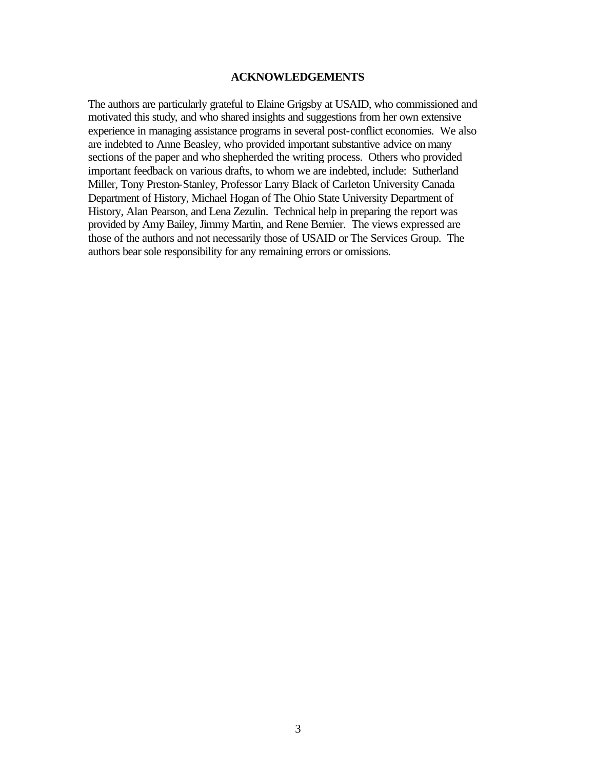#### **ACKNOWLEDGEMENTS**

The authors are particularly grateful to Elaine Grigsby at USAID, who commissioned and motivated this study, and who shared insights and suggestions from her own extensive experience in managing assistance programs in several post-conflict economies. We also are indebted to Anne Beasley, who provided important substantive advice on many sections of the paper and who shepherded the writing process. Others who provided important feedback on various drafts, to whom we are indebted, include: Sutherland Miller, Tony Preston-Stanley, Professor Larry Black of Carleton University Canada Department of History, Michael Hogan of The Ohio State University Department of History, Alan Pearson, and Lena Zezulin. Technical help in preparing the report was provided by Amy Bailey, Jimmy Martin, and Rene Bernier. The views expressed are those of the authors and not necessarily those of USAID or The Services Group. The authors bear sole responsibility for any remaining errors or omissions.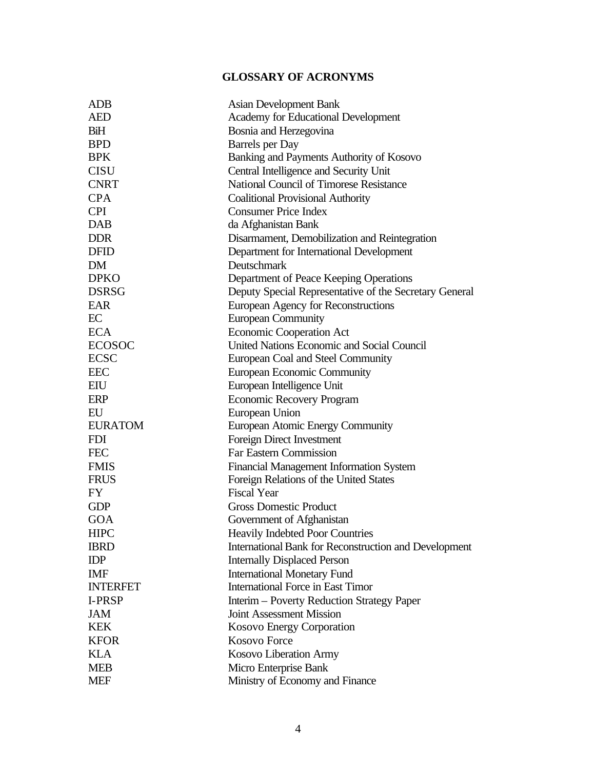## **GLOSSARY OF ACRONYMS**

| ADB             | <b>Asian Development Bank</b>                          |
|-----------------|--------------------------------------------------------|
| <b>AED</b>      | Academy for Educational Development                    |
| BiH             | Bosnia and Herzegovina                                 |
| <b>BPD</b>      | <b>Barrels</b> per Day                                 |
| <b>BPK</b>      | Banking and Payments Authority of Kosovo               |
| <b>CISU</b>     | Central Intelligence and Security Unit                 |
| <b>CNRT</b>     | National Council of Timorese Resistance                |
| <b>CPA</b>      | <b>Coalitional Provisional Authority</b>               |
| <b>CPI</b>      | <b>Consumer Price Index</b>                            |
| <b>DAB</b>      | da Afghanistan Bank                                    |
| <b>DDR</b>      | Disarmament, Demobilization and Reintegration          |
| <b>DFID</b>     | Department for International Development               |
| <b>DM</b>       | Deutschmark                                            |
| <b>DPKO</b>     | Department of Peace Keeping Operations                 |
| <b>DSRSG</b>    | Deputy Special Representative of the Secretary General |
| <b>EAR</b>      | European Agency for Reconstructions                    |
| EC              | <b>European Community</b>                              |
| <b>ECA</b>      | <b>Economic Cooperation Act</b>                        |
| <b>ECOSOC</b>   | United Nations Economic and Social Council             |
| <b>ECSC</b>     | European Coal and Steel Community                      |
| <b>EEC</b>      | <b>European Economic Community</b>                     |
| EIU             | European Intelligence Unit                             |
| <b>ERP</b>      | <b>Economic Recovery Program</b>                       |
| EU              | European Union                                         |
| <b>EURATOM</b>  | European Atomic Energy Community                       |
| <b>FDI</b>      | Foreign Direct Investment                              |
| <b>FEC</b>      | <b>Far Eastern Commission</b>                          |
| <b>FMIS</b>     | <b>Financial Management Information System</b>         |
| <b>FRUS</b>     | Foreign Relations of the United States                 |
| FY              | <b>Fiscal Year</b>                                     |
| <b>GDP</b>      | <b>Gross Domestic Product</b>                          |
| <b>GOA</b>      | Government of Afghanistan                              |
| <b>HIPC</b>     | <b>Heavily Indebted Poor Countries</b>                 |
| <b>IBRD</b>     | International Bank for Reconstruction and Development  |
| <b>IDP</b>      | <b>Internally Displaced Person</b>                     |
| <b>IMF</b>      | <b>International Monetary Fund</b>                     |
| <b>INTERFET</b> | <b>International Force in East Timor</b>               |
| <b>I-PRSP</b>   | Interim – Poverty Reduction Strategy Paper             |
| JAM             | <b>Joint Assessment Mission</b>                        |
| <b>KEK</b>      | <b>Kosovo Energy Corporation</b>                       |
| <b>KFOR</b>     | <b>Kosovo Force</b>                                    |
| <b>KLA</b>      | Kosovo Liberation Army                                 |
| <b>MEB</b>      | Micro Enterprise Bank                                  |
| <b>MEF</b>      | Ministry of Economy and Finance                        |
|                 |                                                        |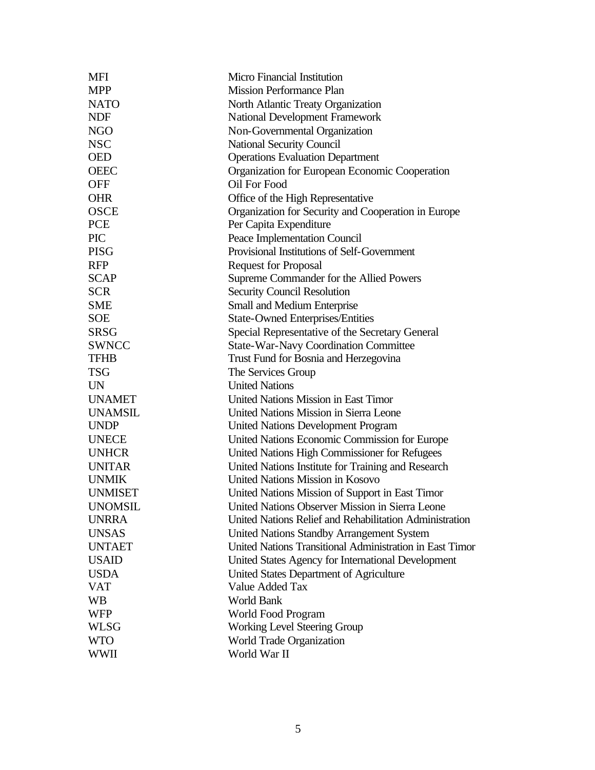| <b>MFI</b>     | Micro Financial Institution                              |
|----------------|----------------------------------------------------------|
| <b>MPP</b>     | <b>Mission Performance Plan</b>                          |
| <b>NATO</b>    | North Atlantic Treaty Organization                       |
| <b>NDF</b>     | <b>National Development Framework</b>                    |
| <b>NGO</b>     | Non-Governmental Organization                            |
| <b>NSC</b>     | <b>National Security Council</b>                         |
| <b>OED</b>     | <b>Operations Evaluation Department</b>                  |
| <b>OEEC</b>    | Organization for European Economic Cooperation           |
| <b>OFF</b>     | Oil For Food                                             |
| <b>OHR</b>     | Office of the High Representative                        |
| <b>OSCE</b>    | Organization for Security and Cooperation in Europe      |
| <b>PCE</b>     | Per Capita Expenditure                                   |
| <b>PIC</b>     | Peace Implementation Council                             |
| <b>PISG</b>    | Provisional Institutions of Self-Government              |
| <b>RFP</b>     | <b>Request for Proposal</b>                              |
| <b>SCAP</b>    | Supreme Commander for the Allied Powers                  |
| <b>SCR</b>     | <b>Security Council Resolution</b>                       |
| <b>SME</b>     | Small and Medium Enterprise                              |
| <b>SOE</b>     | <b>State-Owned Enterprises/Entities</b>                  |
| <b>SRSG</b>    | Special Representative of the Secretary General          |
| <b>SWNCC</b>   | <b>State-War-Navy Coordination Committee</b>             |
| <b>TFHB</b>    | Trust Fund for Bosnia and Herzegovina                    |
| <b>TSG</b>     | The Services Group                                       |
| <b>UN</b>      | <b>United Nations</b>                                    |
| <b>UNAMET</b>  | United Nations Mission in East Timor                     |
| <b>UNAMSIL</b> | United Nations Mission in Sierra Leone                   |
| <b>UNDP</b>    | <b>United Nations Development Program</b>                |
| <b>UNECE</b>   | United Nations Economic Commission for Europe            |
| <b>UNHCR</b>   | United Nations High Commissioner for Refugees            |
| <b>UNITAR</b>  | United Nations Institute for Training and Research       |
| <b>UNMIK</b>   | <b>United Nations Mission in Kosovo</b>                  |
| <b>UNMISET</b> | United Nations Mission of Support in East Timor          |
| <b>UNOMSIL</b> | United Nations Observer Mission in Sierra Leone          |
| <b>UNRRA</b>   | United Nations Relief and Rehabilitation Administration  |
| <b>UNSAS</b>   | United Nations Standby Arrangement System                |
| <b>UNTAET</b>  | United Nations Transitional Administration in East Timor |
| <b>USAID</b>   | United States Agency for International Development       |
| <b>USDA</b>    | United States Department of Agriculture                  |
| <b>VAT</b>     | Value Added Tax                                          |
| WB             | World Bank                                               |
| <b>WFP</b>     | World Food Program                                       |
| <b>WLSG</b>    | <b>Working Level Steering Group</b>                      |
| <b>WTO</b>     | <b>World Trade Organization</b>                          |
| <b>WWII</b>    | World War II                                             |
|                |                                                          |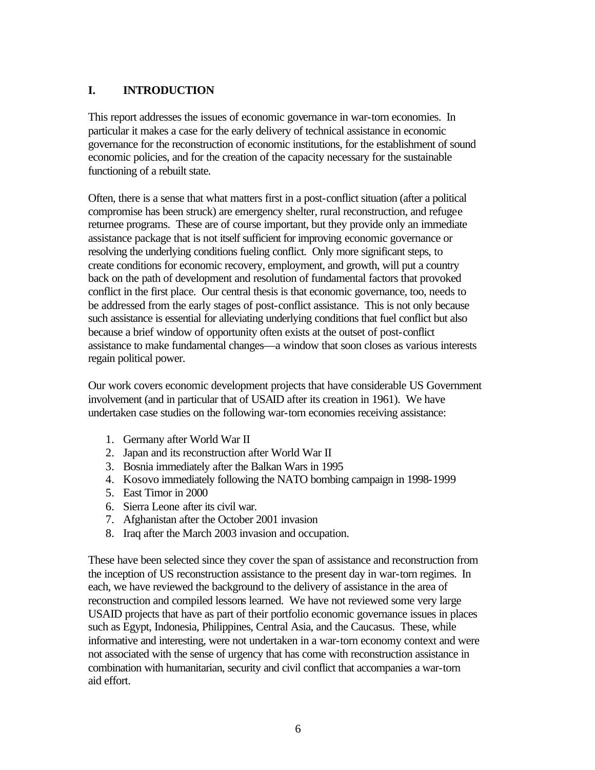## **I. INTRODUCTION**

This report addresses the issues of economic governance in war-torn economies. In particular it makes a case for the early delivery of technical assistance in economic governance for the reconstruction of economic institutions, for the establishment of sound economic policies, and for the creation of the capacity necessary for the sustainable functioning of a rebuilt state.

Often, there is a sense that what matters first in a post-conflict situation (after a political compromise has been struck) are emergency shelter, rural reconstruction, and refugee returnee programs. These are of course important, but they provide only an immediate assistance package that is not itself sufficient for improving economic governance or resolving the underlying conditions fueling conflict. Only more significant steps, to create conditions for economic recovery, employment, and growth, will put a country back on the path of development and resolution of fundamental factors that provoked conflict in the first place. Our central thesis is that economic governance, too, needs to be addressed from the early stages of post-conflict assistance. This is not only because such assistance is essential for alleviating underlying conditions that fuel conflict but also because a brief window of opportunity often exists at the outset of post-conflict assistance to make fundamental changes—a window that soon closes as various interests regain political power.

Our work covers economic development projects that have considerable US Government involvement (and in particular that of USAID after its creation in 1961). We have undertaken case studies on the following war-torn economies receiving assistance:

- 1. Germany after World War II
- 2. Japan and its reconstruction after World War II
- 3. Bosnia immediately after the Balkan Wars in 1995
- 4. Kosovo immediately following the NATO bombing campaign in 1998-1999
- 5. East Timor in 2000
- 6. Sierra Leone after its civil war.
- 7. Afghanistan after the October 2001 invasion
- 8. Iraq after the March 2003 invasion and occupation.

These have been selected since they cover the span of assistance and reconstruction from the inception of US reconstruction assistance to the present day in war-torn regimes. In each, we have reviewed the background to the delivery of assistance in the area of reconstruction and compiled lessons learned. We have not reviewed some very large USAID projects that have as part of their portfolio economic governance issues in places such as Egypt, Indonesia, Philippines, Central Asia, and the Caucasus. These, while informative and interesting, were not undertaken in a war-torn economy context and were not associated with the sense of urgency that has come with reconstruction assistance in combination with humanitarian, security and civil conflict that accompanies a war-torn aid effort.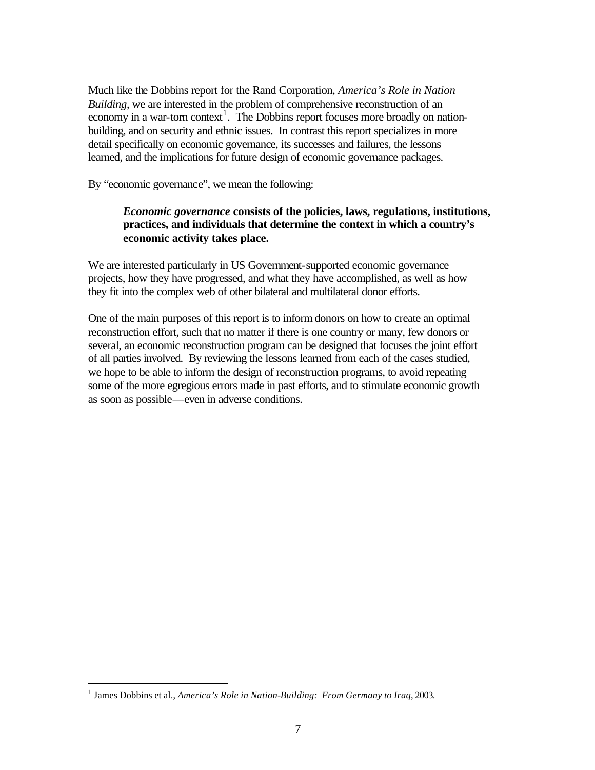Much like the Dobbins report for the Rand Corporation, *America's Role in Nation Building*, we are interested in the problem of comprehensive reconstruction of an economy in a war-torn context<sup>1</sup>. The Dobbins report focuses more broadly on nationbuilding, and on security and ethnic issues. In contrast this report specializes in more detail specifically on economic governance, its successes and failures, the lessons learned, and the implications for future design of economic governance packages.

By "economic governance", we mean the following:

## *Economic governance* **consists of the policies, laws, regulations, institutions, practices, and individuals that determine the context in which a country's economic activity takes place.**

We are interested particularly in US Government-supported economic governance projects, how they have progressed, and what they have accomplished, as well as how they fit into the complex web of other bilateral and multilateral donor efforts.

One of the main purposes of this report is to inform donors on how to create an optimal reconstruction effort, such that no matter if there is one country or many, few donors or several, an economic reconstruction program can be designed that focuses the joint effort of all parties involved. By reviewing the lessons learned from each of the cases studied, we hope to be able to inform the design of reconstruction programs, to avoid repeating some of the more egregious errors made in past efforts, and to stimulate economic growth as soon as possible—even in adverse conditions.

<sup>&</sup>lt;sup>1</sup> James Dobbins et al., *America's Role in Nation-Building: From Germany to Iraq*, 2003.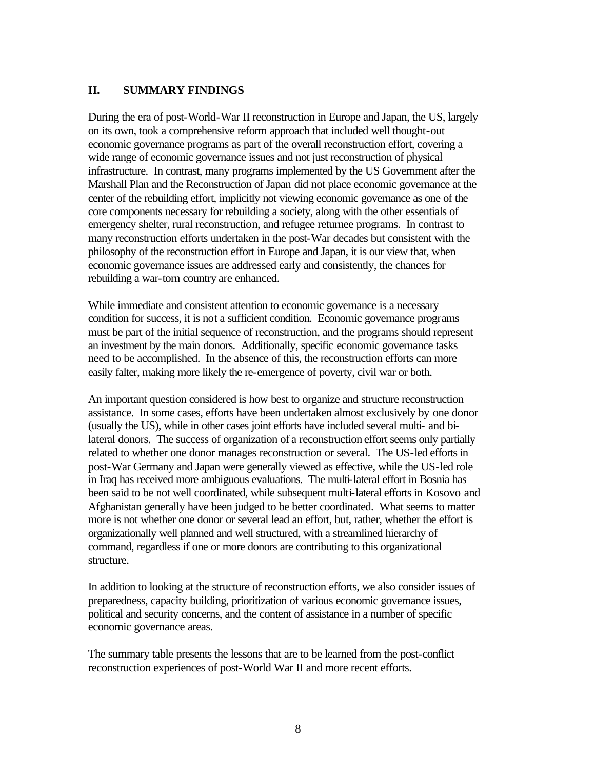## **II. SUMMARY FINDINGS**

During the era of post-World-War II reconstruction in Europe and Japan, the US, largely on its own, took a comprehensive reform approach that included well thought-out economic governance programs as part of the overall reconstruction effort, covering a wide range of economic governance issues and not just reconstruction of physical infrastructure. In contrast, many programs implemented by the US Government after the Marshall Plan and the Reconstruction of Japan did not place economic governance at the center of the rebuilding effort, implicitly not viewing economic governance as one of the core components necessary for rebuilding a society, along with the other essentials of emergency shelter, rural reconstruction, and refugee returnee programs. In contrast to many reconstruction efforts undertaken in the post-War decades but consistent with the philosophy of the reconstruction effort in Europe and Japan, it is our view that, when economic governance issues are addressed early and consistently, the chances for rebuilding a war-torn country are enhanced.

While immediate and consistent attention to economic governance is a necessary condition for success, it is not a sufficient condition. Economic governance programs must be part of the initial sequence of reconstruction, and the programs should represent an investment by the main donors. Additionally, specific economic governance tasks need to be accomplished. In the absence of this, the reconstruction efforts can more easily falter, making more likely the re-emergence of poverty, civil war or both.

An important question considered is how best to organize and structure reconstruction assistance. In some cases, efforts have been undertaken almost exclusively by one donor (usually the US), while in other cases joint efforts have included several multi- and bilateral donors. The success of organization of a reconstruction effort seems only partially related to whether one donor manages reconstruction or several. The US-led efforts in post-War Germany and Japan were generally viewed as effective, while the US-led role in Iraq has received more ambiguous evaluations. The multi-lateral effort in Bosnia has been said to be not well coordinated, while subsequent multi-lateral efforts in Kosovo and Afghanistan generally have been judged to be better coordinated. What seems to matter more is not whether one donor or several lead an effort, but, rather, whether the effort is organizationally well planned and well structured, with a streamlined hierarchy of command, regardless if one or more donors are contributing to this organizational structure.

In addition to looking at the structure of reconstruction efforts, we also consider issues of preparedness, capacity building, prioritization of various economic governance issues, political and security concerns, and the content of assistance in a number of specific economic governance areas.

The summary table presents the lessons that are to be learned from the post-conflict reconstruction experiences of post-World War II and more recent efforts.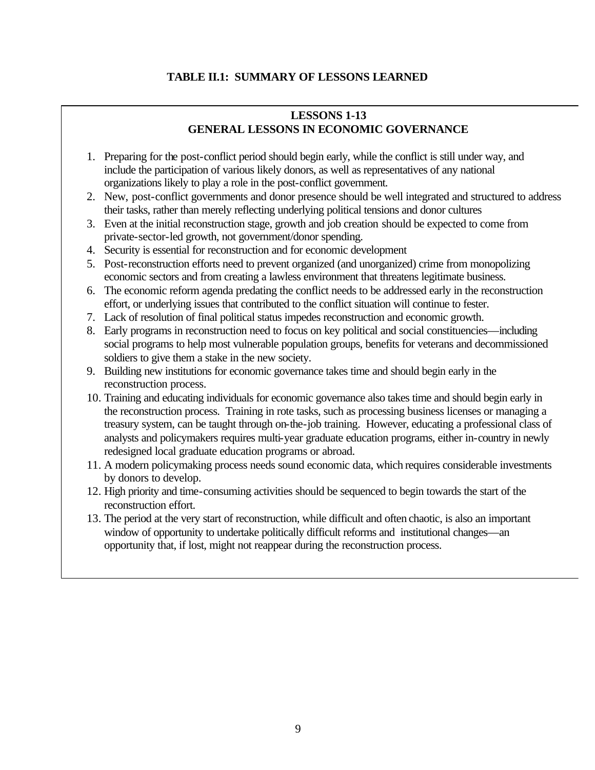## **TABLE II.1: SUMMARY OF LESSONS LEARNED**

## **LESSONS 1-13 GENERAL LESSONS IN ECONOMIC GOVERNANCE**

- 1. Preparing for the post-conflict period should begin early, while the conflict is still under way, and include the participation of various likely donors, as well as representatives of any national organizations likely to play a role in the post-conflict government.
- 2. New, post-conflict governments and donor presence should be well integrated and structured to address their tasks, rather than merely reflecting underlying political tensions and donor cultures
- 3. Even at the initial reconstruction stage, growth and job creation should be expected to come from private-sector-led growth, not government/donor spending.
- 4. Security is essential for reconstruction and for economic development
- 5. Post-reconstruction efforts need to prevent organized (and unorganized) crime from monopolizing economic sectors and from creating a lawless environment that threatens legitimate business.
- 6. The economic reform agenda predating the conflict needs to be addressed early in the reconstruction effort, or underlying issues that contributed to the conflict situation will continue to fester.
- 7. Lack of resolution of final political status impedes reconstruction and economic growth.
- 8. Early programs in reconstruction need to focus on key political and social constituencies—including social programs to help most vulnerable population groups, benefits for veterans and decommissioned soldiers to give them a stake in the new society.
- 9. Building new institutions for economic governance takes time and should begin early in the reconstruction process.
- 10. Training and educating individuals for economic governance also takes time and should begin early in the reconstruction process. Training in rote tasks, such as processing business licenses or managing a treasury system, can be taught through on-the-job training. However, educating a professional class of analysts and policymakers requires multi-year graduate education programs, either in-country in newly redesigned local graduate education programs or abroad.
- 11. A modern policymaking process needs sound economic data, which requires considerable investments by donors to develop.
- 12. High priority and time-consuming activities should be sequenced to begin towards the start of the reconstruction effort.
- 13. The period at the very start of reconstruction, while difficult and often chaotic, is also an important window of opportunity to undertake politically difficult reforms and institutional changes—an opportunity that, if lost, might not reappear during the reconstruction process.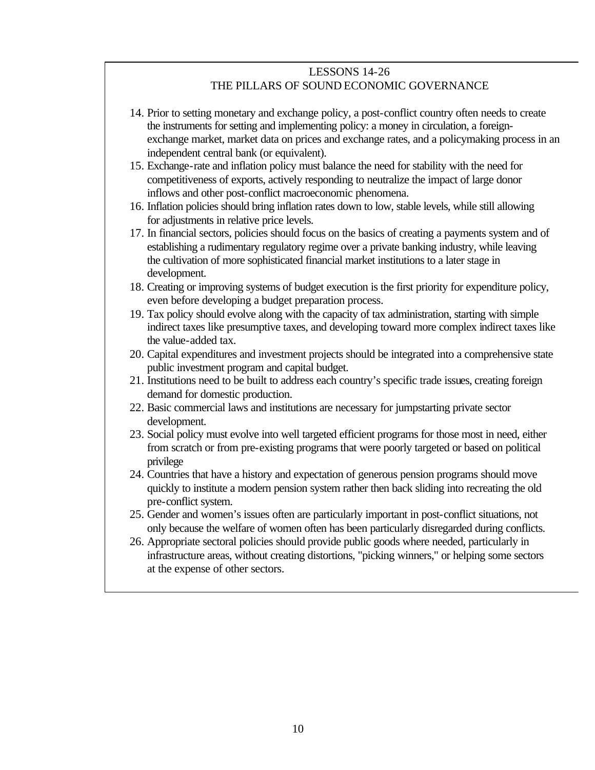### LESSONS 14-26 THE PILLARS OF SOUND ECONOMIC GOVERNANCE

- 14. Prior to setting monetary and exchange policy, a post-conflict country often needs to create the instruments for setting and implementing policy: a money in circulation, a foreignexchange market, market data on prices and exchange rates, and a policymaking process in an independent central bank (or equivalent).
- 15. Exchange-rate and inflation policy must balance the need for stability with the need for competitiveness of exports, actively responding to neutralize the impact of large donor inflows and other post-conflict macroeconomic phenomena.
- 16. Inflation policies should bring inflation rates down to low, stable levels, while still allowing for adjustments in relative price levels.
- 17. In financial sectors, policies should focus on the basics of creating a payments system and of establishing a rudimentary regulatory regime over a private banking industry, while leaving the cultivation of more sophisticated financial market institutions to a later stage in development.
- 18. Creating or improving systems of budget execution is the first priority for expenditure policy, even before developing a budget preparation process.
- 19. Tax policy should evolve along with the capacity of tax administration, starting with simple indirect taxes like presumptive taxes, and developing toward more complex indirect taxes like the value-added tax.
- 20. Capital expenditures and investment projects should be integrated into a comprehensive state public investment program and capital budget.
- 21. Institutions need to be built to address each country's specific trade issues, creating foreign demand for domestic production.
- 22. Basic commercial laws and institutions are necessary for jumpstarting private sector development.
- 23. Social policy must evolve into well targeted efficient programs for those most in need, either from scratch or from pre-existing programs that were poorly targeted or based on political privilege
- 24. Countries that have a history and expectation of generous pension programs should move quickly to institute a modern pension system rather then back sliding into recreating the old pre-conflict system.
- 25. Gender and women's issues often are particularly important in post-conflict situations, not only because the welfare of women often has been particularly disregarded during conflicts.
- 26. Appropriate sectoral policies should provide public goods where needed, particularly in infrastructure areas, without creating distortions, "picking winners," or helping some sectors at the expense of other sectors.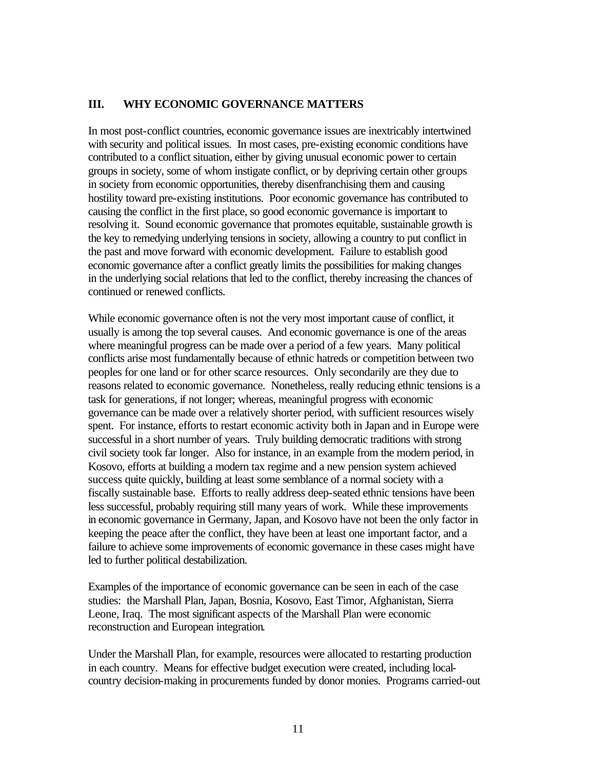## **III. WHY ECONOMIC GOVERNANCE MATTERS**

In most post-conflict countries, economic governance issues are inextricably intertwined with security and political issues. In most cases, pre-existing economic conditions have contributed to a conflict situation, either by giving unusual economic power to certain groups in society, some of whom instigate conflict, or by depriving certain other groups in society from economic opportunities, thereby disenfranchising them and causing hostility toward pre-existing institutions. Poor economic governance has contributed to causing the conflict in the first place, so good economic governance is important to resolving it. Sound economic governance that promotes equitable, sustainable growth is the key to remedying underlying tensions in society, allowing a country to put conflict in the past and move forward with economic development. Failure to establish good economic governance after a conflict greatly limits the possibilities for making changes in the underlying social relations that led to the conflict, thereby increasing the chances of continued or renewed conflicts.

While economic governance often is not the very most important cause of conflict, it usually is among the top several causes. And economic governance is one of the areas where meaningful progress can be made over a period of a few years. Many political conflicts arise most fundamentally because of ethnic hatreds or competition between two peoples for one land or for other scarce resources. Only secondarily are they due to reasons related to economic governance. Nonetheless, really reducing ethnic tensions is a task for generations, if not longer; whereas, meaningful progress with economic governance can be made over a relatively shorter period, with sufficient resources wisely spent. For instance, efforts to restart economic activity both in Japan and in Europe were successful in a short number of years. Truly building democratic traditions with strong civil society took far longer. Also for instance, in an example from the modern period, in Kosovo, efforts at building a modern tax regime and a new pension system achieved success quite quickly, building at least some semblance of a normal society with a fiscally sustainable base. Efforts to really address deep-seated ethnic tensions have been less successful, probably requiring still many years of work. While these improvements in economic governance in Germany, Japan, and Kosovo have not been the only factor in keeping the peace after the conflict, they have been at least one important factor, and a failure to achieve some improvements of economic governance in these cases might have led to further political destabilization.

Examples of the importance of economic governance can be seen in each of the case studies: the Marshall Plan, Japan, Bosnia, Kosovo, East Timor, Afghanistan, Sierra Leone, Iraq. The most significant aspects of the Marshall Plan were economic reconstruction and European integration.

Under the Marshall Plan, for example, resources were allocated to restarting production in each country. Means for effective budget execution were created, including localcountry decision-making in procurements funded by donor monies. Programs carried-out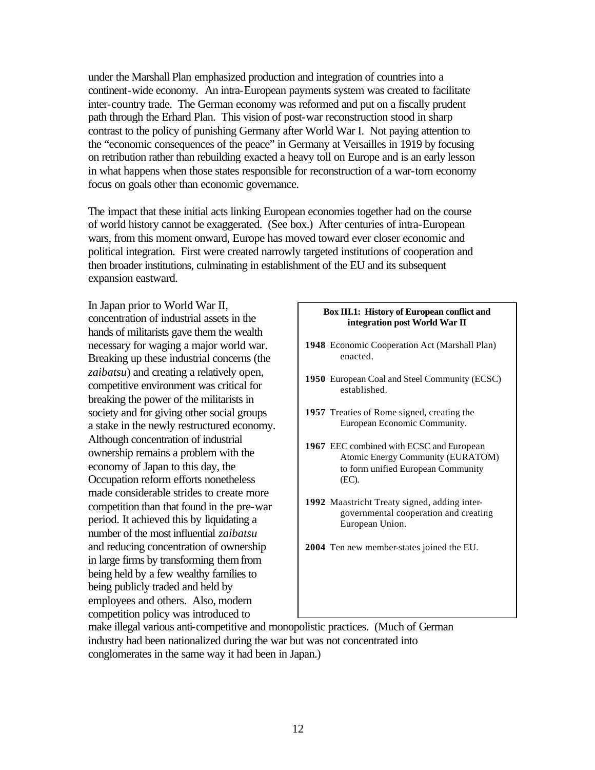under the Marshall Plan emphasized production and integration of countries into a continent-wide economy. An intra-European payments system was created to facilitate inter-country trade. The German economy was reformed and put on a fiscally prudent path through the Erhard Plan. This vision of post-war reconstruction stood in sharp contrast to the policy of punishing Germany after World War I. Not paying attention to the "economic consequences of the peace" in Germany at Versailles in 1919 by focusing on retribution rather than rebuilding exacted a heavy toll on Europe and is an early lesson in what happens when those states responsible for reconstruction of a war-torn economy focus on goals other than economic governance.

The impact that these initial acts linking European economies together had on the course of world history cannot be exaggerated. (See box.) After centuries of intra-European wars, from this moment onward, Europe has moved toward ever closer economic and political integration. First were created narrowly targeted institutions of cooperation and then broader institutions, culminating in establishment of the EU and its subsequent expansion eastward.

In Japan prior to World War II, concentration of industrial assets in the hands of militarists gave them the wealth necessary for waging a major world war. Breaking up these industrial concerns (the *zaibatsu*) and creating a relatively open, competitive environment was critical for breaking the power of the militarists in society and for giving other social groups a stake in the newly restructured economy. Although concentration of industrial ownership remains a problem with the economy of Japan to this day, the Occupation reform efforts nonetheless made considerable strides to create more competition than that found in the pre-war period. It achieved this by liquidating a number of the most influential *zaibatsu* and reducing concentration of ownership in large firms by transforming them from being held by a few wealthy families to being publicly traded and held by employees and others. Also, modern competition policy was introduced to

#### **Box III.1: History of European conflict and integration post World War II**

- **1948** Economic Cooperation Act (Marshall Plan) enacted.
- **1950** European Coal and Steel Community (ECSC) established.
- **1957** Treaties of Rome signed, creating the European Economic Community.
- **1967** EEC combined with ECSC and European Atomic Energy Community (EURATOM) to form unified European Community (EC).
- **1992** Maastricht Treaty signed, adding intergovernmental cooperation and creating European Union.
- **2004** Ten new member-states joined the EU.

make illegal various anti-competitive and monopolistic practices. (Much of German industry had been nationalized during the war but was not concentrated into conglomerates in the same way it had been in Japan.)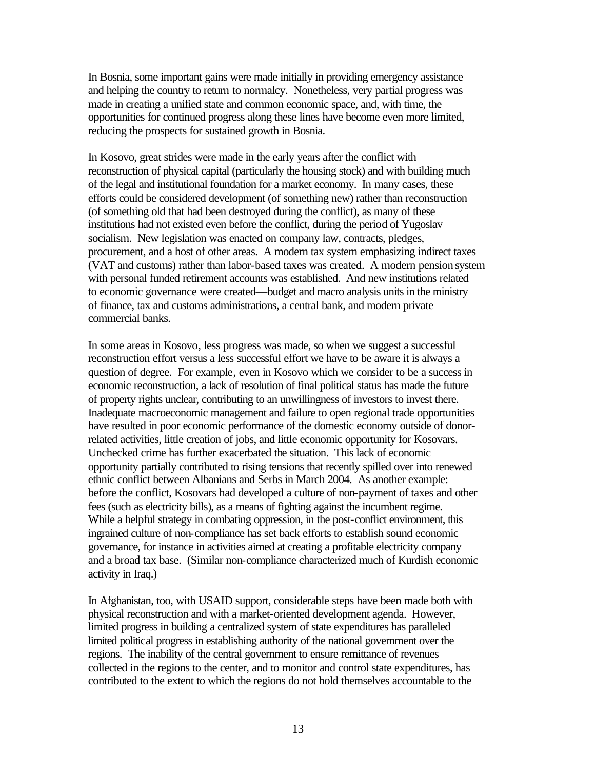In Bosnia, some important gains were made initially in providing emergency assistance and helping the country to return to normalcy. Nonetheless, very partial progress was made in creating a unified state and common economic space, and, with time, the opportunities for continued progress along these lines have become even more limited, reducing the prospects for sustained growth in Bosnia.

In Kosovo, great strides were made in the early years after the conflict with reconstruction of physical capital (particularly the housing stock) and with building much of the legal and institutional foundation for a market economy. In many cases, these efforts could be considered development (of something new) rather than reconstruction (of something old that had been destroyed during the conflict), as many of these institutions had not existed even before the conflict, during the period of Yugoslav socialism. New legislation was enacted on company law, contracts, pledges, procurement, and a host of other areas. A modern tax system emphasizing indirect taxes (VAT and customs) rather than labor-based taxes was created. A modern pension system with personal funded retirement accounts was established. And new institutions related to economic governance were created—budget and macro analysis units in the ministry of finance, tax and customs administrations, a central bank, and modern private commercial banks.

In some areas in Kosovo, less progress was made, so when we suggest a successful reconstruction effort versus a less successful effort we have to be aware it is always a question of degree. For example, even in Kosovo which we consider to be a success in economic reconstruction, a lack of resolution of final political status has made the future of property rights unclear, contributing to an unwillingness of investors to invest there. Inadequate macroeconomic management and failure to open regional trade opportunities have resulted in poor economic performance of the domestic economy outside of donorrelated activities, little creation of jobs, and little economic opportunity for Kosovars. Unchecked crime has further exacerbated the situation. This lack of economic opportunity partially contributed to rising tensions that recently spilled over into renewed ethnic conflict between Albanians and Serbs in March 2004. As another example: before the conflict, Kosovars had developed a culture of non-payment of taxes and other fees (such as electricity bills), as a means of fighting against the incumbent regime. While a helpful strategy in combating oppression, in the post-conflict environment, this ingrained culture of non-compliance has set back efforts to establish sound economic governance, for instance in activities aimed at creating a profitable electricity company and a broad tax base. (Similar non-compliance characterized much of Kurdish economic activity in Iraq.)

In Afghanistan, too, with USAID support, considerable steps have been made both with physical reconstruction and with a market-oriented development agenda. However, limited progress in building a centralized system of state expenditures has paralleled limited political progress in establishing authority of the national government over the regions. The inability of the central government to ensure remittance of revenues collected in the regions to the center, and to monitor and control state expenditures, has contributed to the extent to which the regions do not hold themselves accountable to the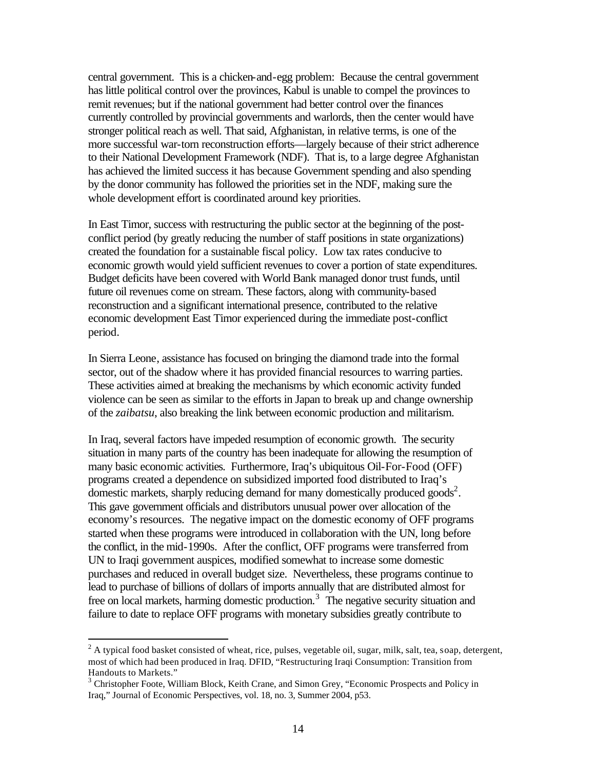central government. This is a chicken-and-egg problem: Because the central government has little political control over the provinces, Kabul is unable to compel the provinces to remit revenues; but if the national government had better control over the finances currently controlled by provincial governments and warlords, then the center would have stronger political reach as well. That said, Afghanistan, in relative terms, is one of the more successful war-torn reconstruction efforts—largely because of their strict adherence to their National Development Framework (NDF). That is, to a large degree Afghanistan has achieved the limited success it has because Government spending and also spending by the donor community has followed the priorities set in the NDF, making sure the whole development effort is coordinated around key priorities.

In East Timor, success with restructuring the public sector at the beginning of the postconflict period (by greatly reducing the number of staff positions in state organizations) created the foundation for a sustainable fiscal policy. Low tax rates conducive to economic growth would yield sufficient revenues to cover a portion of state expenditures. Budget deficits have been covered with World Bank managed donor trust funds, until future oil revenues come on stream. These factors, along with community-based reconstruction and a significant international presence, contributed to the relative economic development East Timor experienced during the immediate post-conflict period.

In Sierra Leone, assistance has focused on bringing the diamond trade into the formal sector, out of the shadow where it has provided financial resources to warring parties. These activities aimed at breaking the mechanisms by which economic activity funded violence can be seen as similar to the efforts in Japan to break up and change ownership of the *zaibatsu*, also breaking the link between economic production and militarism.

In Iraq, several factors have impeded resumption of economic growth. The security situation in many parts of the country has been inadequate for allowing the resumption of many basic economic activities. Furthermore, Iraq's ubiquitous Oil-For-Food (OFF) programs created a dependence on subsidized imported food distributed to Iraq's domestic markets, sharply reducing demand for many domestically produced goods<sup>2</sup>. This gave government officials and distributors unusual power over allocation of the economy's resources. The negative impact on the domestic economy of OFF programs started when these programs were introduced in collaboration with the UN, long before the conflict, in the mid-1990s. After the conflict, OFF programs were transferred from UN to Iraqi government auspices, modified somewhat to increase some domestic purchases and reduced in overall budget size. Nevertheless, these programs continue to lead to purchase of billions of dollars of imports annually that are distributed almost for free on local markets, harming domestic production.<sup>3</sup> The negative security situation and failure to date to replace OFF programs with monetary subsidies greatly contribute to

 $2^2$  A typical food basket consisted of wheat, rice, pulses, vegetable oil, sugar, milk, salt, tea, soap, detergent, most of which had been produced in Iraq. DFID, "Restructuring Iraqi Consumption: Transition from Handouts to Markets."

<sup>&</sup>lt;sup>3</sup> Christopher Foote, William Block, Keith Crane, and Simon Grey, "Economic Prospects and Policy in Iraq," Journal of Economic Perspectives, vol. 18, no. 3, Summer 2004, p53.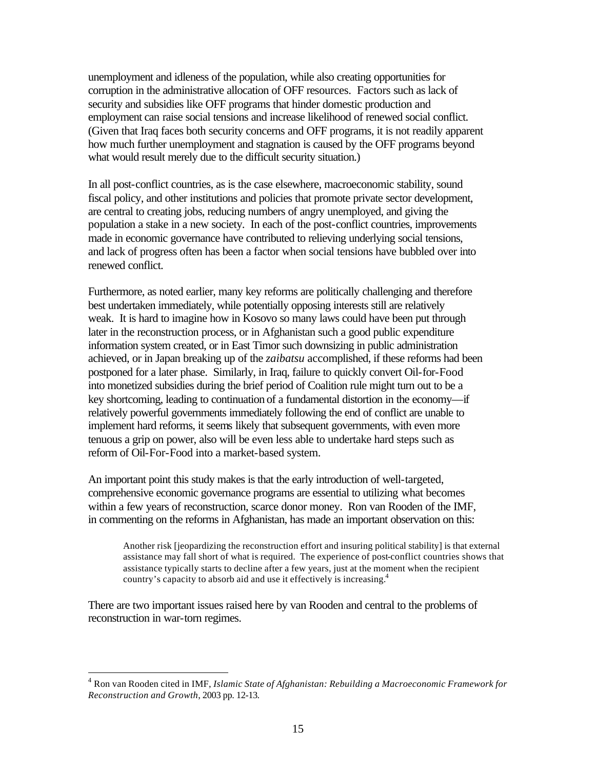unemployment and idleness of the population, while also creating opportunities for corruption in the administrative allocation of OFF resources. Factors such as lack of security and subsidies like OFF programs that hinder domestic production and employment can raise social tensions and increase likelihood of renewed social conflict. (Given that Iraq faces both security concerns and OFF programs, it is not readily apparent how much further unemployment and stagnation is caused by the OFF programs beyond what would result merely due to the difficult security situation.)

In all post-conflict countries, as is the case elsewhere, macroeconomic stability, sound fiscal policy, and other institutions and policies that promote private sector development, are central to creating jobs, reducing numbers of angry unemployed, and giving the population a stake in a new society. In each of the post-conflict countries, improvements made in economic governance have contributed to relieving underlying social tensions, and lack of progress often has been a factor when social tensions have bubbled over into renewed conflict.

Furthermore, as noted earlier, many key reforms are politically challenging and therefore best undertaken immediately, while potentially opposing interests still are relatively weak. It is hard to imagine how in Kosovo so many laws could have been put through later in the reconstruction process, or in Afghanistan such a good public expenditure information system created, or in East Timor such downsizing in public administration achieved, or in Japan breaking up of the *zaibatsu* accomplished, if these reforms had been postponed for a later phase. Similarly, in Iraq, failure to quickly convert Oil-for-Food into monetized subsidies during the brief period of Coalition rule might turn out to be a key shortcoming, leading to continuation of a fundamental distortion in the economy—if relatively powerful governments immediately following the end of conflict are unable to implement hard reforms, it seems likely that subsequent governments, with even more tenuous a grip on power, also will be even less able to undertake hard steps such as reform of Oil-For-Food into a market-based system.

An important point this study makes is that the early introduction of well-targeted, comprehensive economic governance programs are essential to utilizing what becomes within a few years of reconstruction, scarce donor money. Ron van Rooden of the IMF, in commenting on the reforms in Afghanistan, has made an important observation on this:

Another risk [jeopardizing the reconstruction effort and insuring political stability] is that external assistance may fall short of what is required. The experience of post-conflict countries shows that assistance typically starts to decline after a few years, just at the moment when the recipient country's capacity to absorb aid and use it effectively is increasing.<sup>4</sup>

There are two important issues raised here by van Rooden and central to the problems of reconstruction in war-torn regimes.

<sup>4</sup> Ron van Rooden cited in IMF, *Islamic State of Afghanistan: Rebuilding a Macroeconomic Framework for Reconstruction and Growth*, 2003 pp. 12-13.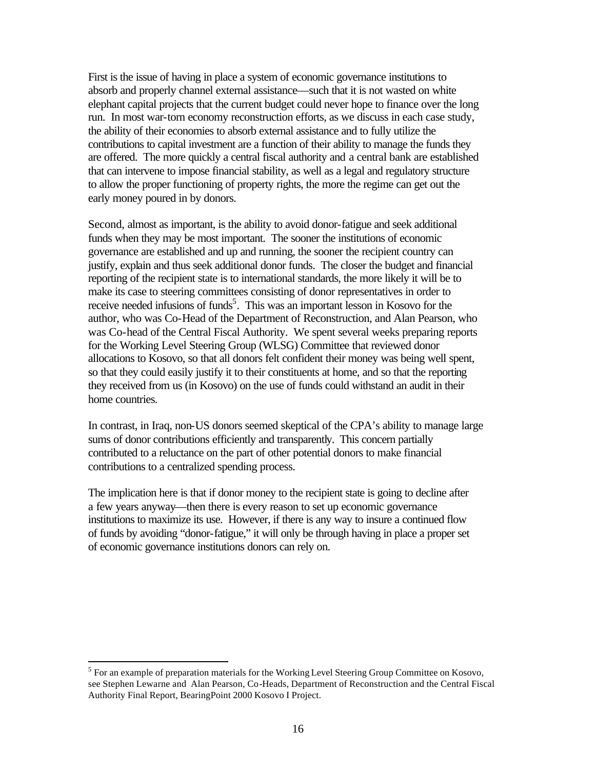First is the issue of having in place a system of economic governance institutions to absorb and properly channel external assistance—such that it is not wasted on white elephant capital projects that the current budget could never hope to finance over the long run. In most war-torn economy reconstruction efforts, as we discuss in each case study, the ability of their economies to absorb external assistance and to fully utilize the contributions to capital investment are a function of their ability to manage the funds they are offered. The more quickly a central fiscal authority and a central bank are established that can intervene to impose financial stability, as well as a legal and regulatory structure to allow the proper functioning of property rights, the more the regime can get out the early money poured in by donors.

Second, almost as important, is the ability to avoid donor-fatigue and seek additional funds when they may be most important. The sooner the institutions of economic governance are established and up and running, the sooner the recipient country can justify, explain and thus seek additional donor funds. The closer the budget and financial reporting of the recipient state is to international standards, the more likely it will be to make its case to steering committees consisting of donor representatives in order to receive needed infusions of funds<sup>5</sup>. This was an important lesson in Kosovo for the author, who was Co-Head of the Department of Reconstruction, and Alan Pearson, who was Co-head of the Central Fiscal Authority. We spent several weeks preparing reports for the Working Level Steering Group (WLSG) Committee that reviewed donor allocations to Kosovo, so that all donors felt confident their money was being well spent, so that they could easily justify it to their constituents at home, and so that the reporting they received from us (in Kosovo) on the use of funds could withstand an audit in their home countries.

In contrast, in Iraq, non-US donors seemed skeptical of the CPA's ability to manage large sums of donor contributions efficiently and transparently. This concern partially contributed to a reluctance on the part of other potential donors to make financial contributions to a centralized spending process.

The implication here is that if donor money to the recipient state is going to decline after a few years anyway—then there is every reason to set up economic governance institutions to maximize its use. However, if there is any way to insure a continued flow of funds by avoiding "donor-fatigue," it will only be through having in place a proper set of economic governance institutions donors can rely on.

 $<sup>5</sup>$  For an example of preparation materials for the Working Level Steering Group Committee on Kosovo,</sup> see Stephen Lewarne and Alan Pearson, Co-Heads, Department of Reconstruction and the Central Fiscal Authority Final Report, BearingPoint 2000 Kosovo I Project.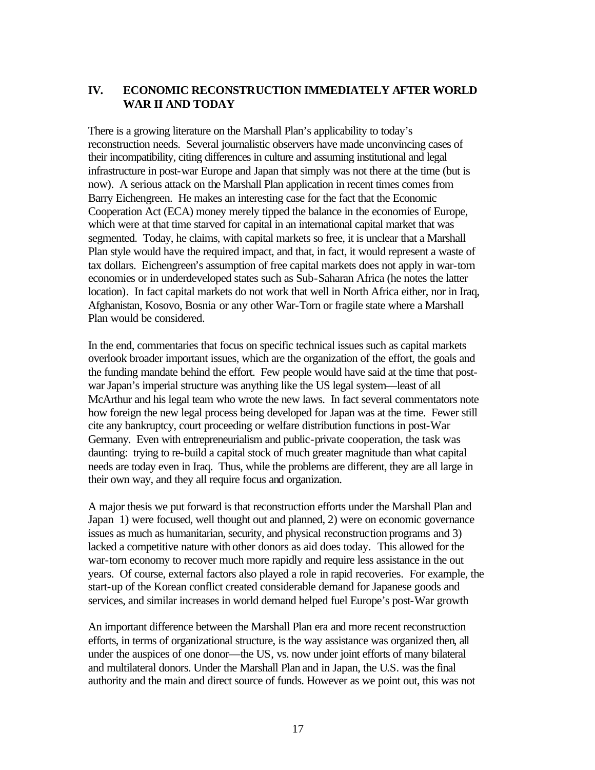## **IV. ECONOMIC RECONSTRUCTION IMMEDIATELY AFTER WORLD WAR II AND TODAY**

There is a growing literature on the Marshall Plan's applicability to today's reconstruction needs. Several journalistic observers have made unconvincing cases of their incompatibility, citing differences in culture and assuming institutional and legal infrastructure in post-war Europe and Japan that simply was not there at the time (but is now). A serious attack on the Marshall Plan application in recent times comes from Barry Eichengreen. He makes an interesting case for the fact that the Economic Cooperation Act (ECA) money merely tipped the balance in the economies of Europe, which were at that time starved for capital in an international capital market that was segmented. Today, he claims, with capital markets so free, it is unclear that a Marshall Plan style would have the required impact, and that, in fact, it would represent a waste of tax dollars. Eichengreen's assumption of free capital markets does not apply in war-torn economies or in underdeveloped states such as Sub-Saharan Africa (he notes the latter location). In fact capital markets do not work that well in North Africa either, nor in Iraq, Afghanistan, Kosovo, Bosnia or any other War-Torn or fragile state where a Marshall Plan would be considered.

In the end, commentaries that focus on specific technical issues such as capital markets overlook broader important issues, which are the organization of the effort, the goals and the funding mandate behind the effort. Few people would have said at the time that postwar Japan's imperial structure was anything like the US legal system—least of all McArthur and his legal team who wrote the new laws. In fact several commentators note how foreign the new legal process being developed for Japan was at the time. Fewer still cite any bankruptcy, court proceeding or welfare distribution functions in post-War Germany. Even with entrepreneurialism and public-private cooperation, the task was daunting: trying to re-build a capital stock of much greater magnitude than what capital needs are today even in Iraq. Thus, while the problems are different, they are all large in their own way, and they all require focus and organization.

A major thesis we put forward is that reconstruction efforts under the Marshall Plan and Japan 1) were focused, well thought out and planned, 2) were on economic governance issues as much as humanitarian, security, and physical reconstruction programs and 3) lacked a competitive nature with other donors as aid does today. This allowed for the war-torn economy to recover much more rapidly and require less assistance in the out years. Of course, external factors also played a role in rapid recoveries. For example, the start-up of the Korean conflict created considerable demand for Japanese goods and services, and similar increases in world demand helped fuel Europe's post-War growth

An important difference between the Marshall Plan era and more recent reconstruction efforts, in terms of organizational structure, is the way assistance was organized then, all under the auspices of one donor—the US, vs. now under joint efforts of many bilateral and multilateral donors. Under the Marshall Plan and in Japan, the U.S. was the final authority and the main and direct source of funds. However as we point out, this was not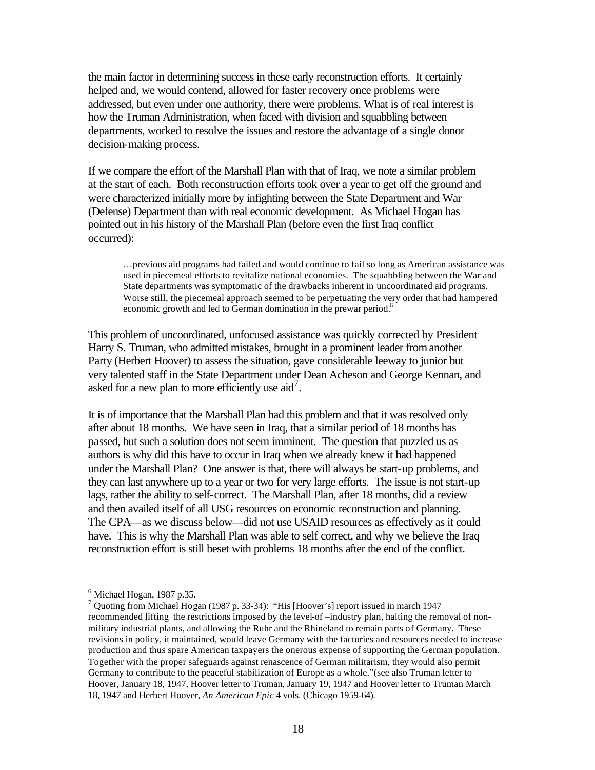the main factor in determining success in these early reconstruction efforts. It certainly helped and, we would contend, allowed for faster recovery once problems were addressed, but even under one authority, there were problems. What is of real interest is how the Truman Administration, when faced with division and squabbling between departments, worked to resolve the issues and restore the advantage of a single donor decision-making process.

If we compare the effort of the Marshall Plan with that of Iraq, we note a similar problem at the start of each. Both reconstruction efforts took over a year to get off the ground and were characterized initially more by infighting between the State Department and War (Defense) Department than with real economic development. As Michael Hogan has pointed out in his history of the Marshall Plan (before even the first Iraq conflict occurred):

…previous aid programs had failed and would continue to fail so long as American assistance was used in piecemeal efforts to revitalize national economies. The squabbling between the War and State departments was symptomatic of the drawbacks inherent in uncoordinated aid programs. Worse still, the piecemeal approach seemed to be perpetuating the very order that had hampered economic growth and led to German domination in the prewar period.<sup>6</sup>

This problem of uncoordinated, unfocused assistance was quickly corrected by President Harry S. Truman, who admitted mistakes, brought in a prominent leader from another Party (Herbert Hoover) to assess the situation, gave considerable leeway to junior but very talented staff in the State Department under Dean Acheson and George Kennan, and asked for a new plan to more efficiently use  $\text{aid}^7$ .

It is of importance that the Marshall Plan had this problem and that it was resolved only after about 18 months. We have seen in Iraq, that a similar period of 18 months has passed, but such a solution does not seem imminent. The question that puzzled us as authors is why did this have to occur in Iraq when we already knew it had happened under the Marshall Plan? One answer is that, there will always be start-up problems, and they can last anywhere up to a year or two for very large efforts. The issue is not start-up lags, rather the ability to self-correct. The Marshall Plan, after 18 months, did a review and then availed itself of all USG resources on economic reconstruction and planning. The CPA—as we discuss below—did not use USAID resources as effectively as it could have. This is why the Marshall Plan was able to self correct, and why we believe the Iraq reconstruction effort is still beset with problems 18 months after the end of the conflict.

 $<sup>6</sup>$  Michael Hogan, 1987 p.35.</sup>

<sup>7</sup> Quoting from Michael Hogan (1987 p. 33-34): "His [Hoover's] report issued in march 1947 recommended lifting the restrictions imposed by the level-of –industry plan, halting the removal of nonmilitary industrial plants, and allowing the Ruhr and the Rhineland to remain parts of Germany. These revisions in policy, it maintained, would leave Germany with the factories and resources needed to increase production and thus spare American taxpayers the onerous expense of supporting the German population. Together with the proper safeguards against renascence of German militarism, they would also permit Germany to contribute to the peaceful stabilization of Europe as a whole."(see also Truman letter to Hoover, January 18, 1947, Hoover letter to Truman, January 19, 1947 and Hoover letter to Truman March 18, 1947 and Herbert Hoover, *An American Epic* 4 vols. (Chicago 1959-64).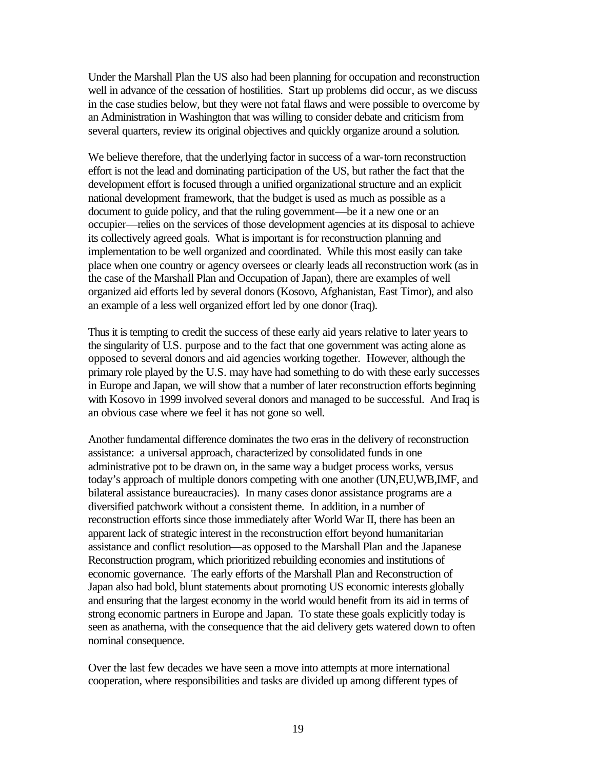Under the Marshall Plan the US also had been planning for occupation and reconstruction well in advance of the cessation of hostilities. Start up problems did occur, as we discuss in the case studies below, but they were not fatal flaws and were possible to overcome by an Administration in Washington that was willing to consider debate and criticism from several quarters, review its original objectives and quickly organize around a solution.

We believe therefore, that the underlying factor in success of a war-torn reconstruction effort is not the lead and dominating participation of the US, but rather the fact that the development effort is focused through a unified organizational structure and an explicit national development framework, that the budget is used as much as possible as a document to guide policy, and that the ruling government—be it a new one or an occupier—relies on the services of those development agencies at its disposal to achieve its collectively agreed goals. What is important is for reconstruction planning and implementation to be well organized and coordinated. While this most easily can take place when one country or agency oversees or clearly leads all reconstruction work (as in the case of the Marshall Plan and Occupation of Japan), there are examples of well organized aid efforts led by several donors (Kosovo, Afghanistan, East Timor), and also an example of a less well organized effort led by one donor (Iraq).

Thus it is tempting to credit the success of these early aid years relative to later years to the singularity of U.S. purpose and to the fact that one government was acting alone as opposed to several donors and aid agencies working together. However, although the primary role played by the U.S. may have had something to do with these early successes in Europe and Japan, we will show that a number of later reconstruction efforts beginning with Kosovo in 1999 involved several donors and managed to be successful. And Iraq is an obvious case where we feel it has not gone so well.

Another fundamental difference dominates the two eras in the delivery of reconstruction assistance: a universal approach, characterized by consolidated funds in one administrative pot to be drawn on, in the same way a budget process works, versus today's approach of multiple donors competing with one another (UN,EU,WB,IMF, and bilateral assistance bureaucracies). In many cases donor assistance programs are a diversified patchwork without a consistent theme. In addition, in a number of reconstruction efforts since those immediately after World War II, there has been an apparent lack of strategic interest in the reconstruction effort beyond humanitarian assistance and conflict resolution—as opposed to the Marshall Plan and the Japanese Reconstruction program, which prioritized rebuilding economies and institutions of economic governance. The early efforts of the Marshall Plan and Reconstruction of Japan also had bold, blunt statements about promoting US economic interests globally and ensuring that the largest economy in the world would benefit from its aid in terms of strong economic partners in Europe and Japan. To state these goals explicitly today is seen as anathema, with the consequence that the aid delivery gets watered down to often nominal consequence.

Over the last few decades we have seen a move into attempts at more international cooperation, where responsibilities and tasks are divided up among different types of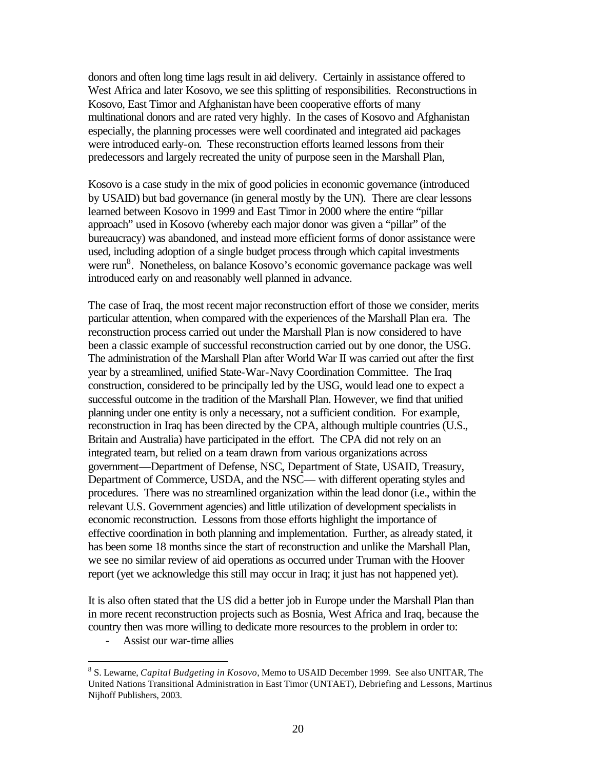donors and often long time lags result in aid delivery. Certainly in assistance offered to West Africa and later Kosovo, we see this splitting of responsibilities. Reconstructions in Kosovo, East Timor and Afghanistan have been cooperative efforts of many multinational donors and are rated very highly. In the cases of Kosovo and Afghanistan especially, the planning processes were well coordinated and integrated aid packages were introduced early-on. These reconstruction efforts learned lessons from their predecessors and largely recreated the unity of purpose seen in the Marshall Plan,

Kosovo is a case study in the mix of good policies in economic governance (introduced by USAID) but bad governance (in general mostly by the UN). There are clear lessons learned between Kosovo in 1999 and East Timor in 2000 where the entire "pillar approach" used in Kosovo (whereby each major donor was given a "pillar" of the bureaucracy) was abandoned, and instead more efficient forms of donor assistance were used, including adoption of a single budget process through which capital investments were run<sup>8</sup>. Nonetheless, on balance Kosovo's economic governance package was well introduced early on and reasonably well planned in advance.

The case of Iraq, the most recent major reconstruction effort of those we consider, merits particular attention, when compared with the experiences of the Marshall Plan era. The reconstruction process carried out under the Marshall Plan is now considered to have been a classic example of successful reconstruction carried out by one donor, the USG. The administration of the Marshall Plan after World War II was carried out after the first year by a streamlined, unified State-War-Navy Coordination Committee. The Iraq construction, considered to be principally led by the USG, would lead one to expect a successful outcome in the tradition of the Marshall Plan. However, we find that unified planning under one entity is only a necessary, not a sufficient condition. For example, reconstruction in Iraq has been directed by the CPA, although multiple countries (U.S., Britain and Australia) have participated in the effort. The CPA did not rely on an integrated team, but relied on a team drawn from various organizations across government—Department of Defense, NSC, Department of State, USAID, Treasury, Department of Commerce, USDA, and the NSC— with different operating styles and procedures. There was no streamlined organization within the lead donor (i.e., within the relevant U.S. Government agencies) and little utilization of development specialists in economic reconstruction. Lessons from those efforts highlight the importance of effective coordination in both planning and implementation. Further, as already stated, it has been some 18 months since the start of reconstruction and unlike the Marshall Plan, we see no similar review of aid operations as occurred under Truman with the Hoover report (yet we acknowledge this still may occur in Iraq; it just has not happened yet).

It is also often stated that the US did a better job in Europe under the Marshall Plan than in more recent reconstruction projects such as Bosnia, West Africa and Iraq, because the country then was more willing to dedicate more resources to the problem in order to:

- Assist our war-time allies

<sup>8</sup> S. Lewarne, *Capital Budgeting in Kosovo*, Memo to USAID December 1999. See also UNITAR, The United Nations Transitional Administration in East Timor (UNTAET), Debriefing and Lessons, Martinus Nijhoff Publishers, 2003.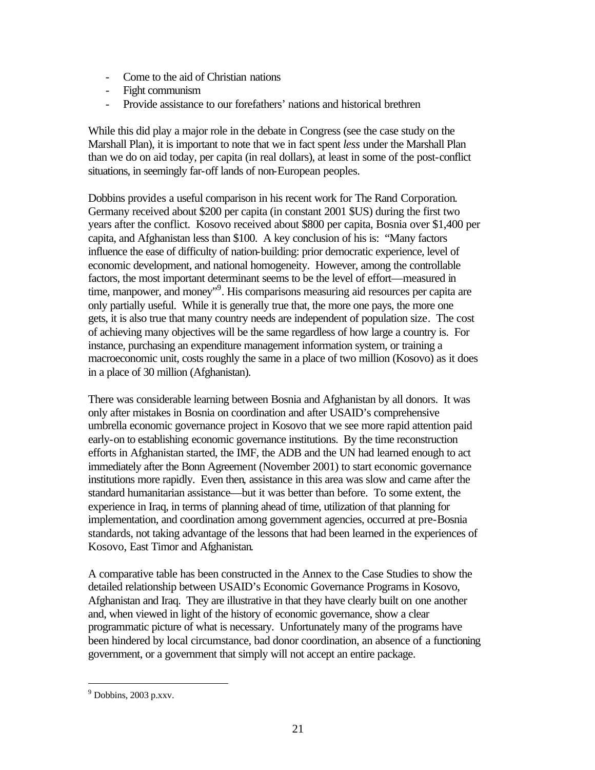- Come to the aid of Christian nations
- Fight communism
- Provide assistance to our forefathers' nations and historical brethren

While this did play a major role in the debate in Congress (see the case study on the Marshall Plan), it is important to note that we in fact spent *less* under the Marshall Plan than we do on aid today, per capita (in real dollars), at least in some of the post-conflict situations, in seemingly far-off lands of non-European peoples.

Dobbins provides a useful comparison in his recent work for The Rand Corporation. Germany received about \$200 per capita (in constant 2001 \$US) during the first two years after the conflict. Kosovo received about \$800 per capita, Bosnia over \$1,400 per capita, and Afghanistan less than \$100. A key conclusion of his is: "Many factors influence the ease of difficulty of nation-building: prior democratic experience, level of economic development, and national homogeneity. However, among the controllable factors, the most important determinant seems to be the level of effort—measured in time, manpower, and money"<sup>9</sup>. His comparisons measuring aid resources per capita are only partially useful. While it is generally true that, the more one pays, the more one gets, it is also true that many country needs are independent of population size. The cost of achieving many objectives will be the same regardless of how large a country is. For instance, purchasing an expenditure management information system, or training a macroeconomic unit, costs roughly the same in a place of two million (Kosovo) as it does in a place of 30 million (Afghanistan).

There was considerable learning between Bosnia and Afghanistan by all donors. It was only after mistakes in Bosnia on coordination and after USAID's comprehensive umbrella economic governance project in Kosovo that we see more rapid attention paid early-on to establishing economic governance institutions. By the time reconstruction efforts in Afghanistan started, the IMF, the ADB and the UN had learned enough to act immediately after the Bonn Agreement (November 2001) to start economic governance institutions more rapidly. Even then, assistance in this area was slow and came after the standard humanitarian assistance—but it was better than before. To some extent, the experience in Iraq, in terms of planning ahead of time, utilization of that planning for implementation, and coordination among government agencies, occurred at pre-Bosnia standards, not taking advantage of the lessons that had been learned in the experiences of Kosovo, East Timor and Afghanistan.

A comparative table has been constructed in the Annex to the Case Studies to show the detailed relationship between USAID's Economic Governance Programs in Kosovo, Afghanistan and Iraq. They are illustrative in that they have clearly built on one another and, when viewed in light of the history of economic governance, show a clear programmatic picture of what is necessary. Unfortunately many of the programs have been hindered by local circumstance, bad donor coordination, an absence of a functioning government, or a government that simply will not accept an entire package.

 $9$  Dobbins, 2003 p.xxv.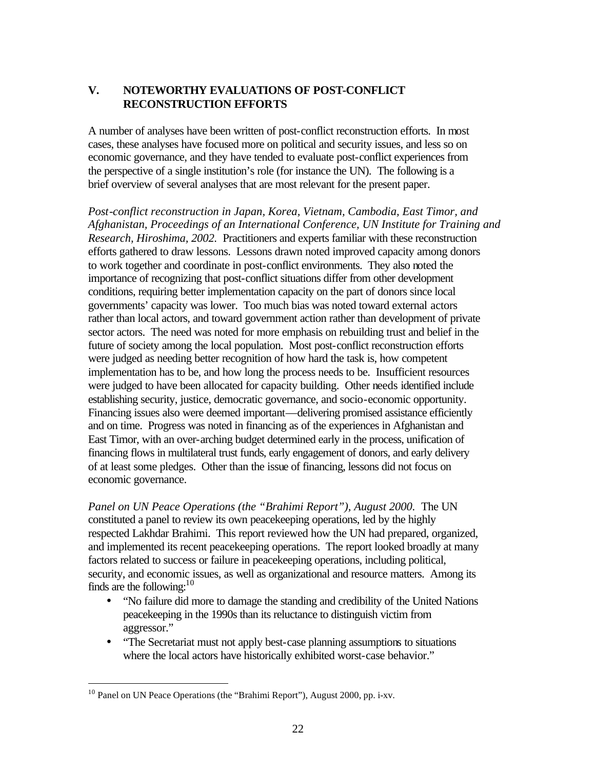## **V. NOTEWORTHY EVALUATIONS OF POST-CONFLICT RECONSTRUCTION EFFORTS**

A number of analyses have been written of post-conflict reconstruction efforts. In most cases, these analyses have focused more on political and security issues, and less so on economic governance, and they have tended to evaluate post-conflict experiences from the perspective of a single institution's role (for instance the UN). The following is a brief overview of several analyses that are most relevant for the present paper.

*Post-conflict reconstruction in Japan, Korea, Vietnam, Cambodia, East Timor, and Afghanistan, Proceedings of an International Conference, UN Institute for Training and Research, Hiroshima, 2002.* Practitioners and experts familiar with these reconstruction efforts gathered to draw lessons. Lessons drawn noted improved capacity among donors to work together and coordinate in post-conflict environments. They also noted the importance of recognizing that post-conflict situations differ from other development conditions, requiring better implementation capacity on the part of donors since local governments' capacity was lower. Too much bias was noted toward external actors rather than local actors, and toward government action rather than development of private sector actors. The need was noted for more emphasis on rebuilding trust and belief in the future of society among the local population. Most post-conflict reconstruction efforts were judged as needing better recognition of how hard the task is, how competent implementation has to be, and how long the process needs to be. Insufficient resources were judged to have been allocated for capacity building. Other needs identified include establishing security, justice, democratic governance, and socio-economic opportunity. Financing issues also were deemed important—delivering promised assistance efficiently and on time. Progress was noted in financing as of the experiences in Afghanistan and East Timor, with an over-arching budget determined early in the process, unification of financing flows in multilateral trust funds, early engagement of donors, and early delivery of at least some pledges. Other than the issue of financing, lessons did not focus on economic governance.

*Panel on UN Peace Operations (the "Brahimi Report"), August 2000.* The UN constituted a panel to review its own peacekeeping operations, led by the highly respected Lakhdar Brahimi. This report reviewed how the UN had prepared, organized, and implemented its recent peacekeeping operations. The report looked broadly at many factors related to success or failure in peacekeeping operations, including political, security, and economic issues, as well as organizational and resource matters. Among its finds are the following:  $10$ 

- "No failure did more to damage the standing and credibility of the United Nations peacekeeping in the 1990s than its reluctance to distinguish victim from aggressor."
- "The Secretariat must not apply best-case planning assumptions to situations where the local actors have historically exhibited worst-case behavior."

<sup>&</sup>lt;sup>10</sup> Panel on UN Peace Operations (the "Brahimi Report"), August 2000, pp. i-xv.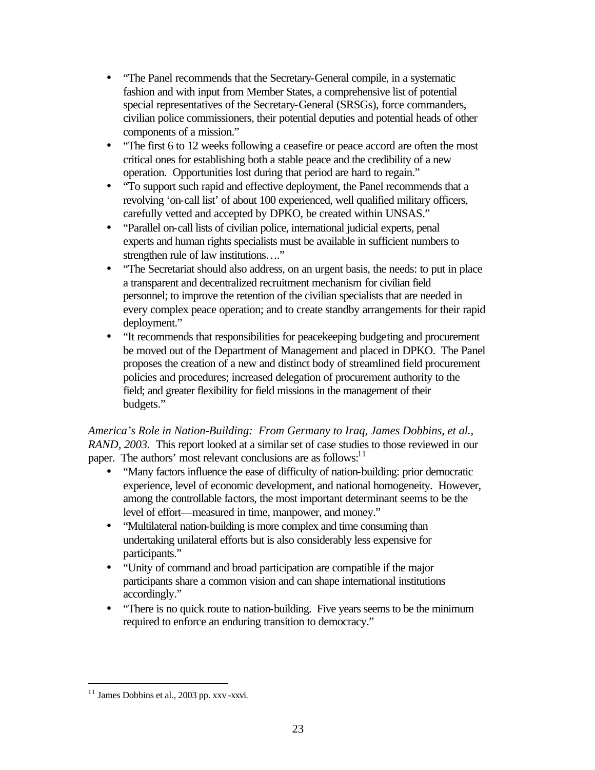- "The Panel recommends that the Secretary-General compile, in a systematic fashion and with input from Member States, a comprehensive list of potential special representatives of the Secretary-General (SRSGs), force commanders, civilian police commissioners, their potential deputies and potential heads of other components of a mission."
- "The first 6 to 12 weeks following a ceasefire or peace accord are often the most critical ones for establishing both a stable peace and the credibility of a new operation. Opportunities lost during that period are hard to regain."
- "To support such rapid and effective deployment, the Panel recommends that a revolving 'on-call list' of about 100 experienced, well qualified military officers, carefully vetted and accepted by DPKO, be created within UNSAS."
- "Parallel on-call lists of civilian police, international judicial experts, penal experts and human rights specialists must be available in sufficient numbers to strengthen rule of law institutions…."
- "The Secretariat should also address, on an urgent basis, the needs: to put in place a transparent and decentralized recruitment mechanism for civilian field personnel; to improve the retention of the civilian specialists that are needed in every complex peace operation; and to create standby arrangements for their rapid deployment."
- "It recommends that responsibilities for peacekeeping budgeting and procurement be moved out of the Department of Management and placed in DPKO. The Panel proposes the creation of a new and distinct body of streamlined field procurement policies and procedures; increased delegation of procurement authority to the field; and greater flexibility for field missions in the management of their budgets."

## *America's Role in Nation-Building: From Germany to Iraq, James Dobbins, et al., RAND, 2003.* This report looked at a similar set of case studies to those reviewed in our paper. The authors' most relevant conclusions are as follows: $11$

- "Many factors influence the ease of difficulty of nation-building: prior democratic experience, level of economic development, and national homogeneity. However, among the controllable factors, the most important determinant seems to be the level of effort—measured in time, manpower, and money."
- "Multilateral nation-building is more complex and time consuming than undertaking unilateral efforts but is also considerably less expensive for participants."
- "Unity of command and broad participation are compatible if the major participants share a common vision and can shape international institutions accordingly."
- "There is no quick route to nation-building. Five years seems to be the minimum required to enforce an enduring transition to democracy."

 $11$  James Dobbins et al., 2003 pp. xxv -xxvi.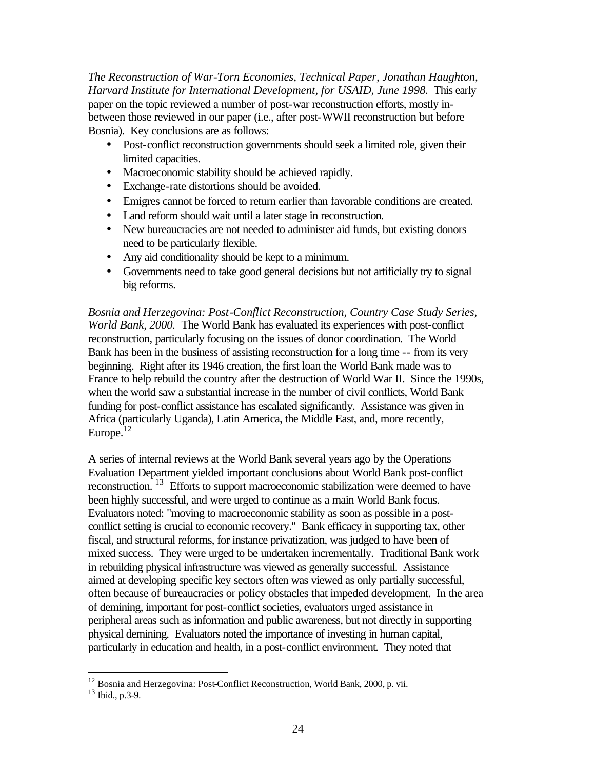*The Reconstruction of War-Torn Economies, Technical Paper, Jonathan Haughton, Harvard Institute for International Development, for USAID, June 1998.* This early paper on the topic reviewed a number of post-war reconstruction efforts, mostly inbetween those reviewed in our paper (i.e., after post-WWII reconstruction but before Bosnia). Key conclusions are as follows:

- Post-conflict reconstruction governments should seek a limited role, given their limited capacities.
- Macroeconomic stability should be achieved rapidly.
- Exchange-rate distortions should be avoided.
- Emigres cannot be forced to return earlier than favorable conditions are created.
- Land reform should wait until a later stage in reconstruction.
- New bureaucracies are not needed to administer aid funds, but existing donors need to be particularly flexible.
- Any aid conditionality should be kept to a minimum.
- Governments need to take good general decisions but not artificially try to signal big reforms.

*Bosnia and Herzegovina: Post-Conflict Reconstruction, Country Case Study Series, World Bank, 2000.* The World Bank has evaluated its experiences with post-conflict reconstruction, particularly focusing on the issues of donor coordination. The World Bank has been in the business of assisting reconstruction for a long time -- from its very beginning. Right after its 1946 creation, the first loan the World Bank made was to France to help rebuild the country after the destruction of World War II. Since the 1990s, when the world saw a substantial increase in the number of civil conflicts, World Bank funding for post-conflict assistance has escalated significantly. Assistance was given in Africa (particularly Uganda), Latin America, the Middle East, and, more recently, Europe. $12$ 

A series of internal reviews at the World Bank several years ago by the Operations Evaluation Department yielded important conclusions about World Bank post-conflict reconstruction. <sup>13</sup> Efforts to support macroeconomic stabilization were deemed to have been highly successful, and were urged to continue as a main World Bank focus. Evaluators noted: "moving to macroeconomic stability as soon as possible in a postconflict setting is crucial to economic recovery." Bank efficacy in supporting tax, other fiscal, and structural reforms, for instance privatization, was judged to have been of mixed success. They were urged to be undertaken incrementally. Traditional Bank work in rebuilding physical infrastructure was viewed as generally successful. Assistance aimed at developing specific key sectors often was viewed as only partially successful, often because of bureaucracies or policy obstacles that impeded development. In the area of demining, important for post-conflict societies, evaluators urged assistance in peripheral areas such as information and public awareness, but not directly in supporting physical demining. Evaluators noted the importance of investing in human capital, particularly in education and health, in a post-conflict environment. They noted that

<sup>&</sup>lt;sup>12</sup> Bosnia and Herzegovina: Post-Conflict Reconstruction, World Bank, 2000, p. vii.

<sup>13</sup> Ibid., p.3-9.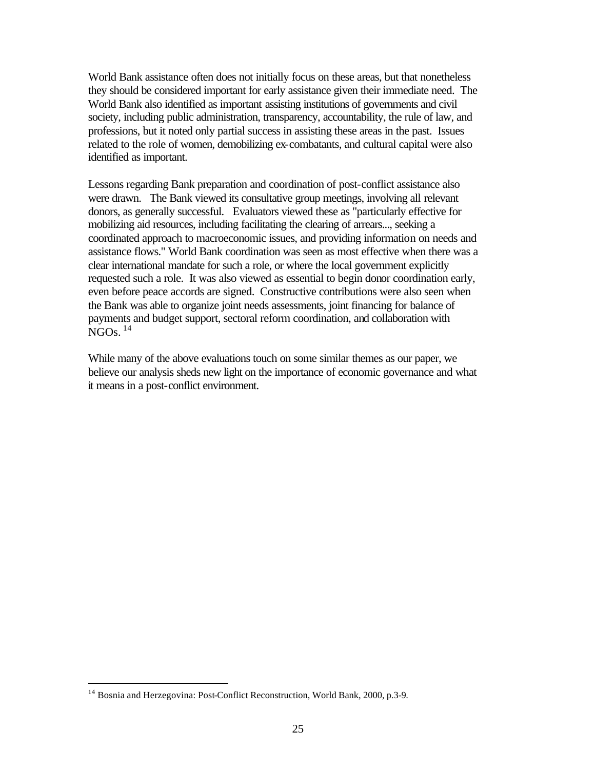World Bank assistance often does not initially focus on these areas, but that nonetheless they should be considered important for early assistance given their immediate need. The World Bank also identified as important assisting institutions of governments and civil society, including public administration, transparency, accountability, the rule of law, and professions, but it noted only partial success in assisting these areas in the past. Issues related to the role of women, demobilizing ex-combatants, and cultural capital were also identified as important.

Lessons regarding Bank preparation and coordination of post-conflict assistance also were drawn. The Bank viewed its consultative group meetings, involving all relevant donors, as generally successful. Evaluators viewed these as "particularly effective for mobilizing aid resources, including facilitating the clearing of arrears..., seeking a coordinated approach to macroeconomic issues, and providing information on needs and assistance flows." World Bank coordination was seen as most effective when there was a clear international mandate for such a role, or where the local government explicitly requested such a role. It was also viewed as essential to begin donor coordination early, even before peace accords are signed. Constructive contributions were also seen when the Bank was able to organize joint needs assessments, joint financing for balance of payments and budget support, sectoral reform coordination, and collaboration with  $NGOs.$ <sup>14</sup>

While many of the above evaluations touch on some similar themes as our paper, we believe our analysis sheds new light on the importance of economic governance and what it means in a post-conflict environment.

<sup>14</sup> Bosnia and Herzegovina: Post-Conflict Reconstruction, World Bank, 2000, p.3-9.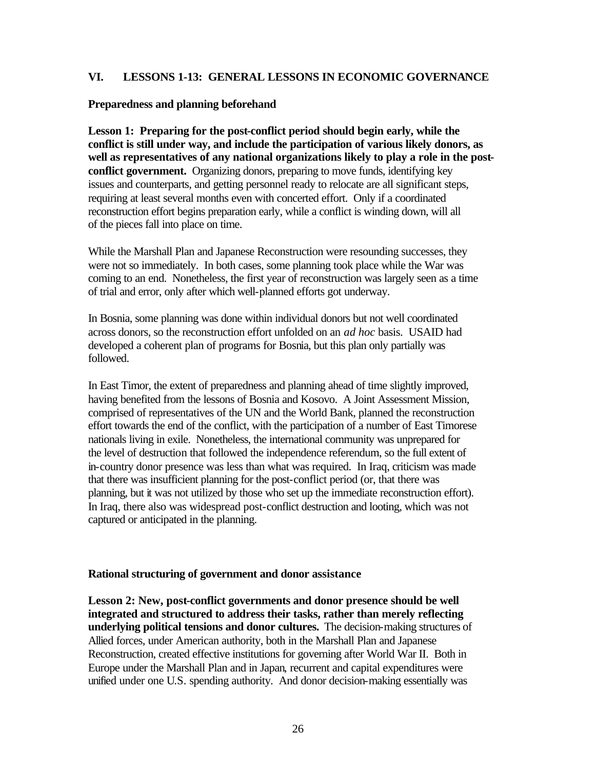#### **VI. LESSONS 1-13: GENERAL LESSONS IN ECONOMIC GOVERNANCE**

#### **Preparedness and planning beforehand**

**Lesson 1: Preparing for the post-conflict period should begin early, while the conflict is still under way, and include the participation of various likely donors, as well as representatives of any national organizations likely to play a role in the postconflict government.** Organizing donors, preparing to move funds, identifying key issues and counterparts, and getting personnel ready to relocate are all significant steps, requiring at least several months even with concerted effort. Only if a coordinated reconstruction effort begins preparation early, while a conflict is winding down, will all of the pieces fall into place on time.

While the Marshall Plan and Japanese Reconstruction were resounding successes, they were not so immediately. In both cases, some planning took place while the War was coming to an end. Nonetheless, the first year of reconstruction was largely seen as a time of trial and error, only after which well-planned efforts got underway.

In Bosnia, some planning was done within individual donors but not well coordinated across donors, so the reconstruction effort unfolded on an *ad hoc* basis. USAID had developed a coherent plan of programs for Bosnia, but this plan only partially was followed.

In East Timor, the extent of preparedness and planning ahead of time slightly improved, having benefited from the lessons of Bosnia and Kosovo. A Joint Assessment Mission, comprised of representatives of the UN and the World Bank, planned the reconstruction effort towards the end of the conflict, with the participation of a number of East Timorese nationals living in exile. Nonetheless, the international community was unprepared for the level of destruction that followed the independence referendum, so the full extent of in-country donor presence was less than what was required. In Iraq, criticism was made that there was insufficient planning for the post-conflict period (or, that there was planning, but it was not utilized by those who set up the immediate reconstruction effort). In Iraq, there also was widespread post-conflict destruction and looting, which was not captured or anticipated in the planning.

#### **Rational structuring of government and donor assistance**

**Lesson 2: New, post-conflict governments and donor presence should be well integrated and structured to address their tasks, rather than merely reflecting underlying political tensions and donor cultures.** The decision-making structures of Allied forces, under American authority, both in the Marshall Plan and Japanese Reconstruction, created effective institutions for governing after World War II. Both in Europe under the Marshall Plan and in Japan, recurrent and capital expenditures were unified under one U.S. spending authority. And donor decision-making essentially was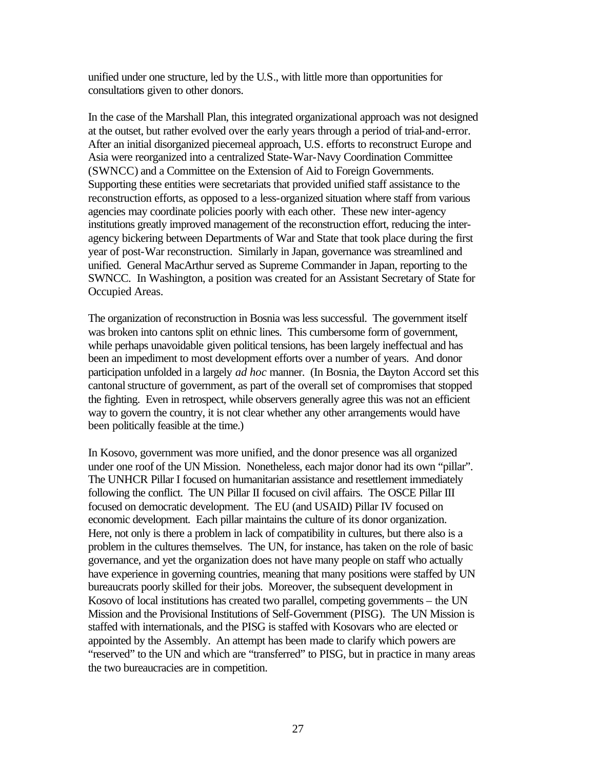unified under one structure, led by the U.S., with little more than opportunities for consultations given to other donors.

In the case of the Marshall Plan, this integrated organizational approach was not designed at the outset, but rather evolved over the early years through a period of trial-and-error. After an initial disorganized piecemeal approach, U.S. efforts to reconstruct Europe and Asia were reorganized into a centralized State-War-Navy Coordination Committee (SWNCC) and a Committee on the Extension of Aid to Foreign Governments. Supporting these entities were secretariats that provided unified staff assistance to the reconstruction efforts, as opposed to a less-organized situation where staff from various agencies may coordinate policies poorly with each other. These new inter-agency institutions greatly improved management of the reconstruction effort, reducing the interagency bickering between Departments of War and State that took place during the first year of post-War reconstruction. Similarly in Japan, governance was streamlined and unified. General MacArthur served as Supreme Commander in Japan, reporting to the SWNCC. In Washington, a position was created for an Assistant Secretary of State for Occupied Areas.

The organization of reconstruction in Bosnia was less successful. The government itself was broken into cantons split on ethnic lines. This cumbersome form of government, while perhaps unavoidable given political tensions, has been largely ineffectual and has been an impediment to most development efforts over a number of years. And donor participation unfolded in a largely *ad hoc* manner. (In Bosnia, the Dayton Accord set this cantonal structure of government, as part of the overall set of compromises that stopped the fighting. Even in retrospect, while observers generally agree this was not an efficient way to govern the country, it is not clear whether any other arrangements would have been politically feasible at the time.)

In Kosovo, government was more unified, and the donor presence was all organized under one roof of the UN Mission. Nonetheless, each major donor had its own "pillar". The UNHCR Pillar I focused on humanitarian assistance and resettlement immediately following the conflict. The UN Pillar II focused on civil affairs. The OSCE Pillar III focused on democratic development. The EU (and USAID) Pillar IV focused on economic development. Each pillar maintains the culture of its donor organization. Here, not only is there a problem in lack of compatibility in cultures, but there also is a problem in the cultures themselves. The UN, for instance, has taken on the role of basic governance, and yet the organization does not have many people on staff who actually have experience in governing countries, meaning that many positions were staffed by UN bureaucrats poorly skilled for their jobs. Moreover, the subsequent development in Kosovo of local institutions has created two parallel, competing governments – the UN Mission and the Provisional Institutions of Self-Government (PISG). The UN Mission is staffed with internationals, and the PISG is staffed with Kosovars who are elected or appointed by the Assembly. An attempt has been made to clarify which powers are "reserved" to the UN and which are "transferred" to PISG, but in practice in many areas the two bureaucracies are in competition.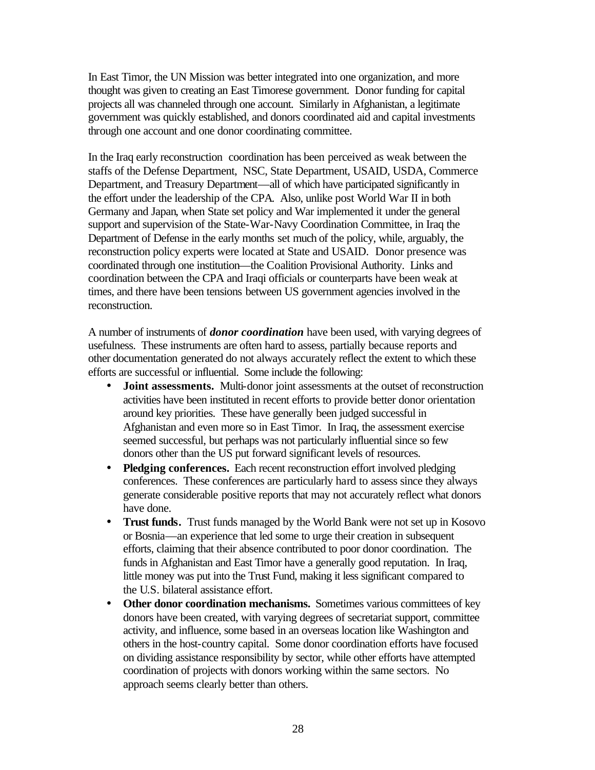In East Timor, the UN Mission was better integrated into one organization, and more thought was given to creating an East Timorese government. Donor funding for capital projects all was channeled through one account. Similarly in Afghanistan, a legitimate government was quickly established, and donors coordinated aid and capital investments through one account and one donor coordinating committee.

In the Iraq early reconstruction coordination has been perceived as weak between the staffs of the Defense Department, NSC, State Department, USAID, USDA, Commerce Department, and Treasury Department—all of which have participated significantly in the effort under the leadership of the CPA. Also, unlike post World War II in both Germany and Japan, when State set policy and War implemented it under the general support and supervision of the State-War-Navy Coordination Committee, in Iraq the Department of Defense in the early months set much of the policy, while, arguably, the reconstruction policy experts were located at State and USAID. Donor presence was coordinated through one institution—the Coalition Provisional Authority. Links and coordination between the CPA and Iraqi officials or counterparts have been weak at times, and there have been tensions between US government agencies involved in the reconstruction.

A number of instruments of *donor coordination* have been used, with varying degrees of usefulness. These instruments are often hard to assess, partially because reports and other documentation generated do not always accurately reflect the extent to which these efforts are successful or influential. Some include the following:

- **Joint assessments.** Multi-donor joint assessments at the outset of reconstruction activities have been instituted in recent efforts to provide better donor orientation around key priorities. These have generally been judged successful in Afghanistan and even more so in East Timor. In Iraq, the assessment exercise seemed successful, but perhaps was not particularly influential since so few donors other than the US put forward significant levels of resources.
- **Pledging conferences.** Each recent reconstruction effort involved pledging conferences. These conferences are particularly hard to assess since they always generate considerable positive reports that may not accurately reflect what donors have done.
- **Trust funds.** Trust funds managed by the World Bank were not set up in Kosovo or Bosnia—an experience that led some to urge their creation in subsequent efforts, claiming that their absence contributed to poor donor coordination. The funds in Afghanistan and East Timor have a generally good reputation. In Iraq, little money was put into the Trust Fund, making it less significant compared to the U.S. bilateral assistance effort.
- **Other donor coordination mechanisms.** Sometimes various committees of key donors have been created, with varying degrees of secretariat support, committee activity, and influence, some based in an overseas location like Washington and others in the host-country capital. Some donor coordination efforts have focused on dividing assistance responsibility by sector, while other efforts have attempted coordination of projects with donors working within the same sectors. No approach seems clearly better than others.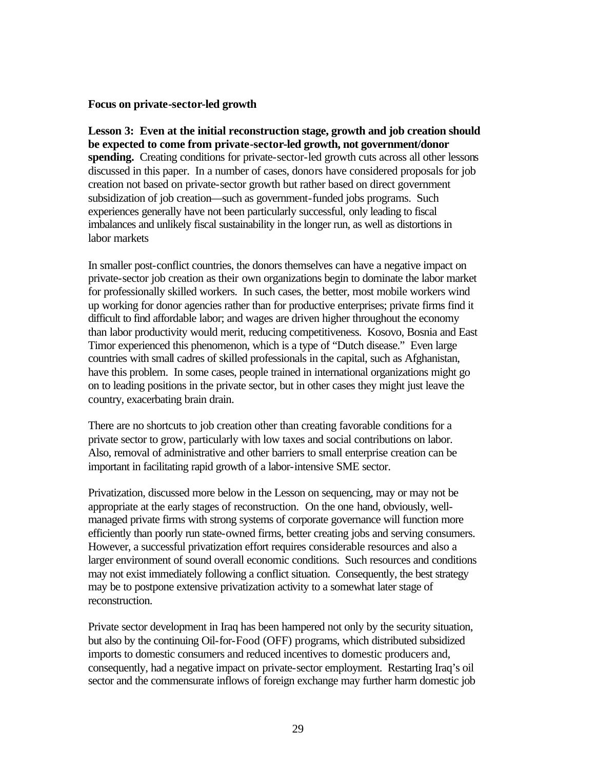#### **Focus on private-sector-led growth**

**Lesson 3: Even at the initial reconstruction stage, growth and job creation should be expected to come from private-sector-led growth, not government/donor spending.** Creating conditions for private-sector-led growth cuts across all other lessons discussed in this paper. In a number of cases, donors have considered proposals for job creation not based on private-sector growth but rather based on direct government subsidization of job creation—such as government-funded jobs programs. Such experiences generally have not been particularly successful, only leading to fiscal imbalances and unlikely fiscal sustainability in the longer run, as well as distortions in labor markets

In smaller post-conflict countries, the donors themselves can have a negative impact on private-sector job creation as their own organizations begin to dominate the labor market for professionally skilled workers. In such cases, the better, most mobile workers wind up working for donor agencies rather than for productive enterprises; private firms find it difficult to find affordable labor; and wages are driven higher throughout the economy than labor productivity would merit, reducing competitiveness. Kosovo, Bosnia and East Timor experienced this phenomenon, which is a type of "Dutch disease." Even large countries with small cadres of skilled professionals in the capital, such as Afghanistan, have this problem. In some cases, people trained in international organizations might go on to leading positions in the private sector, but in other cases they might just leave the country, exacerbating brain drain.

There are no shortcuts to job creation other than creating favorable conditions for a private sector to grow, particularly with low taxes and social contributions on labor. Also, removal of administrative and other barriers to small enterprise creation can be important in facilitating rapid growth of a labor-intensive SME sector.

Privatization, discussed more below in the Lesson on sequencing, may or may not be appropriate at the early stages of reconstruction. On the one hand, obviously, wellmanaged private firms with strong systems of corporate governance will function more efficiently than poorly run state-owned firms, better creating jobs and serving consumers. However, a successful privatization effort requires considerable resources and also a larger environment of sound overall economic conditions. Such resources and conditions may not exist immediately following a conflict situation. Consequently, the best strategy may be to postpone extensive privatization activity to a somewhat later stage of reconstruction.

Private sector development in Iraq has been hampered not only by the security situation, but also by the continuing Oil-for-Food (OFF) programs, which distributed subsidized imports to domestic consumers and reduced incentives to domestic producers and, consequently, had a negative impact on private-sector employment. Restarting Iraq's oil sector and the commensurate inflows of foreign exchange may further harm domestic job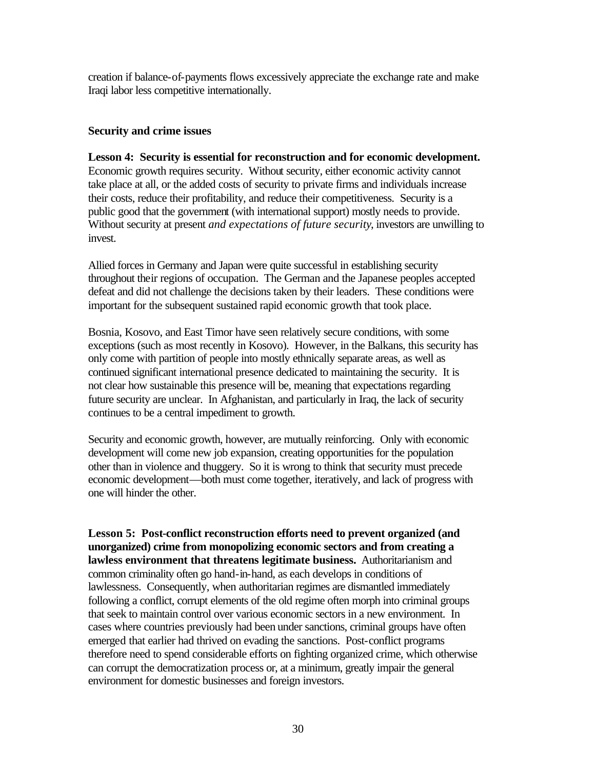creation if balance-of-payments flows excessively appreciate the exchange rate and make Iraqi labor less competitive internationally.

### **Security and crime issues**

**Lesson 4: Security is essential for reconstruction and for economic development.** Economic growth requires security. Without security, either economic activity cannot take place at all, or the added costs of security to private firms and individuals increase their costs, reduce their profitability, and reduce their competitiveness. Security is a public good that the government (with international support) mostly needs to provide. Without security at present *and expectations of future security*, investors are unwilling to invest.

Allied forces in Germany and Japan were quite successful in establishing security throughout their regions of occupation. The German and the Japanese peoples accepted defeat and did not challenge the decisions taken by their leaders. These conditions were important for the subsequent sustained rapid economic growth that took place.

Bosnia, Kosovo, and East Timor have seen relatively secure conditions, with some exceptions (such as most recently in Kosovo). However, in the Balkans, this security has only come with partition of people into mostly ethnically separate areas, as well as continued significant international presence dedicated to maintaining the security. It is not clear how sustainable this presence will be, meaning that expectations regarding future security are unclear. In Afghanistan, and particularly in Iraq, the lack of security continues to be a central impediment to growth.

Security and economic growth, however, are mutually reinforcing. Only with economic development will come new job expansion, creating opportunities for the population other than in violence and thuggery. So it is wrong to think that security must precede economic development—both must come together, iteratively, and lack of progress with one will hinder the other.

**Lesson 5: Post-conflict reconstruction efforts need to prevent organized (and unorganized) crime from monopolizing economic sectors and from creating a lawless environment that threatens legitimate business.** Authoritarianism and common criminality often go hand-in-hand, as each develops in conditions of lawlessness. Consequently, when authoritarian regimes are dismantled immediately following a conflict, corrupt elements of the old regime often morph into criminal groups that seek to maintain control over various economic sectors in a new environment. In cases where countries previously had been under sanctions, criminal groups have often emerged that earlier had thrived on evading the sanctions. Post-conflict programs therefore need to spend considerable efforts on fighting organized crime, which otherwise can corrupt the democratization process or, at a minimum, greatly impair the general environment for domestic businesses and foreign investors.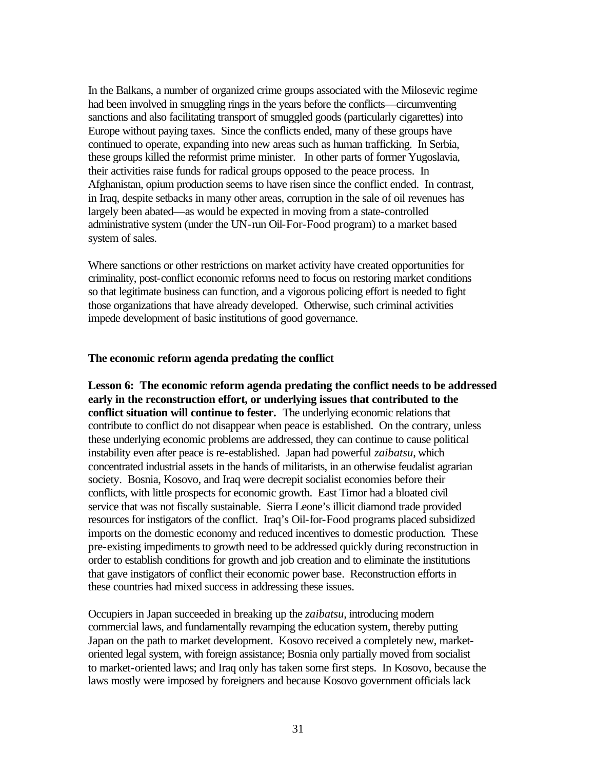In the Balkans, a number of organized crime groups associated with the Milosevic regime had been involved in smuggling rings in the years before the conflicts—circumventing sanctions and also facilitating transport of smuggled goods (particularly cigarettes) into Europe without paying taxes. Since the conflicts ended, many of these groups have continued to operate, expanding into new areas such as human trafficking. In Serbia, these groups killed the reformist prime minister. In other parts of former Yugoslavia, their activities raise funds for radical groups opposed to the peace process. In Afghanistan, opium production seems to have risen since the conflict ended. In contrast, in Iraq, despite setbacks in many other areas, corruption in the sale of oil revenues has largely been abated—as would be expected in moving from a state-controlled administrative system (under the UN-run Oil-For-Food program) to a market based system of sales.

Where sanctions or other restrictions on market activity have created opportunities for criminality, post-conflict economic reforms need to focus on restoring market conditions so that legitimate business can function, and a vigorous policing effort is needed to fight those organizations that have already developed. Otherwise, such criminal activities impede development of basic institutions of good governance.

#### **The economic reform agenda predating the conflict**

**Lesson 6: The economic reform agenda predating the conflict needs to be addressed early in the reconstruction effort, or underlying issues that contributed to the conflict situation will continue to fester.** The underlying economic relations that contribute to conflict do not disappear when peace is established. On the contrary, unless these underlying economic problems are addressed, they can continue to cause political instability even after peace is re-established. Japan had powerful *zaibatsu*, which concentrated industrial assets in the hands of militarists, in an otherwise feudalist agrarian society. Bosnia, Kosovo, and Iraq were decrepit socialist economies before their conflicts, with little prospects for economic growth. East Timor had a bloated civil service that was not fiscally sustainable. Sierra Leone's illicit diamond trade provided resources for instigators of the conflict. Iraq's Oil-for-Food programs placed subsidized imports on the domestic economy and reduced incentives to domestic production. These pre-existing impediments to growth need to be addressed quickly during reconstruction in order to establish conditions for growth and job creation and to eliminate the institutions that gave instigators of conflict their economic power base. Reconstruction efforts in these countries had mixed success in addressing these issues.

Occupiers in Japan succeeded in breaking up the *zaibatsu*, introducing modern commercial laws, and fundamentally revamping the education system, thereby putting Japan on the path to market development. Kosovo received a completely new, marketoriented legal system, with foreign assistance; Bosnia only partially moved from socialist to market-oriented laws; and Iraq only has taken some first steps. In Kosovo, because the laws mostly were imposed by foreigners and because Kosovo government officials lack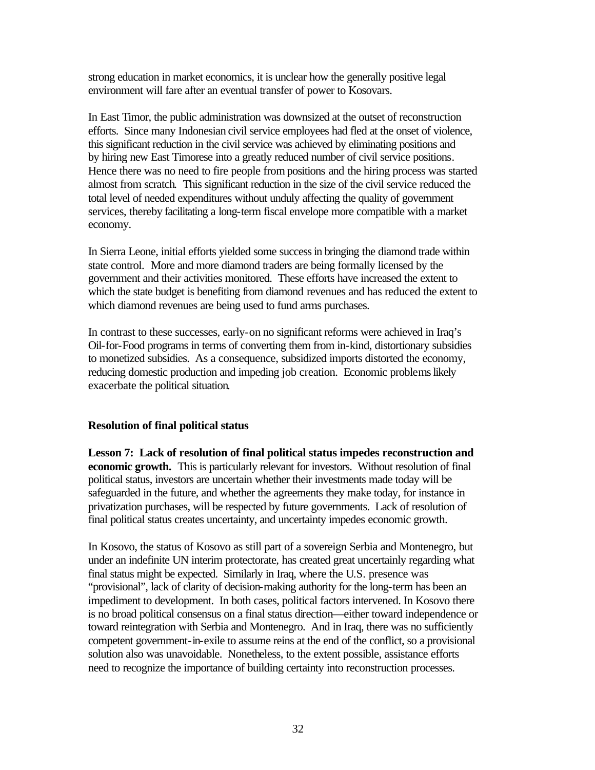strong education in market economics, it is unclear how the generally positive legal environment will fare after an eventual transfer of power to Kosovars.

In East Timor, the public administration was downsized at the outset of reconstruction efforts. Since many Indonesian civil service employees had fled at the onset of violence, this significant reduction in the civil service was achieved by eliminating positions and by hiring new East Timorese into a greatly reduced number of civil service positions. Hence there was no need to fire people from positions and the hiring process was started almost from scratch. This significant reduction in the size of the civil service reduced the total level of needed expenditures without unduly affecting the quality of government services, thereby facilitating a long-term fiscal envelope more compatible with a market economy.

In Sierra Leone, initial efforts yielded some success in bringing the diamond trade within state control. More and more diamond traders are being formally licensed by the government and their activities monitored. These efforts have increased the extent to which the state budget is benefiting from diamond revenues and has reduced the extent to which diamond revenues are being used to fund arms purchases.

In contrast to these successes, early-on no significant reforms were achieved in Iraq's Oil-for-Food programs in terms of converting them from in-kind, distortionary subsidies to monetized subsidies. As a consequence, subsidized imports distorted the economy, reducing domestic production and impeding job creation. Economic problems likely exacerbate the political situation.

#### **Resolution of final political status**

**Lesson 7: Lack of resolution of final political status impedes reconstruction and economic growth.** This is particularly relevant for investors. Without resolution of final political status, investors are uncertain whether their investments made today will be safeguarded in the future, and whether the agreements they make today, for instance in privatization purchases, will be respected by future governments. Lack of resolution of final political status creates uncertainty, and uncertainty impedes economic growth.

In Kosovo, the status of Kosovo as still part of a sovereign Serbia and Montenegro, but under an indefinite UN interim protectorate, has created great uncertainly regarding what final status might be expected. Similarly in Iraq, where the U.S. presence was "provisional", lack of clarity of decision-making authority for the long-term has been an impediment to development. In both cases, political factors intervened. In Kosovo there is no broad political consensus on a final status direction—either toward independence or toward reintegration with Serbia and Montenegro. And in Iraq, there was no sufficiently competent government-in-exile to assume reins at the end of the conflict, so a provisional solution also was unavoidable. Nonetheless, to the extent possible, assistance efforts need to recognize the importance of building certainty into reconstruction processes.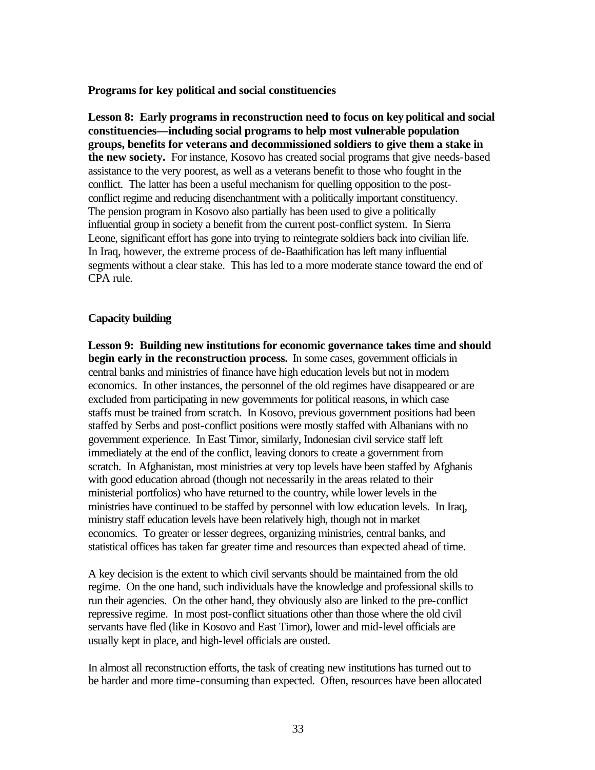#### **Programs for key political and social constituencies**

**Lesson 8: Early programs in reconstruction need to focus on key political and social constituencies—including social programs to help most vulnerable population groups, benefits for veterans and decommissioned soldiers to give them a stake in the new society.** For instance, Kosovo has created social programs that give needs-based assistance to the very poorest, as well as a veterans benefit to those who fought in the conflict. The latter has been a useful mechanism for quelling opposition to the postconflict regime and reducing disenchantment with a politically important constituency. The pension program in Kosovo also partially has been used to give a politically influential group in society a benefit from the current post-conflict system. In Sierra Leone, significant effort has gone into trying to reintegrate soldiers back into civilian life. In Iraq, however, the extreme process of de-Baathification has left many influential segments without a clear stake. This has led to a more moderate stance toward the end of CPA rule.

#### **Capacity building**

**Lesson 9: Building new institutions for economic governance takes time and should begin early in the reconstruction process.** In some cases, government officials in central banks and ministries of finance have high education levels but not in modern economics. In other instances, the personnel of the old regimes have disappeared or are excluded from participating in new governments for political reasons, in which case staffs must be trained from scratch. In Kosovo, previous government positions had been staffed by Serbs and post-conflict positions were mostly staffed with Albanians with no government experience. In East Timor, similarly, Indonesian civil service staff left immediately at the end of the conflict, leaving donors to create a government from scratch. In Afghanistan, most ministries at very top levels have been staffed by Afghanis with good education abroad (though not necessarily in the areas related to their ministerial portfolios) who have returned to the country, while lower levels in the ministries have continued to be staffed by personnel with low education levels. In Iraq, ministry staff education levels have been relatively high, though not in market economics. To greater or lesser degrees, organizing ministries, central banks, and statistical offices has taken far greater time and resources than expected ahead of time.

A key decision is the extent to which civil servants should be maintained from the old regime. On the one hand, such individuals have the knowledge and professional skills to run their agencies. On the other hand, they obviously also are linked to the pre-conflict repressive regime. In most post-conflict situations other than those where the old civil servants have fled (like in Kosovo and East Timor), lower and mid-level officials are usually kept in place, and high-level officials are ousted.

In almost all reconstruction efforts, the task of creating new institutions has turned out to be harder and more time-consuming than expected. Often, resources have been allocated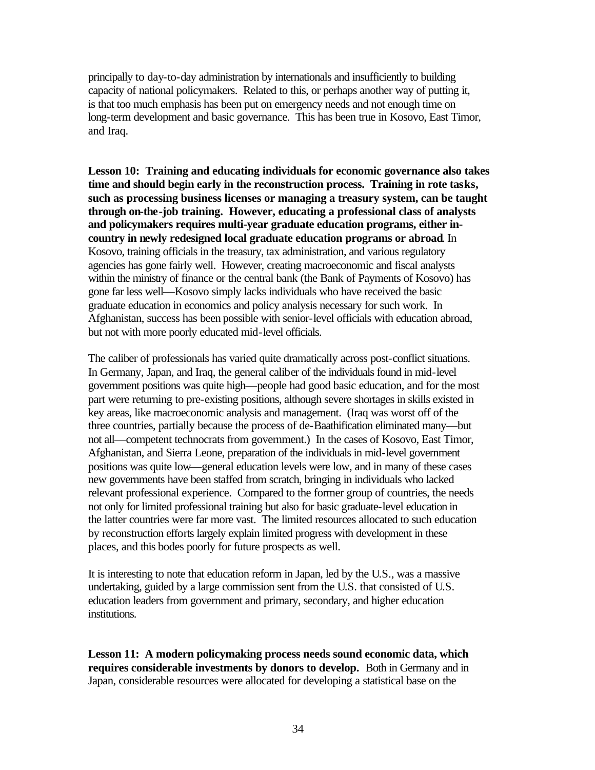principally to day-to-day administration by internationals and insufficiently to building capacity of national policymakers. Related to this, or perhaps another way of putting it, is that too much emphasis has been put on emergency needs and not enough time on long-term development and basic governance. This has been true in Kosovo, East Timor, and Iraq.

**Lesson 10: Training and educating individuals for economic governance also takes time and should begin early in the reconstruction process. Training in rote tasks, such as processing business licenses or managing a treasury system, can be taught through on-the-job training. However, educating a professional class of analysts and policymakers requires multi-year graduate education programs, either incountry in newly redesigned local graduate education programs or abroad**. In Kosovo, training officials in the treasury, tax administration, and various regulatory agencies has gone fairly well. However, creating macroeconomic and fiscal analysts within the ministry of finance or the central bank (the Bank of Payments of Kosovo) has gone far less well—Kosovo simply lacks individuals who have received the basic graduate education in economics and policy analysis necessary for such work. In Afghanistan, success has been possible with senior-level officials with education abroad, but not with more poorly educated mid-level officials.

The caliber of professionals has varied quite dramatically across post-conflict situations. In Germany, Japan, and Iraq, the general caliber of the individuals found in mid-level government positions was quite high—people had good basic education, and for the most part were returning to pre-existing positions, although severe shortages in skills existed in key areas, like macroeconomic analysis and management. (Iraq was worst off of the three countries, partially because the process of de-Baathification eliminated many—but not all—competent technocrats from government.) In the cases of Kosovo, East Timor, Afghanistan, and Sierra Leone, preparation of the individuals in mid-level government positions was quite low—general education levels were low, and in many of these cases new governments have been staffed from scratch, bringing in individuals who lacked relevant professional experience. Compared to the former group of countries, the needs not only for limited professional training but also for basic graduate-level education in the latter countries were far more vast. The limited resources allocated to such education by reconstruction efforts largely explain limited progress with development in these places, and this bodes poorly for future prospects as well.

It is interesting to note that education reform in Japan, led by the U.S., was a massive undertaking, guided by a large commission sent from the U.S. that consisted of U.S. education leaders from government and primary, secondary, and higher education institutions.

**Lesson 11: A modern policymaking process needs sound economic data, which requires considerable investments by donors to develop.** Both in Germany and in Japan, considerable resources were allocated for developing a statistical base on the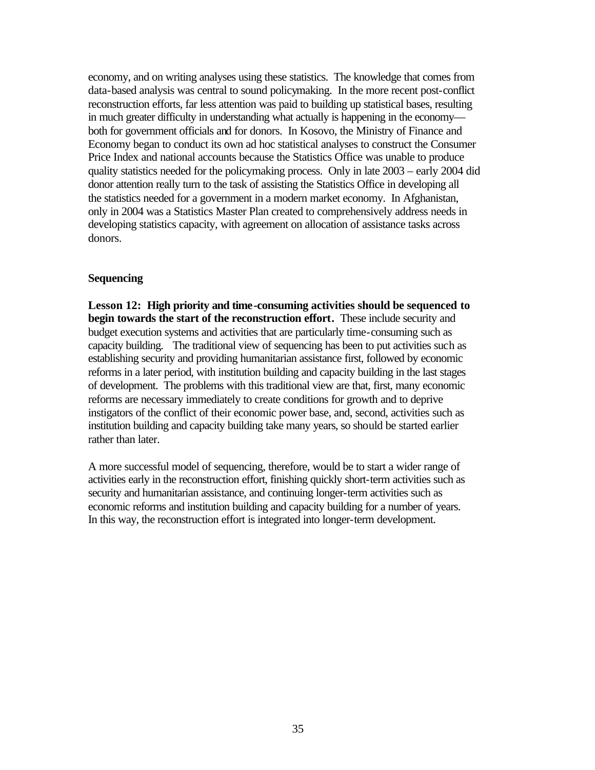economy, and on writing analyses using these statistics. The knowledge that comes from data-based analysis was central to sound policymaking. In the more recent post-conflict reconstruction efforts, far less attention was paid to building up statistical bases, resulting in much greater difficulty in understanding what actually is happening in the economy both for government officials and for donors. In Kosovo, the Ministry of Finance and Economy began to conduct its own ad hoc statistical analyses to construct the Consumer Price Index and national accounts because the Statistics Office was unable to produce quality statistics needed for the policymaking process. Only in late 2003 – early 2004 did donor attention really turn to the task of assisting the Statistics Office in developing all the statistics needed for a government in a modern market economy. In Afghanistan, only in 2004 was a Statistics Master Plan created to comprehensively address needs in developing statistics capacity, with agreement on allocation of assistance tasks across donors.

#### **Sequencing**

**Lesson 12: High priority and time-consuming activities should be sequenced to begin towards the start of the reconstruction effort.** These include security and budget execution systems and activities that are particularly time-consuming such as capacity building. The traditional view of sequencing has been to put activities such as establishing security and providing humanitarian assistance first, followed by economic reforms in a later period, with institution building and capacity building in the last stages of development. The problems with this traditional view are that, first, many economic reforms are necessary immediately to create conditions for growth and to deprive instigators of the conflict of their economic power base, and, second, activities such as institution building and capacity building take many years, so should be started earlier rather than later.

A more successful model of sequencing, therefore, would be to start a wider range of activities early in the reconstruction effort, finishing quickly short-term activities such as security and humanitarian assistance, and continuing longer-term activities such as economic reforms and institution building and capacity building for a number of years. In this way, the reconstruction effort is integrated into longer-term development.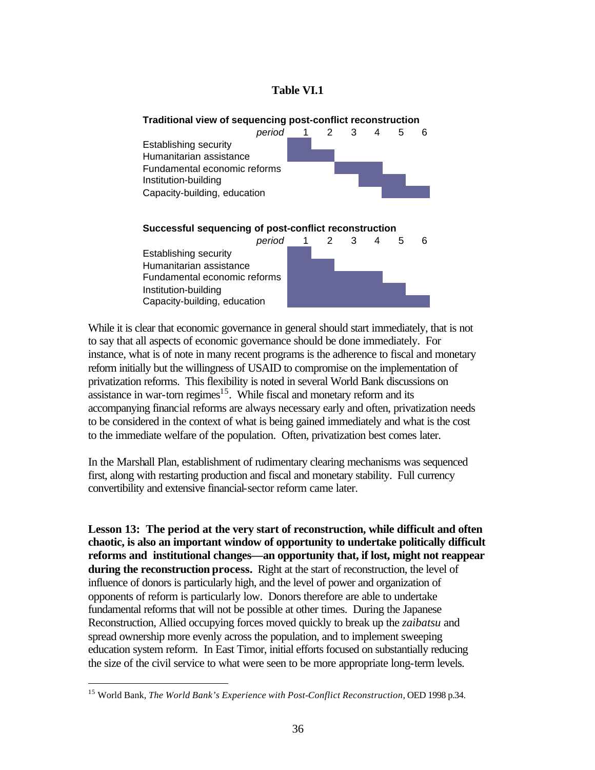### **Table VI.1**



While it is clear that economic governance in general should start immediately, that is not to say that all aspects of economic governance should be done immediately. For instance, what is of note in many recent programs is the adherence to fiscal and monetary reform initially but the willingness of USAID to compromise on the implementation of privatization reforms. This flexibility is noted in several World Bank discussions on assistance in war-torn regimes $15$ . While fiscal and monetary reform and its accompanying financial reforms are always necessary early and often, privatization needs to be considered in the context of what is being gained immediately and what is the cost to the immediate welfare of the population. Often, privatization best comes later.

In the Marshall Plan, establishment of rudimentary clearing mechanisms was sequenced first, along with restarting production and fiscal and monetary stability. Full currency convertibility and extensive financial-sector reform came later.

**Lesson 13: The period at the very start of reconstruction, while difficult and often chaotic, is also an important window of opportunity to undertake politically difficult reforms and institutional changes—an opportunity that, if lost, might not reappear during the reconstruction process.** Right at the start of reconstruction, the level of influence of donors is particularly high, and the level of power and organization of opponents of reform is particularly low. Donors therefore are able to undertake fundamental reforms that will not be possible at other times. During the Japanese Reconstruction, Allied occupying forces moved quickly to break up the *zaibatsu* and spread ownership more evenly across the population, and to implement sweeping education system reform. In East Timor, initial efforts focused on substantially reducing the size of the civil service to what were seen to be more appropriate long-term levels.

<sup>15</sup> World Bank, *The World Bank's Experience with Post-Conflict Reconstruction*, OED 1998 p.34.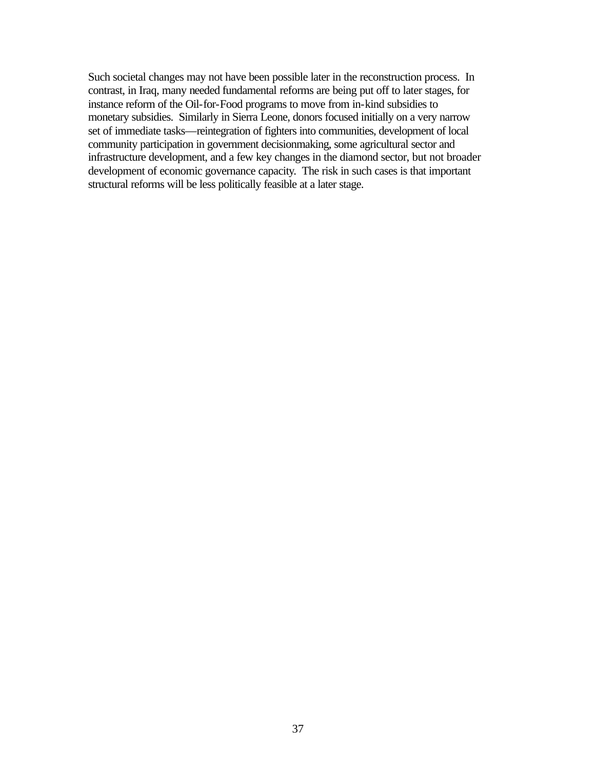Such societal changes may not have been possible later in the reconstruction process. In contrast, in Iraq, many needed fundamental reforms are being put off to later stages, for instance reform of the Oil-for-Food programs to move from in-kind subsidies to monetary subsidies. Similarly in Sierra Leone, donors focused initially on a very narrow set of immediate tasks—reintegration of fighters into communities, development of local community participation in government decisionmaking, some agricultural sector and infrastructure development, and a few key changes in the diamond sector, but not broader development of economic governance capacity. The risk in such cases is that important structural reforms will be less politically feasible at a later stage.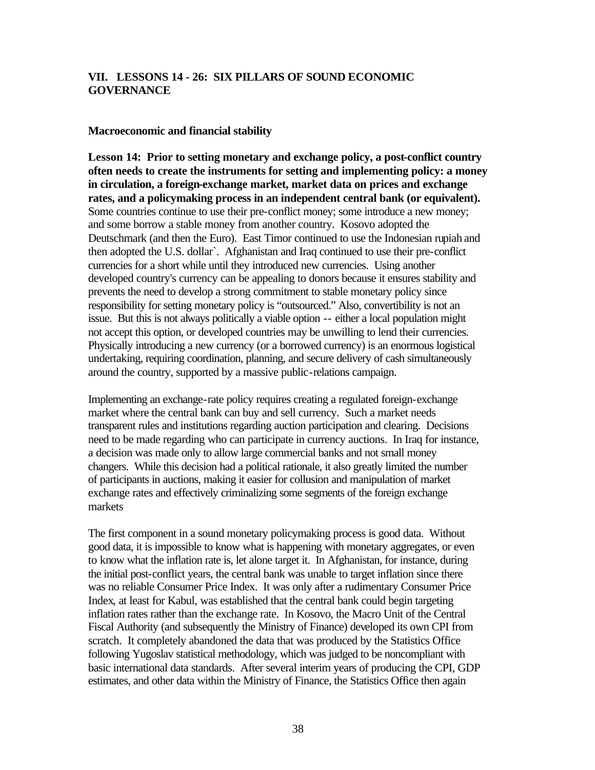# **VII. LESSONS 14 - 26: SIX PILLARS OF SOUND ECONOMIC GOVERNANCE**

#### **Macroeconomic and financial stability**

**Lesson 14: Prior to setting monetary and exchange policy, a post-conflict country often needs to create the instruments for setting and implementing policy: a money in circulation, a foreign-exchange market, market data on prices and exchange rates, and a policymaking process in an independent central bank (or equivalent).** Some countries continue to use their pre-conflict money; some introduce a new money; and some borrow a stable money from another country. Kosovo adopted the Deutschmark (and then the Euro). East Timor continued to use the Indonesian rupiah and then adopted the U.S. dollar`. Afghanistan and Iraq continued to use their pre-conflict currencies for a short while until they introduced new currencies. Using another developed country's currency can be appealing to donors because it ensures stability and prevents the need to develop a strong commitment to stable monetary policy since responsibility for setting monetary policy is "outsourced." Also, convertibility is not an issue. But this is not always politically a viable option -- either a local population might not accept this option, or developed countries may be unwilling to lend their currencies. Physically introducing a new currency (or a borrowed currency) is an enormous logistical undertaking, requiring coordination, planning, and secure delivery of cash simultaneously around the country, supported by a massive public-relations campaign.

Implementing an exchange-rate policy requires creating a regulated foreign-exchange market where the central bank can buy and sell currency. Such a market needs transparent rules and institutions regarding auction participation and clearing. Decisions need to be made regarding who can participate in currency auctions. In Iraq for instance, a decision was made only to allow large commercial banks and not small money changers. While this decision had a political rationale, it also greatly limited the number of participants in auctions, making it easier for collusion and manipulation of market exchange rates and effectively criminalizing some segments of the foreign exchange markets

The first component in a sound monetary policymaking process is good data. Without good data, it is impossible to know what is happening with monetary aggregates, or even to know what the inflation rate is, let alone target it. In Afghanistan, for instance, during the initial post-conflict years, the central bank was unable to target inflation since there was no reliable Consumer Price Index. It was only after a rudimentary Consumer Price Index, at least for Kabul, was established that the central bank could begin targeting inflation rates rather than the exchange rate. In Kosovo, the Macro Unit of the Central Fiscal Authority (and subsequently the Ministry of Finance) developed its own CPI from scratch. It completely abandoned the data that was produced by the Statistics Office following Yugoslav statistical methodology, which was judged to be noncompliant with basic international data standards. After several interim years of producing the CPI, GDP estimates, and other data within the Ministry of Finance, the Statistics Office then again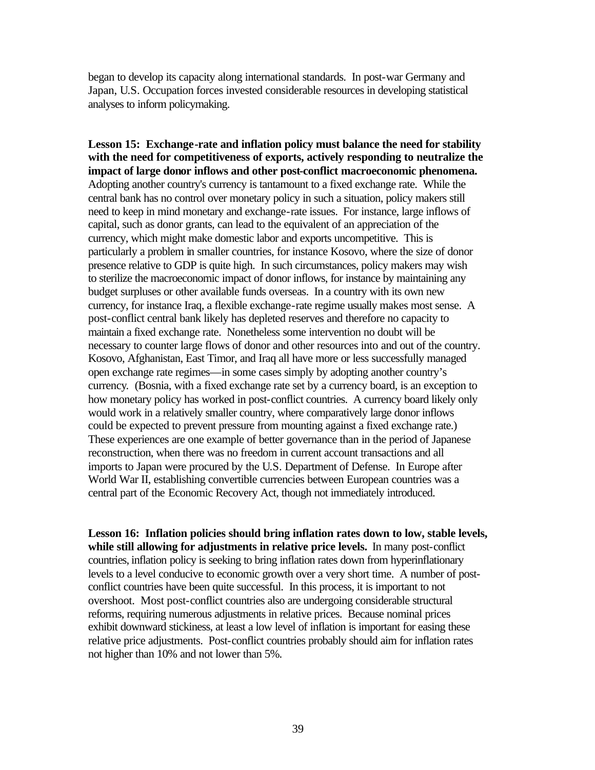began to develop its capacity along international standards. In post-war Germany and Japan, U.S. Occupation forces invested considerable resources in developing statistical analyses to inform policymaking.

**Lesson 15: Exchange-rate and inflation policy must balance the need for stability with the need for competitiveness of exports, actively responding to neutralize the impact of large donor inflows and other post-conflict macroeconomic phenomena.** Adopting another country's currency is tantamount to a fixed exchange rate. While the central bank has no control over monetary policy in such a situation, policy makers still need to keep in mind monetary and exchange-rate issues. For instance, large inflows of capital, such as donor grants, can lead to the equivalent of an appreciation of the currency, which might make domestic labor and exports uncompetitive. This is particularly a problem in smaller countries, for instance Kosovo, where the size of donor presence relative to GDP is quite high. In such circumstances, policy makers may wish to sterilize the macroeconomic impact of donor inflows, for instance by maintaining any budget surpluses or other available funds overseas. In a country with its own new currency, for instance Iraq, a flexible exchange-rate regime usually makes most sense. A post-conflict central bank likely has depleted reserves and therefore no capacity to maintain a fixed exchange rate. Nonetheless some intervention no doubt will be necessary to counter large flows of donor and other resources into and out of the country. Kosovo, Afghanistan, East Timor, and Iraq all have more or less successfully managed open exchange rate regimes—in some cases simply by adopting another country's currency. (Bosnia, with a fixed exchange rate set by a currency board, is an exception to how monetary policy has worked in post-conflict countries. A currency board likely only would work in a relatively smaller country, where comparatively large donor inflows could be expected to prevent pressure from mounting against a fixed exchange rate.) These experiences are one example of better governance than in the period of Japanese reconstruction, when there was no freedom in current account transactions and all imports to Japan were procured by the U.S. Department of Defense. In Europe after World War II, establishing convertible currencies between European countries was a central part of the Economic Recovery Act, though not immediately introduced.

**Lesson 16: Inflation policies should bring inflation rates down to low, stable levels, while still allowing for adjustments in relative price levels.** In many post-conflict countries, inflation policy is seeking to bring inflation rates down from hyperinflationary levels to a level conducive to economic growth over a very short time. A number of postconflict countries have been quite successful. In this process, it is important to not overshoot. Most post-conflict countries also are undergoing considerable structural reforms, requiring numerous adjustments in relative prices. Because nominal prices exhibit downward stickiness, at least a low level of inflation is important for easing these relative price adjustments. Post-conflict countries probably should aim for inflation rates not higher than 10% and not lower than 5%.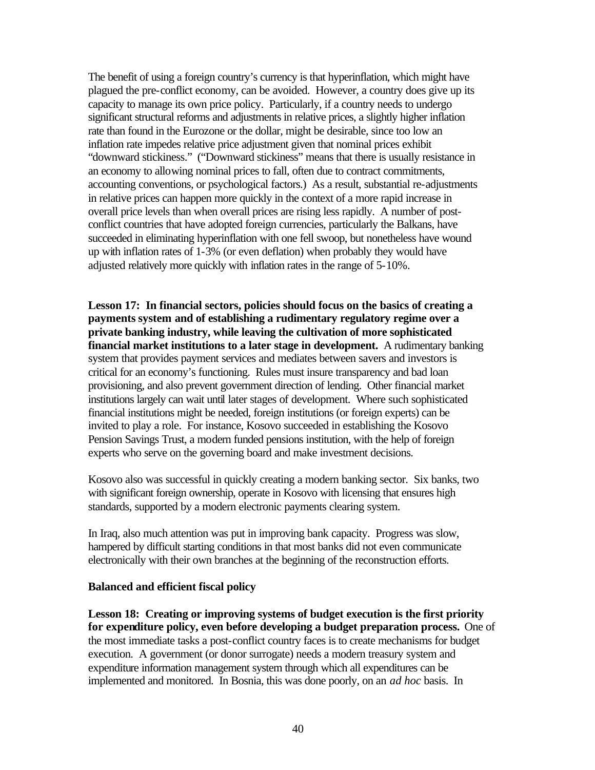The benefit of using a foreign country's currency is that hyperinflation, which might have plagued the pre-conflict economy, can be avoided. However, a country does give up its capacity to manage its own price policy. Particularly, if a country needs to undergo significant structural reforms and adjustments in relative prices, a slightly higher inflation rate than found in the Eurozone or the dollar, might be desirable, since too low an inflation rate impedes relative price adjustment given that nominal prices exhibit "downward stickiness." ("Downward stickiness" means that there is usually resistance in an economy to allowing nominal prices to fall, often due to contract commitments, accounting conventions, or psychological factors.) As a result, substantial re-adjustments in relative prices can happen more quickly in the context of a more rapid increase in overall price levels than when overall prices are rising less rapidly. A number of postconflict countries that have adopted foreign currencies, particularly the Balkans, have succeeded in eliminating hyperinflation with one fell swoop, but nonetheless have wound up with inflation rates of 1-3% (or even deflation) when probably they would have adjusted relatively more quickly with inflation rates in the range of 5-10%.

**Lesson 17: In financial sectors, policies should focus on the basics of creating a payments system and of establishing a rudimentary regulatory regime over a private banking industry, while leaving the cultivation of more sophisticated financial market institutions to a later stage in development.** A rudimentary banking system that provides payment services and mediates between savers and investors is critical for an economy's functioning. Rules must insure transparency and bad loan provisioning, and also prevent government direction of lending. Other financial market institutions largely can wait until later stages of development. Where such sophisticated financial institutions might be needed, foreign institutions (or foreign experts) can be invited to play a role. For instance, Kosovo succeeded in establishing the Kosovo Pension Savings Trust, a modern funded pensions institution, with the help of foreign experts who serve on the governing board and make investment decisions.

Kosovo also was successful in quickly creating a modern banking sector. Six banks, two with significant foreign ownership, operate in Kosovo with licensing that ensures high standards, supported by a modern electronic payments clearing system.

In Iraq, also much attention was put in improving bank capacity. Progress was slow, hampered by difficult starting conditions in that most banks did not even communicate electronically with their own branches at the beginning of the reconstruction efforts.

#### **Balanced and efficient fiscal policy**

**Lesson 18: Creating or improving systems of budget execution is the first priority for expenditure policy, even before developing a budget preparation process.** One of the most immediate tasks a post-conflict country faces is to create mechanisms for budget execution. A government (or donor surrogate) needs a modern treasury system and expenditure information management system through which all expenditures can be implemented and monitored. In Bosnia, this was done poorly, on an *ad hoc* basis. In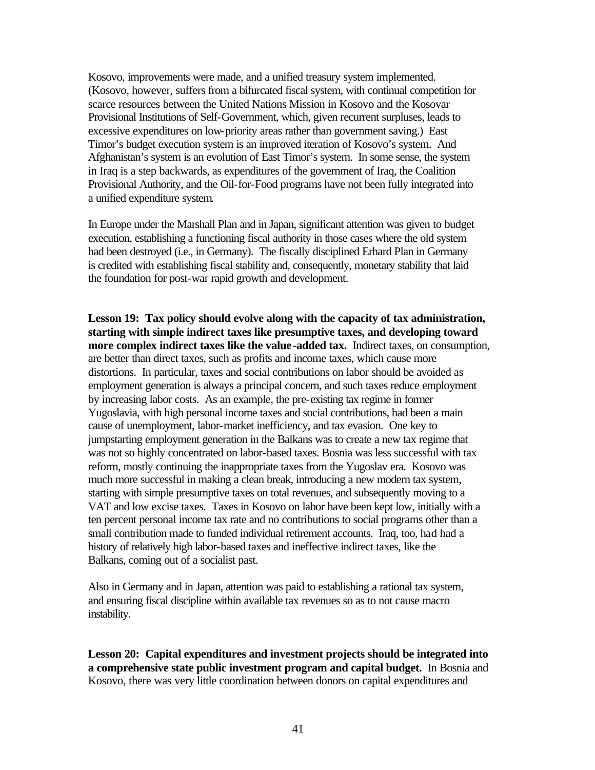Kosovo, improvements were made, and a unified treasury system implemented. (Kosovo, however, suffers from a bifurcated fiscal system, with continual competition for scarce resources between the United Nations Mission in Kosovo and the Kosovar Provisional Institutions of Self-Government, which, given recurrent surpluses, leads to excessive expenditures on low-priority areas rather than government saving.) East Timor's budget execution system is an improved iteration of Kosovo's system. And Afghanistan's system is an evolution of East Timor's system. In some sense, the system in Iraq is a step backwards, as expenditures of the government of Iraq, the Coalition Provisional Authority, and the Oil-for-Food programs have not been fully integrated into a unified expenditure system.

In Europe under the Marshall Plan and in Japan, significant attention was given to budget execution, establishing a functioning fiscal authority in those cases where the old system had been destroyed (i.e., in Germany). The fiscally disciplined Erhard Plan in Germany is credited with establishing fiscal stability and, consequently, monetary stability that laid the foundation for post-war rapid growth and development.

**Lesson 19: Tax policy should evolve along with the capacity of tax administration, starting with simple indirect taxes like presumptive taxes, and developing toward more complex indirect taxes like the value -added tax.** Indirect taxes, on consumption, are better than direct taxes, such as profits and income taxes, which cause more distortions. In particular, taxes and social contributions on labor should be avoided as employment generation is always a principal concern, and such taxes reduce employment by increasing labor costs. As an example, the pre-existing tax regime in former Yugoslavia, with high personal income taxes and social contributions, had been a main cause of unemployment, labor-market inefficiency, and tax evasion. One key to jumpstarting employment generation in the Balkans was to create a new tax regime that was not so highly concentrated on labor-based taxes. Bosnia was less successful with tax reform, mostly continuing the inappropriate taxes from the Yugoslav era. Kosovo was much more successful in making a clean break, introducing a new modern tax system, starting with simple presumptive taxes on total revenues, and subsequently moving to a VAT and low excise taxes. Taxes in Kosovo on labor have been kept low, initially with a ten percent personal income tax rate and no contributions to social programs other than a small contribution made to funded individual retirement accounts. Iraq, too, had had a history of relatively high labor-based taxes and ineffective indirect taxes, like the Balkans, coming out of a socialist past.

Also in Germany and in Japan, attention was paid to establishing a rational tax system, and ensuring fiscal discipline within available tax revenues so as to not cause macro instability.

**Lesson 20: Capital expenditures and investment projects should be integrated into a comprehensive state public investment program and capital budget.** In Bosnia and Kosovo, there was very little coordination between donors on capital expenditures and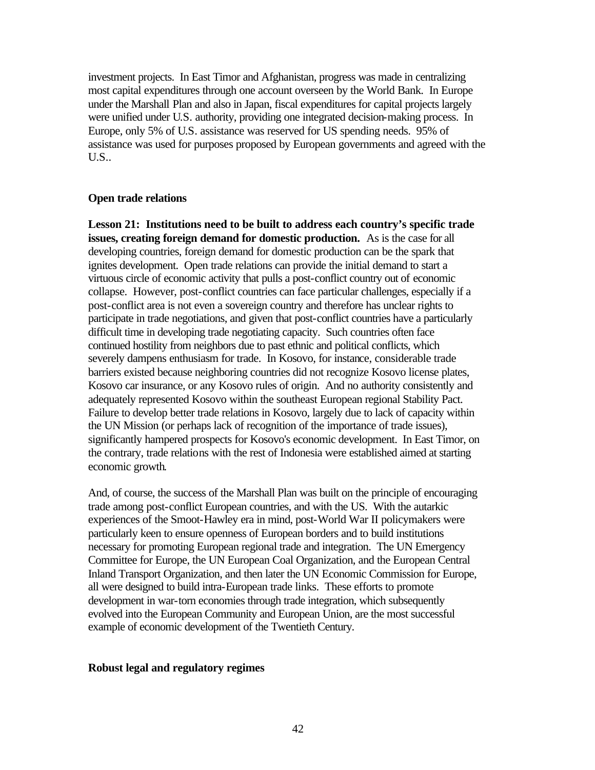investment projects. In East Timor and Afghanistan, progress was made in centralizing most capital expenditures through one account overseen by the World Bank. In Europe under the Marshall Plan and also in Japan, fiscal expenditures for capital projects largely were unified under U.S. authority, providing one integrated decision-making process. In Europe, only 5% of U.S. assistance was reserved for US spending needs. 95% of assistance was used for purposes proposed by European governments and agreed with the U.S..

#### **Open trade relations**

**Lesson 21: Institutions need to be built to address each country's specific trade issues, creating foreign demand for domestic production.** As is the case for all developing countries, foreign demand for domestic production can be the spark that ignites development. Open trade relations can provide the initial demand to start a virtuous circle of economic activity that pulls a post-conflict country out of economic collapse. However, post-conflict countries can face particular challenges, especially if a post-conflict area is not even a sovereign country and therefore has unclear rights to participate in trade negotiations, and given that post-conflict countries have a particularly difficult time in developing trade negotiating capacity. Such countries often face continued hostility from neighbors due to past ethnic and political conflicts, which severely dampens enthusiasm for trade. In Kosovo, for instance, considerable trade barriers existed because neighboring countries did not recognize Kosovo license plates, Kosovo car insurance, or any Kosovo rules of origin. And no authority consistently and adequately represented Kosovo within the southeast European regional Stability Pact. Failure to develop better trade relations in Kosovo, largely due to lack of capacity within the UN Mission (or perhaps lack of recognition of the importance of trade issues), significantly hampered prospects for Kosovo's economic development. In East Timor, on the contrary, trade relations with the rest of Indonesia were established aimed at starting economic growth.

And, of course, the success of the Marshall Plan was built on the principle of encouraging trade among post-conflict European countries, and with the US. With the autarkic experiences of the Smoot-Hawley era in mind, post-World War II policymakers were particularly keen to ensure openness of European borders and to build institutions necessary for promoting European regional trade and integration. The UN Emergency Committee for Europe, the UN European Coal Organization, and the European Central Inland Transport Organization, and then later the UN Economic Commission for Europe, all were designed to build intra-European trade links. These efforts to promote development in war-torn economies through trade integration, which subsequently evolved into the European Community and European Union, are the most successful example of economic development of the Twentieth Century.

#### **Robust legal and regulatory regimes**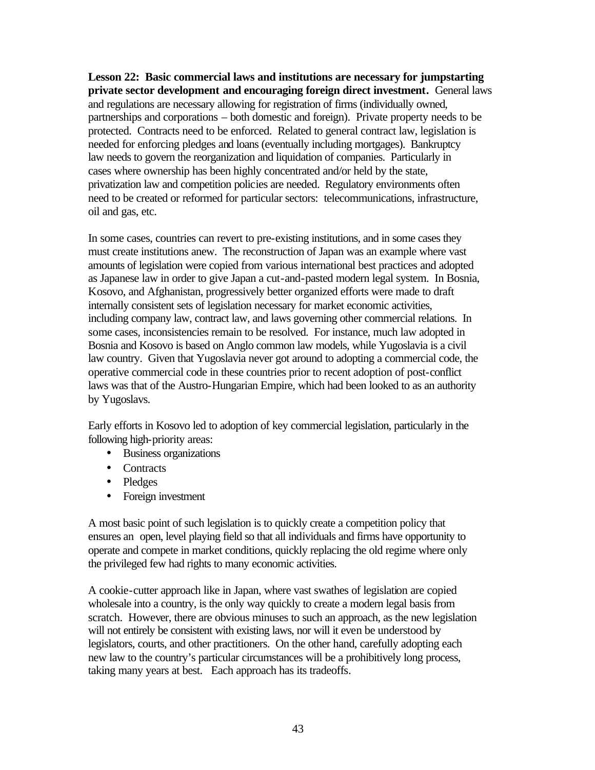**Lesson 22: Basic commercial laws and institutions are necessary for jumpstarting private sector development and encouraging foreign direct investment.** General laws and regulations are necessary allowing for registration of firms (individually owned, partnerships and corporations – both domestic and foreign). Private property needs to be protected. Contracts need to be enforced. Related to general contract law, legislation is needed for enforcing pledges and loans (eventually including mortgages). Bankruptcy law needs to govern the reorganization and liquidation of companies. Particularly in cases where ownership has been highly concentrated and/or held by the state, privatization law and competition policies are needed. Regulatory environments often need to be created or reformed for particular sectors: telecommunications, infrastructure, oil and gas, etc.

In some cases, countries can revert to pre-existing institutions, and in some cases they must create institutions anew. The reconstruction of Japan was an example where vast amounts of legislation were copied from various international best practices and adopted as Japanese law in order to give Japan a cut-and-pasted modern legal system. In Bosnia, Kosovo, and Afghanistan, progressively better organized efforts were made to draft internally consistent sets of legislation necessary for market economic activities, including company law, contract law, and laws governing other commercial relations. In some cases, inconsistencies remain to be resolved. For instance, much law adopted in Bosnia and Kosovo is based on Anglo common law models, while Yugoslavia is a civil law country. Given that Yugoslavia never got around to adopting a commercial code, the operative commercial code in these countries prior to recent adoption of post-conflict laws was that of the Austro-Hungarian Empire, which had been looked to as an authority by Yugoslavs.

Early efforts in Kosovo led to adoption of key commercial legislation, particularly in the following high-priority areas:

- Business organizations
- Contracts
- Pledges
- Foreign investment

A most basic point of such legislation is to quickly create a competition policy that ensures an open, level playing field so that all individuals and firms have opportunity to operate and compete in market conditions, quickly replacing the old regime where only the privileged few had rights to many economic activities.

A cookie-cutter approach like in Japan, where vast swathes of legislation are copied wholesale into a country, is the only way quickly to create a modern legal basis from scratch. However, there are obvious minuses to such an approach, as the new legislation will not entirely be consistent with existing laws, nor will it even be understood by legislators, courts, and other practitioners. On the other hand, carefully adopting each new law to the country's particular circumstances will be a prohibitively long process, taking many years at best. Each approach has its tradeoffs.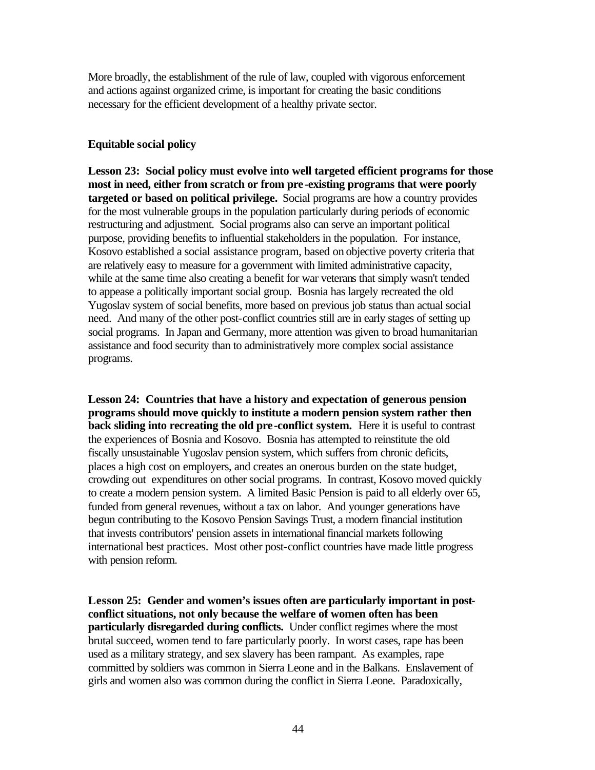More broadly, the establishment of the rule of law, coupled with vigorous enforcement and actions against organized crime, is important for creating the basic conditions necessary for the efficient development of a healthy private sector.

#### **Equitable social policy**

**Lesson 23: Social policy must evolve into well targeted efficient programs for those most in need, either from scratch or from pre-existing programs that were poorly targeted or based on political privilege.** Social programs are how a country provides for the most vulnerable groups in the population particularly during periods of economic restructuring and adjustment. Social programs also can serve an important political purpose, providing benefits to influential stakeholders in the population. For instance, Kosovo established a social assistance program, based on objective poverty criteria that are relatively easy to measure for a government with limited administrative capacity, while at the same time also creating a benefit for war veterans that simply wasn't tended to appease a politically important social group. Bosnia has largely recreated the old Yugoslav system of social benefits, more based on previous job status than actual social need. And many of the other post-conflict countries still are in early stages of setting up social programs. In Japan and Germany, more attention was given to broad humanitarian assistance and food security than to administratively more complex social assistance programs.

**Lesson 24: Countries that have a history and expectation of generous pension programs should move quickly to institute a modern pension system rather then back sliding into recreating the old pre-conflict system.** Here it is useful to contrast the experiences of Bosnia and Kosovo. Bosnia has attempted to reinstitute the old fiscally unsustainable Yugoslav pension system, which suffers from chronic deficits, places a high cost on employers, and creates an onerous burden on the state budget, crowding out expenditures on other social programs. In contrast, Kosovo moved quickly to create a modern pension system. A limited Basic Pension is paid to all elderly over 65, funded from general revenues, without a tax on labor. And younger generations have begun contributing to the Kosovo Pension Savings Trust, a modern financial institution that invests contributors' pension assets in international financial markets following international best practices. Most other post-conflict countries have made little progress with pension reform.

**Lesson 25: Gender and women's issues often are particularly important in postconflict situations, not only because the welfare of women often has been particularly disregarded during conflicts.** Under conflict regimes where the most brutal succeed, women tend to fare particularly poorly. In worst cases, rape has been used as a military strategy, and sex slavery has been rampant. As examples, rape committed by soldiers was common in Sierra Leone and in the Balkans. Enslavement of girls and women also was common during the conflict in Sierra Leone. Paradoxically,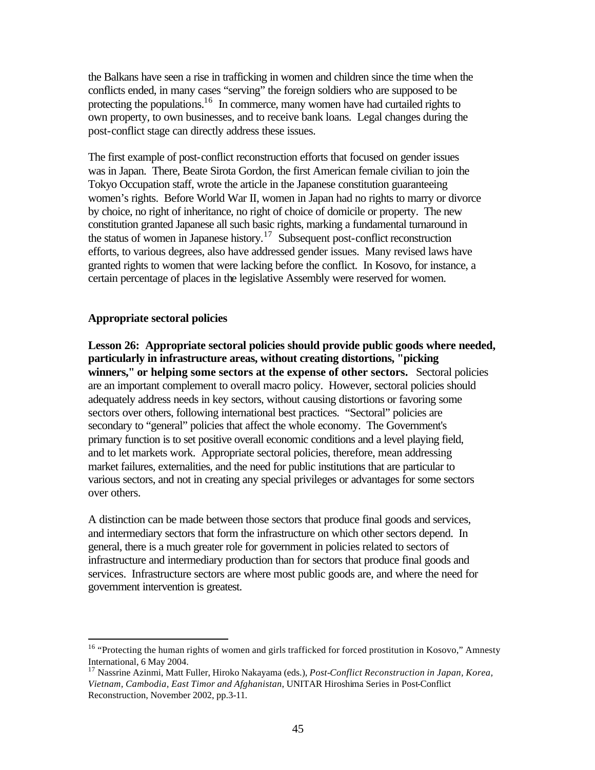the Balkans have seen a rise in trafficking in women and children since the time when the conflicts ended, in many cases "serving" the foreign soldiers who are supposed to be protecting the populations.<sup>16</sup> In commerce, many women have had curtailed rights to own property, to own businesses, and to receive bank loans. Legal changes during the post-conflict stage can directly address these issues.

The first example of post-conflict reconstruction efforts that focused on gender issues was in Japan. There, Beate Sirota Gordon, the first American female civilian to join the Tokyo Occupation staff, wrote the article in the Japanese constitution guaranteeing women's rights. Before World War II, women in Japan had no rights to marry or divorce by choice, no right of inheritance, no right of choice of domicile or property. The new constitution granted Japanese all such basic rights, marking a fundamental turnaround in the status of women in Japanese history.<sup>17</sup> Subsequent post-conflict reconstruction efforts, to various degrees, also have addressed gender issues. Many revised laws have granted rights to women that were lacking before the conflict. In Kosovo, for instance, a certain percentage of places in the legislative Assembly were reserved for women.

#### **Appropriate sectoral policies**

 $\overline{a}$ 

**Lesson 26: Appropriate sectoral policies should provide public goods where needed, particularly in infrastructure areas, without creating distortions, "picking winners," or helping some sectors at the expense of other sectors.** Sectoral policies are an important complement to overall macro policy. However, sectoral policies should adequately address needs in key sectors, without causing distortions or favoring some sectors over others, following international best practices. "Sectoral" policies are secondary to "general" policies that affect the whole economy. The Government's primary function is to set positive overall economic conditions and a level playing field, and to let markets work. Appropriate sectoral policies, therefore, mean addressing market failures, externalities, and the need for public institutions that are particular to various sectors, and not in creating any special privileges or advantages for some sectors over others.

A distinction can be made between those sectors that produce final goods and services, and intermediary sectors that form the infrastructure on which other sectors depend. In general, there is a much greater role for government in policies related to sectors of infrastructure and intermediary production than for sectors that produce final goods and services. Infrastructure sectors are where most public goods are, and where the need for government intervention is greatest.

<sup>&</sup>lt;sup>16</sup> "Protecting the human rights of women and girls trafficked for forced prostitution in Kosovo," Amnesty International, 6 May 2004.

<sup>17</sup> Nassrine Azinmi, Matt Fuller, Hiroko Nakayama (eds.), *Post-Conflict Reconstruction in Japan, Korea, Vietnam, Cambodia, East Timor and Afghanistan*, UNITAR Hiroshima Series in Post-Conflict Reconstruction, November 2002, pp.3-11.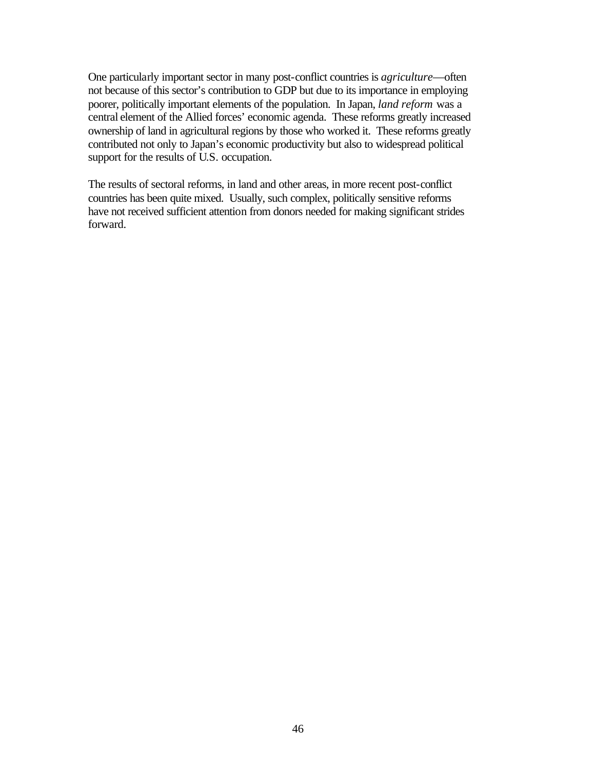One particularly important sector in many post-conflict countries is *agriculture*—often not because of this sector's contribution to GDP but due to its importance in employing poorer, politically important elements of the population. In Japan, *land reform* was a central element of the Allied forces' economic agenda. These reforms greatly increased ownership of land in agricultural regions by those who worked it. These reforms greatly contributed not only to Japan's economic productivity but also to widespread political support for the results of U.S. occupation.

The results of sectoral reforms, in land and other areas, in more recent post-conflict countries has been quite mixed. Usually, such complex, politically sensitive reforms have not received sufficient attention from donors needed for making significant strides forward.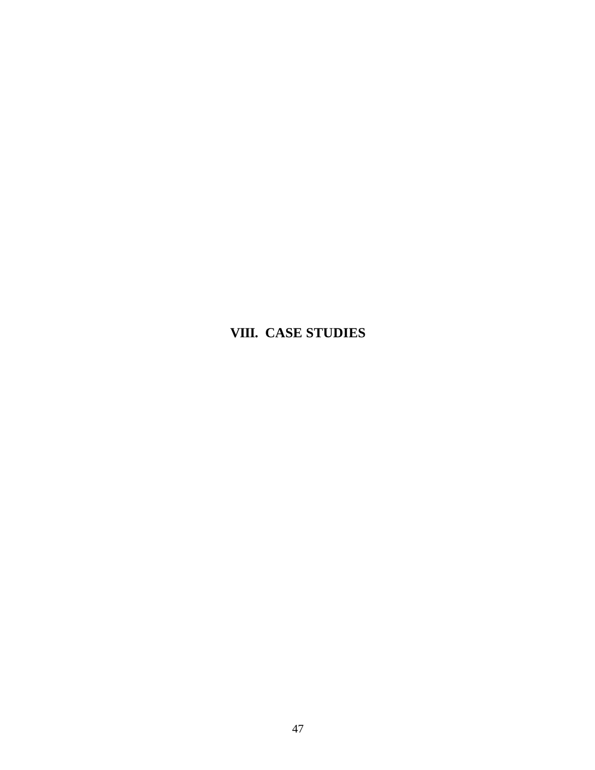# **VIII. CASE STUDIES**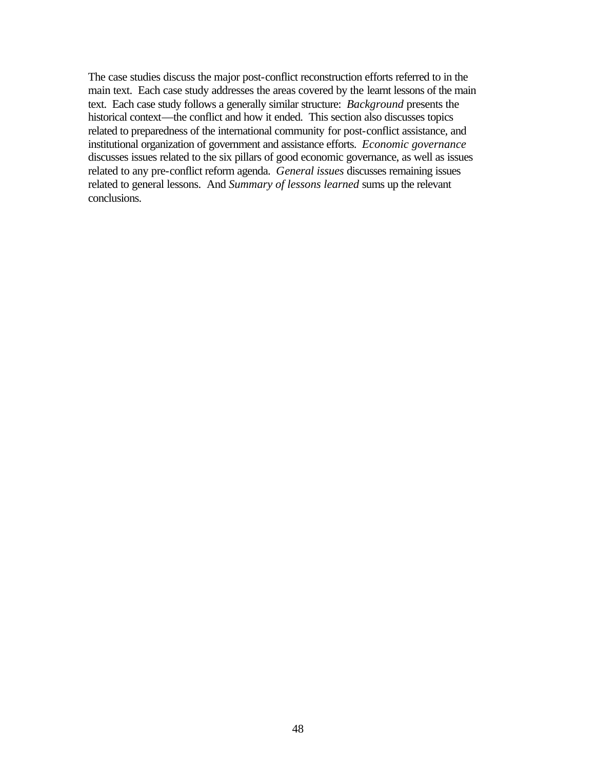The case studies discuss the major post-conflict reconstruction efforts referred to in the main text. Each case study addresses the areas covered by the learnt lessons of the main text. Each case study follows a generally similar structure: *Background* presents the historical context—the conflict and how it ended. This section also discusses topics related to preparedness of the international community for post-conflict assistance, and institutional organization of government and assistance efforts. *Economic governance* discusses issues related to the six pillars of good economic governance, as well as issues related to any pre-conflict reform agenda. *General issues* discusses remaining issues related to general lessons. And *Summary of lessons learned* sums up the relevant conclusions.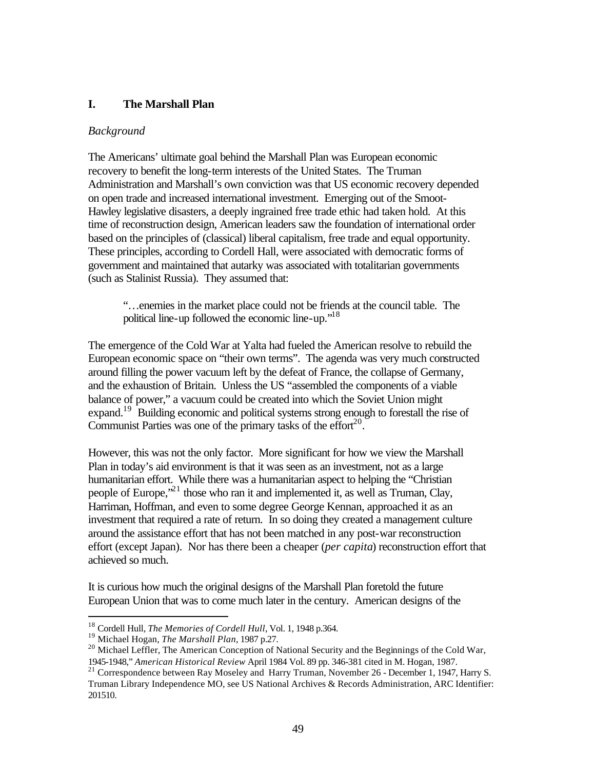# **I. The Marshall Plan**

# *Background*

The Americans' ultimate goal behind the Marshall Plan was European economic recovery to benefit the long-term interests of the United States. The Truman Administration and Marshall's own conviction was that US economic recovery depended on open trade and increased international investment. Emerging out of the Smoot-Hawley legislative disasters, a deeply ingrained free trade ethic had taken hold. At this time of reconstruction design, American leaders saw the foundation of international order based on the principles of (classical) liberal capitalism, free trade and equal opportunity. These principles, according to Cordell Hall, were associated with democratic forms of government and maintained that autarky was associated with totalitarian governments (such as Stalinist Russia). They assumed that:

"…enemies in the market place could not be friends at the council table. The political line-up followed the economic line-up."<sup>18</sup>

The emergence of the Cold War at Yalta had fueled the American resolve to rebuild the European economic space on "their own terms". The agenda was very much constructed around filling the power vacuum left by the defeat of France, the collapse of Germany, and the exhaustion of Britain. Unless the US "assembled the components of a viable balance of power," a vacuum could be created into which the Soviet Union might expand.<sup>19</sup> Building economic and political systems strong enough to forestall the rise of Communist Parties was one of the primary tasks of the effort $^{20}$ .

However, this was not the only factor. More significant for how we view the Marshall Plan in today's aid environment is that it was seen as an investment, not as a large humanitarian effort. While there was a humanitarian aspect to helping the "Christian people of Europe,"<sup>21</sup> those who ran it and implemented it, as well as Truman, Clay, Harriman, Hoffman, and even to some degree George Kennan, approached it as an investment that required a rate of return. In so doing they created a management culture around the assistance effort that has not been matched in any post-war reconstruction effort (except Japan). Nor has there been a cheaper (*per capita*) reconstruction effort that achieved so much.

It is curious how much the original designs of the Marshall Plan foretold the future European Union that was to come much later in the century. American designs of the

<sup>18</sup> Cordell Hull, *The Memories of Cordell Hull*, Vol. 1, 1948 p.364.

<sup>19</sup> Michael Hogan, *The Marshall Plan*, 1987 p.27.

<sup>&</sup>lt;sup>20</sup> Michael Leffler, The American Conception of National Security and the Beginnings of the Cold War, 1945-1948," *American Historical Review* April 1984 Vol. 89 pp. 346-381 cited in M. Hogan, 1987.

<sup>&</sup>lt;sup>21</sup> Correspondence between Ray Moseley and Harry Truman, November 26 - December 1, 1947, Harry S. Truman Library Independence MO, see US National Archives & Records Administration, ARC Identifier: 201510.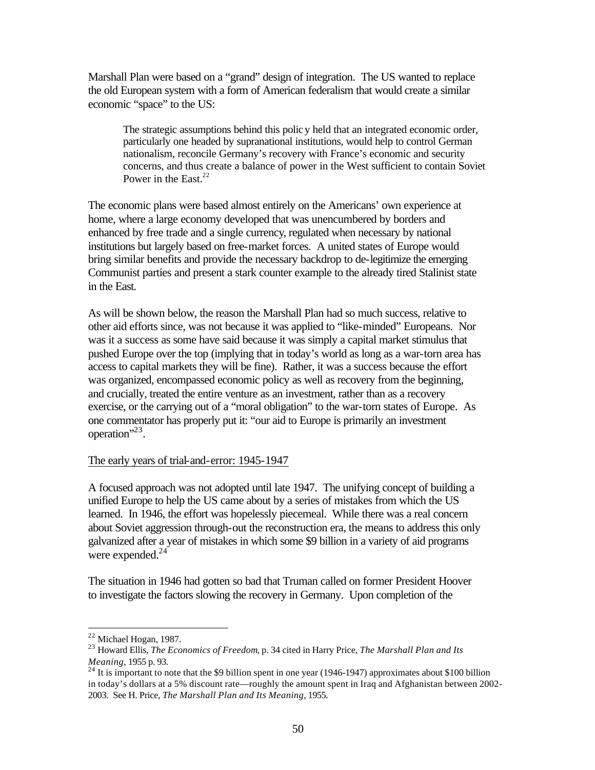Marshall Plan were based on a "grand" design of integration. The US wanted to replace the old European system with a form of American federalism that would create a similar economic "space" to the US:

The strategic assumptions behind this policy held that an integrated economic order, particularly one headed by supranational institutions, would help to control German nationalism, reconcile Germany's recovery with France's economic and security concerns, and thus create a balance of power in the West sufficient to contain Soviet Power in the East. $22$ 

The economic plans were based almost entirely on the Americans' own experience at home, where a large economy developed that was unencumbered by borders and enhanced by free trade and a single currency, regulated when necessary by national institutions but largely based on free-market forces. A united states of Europe would bring similar benefits and provide the necessary backdrop to de-legitimize the emerging Communist parties and present a stark counter example to the already tired Stalinist state in the East.

As will be shown below, the reason the Marshall Plan had so much success, relative to other aid efforts since, was not because it was applied to "like-minded" Europeans. Nor was it a success as some have said because it was simply a capital market stimulus that pushed Europe over the top (implying that in today's world as long as a war-torn area has access to capital markets they will be fine). Rather, it was a success because the effort was organized, encompassed economic policy as well as recovery from the beginning, and crucially, treated the entire venture as an investment, rather than as a recovery exercise, or the carrying out of a "moral obligation" to the war-torn states of Europe. As one commentator has properly put it: "our aid to Europe is primarily an investment operation"<sup>23</sup>.

#### The early years of trial-and-error: 1945-1947

A focused approach was not adopted until late 1947. The unifying concept of building a unified Europe to help the US came about by a series of mistakes from which the US learned. In 1946, the effort was hopelessly piecemeal. While there was a real concern about Soviet aggression through-out the reconstruction era, the means to address this only galvanized after a year of mistakes in which some \$9 billion in a variety of aid programs were expended. $24$ 

The situation in 1946 had gotten so bad that Truman called on former President Hoover to investigate the factors slowing the recovery in Germany. Upon completion of the

 $22$  Michael Hogan, 1987.

<sup>23</sup> Howard Ellis, *The Economics of Freedom*, p. 34 cited in Harry Price, *The Marshall Plan and Its Meaning*, 1955 p. 93.

<sup>&</sup>lt;sup>24</sup> It is important to note that the \$9 billion spent in one year (1946-1947) approximates about \$100 billion in today's dollars at a 5% discount rate—roughly the amount spent in Iraq and Afghanistan between 2002- 2003. See H. Price, *The Marshall Plan and Its Meaning*, 1955.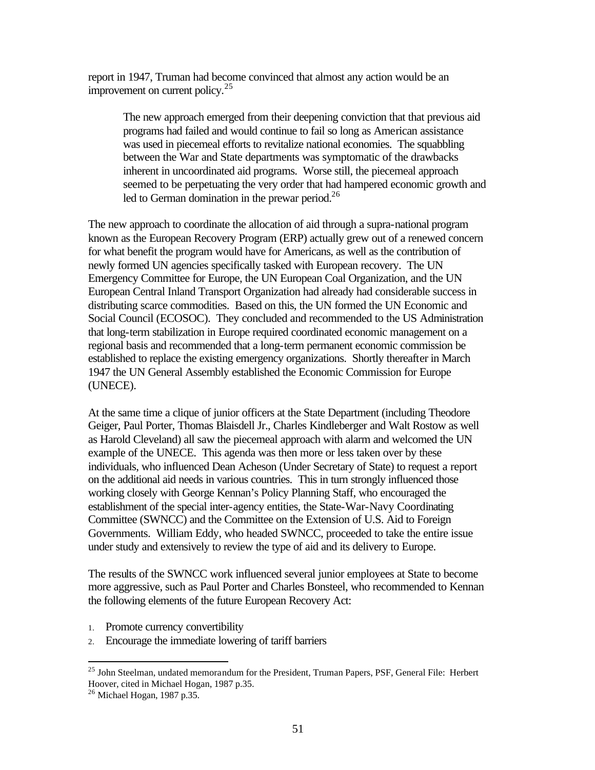report in 1947, Truman had become convinced that almost any action would be an improvement on current policy.<sup>25</sup>

The new approach emerged from their deepening conviction that that previous aid programs had failed and would continue to fail so long as American assistance was used in piecemeal efforts to revitalize national economies. The squabbling between the War and State departments was symptomatic of the drawbacks inherent in uncoordinated aid programs. Worse still, the piecemeal approach seemed to be perpetuating the very order that had hampered economic growth and led to German domination in the prewar period.<sup>26</sup>

The new approach to coordinate the allocation of aid through a supra-national program known as the European Recovery Program (ERP) actually grew out of a renewed concern for what benefit the program would have for Americans, as well as the contribution of newly formed UN agencies specifically tasked with European recovery. The UN Emergency Committee for Europe, the UN European Coal Organization, and the UN European Central Inland Transport Organization had already had considerable success in distributing scarce commodities. Based on this, the UN formed the UN Economic and Social Council (ECOSOC). They concluded and recommended to the US Administration that long-term stabilization in Europe required coordinated economic management on a regional basis and recommended that a long-term permanent economic commission be established to replace the existing emergency organizations. Shortly thereafter in March 1947 the UN General Assembly established the Economic Commission for Europe (UNECE).

At the same time a clique of junior officers at the State Department (including Theodore Geiger, Paul Porter, Thomas Blaisdell Jr., Charles Kindleberger and Walt Rostow as well as Harold Cleveland) all saw the piecemeal approach with alarm and welcomed the UN example of the UNECE. This agenda was then more or less taken over by these individuals, who influenced Dean Acheson (Under Secretary of State) to request a report on the additional aid needs in various countries. This in turn strongly influenced those working closely with George Kennan's Policy Planning Staff, who encouraged the establishment of the special inter-agency entities, the State-War-Navy Coordinating Committee (SWNCC) and the Committee on the Extension of U.S. Aid to Foreign Governments. William Eddy, who headed SWNCC, proceeded to take the entire issue under study and extensively to review the type of aid and its delivery to Europe.

The results of the SWNCC work influenced several junior employees at State to become more aggressive, such as Paul Porter and Charles Bonsteel, who recommended to Kennan the following elements of the future European Recovery Act:

- 1. Promote currency convertibility
- 2. Encourage the immediate lowering of tariff barriers

<sup>&</sup>lt;sup>25</sup> John Steelman, undated memorandum for the President, Truman Papers, PSF, General File: Herbert Hoover, cited in Michael Hogan, 1987 p.35.

 $26$  Michael Hogan, 1987 p.35.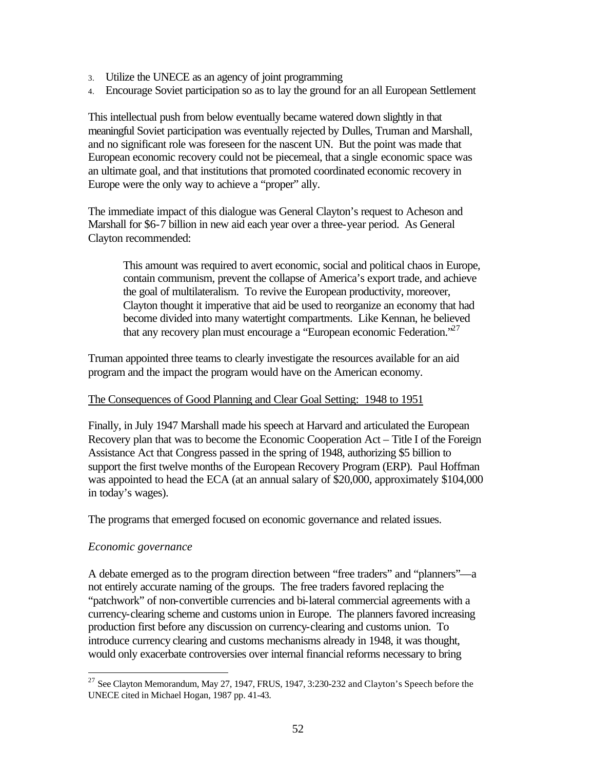- 3. Utilize the UNECE as an agency of joint programming
- 4. Encourage Soviet participation so as to lay the ground for an all European Settlement

This intellectual push from below eventually became watered down slightly in that meaningful Soviet participation was eventually rejected by Dulles, Truman and Marshall, and no significant role was foreseen for the nascent UN. But the point was made that European economic recovery could not be piecemeal, that a single economic space was an ultimate goal, and that institutions that promoted coordinated economic recovery in Europe were the only way to achieve a "proper" ally.

The immediate impact of this dialogue was General Clayton's request to Acheson and Marshall for \$6-7 billion in new aid each year over a three-year period. As General Clayton recommended:

This amount was required to avert economic, social and political chaos in Europe, contain communism, prevent the collapse of America's export trade, and achieve the goal of multilateralism. To revive the European productivity, moreover, Clayton thought it imperative that aid be used to reorganize an economy that had become divided into many watertight compartments. Like Kennan, he believed that any recovery plan must encourage a "European economic Federation."  $2^7$ 

Truman appointed three teams to clearly investigate the resources available for an aid program and the impact the program would have on the American economy.

#### The Consequences of Good Planning and Clear Goal Setting: 1948 to 1951

Finally, in July 1947 Marshall made his speech at Harvard and articulated the European Recovery plan that was to become the Economic Cooperation Act – Title I of the Foreign Assistance Act that Congress passed in the spring of 1948, authorizing \$5 billion to support the first twelve months of the European Recovery Program (ERP). Paul Hoffman was appointed to head the ECA (at an annual salary of \$20,000, approximately \$104,000 in today's wages).

The programs that emerged focused on economic governance and related issues.

## *Economic governance*

 $\overline{a}$ 

A debate emerged as to the program direction between "free traders" and "planners"—a not entirely accurate naming of the groups. The free traders favored replacing the "patchwork" of non-convertible currencies and bi-lateral commercial agreements with a currency-clearing scheme and customs union in Europe. The planners favored increasing production first before any discussion on currency-clearing and customs union. To introduce currency clearing and customs mechanisms already in 1948, it was thought, would only exacerbate controversies over internal financial reforms necessary to bring

<sup>&</sup>lt;sup>27</sup> See Clayton Memorandum, May 27, 1947, FRUS, 1947, 3:230-232 and Clayton's Speech before the UNECE cited in Michael Hogan, 1987 pp. 41-43.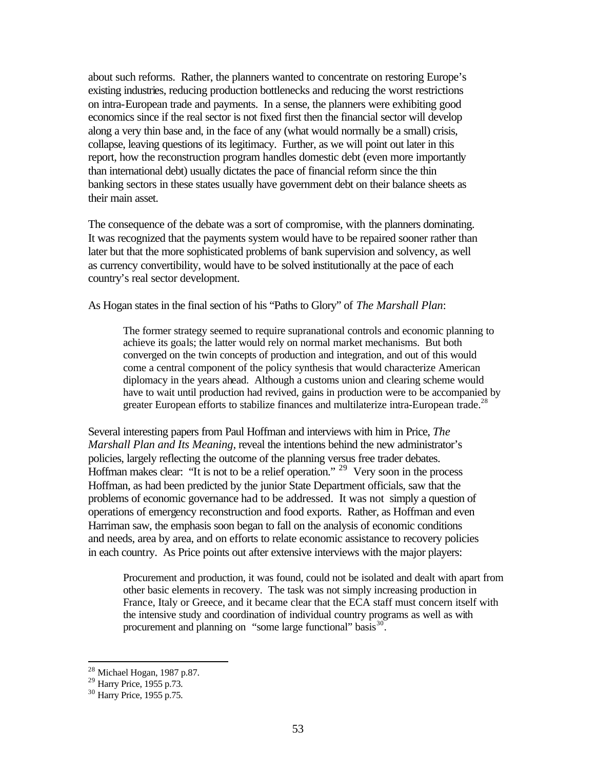about such reforms. Rather, the planners wanted to concentrate on restoring Europe's existing industries, reducing production bottlenecks and reducing the worst restrictions on intra-European trade and payments. In a sense, the planners were exhibiting good economics since if the real sector is not fixed first then the financial sector will develop along a very thin base and, in the face of any (what would normally be a small) crisis, collapse, leaving questions of its legitimacy. Further, as we will point out later in this report, how the reconstruction program handles domestic debt (even more importantly than international debt) usually dictates the pace of financial reform since the thin banking sectors in these states usually have government debt on their balance sheets as their main asset.

The consequence of the debate was a sort of compromise, with the planners dominating. It was recognized that the payments system would have to be repaired sooner rather than later but that the more sophisticated problems of bank supervision and solvency, as well as currency convertibility, would have to be solved institutionally at the pace of each country's real sector development.

As Hogan states in the final section of his "Paths to Glory" of *The Marshall Plan*:

The former strategy seemed to require supranational controls and economic planning to achieve its goals; the latter would rely on normal market mechanisms. But both converged on the twin concepts of production and integration, and out of this would come a central component of the policy synthesis that would characterize American diplomacy in the years ahead. Although a customs union and clearing scheme would have to wait until production had revived, gains in production were to be accompanied by greater European efforts to stabilize finances and multilaterize intra-European trade.<sup>28</sup>

Several interesting papers from Paul Hoffman and interviews with him in Price, *The Marshall Plan and Its Meaning*, reveal the intentions behind the new administrator's policies, largely reflecting the outcome of the planning versus free trader debates. Hoffman makes clear: "It is not to be a relief operation." <sup>29</sup> Very soon in the process Hoffman, as had been predicted by the junior State Department officials, saw that the problems of economic governance had to be addressed. It was not simply a question of operations of emergency reconstruction and food exports. Rather, as Hoffman and even Harriman saw, the emphasis soon began to fall on the analysis of economic conditions and needs, area by area, and on efforts to relate economic assistance to recovery policies in each country. As Price points out after extensive interviews with the major players:

Procurement and production, it was found, could not be isolated and dealt with apart from other basic elements in recovery. The task was not simply increasing production in France, Italy or Greece, and it became clear that the ECA staff must concern itself with the intensive study and coordination of individual country programs as well as with procurement and planning on "some large functional" basis<sup>30</sup>.

 $28$  Michael Hogan, 1987 p.87.

<sup>&</sup>lt;sup>29</sup> Harry Price, 1955 p.73.

<sup>30</sup> Harry Price, 1955 p.75.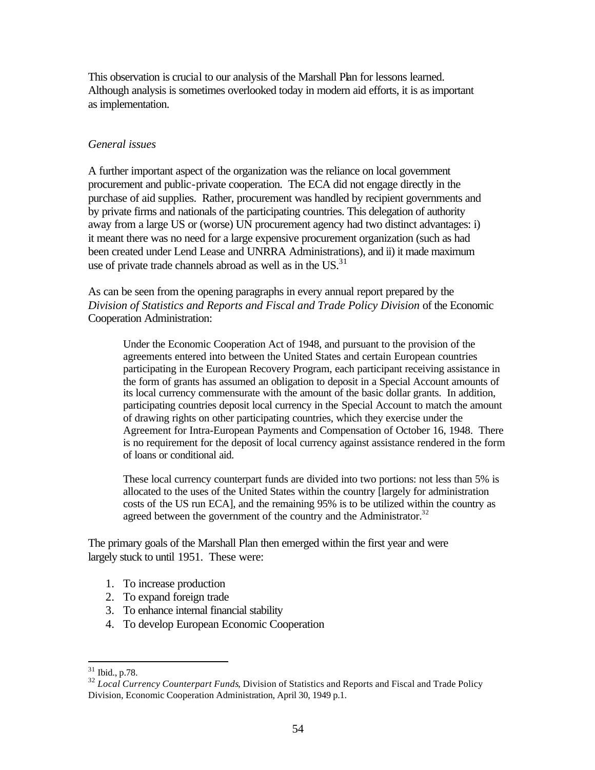This observation is crucial to our analysis of the Marshall Plan for lessons learned. Although analysis is sometimes overlooked today in modern aid efforts, it is as important as implementation.

## *General issues*

A further important aspect of the organization was the reliance on local government procurement and public-private cooperation. The ECA did not engage directly in the purchase of aid supplies. Rather, procurement was handled by recipient governments and by private firms and nationals of the participating countries. This delegation of authority away from a large US or (worse) UN procurement agency had two distinct advantages: i) it meant there was no need for a large expensive procurement organization (such as had been created under Lend Lease and UNRRA Administrations), and ii) it made maximum use of private trade channels abroad as well as in the  $US^{31}$ .

As can be seen from the opening paragraphs in every annual report prepared by the *Division of Statistics and Reports and Fiscal and Trade Policy Division* of the Economic Cooperation Administration:

Under the Economic Cooperation Act of 1948, and pursuant to the provision of the agreements entered into between the United States and certain European countries participating in the European Recovery Program, each participant receiving assistance in the form of grants has assumed an obligation to deposit in a Special Account amounts of its local currency commensurate with the amount of the basic dollar grants. In addition, participating countries deposit local currency in the Special Account to match the amount of drawing rights on other participating countries, which they exercise under the Agreement for Intra-European Payments and Compensation of October 16, 1948. There is no requirement for the deposit of local currency against assistance rendered in the form of loans or conditional aid.

These local currency counterpart funds are divided into two portions: not less than 5% is allocated to the uses of the United States within the country [largely for administration costs of the US run ECA], and the remaining 95% is to be utilized within the country as agreed between the government of the country and the Administrator. $32$ 

The primary goals of the Marshall Plan then emerged within the first year and were largely stuck to until 1951. These were:

- 1. To increase production
- 2. To expand foreign trade
- 3. To enhance internal financial stability
- 4. To develop European Economic Cooperation

 $31$  Ibid., p.78.

<sup>&</sup>lt;sup>32</sup> *Local Currency Counterpart Funds*, Division of Statistics and Reports and Fiscal and Trade Policy Division, Economic Cooperation Administration, April 30, 1949 p.1.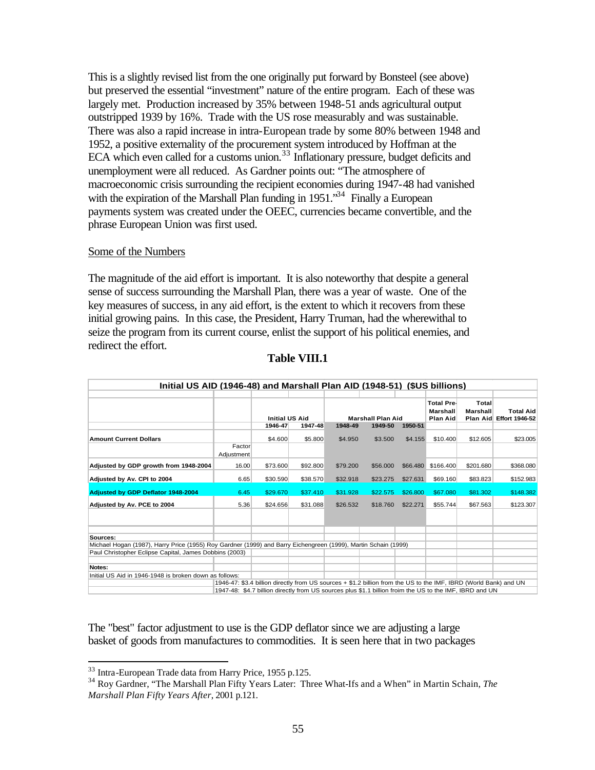This is a slightly revised list from the one originally put forward by Bonsteel (see above) but preserved the essential "investment" nature of the entire program. Each of these was largely met. Production increased by 35% between 1948-51 ands agricultural output outstripped 1939 by 16%. Trade with the US rose measurably and was sustainable. There was also a rapid increase in intra-European trade by some 80% between 1948 and 1952, a positive externality of the procurement system introduced by Hoffman at the ECA which even called for a customs union.<sup>33</sup> Inflationary pressure, budget deficits and unemployment were all reduced. As Gardner points out: "The atmosphere of macroeconomic crisis surrounding the recipient economies during 1947-48 had vanished with the expiration of the Marshall Plan funding in 1951.<sup>34</sup> Finally a European payments system was created under the OEEC, currencies became convertible, and the phrase European Union was first used.

#### Some of the Numbers

The magnitude of the aid effort is important. It is also noteworthy that despite a general sense of success surrounding the Marshall Plan, there was a year of waste. One of the key measures of success, in any aid effort, is the extent to which it recovers from these initial growing pains. In this case, the President, Harry Truman, had the wherewithal to seize the program from its current course, enlist the support of his political enemies, and redirect the effort.

| Initial US AID (1946-48) and Marshall Plan AID (1948-51) (\$US billions)                                       |                                                                                                                  |                       |          |                                                           |          |          |                                                  |                          |                                             |  |  |  |  |
|----------------------------------------------------------------------------------------------------------------|------------------------------------------------------------------------------------------------------------------|-----------------------|----------|-----------------------------------------------------------|----------|----------|--------------------------------------------------|--------------------------|---------------------------------------------|--|--|--|--|
|                                                                                                                |                                                                                                                  |                       |          |                                                           |          |          |                                                  |                          |                                             |  |  |  |  |
|                                                                                                                |                                                                                                                  | <b>Initial US Aid</b> |          |                                                           |          |          | <b>Total Pre-</b><br>Marshall<br><b>Plan Aid</b> | Total<br><b>Marshall</b> | <b>Total Aid</b><br>Plan Aid Effort 1946-52 |  |  |  |  |
|                                                                                                                |                                                                                                                  | 1946-47<br>1947-48    |          | <b>Marshall Plan Aid</b><br>1949-50<br>1948-49<br>1950-51 |          |          |                                                  |                          |                                             |  |  |  |  |
|                                                                                                                |                                                                                                                  |                       |          |                                                           |          |          |                                                  |                          |                                             |  |  |  |  |
| <b>Amount Current Dollars</b>                                                                                  |                                                                                                                  | \$4.600               | \$5.800  | \$4.950                                                   | \$3.500  | \$4.155  | \$10.400                                         | \$12,605                 | \$23.005                                    |  |  |  |  |
|                                                                                                                | Factor<br>Adjustment                                                                                             |                       |          |                                                           |          |          |                                                  |                          |                                             |  |  |  |  |
| Adjusted by GDP growth from 1948-2004                                                                          | 16.00                                                                                                            | \$73.600              | \$92.800 | \$79.200                                                  | \$56.000 | \$66,480 | \$166.400                                        | \$201.680                | \$368.080                                   |  |  |  |  |
| Adjusted by Av. CPI to 2004                                                                                    | 6.65                                                                                                             | \$30.590              | \$38.570 | \$32.918                                                  | \$23.275 | \$27.631 | \$69.160                                         | \$83.823                 | \$152.983                                   |  |  |  |  |
| Adjusted by GDP Deflator 1948-2004                                                                             | 6.45                                                                                                             | \$29.670              | \$37.410 | \$31.928                                                  | \$22.575 | \$26.800 | \$67.080                                         | \$81.302                 | \$148.382                                   |  |  |  |  |
| Adjusted by Av. PCE to 2004                                                                                    | 5.36                                                                                                             | \$24.656              | \$31.088 | \$26.532                                                  | \$18.760 | \$22.271 | \$55,744                                         | \$67.563                 | \$123.307                                   |  |  |  |  |
|                                                                                                                |                                                                                                                  |                       |          |                                                           |          |          |                                                  |                          |                                             |  |  |  |  |
| Sources:                                                                                                       |                                                                                                                  |                       |          |                                                           |          |          |                                                  |                          |                                             |  |  |  |  |
| Michael Hogan (1987), Harry Price (1955) Roy Gardner (1999) and Barry Eichengreen (1999), Martin Schain (1999) |                                                                                                                  |                       |          |                                                           |          |          |                                                  |                          |                                             |  |  |  |  |
| Paul Christopher Eclipse Capital, James Dobbins (2003)                                                         |                                                                                                                  |                       |          |                                                           |          |          |                                                  |                          |                                             |  |  |  |  |
| Notes:                                                                                                         |                                                                                                                  |                       |          |                                                           |          |          |                                                  |                          |                                             |  |  |  |  |
| Initial US Aid in 1946-1948 is broken down as follows:                                                         |                                                                                                                  |                       |          |                                                           |          |          |                                                  |                          |                                             |  |  |  |  |
|                                                                                                                | 1946-47: \$3.4 billion directly from US sources + \$1.2 billion from the US to the IMF, IBRD (World Bank) and UN |                       |          |                                                           |          |          |                                                  |                          |                                             |  |  |  |  |
|                                                                                                                | 1947-48: \$4.7 billion directly from US sources plus \$1.1 billion froim the US to the IMF, IBRD and UN          |                       |          |                                                           |          |          |                                                  |                          |                                             |  |  |  |  |

## **Table VIII.1**

The "best" factor adjustment to use is the GDP deflator since we are adjusting a large basket of goods from manufactures to commodities. It is seen here that in two packages

<sup>&</sup>lt;sup>33</sup> Intra-European Trade data from Harry Price, 1955 p.125.

<sup>34</sup> Roy Gardner, "The Marshall Plan Fifty Years Later: Three What-Ifs and a When" in Martin Schain, *The Marshall Plan Fifty Years After*, 2001 p.121.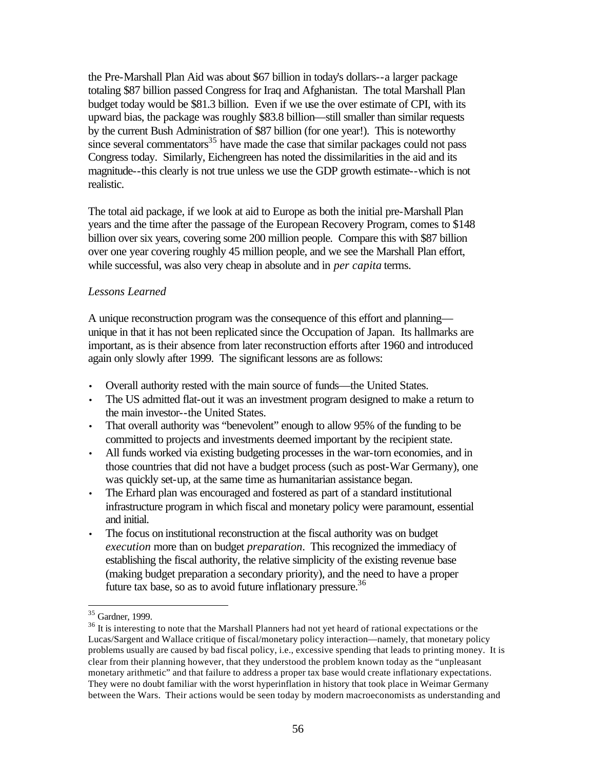the Pre-Marshall Plan Aid was about \$67 billion in today's dollars--a larger package totaling \$87 billion passed Congress for Iraq and Afghanistan. The total Marshall Plan budget today would be \$81.3 billion. Even if we use the over estimate of CPI, with its upward bias, the package was roughly \$83.8 billion—still smaller than similar requests by the current Bush Administration of \$87 billion (for one year!). This is noteworthy since several commentators<sup>35</sup> have made the case that similar packages could not pass Congress today. Similarly, Eichengreen has noted the dissimilarities in the aid and its magnitude--this clearly is not true unless we use the GDP growth estimate--which is not realistic.

The total aid package, if we look at aid to Europe as both the initial pre-Marshall Plan years and the time after the passage of the European Recovery Program, comes to \$148 billion over six years, covering some 200 million people. Compare this with \$87 billion over one year covering roughly 45 million people, and we see the Marshall Plan effort, while successful, was also very cheap in absolute and in *per capita* terms.

## *Lessons Learned*

A unique reconstruction program was the consequence of this effort and planning unique in that it has not been replicated since the Occupation of Japan. Its hallmarks are important, as is their absence from later reconstruction efforts after 1960 and introduced again only slowly after 1999. The significant lessons are as follows:

- Overall authority rested with the main source of funds—the United States.
- The US admitted flat-out it was an investment program designed to make a return to the main investor--the United States.
- That overall authority was "benevolent" enough to allow 95% of the funding to be committed to projects and investments deemed important by the recipient state.
- All funds worked via existing budgeting processes in the war-torn economies, and in those countries that did not have a budget process (such as post-War Germany), one was quickly set-up, at the same time as humanitarian assistance began.
- The Erhard plan was encouraged and fostered as part of a standard institutional infrastructure program in which fiscal and monetary policy were paramount, essential and initial.
- The focus on institutional reconstruction at the fiscal authority was on budget *execution* more than on budget *preparation*. This recognized the immediacy of establishing the fiscal authority, the relative simplicity of the existing revenue base (making budget preparation a secondary priority), and the need to have a proper future tax base, so as to avoid future inflationary pressure.<sup>36</sup>

<sup>&</sup>lt;sup>35</sup> Gardner, 1999.

<sup>&</sup>lt;sup>36</sup> It is interesting to note that the Marshall Planners had not yet heard of rational expectations or the Lucas/Sargent and Wallace critique of fiscal/monetary policy interaction—namely, that monetary policy problems usually are caused by bad fiscal policy, i.e., excessive spending that leads to printing money. It is clear from their planning however, that they understood the problem known today as the "unpleasant monetary arithmetic" and that failure to address a proper tax base would create inflationary expectations. They were no doubt familiar with the worst hyperinflation in history that took place in Weimar Germany between the Wars. Their actions would be seen today by modern macroeconomists as understanding and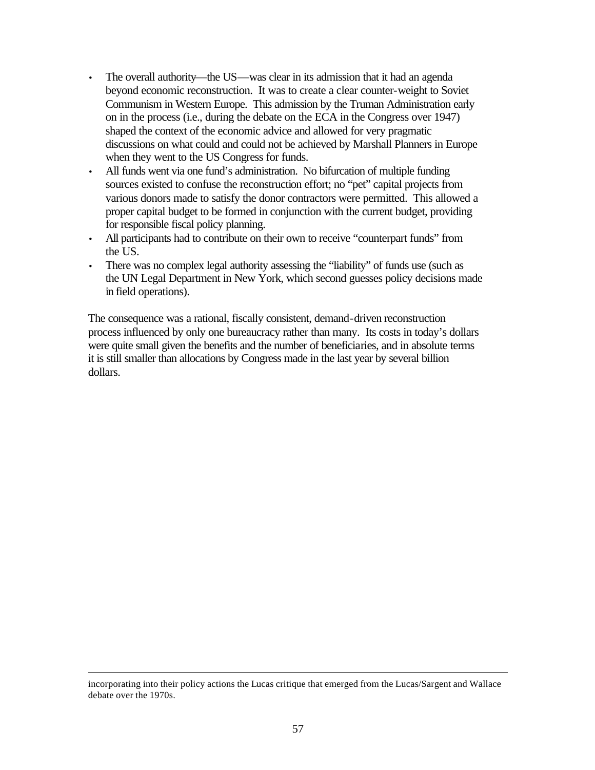- The overall authority—the US—was clear in its admission that it had an agenda beyond economic reconstruction. It was to create a clear counter-weight to Soviet Communism in Western Europe. This admission by the Truman Administration early on in the process (i.e., during the debate on the ECA in the Congress over 1947) shaped the context of the economic advice and allowed for very pragmatic discussions on what could and could not be achieved by Marshall Planners in Europe when they went to the US Congress for funds.
- All funds went via one fund's administration. No bifurcation of multiple funding sources existed to confuse the reconstruction effort; no "pet" capital projects from various donors made to satisfy the donor contractors were permitted. This allowed a proper capital budget to be formed in conjunction with the current budget, providing for responsible fiscal policy planning.
- All participants had to contribute on their own to receive "counterpart funds" from the US.
- There was no complex legal authority assessing the "liability" of funds use (such as the UN Legal Department in New York, which second guesses policy decisions made in field operations).

The consequence was a rational, fiscally consistent, demand-driven reconstruction process influenced by only one bureaucracy rather than many. Its costs in today's dollars were quite small given the benefits and the number of beneficiaries, and in absolute terms it is still smaller than allocations by Congress made in the last year by several billion dollars.

incorporating into their policy actions the Lucas critique that emerged from the Lucas/Sargent and Wallace debate over the 1970s.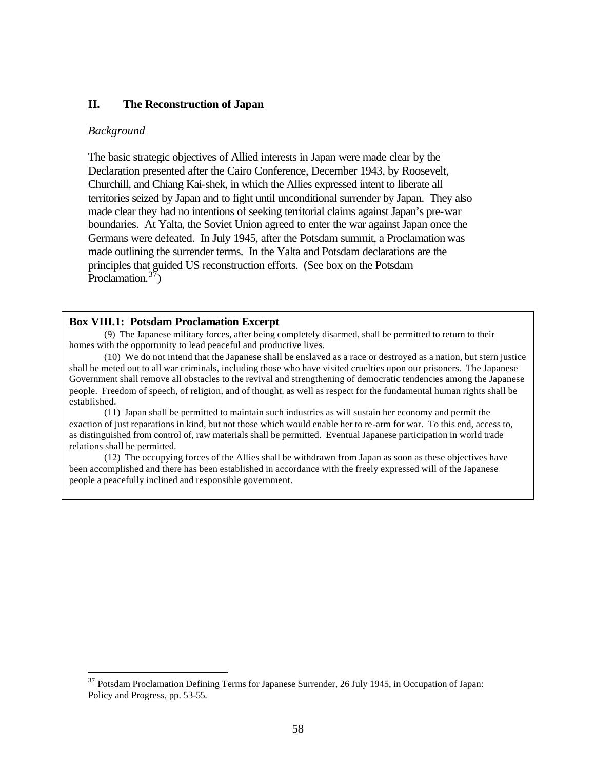### **II. The Reconstruction of Japan**

#### *Background*

 $\overline{a}$ 

The basic strategic objectives of Allied interests in Japan were made clear by the Declaration presented after the Cairo Conference, December 1943, by Roosevelt, Churchill, and Chiang Kai-shek, in which the Allies expressed intent to liberate all territories seized by Japan and to fight until unconditional surrender by Japan. They also made clear they had no intentions of seeking territorial claims against Japan's pre-war boundaries. At Yalta, the Soviet Union agreed to enter the war against Japan once the Germans were defeated. In July 1945, after the Potsdam summit, a Proclamation was made outlining the surrender terms. In the Yalta and Potsdam declarations are the principles that guided US reconstruction efforts. (See box on the Potsdam Proclamation. $37$ )

#### **Box VIII.1: Potsdam Proclamation Excerpt**

(9) The Japanese military forces, after being completely disarmed, shall be permitted to return to their homes with the opportunity to lead peaceful and productive lives.

(10) We do not intend that the Japanese shall be enslaved as a race or destroyed as a nation, but stern justice shall be meted out to all war criminals, including those who have visited cruelties upon our prisoners. The Japanese Government shall remove all obstacles to the revival and strengthening of democratic tendencies among the Japanese people. Freedom of speech, of religion, and of thought, as well as respect for the fundamental human rights shall be established.

(11) Japan shall be permitted to maintain such industries as will sustain her economy and permit the exaction of just reparations in kind, but not those which would enable her to re-arm for war. To this end, access to, as distinguished from control of, raw materials shall be permitted. Eventual Japanese participation in world trade relations shall be permitted.

(12) The occupying forces of the Allies shall be withdrawn from Japan as soon as these objectives have been accomplished and there has been established in accordance with the freely expressed will of the Japanese people a peacefully inclined and responsible government.

<sup>&</sup>lt;sup>37</sup> Potsdam Proclamation Defining Terms for Japanese Surrender, 26 July 1945, in Occupation of Japan: Policy and Progress, pp. 53-55.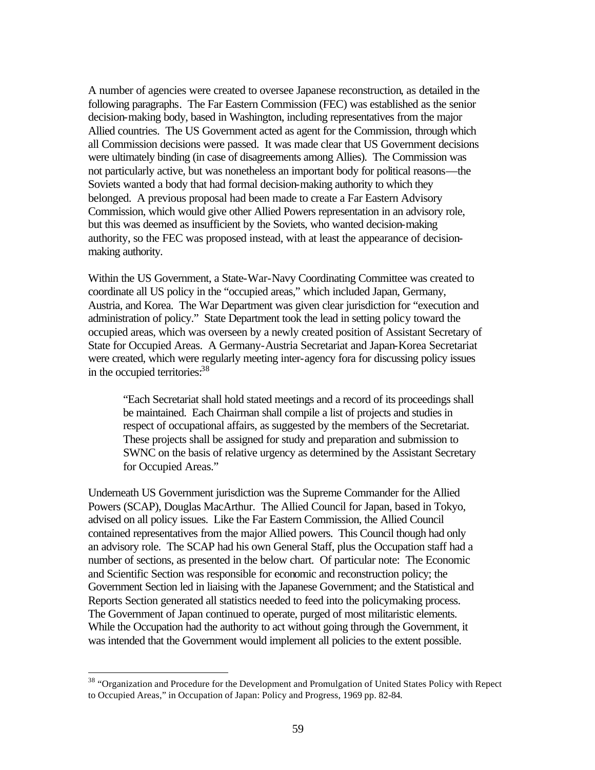A number of agencies were created to oversee Japanese reconstruction, as detailed in the following paragraphs. The Far Eastern Commission (FEC) was established as the senior decision-making body, based in Washington, including representatives from the major Allied countries. The US Government acted as agent for the Commission, through which all Commission decisions were passed. It was made clear that US Government decisions were ultimately binding (in case of disagreements among Allies). The Commission was not particularly active, but was nonetheless an important body for political reasons—the Soviets wanted a body that had formal decision-making authority to which they belonged. A previous proposal had been made to create a Far Eastern Advisory Commission, which would give other Allied Powers representation in an advisory role, but this was deemed as insufficient by the Soviets, who wanted decision-making authority, so the FEC was proposed instead, with at least the appearance of decisionmaking authority.

Within the US Government, a State-War-Navy Coordinating Committee was created to coordinate all US policy in the "occupied areas," which included Japan, Germany, Austria, and Korea. The War Department was given clear jurisdiction for "execution and administration of policy." State Department took the lead in setting policy toward the occupied areas, which was overseen by a newly created position of Assistant Secretary of State for Occupied Areas. A Germany-Austria Secretariat and Japan-Korea Secretariat were created, which were regularly meeting inter-agency fora for discussing policy issues in the occupied territories:<sup>38</sup>

"Each Secretariat shall hold stated meetings and a record of its proceedings shall be maintained. Each Chairman shall compile a list of projects and studies in respect of occupational affairs, as suggested by the members of the Secretariat. These projects shall be assigned for study and preparation and submission to SWNC on the basis of relative urgency as determined by the Assistant Secretary for Occupied Areas."

Underneath US Government jurisdiction was the Supreme Commander for the Allied Powers (SCAP), Douglas MacArthur. The Allied Council for Japan, based in Tokyo, advised on all policy issues. Like the Far Eastern Commission, the Allied Council contained representatives from the major Allied powers. This Council though had only an advisory role. The SCAP had his own General Staff, plus the Occupation staff had a number of sections, as presented in the below chart. Of particular note: The Economic and Scientific Section was responsible for economic and reconstruction policy; the Government Section led in liaising with the Japanese Government; and the Statistical and Reports Section generated all statistics needed to feed into the policymaking process. The Government of Japan continued to operate, purged of most militaristic elements. While the Occupation had the authority to act without going through the Government, it was intended that the Government would implement all policies to the extent possible.

<sup>&</sup>lt;sup>38</sup> "Organization and Procedure for the Development and Promulgation of United States Policy with Repect to Occupied Areas," in Occupation of Japan: Policy and Progress, 1969 pp. 82-84.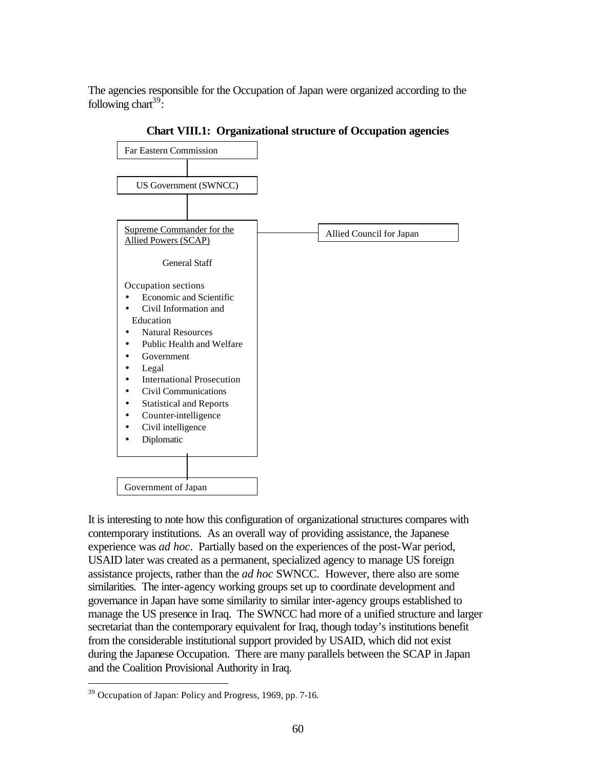The agencies responsible for the Occupation of Japan were organized according to the following chart<sup>39</sup>:



**Chart VIII.1: Organizational structure of Occupation agencies**

It is interesting to note how this configuration of organizational structures compares with contemporary institutions. As an overall way of providing assistance, the Japanese experience was *ad hoc*. Partially based on the experiences of the post-War period, USAID later was created as a permanent, specialized agency to manage US foreign assistance projects, rather than the *ad hoc* SWNCC. However, there also are some similarities. The inter-agency working groups set up to coordinate development and governance in Japan have some similarity to similar inter-agency groups established to manage the US presence in Iraq. The SWNCC had more of a unified structure and larger secretariat than the contemporary equivalent for Iraq, though today's institutions benefit from the considerable institutional support provided by USAID, which did not exist during the Japanese Occupation. There are many parallels between the SCAP in Japan and the Coalition Provisional Authority in Iraq.

<sup>&</sup>lt;sup>39</sup> Occupation of Japan: Policy and Progress, 1969, pp. 7-16.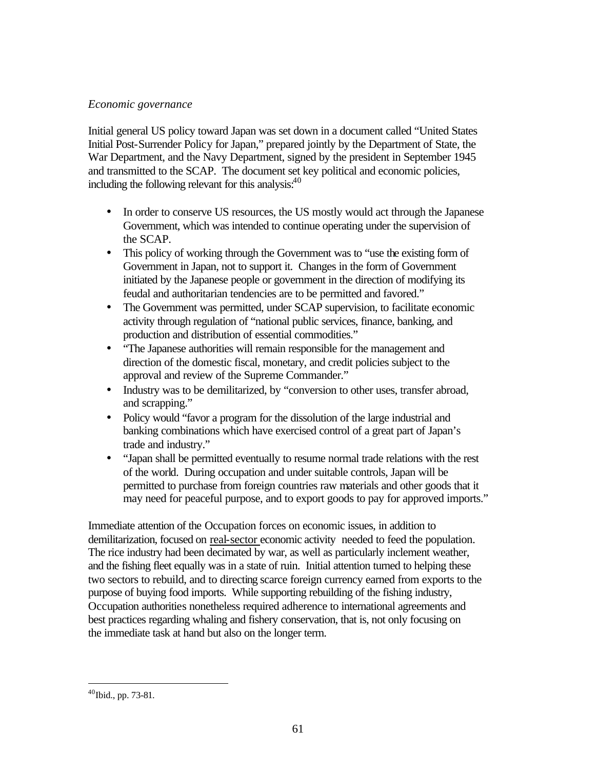# *Economic governance*

Initial general US policy toward Japan was set down in a document called "United States Initial Post-Surrender Policy for Japan," prepared jointly by the Department of State, the War Department, and the Navy Department, signed by the president in September 1945 and transmitted to the SCAP. The document set key political and economic policies, including the following relevant for this analysis: $40$ 

- In order to conserve US resources, the US mostly would act through the Japanese Government, which was intended to continue operating under the supervision of the SCAP.
- This policy of working through the Government was to "use the existing form of Government in Japan, not to support it. Changes in the form of Government initiated by the Japanese people or government in the direction of modifying its feudal and authoritarian tendencies are to be permitted and favored."
- The Government was permitted, under SCAP supervision, to facilitate economic activity through regulation of "national public services, finance, banking, and production and distribution of essential commodities."
- "The Japanese authorities will remain responsible for the management and direction of the domestic fiscal, monetary, and credit policies subject to the approval and review of the Supreme Commander."
- Industry was to be demilitarized, by "conversion to other uses, transfer abroad, and scrapping."
- Policy would "favor a program for the dissolution of the large industrial and banking combinations which have exercised control of a great part of Japan's trade and industry."
- "Japan shall be permitted eventually to resume normal trade relations with the rest of the world. During occupation and under suitable controls, Japan will be permitted to purchase from foreign countries raw materials and other goods that it may need for peaceful purpose, and to export goods to pay for approved imports."

Immediate attention of the Occupation forces on economic issues, in addition to demilitarization, focused on real-sector economic activity needed to feed the population. The rice industry had been decimated by war, as well as particularly inclement weather, and the fishing fleet equally was in a state of ruin. Initial attention turned to helping these two sectors to rebuild, and to directing scarce foreign currency earned from exports to the purpose of buying food imports. While supporting rebuilding of the fishing industry, Occupation authorities nonetheless required adherence to international agreements and best practices regarding whaling and fishery conservation, that is, not only focusing on the immediate task at hand but also on the longer term.

<sup>40</sup>Ibid., pp. 73-81.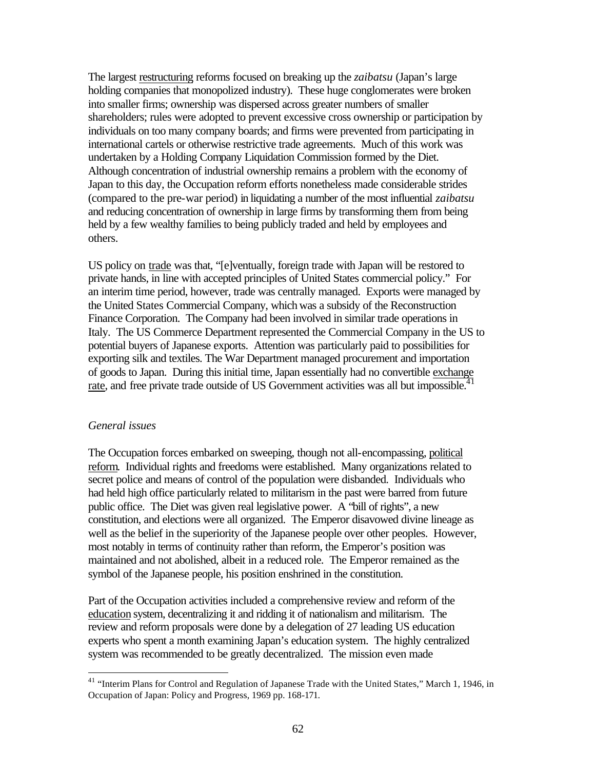The largest restructuring reforms focused on breaking up the *zaibatsu* (Japan's large holding companies that monopolized industry). These huge conglomerates were broken into smaller firms; ownership was dispersed across greater numbers of smaller shareholders; rules were adopted to prevent excessive cross ownership or participation by individuals on too many company boards; and firms were prevented from participating in international cartels or otherwise restrictive trade agreements. Much of this work was undertaken by a Holding Company Liquidation Commission formed by the Diet. Although concentration of industrial ownership remains a problem with the economy of Japan to this day, the Occupation reform efforts nonetheless made considerable strides (compared to the pre-war period) in liquidating a number of the most influential *zaibatsu* and reducing concentration of ownership in large firms by transforming them from being held by a few wealthy families to being publicly traded and held by employees and others.

US policy on trade was that, "[e]ventually, foreign trade with Japan will be restored to private hands, in line with accepted principles of United States commercial policy." For an interim time period, however, trade was centrally managed. Exports were managed by the United States Commercial Company, which was a subsidy of the Reconstruction Finance Corporation. The Company had been involved in similar trade operations in Italy. The US Commerce Department represented the Commercial Company in the US to potential buyers of Japanese exports. Attention was particularly paid to possibilities for exporting silk and textiles. The War Department managed procurement and importation of goods to Japan. During this initial time, Japan essentially had no convertible exchange rate, and free private trade outside of US Government activities was all but impossible.<sup>41</sup>

#### *General issues*

 $\overline{a}$ 

The Occupation forces embarked on sweeping, though not all-encompassing, political reform. Individual rights and freedoms were established. Many organizations related to secret police and means of control of the population were disbanded. Individuals who had held high office particularly related to militarism in the past were barred from future public office. The Diet was given real legislative power. A "bill of rights", a new constitution, and elections were all organized. The Emperor disavowed divine lineage as well as the belief in the superiority of the Japanese people over other peoples. However, most notably in terms of continuity rather than reform, the Emperor's position was maintained and not abolished, albeit in a reduced role. The Emperor remained as the symbol of the Japanese people, his position enshrined in the constitution.

Part of the Occupation activities included a comprehensive review and reform of the education system, decentralizing it and ridding it of nationalism and militarism. The review and reform proposals were done by a delegation of 27 leading US education experts who spent a month examining Japan's education system. The highly centralized system was recommended to be greatly decentralized. The mission even made

<sup>&</sup>lt;sup>41</sup> "Interim Plans for Control and Regulation of Japanese Trade with the United States," March 1, 1946, in Occupation of Japan: Policy and Progress, 1969 pp. 168-171.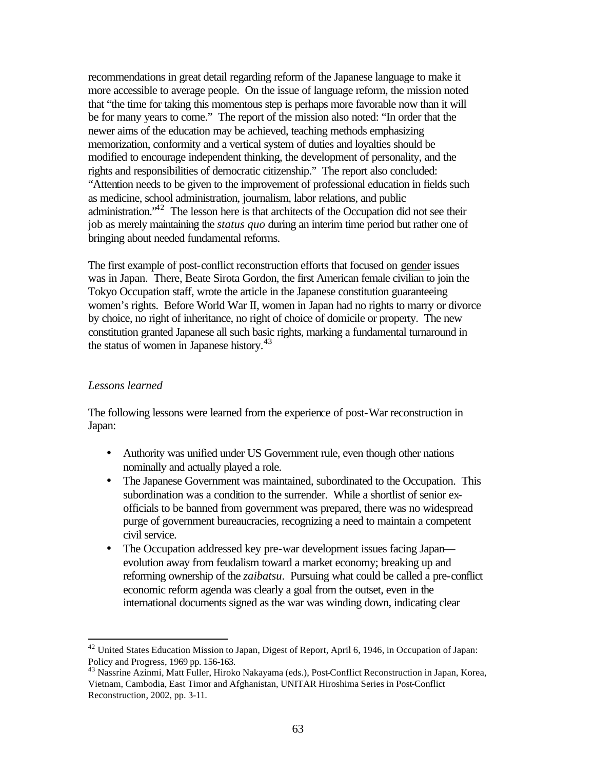recommendations in great detail regarding reform of the Japanese language to make it more accessible to average people. On the issue of language reform, the mission noted that "the time for taking this momentous step is perhaps more favorable now than it will be for many years to come." The report of the mission also noted: "In order that the newer aims of the education may be achieved, teaching methods emphasizing memorization, conformity and a vertical system of duties and loyalties should be modified to encourage independent thinking, the development of personality, and the rights and responsibilities of democratic citizenship." The report also concluded: "Attention needs to be given to the improvement of professional education in fields such as medicine, school administration, journalism, labor relations, and public administration."<sup>42</sup> The lesson here is that architects of the Occupation did not see their job as merely maintaining the *status quo* during an interim time period but rather one of bringing about needed fundamental reforms.

The first example of post-conflict reconstruction efforts that focused on gender issues was in Japan. There, Beate Sirota Gordon, the first American female civilian to join the Tokyo Occupation staff, wrote the article in the Japanese constitution guaranteeing women's rights. Before World War II, women in Japan had no rights to marry or divorce by choice, no right of inheritance, no right of choice of domicile or property. The new constitution granted Japanese all such basic rights, marking a fundamental turnaround in the status of women in Japanese history.<sup>43</sup>

## *Lessons learned*

 $\overline{a}$ 

The following lessons were learned from the experience of post-War reconstruction in Japan:

- Authority was unified under US Government rule, even though other nations nominally and actually played a role.
- The Japanese Government was maintained, subordinated to the Occupation. This subordination was a condition to the surrender. While a shortlist of senior exofficials to be banned from government was prepared, there was no widespread purge of government bureaucracies, recognizing a need to maintain a competent civil service.
- The Occupation addressed key pre-war development issues facing Japan evolution away from feudalism toward a market economy; breaking up and reforming ownership of the *zaibatsu*. Pursuing what could be called a pre-conflict economic reform agenda was clearly a goal from the outset, even in the international documents signed as the war was winding down, indicating clear

 $42$  United States Education Mission to Japan, Digest of Report, April 6, 1946, in Occupation of Japan: Policy and Progress, 1969 pp. 156-163.

<sup>43</sup> Nassrine Azinmi, Matt Fuller, Hiroko Nakayama (eds.), Post-Conflict Reconstruction in Japan, Korea, Vietnam, Cambodia, East Timor and Afghanistan, UNITAR Hiroshima Series in Post-Conflict Reconstruction, 2002, pp. 3-11.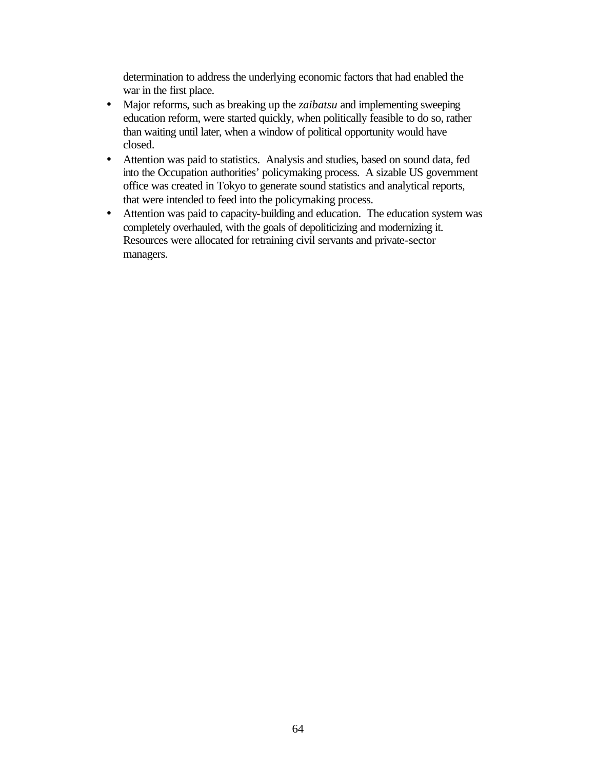determination to address the underlying economic factors that had enabled the war in the first place.

- Major reforms, such as breaking up the *zaibatsu* and implementing sweeping education reform, were started quickly, when politically feasible to do so, rather than waiting until later, when a window of political opportunity would have closed.
- Attention was paid to statistics. Analysis and studies, based on sound data, fed into the Occupation authorities' policymaking process. A sizable US government office was created in Tokyo to generate sound statistics and analytical reports, that were intended to feed into the policymaking process.
- Attention was paid to capacity-building and education. The education system was completely overhauled, with the goals of depoliticizing and modernizing it. Resources were allocated for retraining civil servants and private-sector managers.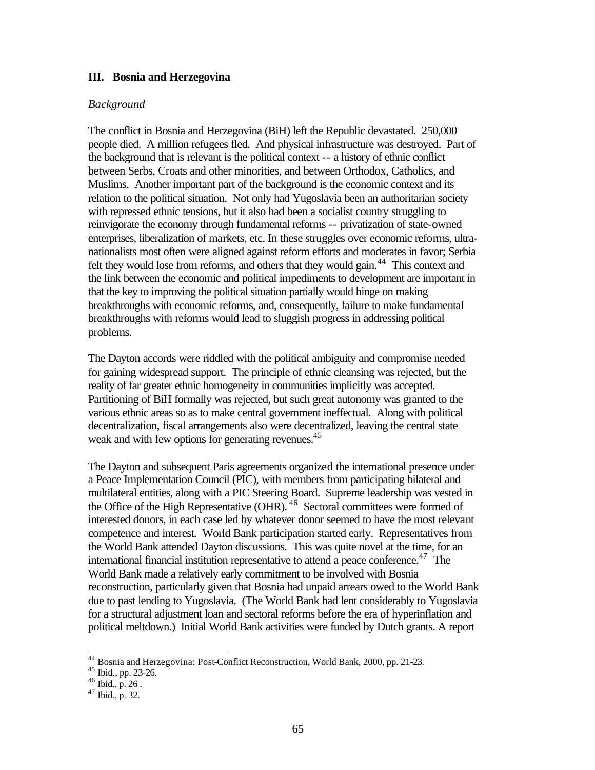#### **III. Bosnia and Herzegovina**

#### *Background*

The conflict in Bosnia and Herzegovina (BiH) left the Republic devastated. 250,000 people died. A million refugees fled. And physical infrastructure was destroyed. Part of the background that is relevant is the political context -- a history of ethnic conflict between Serbs, Croats and other minorities, and between Orthodox, Catholics, and Muslims. Another important part of the background is the economic context and its relation to the political situation. Not only had Yugoslavia been an authoritarian society with repressed ethnic tensions, but it also had been a socialist country struggling to reinvigorate the economy through fundamental reforms -- privatization of state-owned enterprises, liberalization of markets, etc. In these struggles over economic reforms, ultranationalists most often were aligned against reform efforts and moderates in favor; Serbia felt they would lose from reforms, and others that they would gain.<sup>44</sup> This context and the link between the economic and political impediments to development are important in that the key to improving the political situation partially would hinge on making breakthroughs with economic reforms, and, consequently, failure to make fundamental breakthroughs with reforms would lead to sluggish progress in addressing political problems.

The Dayton accords were riddled with the political ambiguity and compromise needed for gaining widespread support. The principle of ethnic cleansing was rejected, but the reality of far greater ethnic homogeneity in communities implicitly was accepted. Partitioning of BiH formally was rejected, but such great autonomy was granted to the various ethnic areas so as to make central government ineffectual. Along with political decentralization, fiscal arrangements also were decentralized, leaving the central state weak and with few options for generating revenues.<sup>45</sup>

The Dayton and subsequent Paris agreements organized the international presence under a Peace Implementation Council (PIC), with members from participating bilateral and multilateral entities, along with a PIC Steering Board. Supreme leadership was vested in the Office of the High Representative (OHR). <sup>46</sup> Sectoral committees were formed of interested donors, in each case led by whatever donor seemed to have the most relevant competence and interest. World Bank participation started early. Representatives from the World Bank attended Dayton discussions. This was quite novel at the time, for an international financial institution representative to attend a peace conference. <sup>47</sup> The World Bank made a relatively early commitment to be involved with Bosnia reconstruction, particularly given that Bosnia had unpaid arrears owed to the World Bank due to past lending to Yugoslavia. (The World Bank had lent considerably to Yugoslavia for a structural adjustment loan and sectoral reforms before the era of hyperinflation and political meltdown.) Initial World Bank activities were funded by Dutch grants. A report

<sup>44</sup> Bosnia and Herzegovina: Post-Conflict Reconstruction, World Bank, 2000, pp. 21-23.

<sup>45</sup> Ibid., pp. 23-26.

 $^{46}$  Ibid., p. 26.

 $47$  Ibid., p. 32.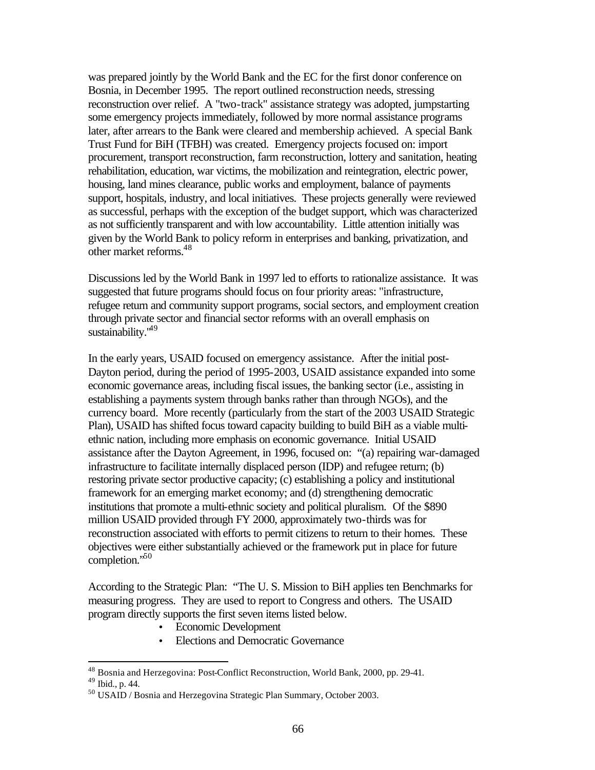was prepared jointly by the World Bank and the EC for the first donor conference on Bosnia, in December 1995. The report outlined reconstruction needs, stressing reconstruction over relief. A "two-track" assistance strategy was adopted, jumpstarting some emergency projects immediately, followed by more normal assistance programs later, after arrears to the Bank were cleared and membership achieved. A special Bank Trust Fund for BiH (TFBH) was created. Emergency projects focused on: import procurement, transport reconstruction, farm reconstruction, lottery and sanitation, heating rehabilitation, education, war victims, the mobilization and reintegration, electric power, housing, land mines clearance, public works and employment, balance of payments support, hospitals, industry, and local initiatives. These projects generally were reviewed as successful, perhaps with the exception of the budget support, which was characterized as not sufficiently transparent and with low accountability. Little attention initially was given by the World Bank to policy reform in enterprises and banking, privatization, and other market reforms.<sup>48</sup>

Discussions led by the World Bank in 1997 led to efforts to rationalize assistance. It was suggested that future programs should focus on four priority areas: "infrastructure, refugee return and community support programs, social sectors, and employment creation through private sector and financial sector reforms with an overall emphasis on sustainability."<sup>49</sup>

In the early years, USAID focused on emergency assistance. After the initial post-Dayton period, during the period of 1995-2003, USAID assistance expanded into some economic governance areas, including fiscal issues, the banking sector (i.e., assisting in establishing a payments system through banks rather than through NGOs), and the currency board. More recently (particularly from the start of the 2003 USAID Strategic Plan), USAID has shifted focus toward capacity building to build BiH as a viable multiethnic nation, including more emphasis on economic governance. Initial USAID assistance after the Dayton Agreement, in 1996, focused on: "(a) repairing war-damaged infrastructure to facilitate internally displaced person (IDP) and refugee return; (b) restoring private sector productive capacity; (c) establishing a policy and institutional framework for an emerging market economy; and (d) strengthening democratic institutions that promote a multi-ethnic society and political pluralism. Of the \$890 million USAID provided through FY 2000, approximately two-thirds was for reconstruction associated with efforts to permit citizens to return to their homes. These objectives were either substantially achieved or the framework put in place for future completion."<sup>50</sup>

According to the Strategic Plan: "The U. S. Mission to BiH applies ten Benchmarks for measuring progress. They are used to report to Congress and others. The USAID program directly supports the first seven items listed below.

- Economic Development
- Elections and Democratic Governance

<sup>&</sup>lt;sup>48</sup> Bosnia and Herzegovina: Post-Conflict Reconstruction, World Bank, 2000, pp. 29-41.

<sup>49</sup> Ibid., p. 44.

<sup>50</sup> USAID / Bosnia and Herzegovina Strategic Plan Summary, October 2003.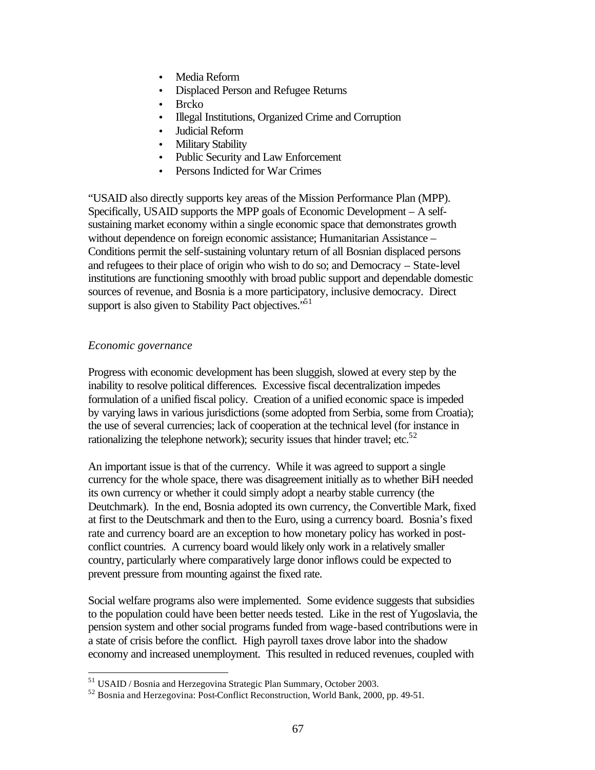- Media Reform
- Displaced Person and Refugee Returns
- Brcko
- Illegal Institutions, Organized Crime and Corruption
- Judicial Reform
- **Military Stability**
- Public Security and Law Enforcement
- Persons Indicted for War Crimes

"USAID also directly supports key areas of the Mission Performance Plan (MPP). Specifically, USAID supports the MPP goals of Economic Development – A selfsustaining market economy within a single economic space that demonstrates growth without dependence on foreign economic assistance; Humanitarian Assistance – Conditions permit the self-sustaining voluntary return of all Bosnian displaced persons and refugees to their place of origin who wish to do so; and Democracy – State-level institutions are functioning smoothly with broad public support and dependable domestic sources of revenue, and Bosnia is a more participatory, inclusive democracy. Direct support is also given to Stability Pact objectives.<sup>51</sup>

## *Economic governance*

 $\overline{a}$ 

Progress with economic development has been sluggish, slowed at every step by the inability to resolve political differences. Excessive fiscal decentralization impedes formulation of a unified fiscal policy. Creation of a unified economic space is impeded by varying laws in various jurisdictions (some adopted from Serbia, some from Croatia); the use of several currencies; lack of cooperation at the technical level (for instance in rationalizing the telephone network); security issues that hinder travel; etc. $52$ 

An important issue is that of the currency. While it was agreed to support a single currency for the whole space, there was disagreement initially as to whether BiH needed its own currency or whether it could simply adopt a nearby stable currency (the Deutchmark). In the end, Bosnia adopted its own currency, the Convertible Mark, fixed at first to the Deutschmark and then to the Euro, using a currency board. Bosnia's fixed rate and currency board are an exception to how monetary policy has worked in postconflict countries. A currency board would likely only work in a relatively smaller country, particularly where comparatively large donor inflows could be expected to prevent pressure from mounting against the fixed rate.

Social welfare programs also were implemented. Some evidence suggests that subsidies to the population could have been better needs tested. Like in the rest of Yugoslavia, the pension system and other social programs funded from wage-based contributions were in a state of crisis before the conflict. High payroll taxes drove labor into the shadow economy and increased unemployment. This resulted in reduced revenues, coupled with

<sup>51</sup> USAID / Bosnia and Herzegovina Strategic Plan Summary, October 2003.

<sup>52</sup> Bosnia and Herzegovina: Post-Conflict Reconstruction, World Bank, 2000, pp. 49-51.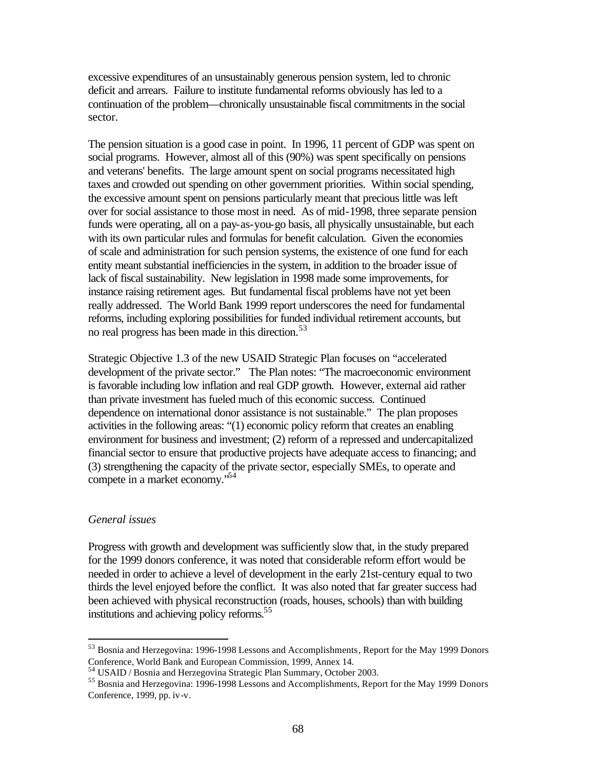excessive expenditures of an unsustainably generous pension system, led to chronic deficit and arrears. Failure to institute fundamental reforms obviously has led to a continuation of the problem—chronically unsustainable fiscal commitments in the social sector.

The pension situation is a good case in point. In 1996, 11 percent of GDP was spent on social programs. However, almost all of this (90%) was spent specifically on pensions and veterans' benefits. The large amount spent on social programs necessitated high taxes and crowded out spending on other government priorities. Within social spending, the excessive amount spent on pensions particularly meant that precious little was left over for social assistance to those most in need. As of mid-1998, three separate pension funds were operating, all on a pay-as-you-go basis, all physically unsustainable, but each with its own particular rules and formulas for benefit calculation. Given the economies of scale and administration for such pension systems, the existence of one fund for each entity meant substantial inefficiencies in the system, in addition to the broader issue of lack of fiscal sustainability. New legislation in 1998 made some improvements, for instance raising retirement ages. But fundamental fiscal problems have not yet been really addressed. The World Bank 1999 report underscores the need for fundamental reforms, including exploring possibilities for funded individual retirement accounts, but no real progress has been made in this direction.<sup>53</sup>

Strategic Objective 1.3 of the new USAID Strategic Plan focuses on "accelerated development of the private sector." The Plan notes: "The macroeconomic environment is favorable including low inflation and real GDP growth. However, external aid rather than private investment has fueled much of this economic success. Continued dependence on international donor assistance is not sustainable." The plan proposes activities in the following areas: "(1) economic policy reform that creates an enabling environment for business and investment; (2) reform of a repressed and undercapitalized financial sector to ensure that productive projects have adequate access to financing; and (3) strengthening the capacity of the private sector, especially SMEs, to operate and compete in a market economy."<sup>54</sup>

#### *General issues*

 $\overline{a}$ 

Progress with growth and development was sufficiently slow that, in the study prepared for the 1999 donors conference, it was noted that considerable reform effort would be needed in order to achieve a level of development in the early 21st-century equal to two thirds the level enjoyed before the conflict. It was also noted that far greater success had been achieved with physical reconstruction (roads, houses, schools) than with building institutions and achieving policy reforms.<sup>55</sup>

<sup>53</sup> Bosnia and Herzegovina: 1996-1998 Lessons and Accomplishments, Report for the May 1999 Donors Conference, World Bank and European Commission, 1999, Annex 14.

<sup>54</sup> USAID / Bosnia and Herzegovina Strategic Plan Summary, October 2003.

<sup>55</sup> Bosnia and Herzegovina: 1996-1998 Lessons and Accomplishments, Report for the May 1999 Donors Conference, 1999, pp. iv-v.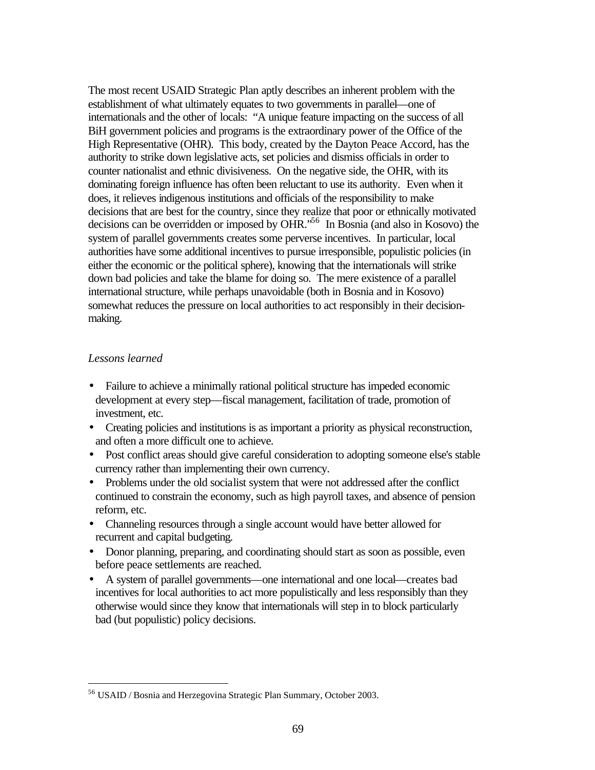The most recent USAID Strategic Plan aptly describes an inherent problem with the establishment of what ultimately equates to two governments in parallel—one of internationals and the other of locals: "A unique feature impacting on the success of all BiH government policies and programs is the extraordinary power of the Office of the High Representative (OHR). This body, created by the Dayton Peace Accord, has the authority to strike down legislative acts, set policies and dismiss officials in order to counter nationalist and ethnic divisiveness. On the negative side, the OHR, with its dominating foreign influence has often been reluctant to use its authority. Even when it does, it relieves indigenous institutions and officials of the responsibility to make decisions that are best for the country, since they realize that poor or ethnically motivated decisions can be overridden or imposed by OHR."<sup>56</sup> In Bosnia (and also in Kosovo) the system of parallel governments creates some perverse incentives. In particular, local authorities have some additional incentives to pursue irresponsible, populistic policies (in either the economic or the political sphere), knowing that the internationals will strike down bad policies and take the blame for doing so. The mere existence of a parallel international structure, while perhaps unavoidable (both in Bosnia and in Kosovo) somewhat reduces the pressure on local authorities to act responsibly in their decisionmaking.

## *Lessons learned*

- Failure to achieve a minimally rational political structure has impeded economic development at every step—fiscal management, facilitation of trade, promotion of investment, etc.
- Creating policies and institutions is as important a priority as physical reconstruction, and often a more difficult one to achieve.
- Post conflict areas should give careful consideration to adopting someone else's stable currency rather than implementing their own currency.
- Problems under the old socialist system that were not addressed after the conflict continued to constrain the economy, such as high payroll taxes, and absence of pension reform, etc.
- Channeling resources through a single account would have better allowed for recurrent and capital budgeting.
- Donor planning, preparing, and coordinating should start as soon as possible, even before peace settlements are reached.
- A system of parallel governments—one international and one local—creates bad incentives for local authorities to act more populistically and less responsibly than they otherwise would since they know that internationals will step in to block particularly bad (but populistic) policy decisions.

<sup>56</sup> USAID / Bosnia and Herzegovina Strategic Plan Summary, October 2003.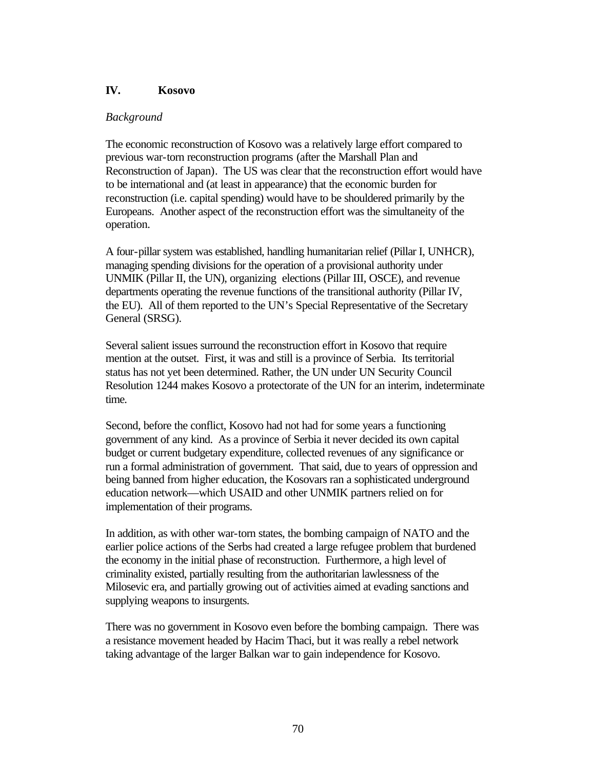# **IV. Kosovo**

## *Background*

The economic reconstruction of Kosovo was a relatively large effort compared to previous war-torn reconstruction programs (after the Marshall Plan and Reconstruction of Japan). The US was clear that the reconstruction effort would have to be international and (at least in appearance) that the economic burden for reconstruction (i.e. capital spending) would have to be shouldered primarily by the Europeans. Another aspect of the reconstruction effort was the simultaneity of the operation.

A four-pillar system was established, handling humanitarian relief (Pillar I, UNHCR), managing spending divisions for the operation of a provisional authority under UNMIK (Pillar II, the UN), organizing elections (Pillar III, OSCE), and revenue departments operating the revenue functions of the transitional authority (Pillar IV, the EU). All of them reported to the UN's Special Representative of the Secretary General (SRSG).

Several salient issues surround the reconstruction effort in Kosovo that require mention at the outset. First, it was and still is a province of Serbia. Its territorial status has not yet been determined. Rather, the UN under UN Security Council Resolution 1244 makes Kosovo a protectorate of the UN for an interim, indeterminate time.

Second, before the conflict, Kosovo had not had for some years a functioning government of any kind. As a province of Serbia it never decided its own capital budget or current budgetary expenditure, collected revenues of any significance or run a formal administration of government. That said, due to years of oppression and being banned from higher education, the Kosovars ran a sophisticated underground education network—which USAID and other UNMIK partners relied on for implementation of their programs.

In addition, as with other war-torn states, the bombing campaign of NATO and the earlier police actions of the Serbs had created a large refugee problem that burdened the economy in the initial phase of reconstruction. Furthermore, a high level of criminality existed, partially resulting from the authoritarian lawlessness of the Milosevic era, and partially growing out of activities aimed at evading sanctions and supplying weapons to insurgents.

There was no government in Kosovo even before the bombing campaign. There was a resistance movement headed by Hacim Thaci, but it was really a rebel network taking advantage of the larger Balkan war to gain independence for Kosovo.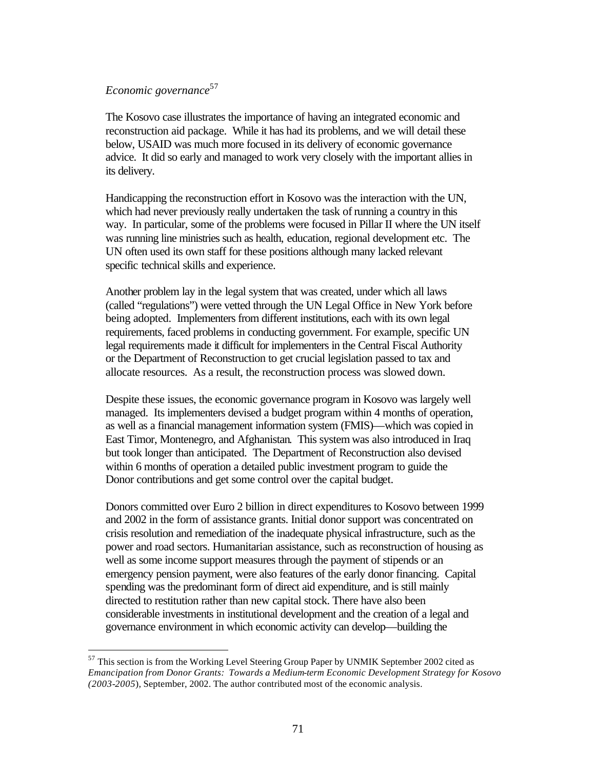## *Economic governance*<sup>57</sup>

 $\overline{a}$ 

The Kosovo case illustrates the importance of having an integrated economic and reconstruction aid package. While it has had its problems, and we will detail these below, USAID was much more focused in its delivery of economic governance advice. It did so early and managed to work very closely with the important allies in its delivery.

Handicapping the reconstruction effort in Kosovo was the interaction with the UN, which had never previously really undertaken the task of running a country in this way. In particular, some of the problems were focused in Pillar II where the UN itself was running line ministries such as health, education, regional development etc. The UN often used its own staff for these positions although many lacked relevant specific technical skills and experience.

Another problem lay in the legal system that was created, under which all laws (called "regulations") were vetted through the UN Legal Office in New York before being adopted. Implementers from different institutions, each with its own legal requirements, faced problems in conducting government. For example, specific UN legal requirements made it difficult for implementers in the Central Fiscal Authority or the Department of Reconstruction to get crucial legislation passed to tax and allocate resources. As a result, the reconstruction process was slowed down.

Despite these issues, the economic governance program in Kosovo was largely well managed. Its implementers devised a budget program within 4 months of operation, as well as a financial management information system (FMIS)—which was copied in East Timor, Montenegro, and Afghanistan. This system was also introduced in Iraq but took longer than anticipated. The Department of Reconstruction also devised within 6 months of operation a detailed public investment program to guide the Donor contributions and get some control over the capital budget.

Donors committed over Euro 2 billion in direct expenditures to Kosovo between 1999 and 2002 in the form of assistance grants. Initial donor support was concentrated on crisis resolution and remediation of the inadequate physical infrastructure, such as the power and road sectors. Humanitarian assistance, such as reconstruction of housing as well as some income support measures through the payment of stipends or an emergency pension payment, were also features of the early donor financing. Capital spending was the predominant form of direct aid expenditure, and is still mainly directed to restitution rather than new capital stock. There have also been considerable investments in institutional development and the creation of a legal and governance environment in which economic activity can develop—building the

<sup>&</sup>lt;sup>57</sup> This section is from the Working Level Steering Group Paper by UNMIK September 2002 cited as *Emancipation from Donor Grants: Towards a Medium-term Economic Development Strategy for Kosovo (2003-2005*), September, 2002. The author contributed most of the economic analysis.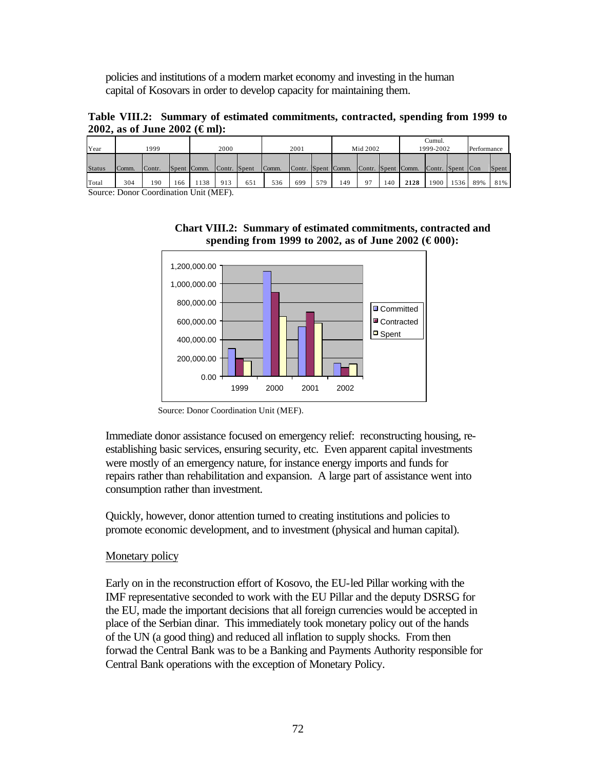policies and institutions of a modern market economy and investing in the human capital of Kosovars in order to develop capacity for maintaining them.

**Table VIII.2: Summary of estimated commitments, contracted, spending from 1999 to 2002, as of June 2002 (€ml):** 

| Year          | 1999  |        |     | 2000                               |              |     | 2001  |     |     | Mid 2002           |                    |     | Cumul.<br>1999-2002 |                  |      | Performance |       |
|---------------|-------|--------|-----|------------------------------------|--------------|-----|-------|-----|-----|--------------------|--------------------|-----|---------------------|------------------|------|-------------|-------|
| <b>Status</b> | Comm. | Contr. |     | Spent Comm.                        | Contr. Spent |     | Comm. |     |     | Contr. Spent Comm. | Contr. Spent Comm. |     |                     | Contr. Spent Con |      |             | Spent |
| Total         | 304   | 190    | 166 | 138<br>$T$ $T$ $T$ $T$ $T$ $T$ $T$ | 913          | 651 | 536   | 699 | 579 | 149                | 97                 | 140 | 2128                | 1900             | 1536 | 89%         | 81%   |

Source: Donor Coordination Unit (MEF).

**Chart VIII.2: Summary of estimated commitments, contracted and spending from 1999 to 2002, as of June 2002 (€ 000):**



Source: Donor Coordination Unit (MEF).

Immediate donor assistance focused on emergency relief: reconstructing housing, reestablishing basic services, ensuring security, etc. Even apparent capital investments were mostly of an emergency nature, for instance energy imports and funds for repairs rather than rehabilitation and expansion. A large part of assistance went into consumption rather than investment.

Quickly, however, donor attention turned to creating institutions and policies to promote economic development, and to investment (physical and human capital).

# Monetary policy

Early on in the reconstruction effort of Kosovo, the EU-led Pillar working with the IMF representative seconded to work with the EU Pillar and the deputy DSRSG for the EU, made the important decisions that all foreign currencies would be accepted in place of the Serbian dinar. This immediately took monetary policy out of the hands of the UN (a good thing) and reduced all inflation to supply shocks. From then forwad the Central Bank was to be a Banking and Payments Authority responsible for Central Bank operations with the exception of Monetary Policy.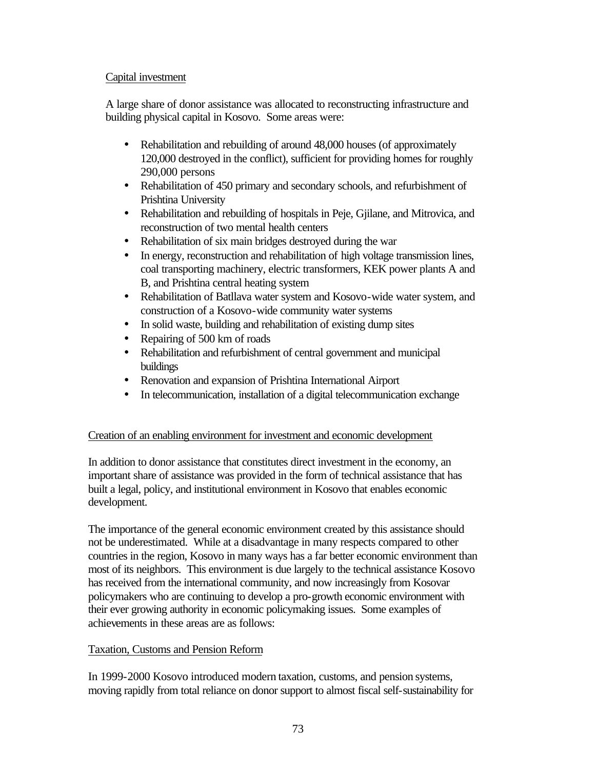# Capital investment

A large share of donor assistance was allocated to reconstructing infrastructure and building physical capital in Kosovo. Some areas were:

- Rehabilitation and rebuilding of around 48,000 houses (of approximately 120,000 destroyed in the conflict), sufficient for providing homes for roughly 290,000 persons
- Rehabilitation of 450 primary and secondary schools, and refurbishment of Prishtina University
- Rehabilitation and rebuilding of hospitals in Peje, Gjilane, and Mitrovica, and reconstruction of two mental health centers
- Rehabilitation of six main bridges destroyed during the war
- In energy, reconstruction and rehabilitation of high voltage transmission lines, coal transporting machinery, electric transformers, KEK power plants A and B, and Prishtina central heating system
- Rehabilitation of Batllava water system and Kosovo-wide water system, and construction of a Kosovo-wide community water systems
- In solid waste, building and rehabilitation of existing dump sites
- Repairing of 500 km of roads
- Rehabilitation and refurbishment of central government and municipal buildings
- Renovation and expansion of Prishtina International Airport
- In telecommunication, installation of a digital telecommunication exchange

# Creation of an enabling environment for investment and economic development

In addition to donor assistance that constitutes direct investment in the economy, an important share of assistance was provided in the form of technical assistance that has built a legal, policy, and institutional environment in Kosovo that enables economic development.

The importance of the general economic environment created by this assistance should not be underestimated. While at a disadvantage in many respects compared to other countries in the region, Kosovo in many ways has a far better economic environment than most of its neighbors. This environment is due largely to the technical assistance Kosovo has received from the international community, and now increasingly from Kosovar policymakers who are continuing to develop a pro-growth economic environment with their ever growing authority in economic policymaking issues. Some examples of achievements in these areas are as follows:

# Taxation, Customs and Pension Reform

In 1999-2000 Kosovo introduced modern taxation, customs, and pension systems, moving rapidly from total reliance on donor support to almost fiscal self-sustainability for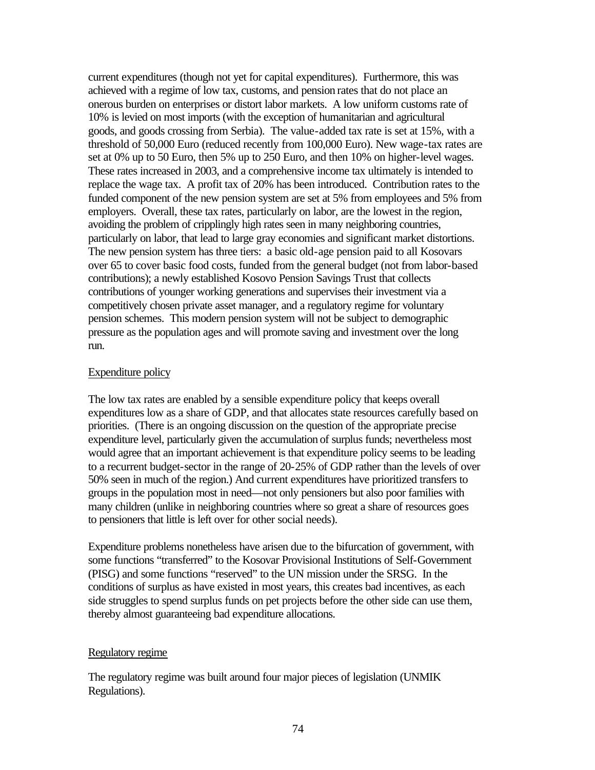current expenditures (though not yet for capital expenditures). Furthermore, this was achieved with a regime of low tax, customs, and pension rates that do not place an onerous burden on enterprises or distort labor markets. A low uniform customs rate of 10% is levied on most imports (with the exception of humanitarian and agricultural goods, and goods crossing from Serbia). The value-added tax rate is set at 15%, with a threshold of 50,000 Euro (reduced recently from 100,000 Euro). New wage-tax rates are set at 0% up to 50 Euro, then 5% up to 250 Euro, and then 10% on higher-level wages. These rates increased in 2003, and a comprehensive income tax ultimately is intended to replace the wage tax. A profit tax of 20% has been introduced. Contribution rates to the funded component of the new pension system are set at 5% from employees and 5% from employers. Overall, these tax rates, particularly on labor, are the lowest in the region, avoiding the problem of cripplingly high rates seen in many neighboring countries, particularly on labor, that lead to large gray economies and significant market distortions. The new pension system has three tiers: a basic old-age pension paid to all Kosovars over 65 to cover basic food costs, funded from the general budget (not from labor-based contributions); a newly established Kosovo Pension Savings Trust that collects contributions of younger working generations and supervises their investment via a competitively chosen private asset manager, and a regulatory regime for voluntary pension schemes. This modern pension system will not be subject to demographic pressure as the population ages and will promote saving and investment over the long run.

#### Expenditure policy

The low tax rates are enabled by a sensible expenditure policy that keeps overall expenditures low as a share of GDP, and that allocates state resources carefully based on priorities. (There is an ongoing discussion on the question of the appropriate precise expenditure level, particularly given the accumulation of surplus funds; nevertheless most would agree that an important achievement is that expenditure policy seems to be leading to a recurrent budget-sector in the range of 20-25% of GDP rather than the levels of over 50% seen in much of the region.) And current expenditures have prioritized transfers to groups in the population most in need—not only pensioners but also poor families with many children (unlike in neighboring countries where so great a share of resources goes to pensioners that little is left over for other social needs).

Expenditure problems nonetheless have arisen due to the bifurcation of government, with some functions "transferred" to the Kosovar Provisional Institutions of Self-Government (PISG) and some functions "reserved" to the UN mission under the SRSG. In the conditions of surplus as have existed in most years, this creates bad incentives, as each side struggles to spend surplus funds on pet projects before the other side can use them, thereby almost guaranteeing bad expenditure allocations.

#### Regulatory regime

The regulatory regime was built around four major pieces of legislation (UNMIK Regulations).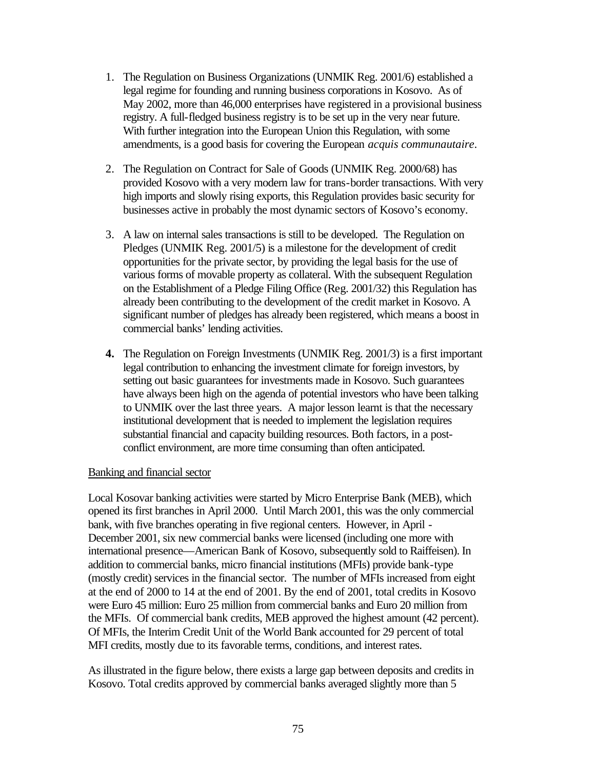- 1. The Regulation on Business Organizations (UNMIK Reg. 2001/6) established a legal regime for founding and running business corporations in Kosovo. As of May 2002, more than 46,000 enterprises have registered in a provisional business registry. A full-fledged business registry is to be set up in the very near future. With further integration into the European Union this Regulation, with some amendments, is a good basis for covering the European *acquis communautaire*.
- 2. The Regulation on Contract for Sale of Goods (UNMIK Reg. 2000/68) has provided Kosovo with a very modern law for trans-border transactions. With very high imports and slowly rising exports, this Regulation provides basic security for businesses active in probably the most dynamic sectors of Kosovo's economy.
- 3. A law on internal sales transactions is still to be developed. The Regulation on Pledges (UNMIK Reg. 2001/5) is a milestone for the development of credit opportunities for the private sector, by providing the legal basis for the use of various forms of movable property as collateral. With the subsequent Regulation on the Establishment of a Pledge Filing Office (Reg. 2001/32) this Regulation has already been contributing to the development of the credit market in Kosovo. A significant number of pledges has already been registered, which means a boost in commercial banks' lending activities.
- **4.** The Regulation on Foreign Investments (UNMIK Reg. 2001/3) is a first important legal contribution to enhancing the investment climate for foreign investors, by setting out basic guarantees for investments made in Kosovo. Such guarantees have always been high on the agenda of potential investors who have been talking to UNMIK over the last three years. A major lesson learnt is that the necessary institutional development that is needed to implement the legislation requires substantial financial and capacity building resources. Both factors, in a postconflict environment, are more time consuming than often anticipated.

#### Banking and financial sector

Local Kosovar banking activities were started by Micro Enterprise Bank (MEB), which opened its first branches in April 2000. Until March 2001, this was the only commercial bank, with five branches operating in five regional centers. However, in April - December 2001, six new commercial banks were licensed (including one more with international presence—American Bank of Kosovo, subsequently sold to Raiffeisen). In addition to commercial banks, micro financial institutions (MFIs) provide bank-type (mostly credit) services in the financial sector. The number of MFIs increased from eight at the end of 2000 to 14 at the end of 2001. By the end of 2001, total credits in Kosovo were Euro 45 million: Euro 25 million from commercial banks and Euro 20 million from the MFIs. Of commercial bank credits, MEB approved the highest amount (42 percent). Of MFIs, the Interim Credit Unit of the World Bank accounted for 29 percent of total MFI credits, mostly due to its favorable terms, conditions, and interest rates.

As illustrated in the figure below, there exists a large gap between deposits and credits in Kosovo. Total credits approved by commercial banks averaged slightly more than 5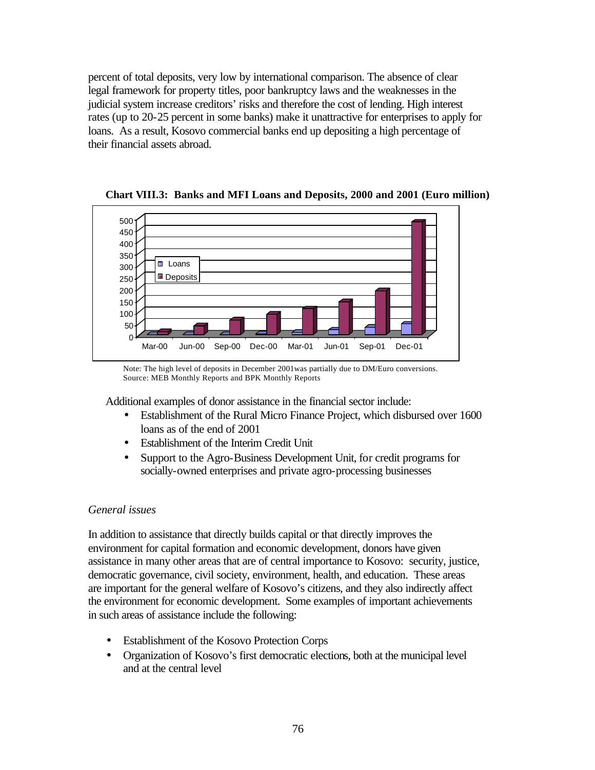percent of total deposits, very low by international comparison. The absence of clear legal framework for property titles, poor bankruptcy laws and the weaknesses in the judicial system increase creditors' risks and therefore the cost of lending. High interest rates (up to 20-25 percent in some banks) make it unattractive for enterprises to apply for loans. As a result, Kosovo commercial banks end up depositing a high percentage of their financial assets abroad.



**Chart VIII.3: Banks and MFI Loans and Deposits, 2000 and 2001 (Euro million)**

Note: The high level of deposits in December 2001was partially due to DM/Euro conversions. Source: MEB Monthly Reports and BPK Monthly Reports

Additional examples of donor assistance in the financial sector include:

- Establishment of the Rural Micro Finance Project, which disbursed over 1600 loans as of the end of 2001
- Establishment of the Interim Credit Unit
- Support to the Agro-Business Development Unit, for credit programs for socially-owned enterprises and private agro-processing businesses

## *General issues*

In addition to assistance that directly builds capital or that directly improves the environment for capital formation and economic development, donors have given assistance in many other areas that are of central importance to Kosovo: security, justice, democratic governance, civil society, environment, health, and education. These areas are important for the general welfare of Kosovo's citizens, and they also indirectly affect the environment for economic development. Some examples of important achievements in such areas of assistance include the following:

- Establishment of the Kosovo Protection Corps
- Organization of Kosovo's first democratic elections, both at the municipal level and at the central level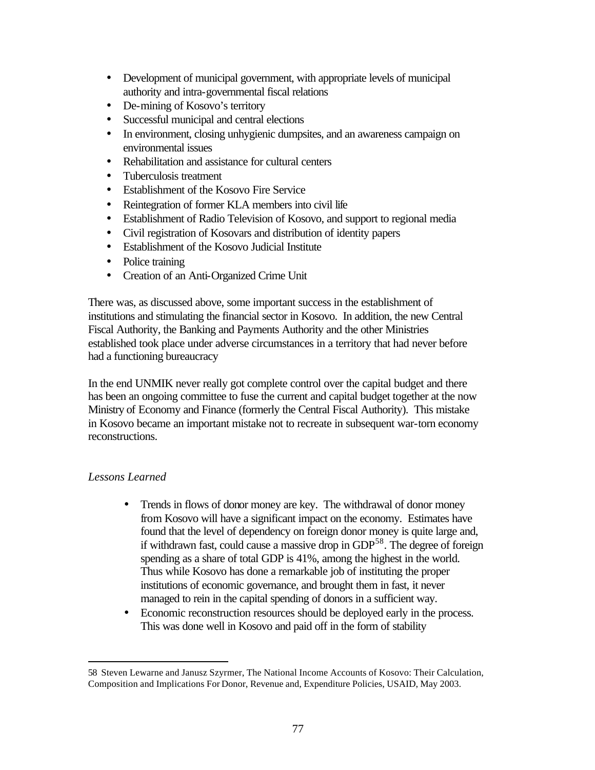- Development of municipal government, with appropriate levels of municipal authority and intra-governmental fiscal relations
- De-mining of Kosovo's territory
- Successful municipal and central elections
- In environment, closing unhygienic dumpsites, and an awareness campaign on environmental issues
- Rehabilitation and assistance for cultural centers
- Tuberculosis treatment
- Establishment of the Kosovo Fire Service
- Reintegration of former KLA members into civil life
- Establishment of Radio Television of Kosovo, and support to regional media
- Civil registration of Kosovars and distribution of identity papers
- Establishment of the Kosovo Judicial Institute
- Police training
- Creation of an Anti-Organized Crime Unit

There was, as discussed above, some important success in the establishment of institutions and stimulating the financial sector in Kosovo. In addition, the new Central Fiscal Authority, the Banking and Payments Authority and the other Ministries established took place under adverse circumstances in a territory that had never before had a functioning bureaucracy

In the end UNMIK never really got complete control over the capital budget and there has been an ongoing committee to fuse the current and capital budget together at the now Ministry of Economy and Finance (formerly the Central Fiscal Authority). This mistake in Kosovo became an important mistake not to recreate in subsequent war-torn economy reconstructions.

## *Lessons Learned*

- Trends in flows of donor money are key. The withdrawal of donor money from Kosovo will have a significant impact on the economy. Estimates have found that the level of dependency on foreign donor money is quite large and, if withdrawn fast, could cause a massive drop in GDP<sup>58</sup>. The degree of foreign spending as a share of total GDP is 41%, among the highest in the world. Thus while Kosovo has done a remarkable job of instituting the proper institutions of economic governance, and brought them in fast, it never managed to rein in the capital spending of donors in a sufficient way.
- Economic reconstruction resources should be deployed early in the process. This was done well in Kosovo and paid off in the form of stability

<sup>58</sup> Steven Lewarne and Janusz Szyrmer, The National Income Accounts of Kosovo: Their Calculation, Composition and Implications For Donor, Revenue and, Expenditure Policies, USAID, May 2003.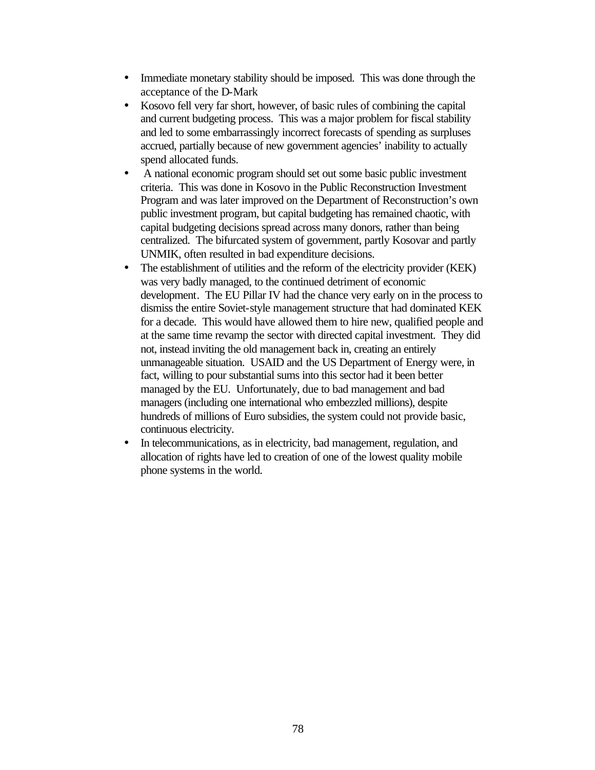- Immediate monetary stability should be imposed. This was done through the acceptance of the D-Mark
- Kosovo fell very far short, however, of basic rules of combining the capital and current budgeting process. This was a major problem for fiscal stability and led to some embarrassingly incorrect forecasts of spending as surpluses accrued, partially because of new government agencies' inability to actually spend allocated funds.
- A national economic program should set out some basic public investment criteria. This was done in Kosovo in the Public Reconstruction Investment Program and was later improved on the Department of Reconstruction's own public investment program, but capital budgeting has remained chaotic, with capital budgeting decisions spread across many donors, rather than being centralized. The bifurcated system of government, partly Kosovar and partly UNMIK, often resulted in bad expenditure decisions.
- The establishment of utilities and the reform of the electricity provider (KEK) was very badly managed, to the continued detriment of economic development. The EU Pillar IV had the chance very early on in the process to dismiss the entire Soviet-style management structure that had dominated KEK for a decade. This would have allowed them to hire new, qualified people and at the same time revamp the sector with directed capital investment. They did not, instead inviting the old management back in, creating an entirely unmanageable situation. USAID and the US Department of Energy were, in fact, willing to pour substantial sums into this sector had it been better managed by the EU. Unfortunately, due to bad management and bad managers (including one international who embezzled millions), despite hundreds of millions of Euro subsidies, the system could not provide basic, continuous electricity.
- In telecommunications, as in electricity, bad management, regulation, and allocation of rights have led to creation of one of the lowest quality mobile phone systems in the world.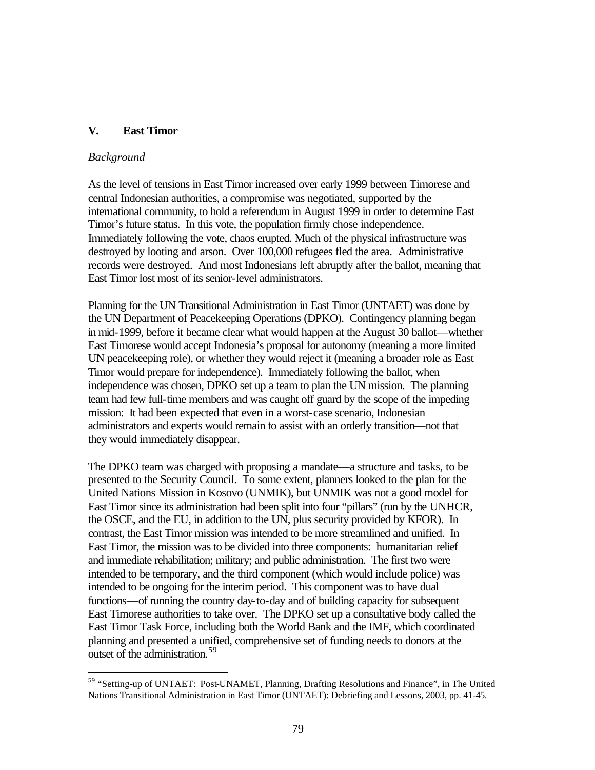# **V. East Timor**

#### *Background*

 $\overline{a}$ 

As the level of tensions in East Timor increased over early 1999 between Timorese and central Indonesian authorities, a compromise was negotiated, supported by the international community, to hold a referendum in August 1999 in order to determine East Timor's future status. In this vote, the population firmly chose independence. Immediately following the vote, chaos erupted. Much of the physical infrastructure was destroyed by looting and arson. Over 100,000 refugees fled the area. Administrative records were destroyed. And most Indonesians left abruptly after the ballot, meaning that East Timor lost most of its senior-level administrators.

Planning for the UN Transitional Administration in East Timor (UNTAET) was done by the UN Department of Peacekeeping Operations (DPKO). Contingency planning began in mid-1999, before it became clear what would happen at the August 30 ballot—whether East Timorese would accept Indonesia's proposal for autonomy (meaning a more limited UN peacekeeping role), or whether they would reject it (meaning a broader role as East Timor would prepare for independence). Immediately following the ballot, when independence was chosen, DPKO set up a team to plan the UN mission. The planning team had few full-time members and was caught off guard by the scope of the impeding mission: It had been expected that even in a worst-case scenario, Indonesian administrators and experts would remain to assist with an orderly transition—not that they would immediately disappear.

The DPKO team was charged with proposing a mandate—a structure and tasks, to be presented to the Security Council. To some extent, planners looked to the plan for the United Nations Mission in Kosovo (UNMIK), but UNMIK was not a good model for East Timor since its administration had been split into four "pillars" (run by the UNHCR, the OSCE, and the EU, in addition to the UN, plus security provided by KFOR). In contrast, the East Timor mission was intended to be more streamlined and unified. In East Timor, the mission was to be divided into three components: humanitarian relief and immediate rehabilitation; military; and public administration. The first two were intended to be temporary, and the third component (which would include police) was intended to be ongoing for the interim period. This component was to have dual functions—of running the country day-to-day and of building capacity for subsequent East Timorese authorities to take over. The DPKO set up a consultative body called the East Timor Task Force, including both the World Bank and the IMF, which coordinated planning and presented a unified, comprehensive set of funding needs to donors at the outset of the administration.<sup>59</sup>

<sup>&</sup>lt;sup>59</sup> "Setting-up of UNTAET: Post-UNAMET, Planning, Drafting Resolutions and Finance", in The United Nations Transitional Administration in East Timor (UNTAET): Debriefing and Lessons, 2003, pp. 41-45.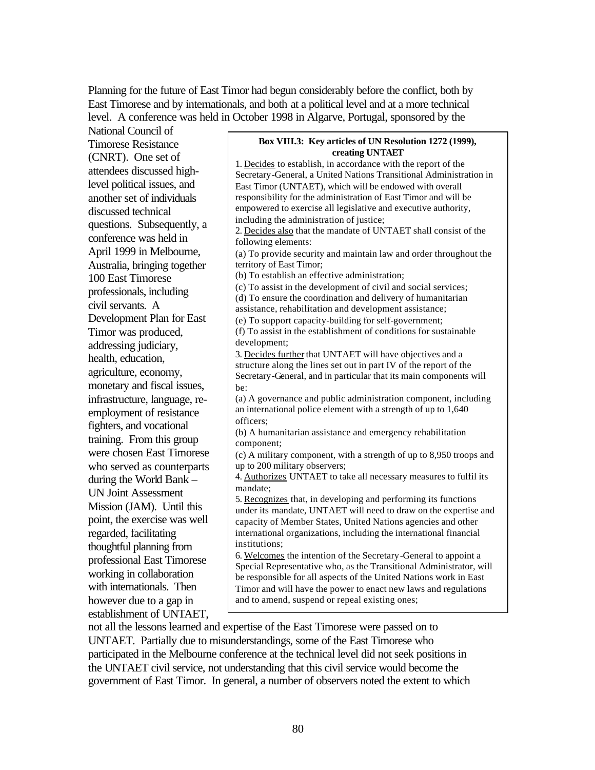Planning for the future of East Timor had begun considerably before the conflict, both by East Timorese and by internationals, and both at a political level and at a more technical level. A conference was held in October 1998 in Algarve, Portugal, sponsored by the

National Council of Timorese Resistance (CNRT). One set of attendees discussed highlevel political issues, and another set of individuals discussed technical questions. Subsequently, a conference was held in April 1999 in Melbourne, Australia, bringing together 100 East Timorese professionals, including civil servants. A Development Plan for East Timor was produced, addressing judiciary, health, education, agriculture, economy, monetary and fiscal issues, infrastructure, language, reemployment of resistance fighters, and vocational training. From this group were chosen East Timorese who served as counterparts during the World Bank – UN Joint Assessment Mission (JAM). Until this point, the exercise was well regarded, facilitating thoughtful planning from professional East Timorese working in collaboration with internationals. Then however due to a gap in establishment of UNTAET, **Box VIII.3: Key articles of UN Resolution 1272 (1999), creating UNTAET** 1. Decides to establish, in accordance with the report of the Secretary-General, a United Nations Transitional Administration in East Timor (UNTAET), which will be endowed with overall responsibility for the administration of East Timor and will be empowered to exercise all legislative and executive authority, including the administration of justice; 2. Decides also that the mandate of UNTAET shall consist of the following elements: (a) To provide security and maintain law and order throughout the territory of East Timor; (b) To establish an effective administration; (c) To assist in the development of civil and social services; (d) To ensure the coordination and delivery of humanitarian assistance, rehabilitation and development assistance; (e) To support capacity-building for self-government; (f) To assist in the establishment of conditions for sustainable development; 3. Decides further that UNTAET will have objectives and a structure along the lines set out in part IV of the report of the Secretary-General, and in particular that its main components will be: (a) A governance and public administration component, including an international police element with a strength of up to 1,640 officers; (b) A humanitarian assistance and emergency rehabilitation component; (c) A military component, with a strength of up to 8,950 troops and up to 200 military observers; 4. Authorizes UNTAET to take all necessary measures to fulfil its mandate; 5. Recognizes that, in developing and performing its functions under its mandate, UNTAET will need to draw on the expertise and capacity of Member States, United Nations agencies and other international organizations, including the international financial institutions; 6. Welcomes the intention of the Secretary-General to appoint a Special Representative who, as the Transitional Administrator, will be responsible for all aspects of the United Nations work in East Timor and will have the power to enact new laws and regulations and to amend, suspend or repeal existing ones;

not all the lessons learned and expertise of the East Timorese were passed on to UNTAET. Partially due to misunderstandings, some of the East Timorese who participated in the Melbourne conference at the technical level did not seek positions in the UNTAET civil service, not understanding that this civil service would become the government of East Timor. In general, a number of observers noted the extent to which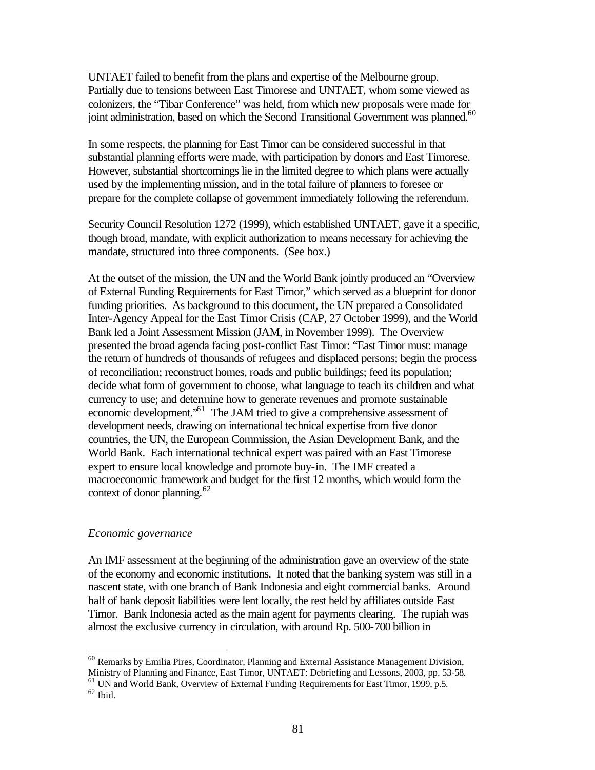UNTAET failed to benefit from the plans and expertise of the Melbourne group. Partially due to tensions between East Timorese and UNTAET, whom some viewed as colonizers, the "Tibar Conference" was held, from which new proposals were made for joint administration, based on which the Second Transitional Government was planned.<sup>60</sup>

In some respects, the planning for East Timor can be considered successful in that substantial planning efforts were made, with participation by donors and East Timorese. However, substantial shortcomings lie in the limited degree to which plans were actually used by the implementing mission, and in the total failure of planners to foresee or prepare for the complete collapse of government immediately following the referendum.

Security Council Resolution 1272 (1999), which established UNTAET, gave it a specific, though broad, mandate, with explicit authorization to means necessary for achieving the mandate, structured into three components. (See box.)

At the outset of the mission, the UN and the World Bank jointly produced an "Overview of External Funding Requirements for East Timor," which served as a blueprint for donor funding priorities. As background to this document, the UN prepared a Consolidated Inter-Agency Appeal for the East Timor Crisis (CAP, 27 October 1999), and the World Bank led a Joint Assessment Mission (JAM, in November 1999). The Overview presented the broad agenda facing post-conflict East Timor: "East Timor must: manage the return of hundreds of thousands of refugees and displaced persons; begin the process of reconciliation; reconstruct homes, roads and public buildings; feed its population; decide what form of government to choose, what language to teach its children and what currency to use; and determine how to generate revenues and promote sustainable economic development."<sup>61</sup> The JAM tried to give a comprehensive assessment of development needs, drawing on international technical expertise from five donor countries, the UN, the European Commission, the Asian Development Bank, and the World Bank. Each international technical expert was paired with an East Timorese expert to ensure local knowledge and promote buy-in. The IMF created a macroeconomic framework and budget for the first 12 months, which would form the context of donor planning.<sup>62</sup>

#### *Economic governance*

An IMF assessment at the beginning of the administration gave an overview of the state of the economy and economic institutions. It noted that the banking system was still in a nascent state, with one branch of Bank Indonesia and eight commercial banks. Around half of bank deposit liabilities were lent locally, the rest held by affiliates outside East Timor. Bank Indonesia acted as the main agent for payments clearing. The rupiah was almost the exclusive currency in circulation, with around Rp. 500-700 billion in

<sup>60</sup> Remarks by Emilia Pires, Coordinator, Planning and External Assistance Management Division, Ministry of Planning and Finance, East Timor, UNTAET: Debriefing and Lessons, 2003, pp. 53-58.

<sup>&</sup>lt;sup>61</sup> UN and World Bank, Overview of External Funding Requirements for East Timor, 1999, p.5.

 $^{62}$  Ibid.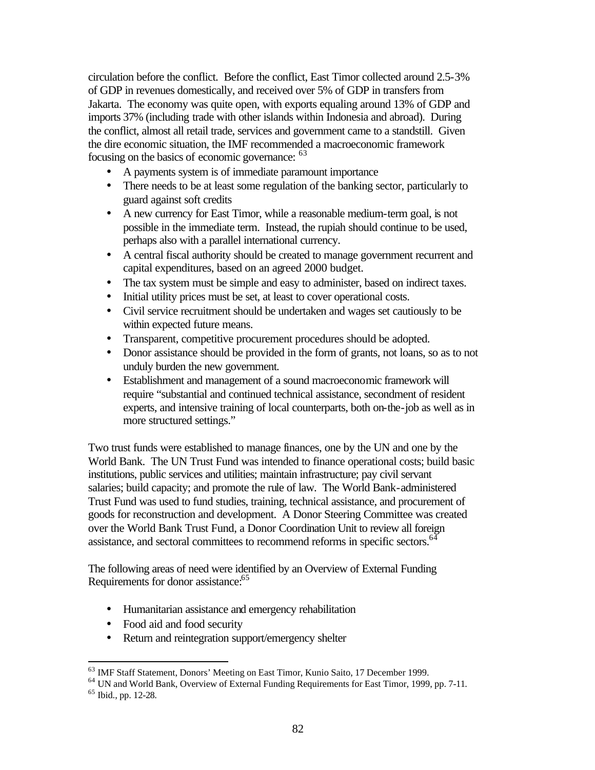circulation before the conflict. Before the conflict, East Timor collected around 2.5-3% of GDP in revenues domestically, and received over 5% of GDP in transfers from Jakarta. The economy was quite open, with exports equaling around 13% of GDP and imports 37% (including trade with other islands within Indonesia and abroad). During the conflict, almost all retail trade, services and government came to a standstill. Given the dire economic situation, the IMF recommended a macroeconomic framework focusing on the basics of economic governance: <sup>63</sup>

- A payments system is of immediate paramount importance
- There needs to be at least some regulation of the banking sector, particularly to guard against soft credits
- A new currency for East Timor, while a reasonable medium-term goal, is not possible in the immediate term. Instead, the rupiah should continue to be used, perhaps also with a parallel international currency.
- A central fiscal authority should be created to manage government recurrent and capital expenditures, based on an agreed 2000 budget.
- The tax system must be simple and easy to administer, based on indirect taxes.
- Initial utility prices must be set, at least to cover operational costs.
- Civil service recruitment should be undertaken and wages set cautiously to be within expected future means.
- Transparent, competitive procurement procedures should be adopted.
- Donor assistance should be provided in the form of grants, not loans, so as to not unduly burden the new government.
- Establishment and management of a sound macroeconomic framework will require "substantial and continued technical assistance, secondment of resident experts, and intensive training of local counterparts, both on-the-job as well as in more structured settings."

Two trust funds were established to manage finances, one by the UN and one by the World Bank. The UN Trust Fund was intended to finance operational costs; build basic institutions, public services and utilities; maintain infrastructure; pay civil servant salaries; build capacity; and promote the rule of law. The World Bank-administered Trust Fund was used to fund studies, training, technical assistance, and procurement of goods for reconstruction and development. A Donor Steering Committee was created over the World Bank Trust Fund, a Donor Coordination Unit to review all foreign assistance, and sectoral committees to recommend reforms in specific sectors.<sup>64</sup>

The following areas of need were identified by an Overview of External Funding Requirements for donor assistance:<sup>65</sup>

- Humanitarian assistance and emergency rehabilitation
- Food aid and food security
- Return and reintegration support/emergency shelter

<sup>&</sup>lt;sup>63</sup> IMF Staff Statement, Donors' Meeting on East Timor, Kunio Saito, 17 December 1999.

<sup>&</sup>lt;sup>64</sup> UN and World Bank, Overview of External Funding Requirements for East Timor, 1999, pp. 7-11.

<sup>65</sup> Ibid., pp. 12-28.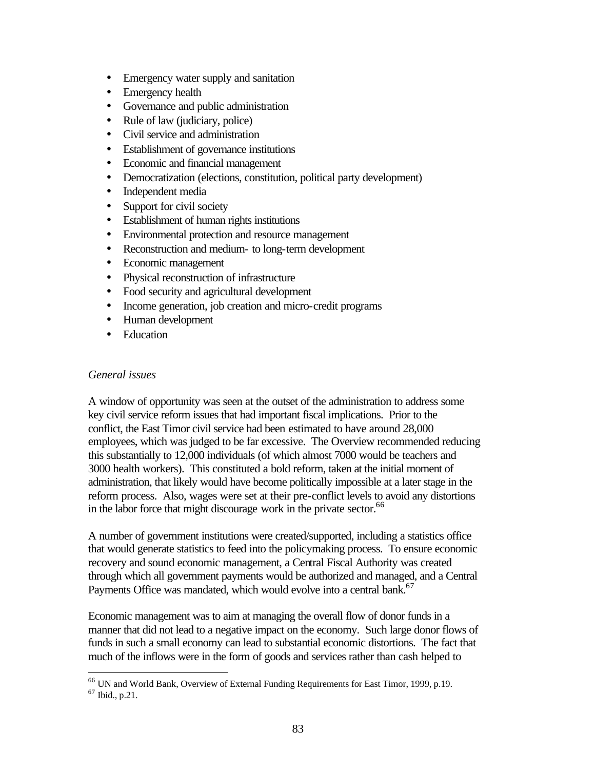- Emergency water supply and sanitation
- Emergency health
- Governance and public administration
- Rule of law (judiciary, police)
- Civil service and administration
- Establishment of governance institutions
- Economic and financial management
- Democratization (elections, constitution, political party development)
- Independent media
- Support for civil society
- Establishment of human rights institutions
- Environmental protection and resource management
- Reconstruction and medium- to long-term development
- Economic management
- Physical reconstruction of infrastructure
- Food security and agricultural development
- Income generation, job creation and micro-credit programs
- Human development
- Education

## *General issues*

A window of opportunity was seen at the outset of the administration to address some key civil service reform issues that had important fiscal implications. Prior to the conflict, the East Timor civil service had been estimated to have around 28,000 employees, which was judged to be far excessive. The Overview recommended reducing this substantially to 12,000 individuals (of which almost 7000 would be teachers and 3000 health workers). This constituted a bold reform, taken at the initial moment of administration, that likely would have become politically impossible at a later stage in the reform process. Also, wages were set at their pre-conflict levels to avoid any distortions in the labor force that might discourage work in the private sector.<sup>66</sup>

A number of government institutions were created/supported, including a statistics office that would generate statistics to feed into the policymaking process. To ensure economic recovery and sound economic management, a Central Fiscal Authority was created through which all government payments would be authorized and managed, and a Central Payments Office was mandated, which would evolve into a central bank.<sup>67</sup>

Economic management was to aim at managing the overall flow of donor funds in a manner that did not lead to a negative impact on the economy. Such large donor flows of funds in such a small economy can lead to substantial economic distortions. The fact that much of the inflows were in the form of goods and services rather than cash helped to

<sup>&</sup>lt;sup>66</sup> UN and World Bank, Overview of External Funding Requirements for East Timor, 1999, p.19.

<sup>67</sup> Ibid., p.21.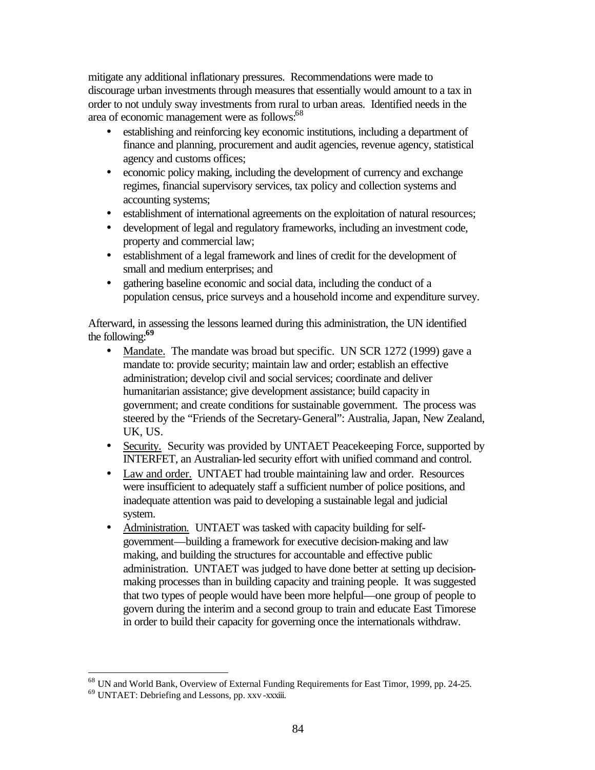mitigate any additional inflationary pressures. Recommendations were made to discourage urban investments through measures that essentially would amount to a tax in order to not unduly sway investments from rural to urban areas. Identified needs in the area of economic management were as follows:<sup>68</sup>

- establishing and reinforcing key economic institutions, including a department of finance and planning, procurement and audit agencies, revenue agency, statistical agency and customs offices;
- economic policy making, including the development of currency and exchange regimes, financial supervisory services, tax policy and collection systems and accounting systems;
- establishment of international agreements on the exploitation of natural resources;
- development of legal and regulatory frameworks, including an investment code, property and commercial law;
- establishment of a legal framework and lines of credit for the development of small and medium enterprises; and
- gathering baseline economic and social data, including the conduct of a population census, price surveys and a household income and expenditure survey.

Afterward, in assessing the lessons learned during this administration, the UN identified the following:**<sup>69</sup>**

- Mandate. The mandate was broad but specific. UN SCR 1272 (1999) gave a mandate to: provide security; maintain law and order; establish an effective administration; develop civil and social services; coordinate and deliver humanitarian assistance; give development assistance; build capacity in government; and create conditions for sustainable government. The process was steered by the "Friends of the Secretary-General": Australia, Japan, New Zealand, UK, US.
- Security. Security was provided by UNTAET Peacekeeping Force, supported by INTERFET, an Australian-led security effort with unified command and control.
- Law and order. UNTAET had trouble maintaining law and order. Resources were insufficient to adequately staff a sufficient number of police positions, and inadequate attention was paid to developing a sustainable legal and judicial system.
- Administration. UNTAET was tasked with capacity building for selfgovernment—building a framework for executive decision-making and law making, and building the structures for accountable and effective public administration. UNTAET was judged to have done better at setting up decisionmaking processes than in building capacity and training people. It was suggested that two types of people would have been more helpful—one group of people to govern during the interim and a second group to train and educate East Timorese in order to build their capacity for governing once the internationals withdraw.

<sup>68</sup> UN and World Bank, Overview of External Funding Requirements for East Timor, 1999, pp. 24-25.

<sup>69</sup> UNTAET: Debriefing and Lessons, pp. xxv -xxxiii.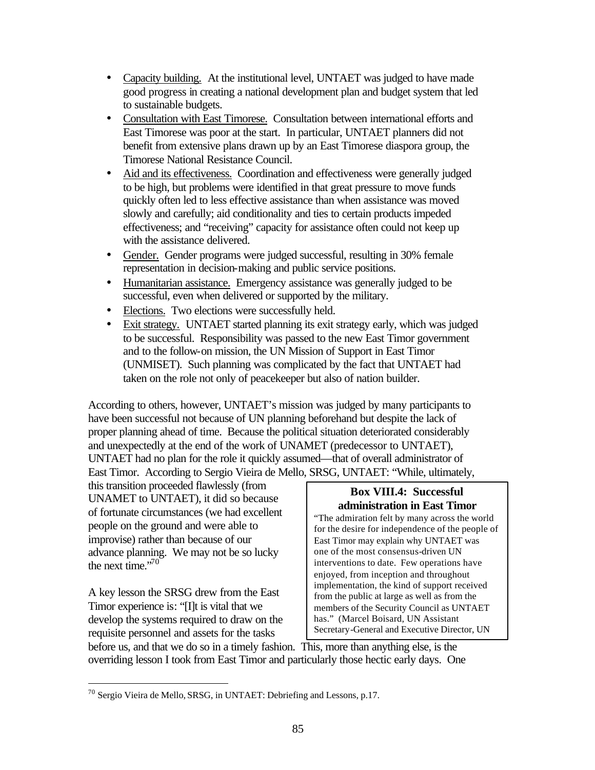- Capacity building. At the institutional level, UNTAET was judged to have made good progress in creating a national development plan and budget system that led to sustainable budgets.
- Consultation with East Timorese. Consultation between international efforts and East Timorese was poor at the start. In particular, UNTAET planners did not benefit from extensive plans drawn up by an East Timorese diaspora group, the Timorese National Resistance Council.
- Aid and its effectiveness. Coordination and effectiveness were generally judged to be high, but problems were identified in that great pressure to move funds quickly often led to less effective assistance than when assistance was moved slowly and carefully; aid conditionality and ties to certain products impeded effectiveness; and "receiving" capacity for assistance often could not keep up with the assistance delivered.
- Gender. Gender programs were judged successful, resulting in 30% female representation in decision-making and public service positions.
- Humanitarian assistance. Emergency assistance was generally judged to be successful, even when delivered or supported by the military.
- Elections. Two elections were successfully held.
- Exit strategy. UNTAET started planning its exit strategy early, which was judged to be successful. Responsibility was passed to the new East Timor government and to the follow-on mission, the UN Mission of Support in East Timor (UNMISET). Such planning was complicated by the fact that UNTAET had taken on the role not only of peacekeeper but also of nation builder.

According to others, however, UNTAET's mission was judged by many participants to have been successful not because of UN planning beforehand but despite the lack of proper planning ahead of time. Because the political situation deteriorated considerably and unexpectedly at the end of the work of UNAMET (predecessor to UNTAET), UNTAET had no plan for the role it quickly assumed—that of overall administrator of East Timor. According to Sergio Vieira de Mello, SRSG, UNTAET: "While, ultimately,

this transition proceeded flawlessly (from UNAMET to UNTAET), it did so because of fortunate circumstances (we had excellent people on the ground and were able to improvise) rather than because of our advance planning. We may not be so lucky the next time." $70^\circ$ 

A key lesson the SRSG drew from the East Timor experience is: "[I]t is vital that we develop the systems required to draw on the requisite personnel and assets for the tasks

 $\overline{a}$ 

## **Box VIII.4: Successful administration in East Timor**

"The admiration felt by many across the world for the desire for independence of the people of East Timor may explain why UNTAET was one of the most consensus-driven UN interventions to date. Few operations have enjoyed, from inception and throughout implementation, the kind of support received from the public at large as well as from the members of the Security Council as UNTAET has." (Marcel Boisard, UN Assistant Secretary-General and Executive Director, UN

before us, and that we do so in a timely fashion. This, more than anything else, is the overriding lesson I took from East Timor and particularly those hectic early days. One

<sup>70</sup> Sergio Vieira de Mello, SRSG, in UNTAET: Debriefing and Lessons, p.17.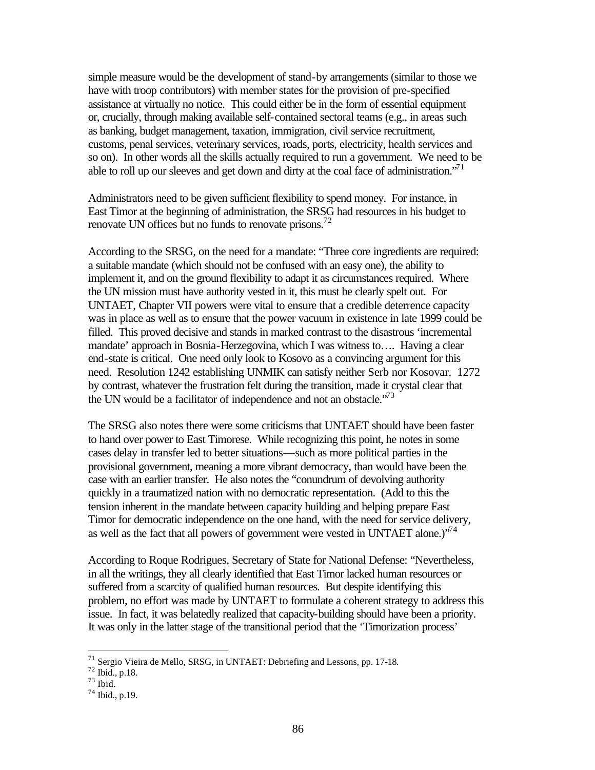simple measure would be the development of stand-by arrangements (similar to those we have with troop contributors) with member states for the provision of pre-specified assistance at virtually no notice. This could either be in the form of essential equipment or, crucially, through making available self-contained sectoral teams (e.g., in areas such as banking, budget management, taxation, immigration, civil service recruitment, customs, penal services, veterinary services, roads, ports, electricity, health services and so on). In other words all the skills actually required to run a government. We need to be able to roll up our sleeves and get down and dirty at the coal face of administration. $^{7}$ 

Administrators need to be given sufficient flexibility to spend money. For instance, in East Timor at the beginning of administration, the SRSG had resources in his budget to renovate UN offices but no funds to renovate prisons.<sup>72</sup>

According to the SRSG, on the need for a mandate: "Three core ingredients are required: a suitable mandate (which should not be confused with an easy one), the ability to implement it, and on the ground flexibility to adapt it as circumstances required. Where the UN mission must have authority vested in it, this must be clearly spelt out. For UNTAET, Chapter VII powers were vital to ensure that a credible deterrence capacity was in place as well as to ensure that the power vacuum in existence in late 1999 could be filled. This proved decisive and stands in marked contrast to the disastrous 'incremental mandate' approach in Bosnia-Herzegovina, which I was witness to…. Having a clear end-state is critical. One need only look to Kosovo as a convincing argument for this need. Resolution 1242 establishing UNMIK can satisfy neither Serb nor Kosovar. 1272 by contrast, whatever the frustration felt during the transition, made it crystal clear that the UN would be a facilitator of independence and not an obstacle.<sup> $73$ </sup>

The SRSG also notes there were some criticisms that UNTAET should have been faster to hand over power to East Timorese. While recognizing this point, he notes in some cases delay in transfer led to better situations—such as more political parties in the provisional government, meaning a more vibrant democracy, than would have been the case with an earlier transfer. He also notes the "conundrum of devolving authority quickly in a traumatized nation with no democratic representation. (Add to this the tension inherent in the mandate between capacity building and helping prepare East Timor for democratic independence on the one hand, with the need for service delivery, as well as the fact that all powers of government were vested in UNTAET alone.) $1/74$ 

According to Roque Rodrigues, Secretary of State for National Defense: "Nevertheless, in all the writings, they all clearly identified that East Timor lacked human resources or suffered from a scarcity of qualified human resources. But despite identifying this problem, no effort was made by UNTAET to formulate a coherent strategy to address this issue. In fact, it was belatedly realized that capacity-building should have been a priority. It was only in the latter stage of the transitional period that the 'Timorization process'

<sup>71</sup> Sergio Vieira de Mello, SRSG, in UNTAET: Debriefing and Lessons, pp. 17-18.

<sup>72</sup> Ibid., p.18.

 $73$  Ibid.

<sup>74</sup> Ibid., p.19.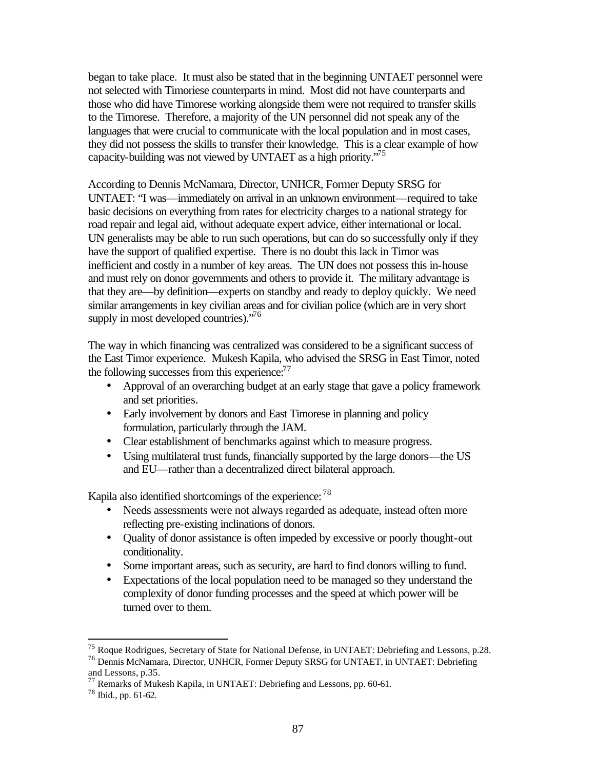began to take place. It must also be stated that in the beginning UNTAET personnel were not selected with Timoriese counterparts in mind. Most did not have counterparts and those who did have Timorese working alongside them were not required to transfer skills to the Timorese. Therefore, a majority of the UN personnel did not speak any of the languages that were crucial to communicate with the local population and in most cases, they did not possess the skills to transfer their knowledge. This is a clear example of how capacity-building was not viewed by UNTAET as a high priority."<sup>75</sup>

According to Dennis McNamara, Director, UNHCR, Former Deputy SRSG for UNTAET: "I was—immediately on arrival in an unknown environment—required to take basic decisions on everything from rates for electricity charges to a national strategy for road repair and legal aid, without adequate expert advice, either international or local. UN generalists may be able to run such operations, but can do so successfully only if they have the support of qualified expertise. There is no doubt this lack in Timor was inefficient and costly in a number of key areas. The UN does not possess this in-house and must rely on donor governments and others to provide it. The military advantage is that they are—by definition—experts on standby and ready to deploy quickly. We need similar arrangements in key civilian areas and for civilian police (which are in very short supply in most developed countries)."<sup>76</sup>

The way in which financing was centralized was considered to be a significant success of the East Timor experience. Mukesh Kapila, who advised the SRSG in East Timor, noted the following successes from this experience: $77$ 

- Approval of an overarching budget at an early stage that gave a policy framework and set priorities.
- Early involvement by donors and East Timorese in planning and policy formulation, particularly through the JAM.
- Clear establishment of benchmarks against which to measure progress.
- Using multilateral trust funds, financially supported by the large donors—the US and EU—rather than a decentralized direct bilateral approach.

Kapila also identified shortcomings of the experience: <sup>78</sup>

- Needs assessments were not always regarded as adequate, instead often more reflecting pre-existing inclinations of donors.
- Quality of donor assistance is often impeded by excessive or poorly thought-out conditionality.
- Some important areas, such as security, are hard to find donors willing to fund.
- Expectations of the local population need to be managed so they understand the complexity of donor funding processes and the speed at which power will be turned over to them.

<sup>75</sup> Roque Rodrigues, Secretary of State for National Defense, in UNTAET: Debriefing and Lessons, p.28.

<sup>76</sup> Dennis McNamara, Director, UNHCR, Former Deputy SRSG for UNTAET, in UNTAET: Debriefing and Lessons, p.35.

<sup>&</sup>lt;sup>77</sup> Remarks of Mukesh Kapila, in UNTAET: Debriefing and Lessons, pp. 60-61.

<sup>78</sup> Ibid., pp. 61-62.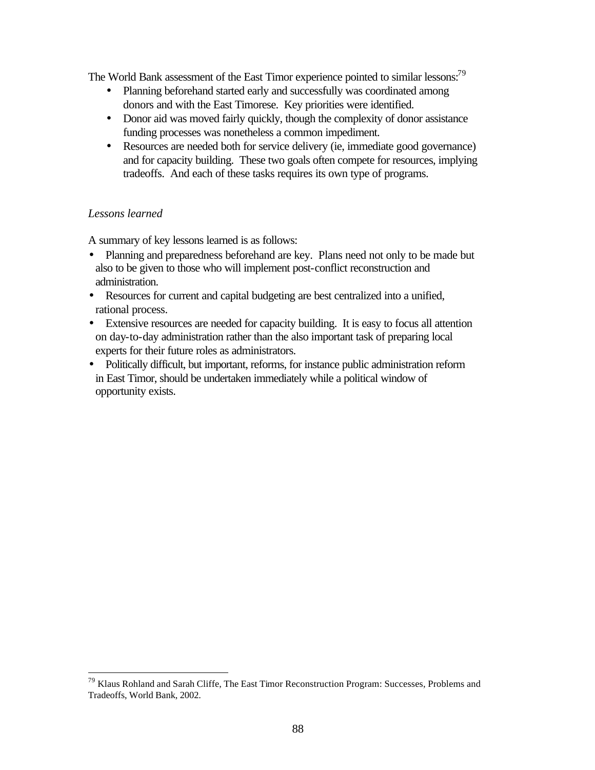The World Bank assessment of the East Timor experience pointed to similar lessons:<sup>79</sup>

- Planning beforehand started early and successfully was coordinated among donors and with the East Timorese. Key priorities were identified.
- Donor aid was moved fairly quickly, though the complexity of donor assistance funding processes was nonetheless a common impediment.
- Resources are needed both for service delivery (ie, immediate good governance) and for capacity building. These two goals often compete for resources, implying tradeoffs. And each of these tasks requires its own type of programs.

# *Lessons learned*

 $\overline{a}$ 

A summary of key lessons learned is as follows:

- Planning and preparedness beforehand are key. Plans need not only to be made but also to be given to those who will implement post-conflict reconstruction and administration.
- Resources for current and capital budgeting are best centralized into a unified, rational process.
- Extensive resources are needed for capacity building. It is easy to focus all attention on day-to-day administration rather than the also important task of preparing local experts for their future roles as administrators.
- Politically difficult, but important, reforms, for instance public administration reform in East Timor, should be undertaken immediately while a political window of opportunity exists.

<sup>&</sup>lt;sup>79</sup> Klaus Rohland and Sarah Cliffe, The East Timor Reconstruction Program: Successes, Problems and Tradeoffs, World Bank, 2002.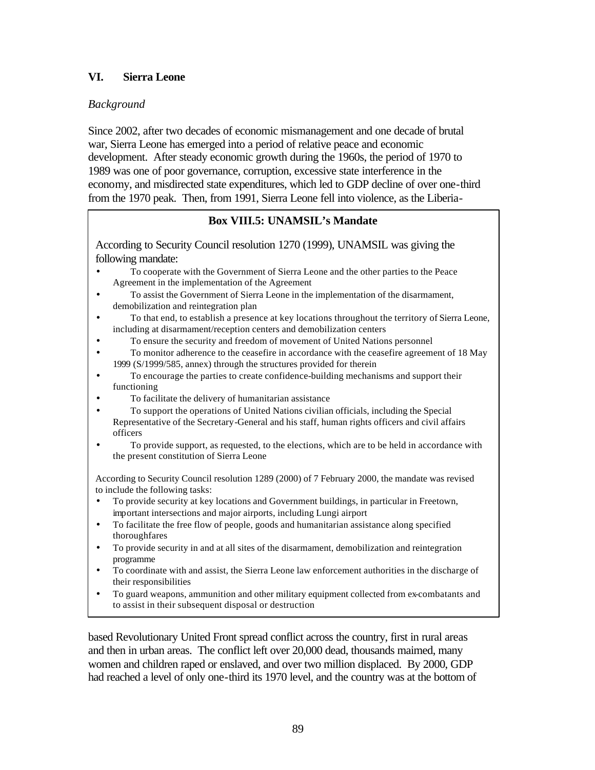# **VI. Sierra Leone**

# *Background*

Since 2002, after two decades of economic mismanagement and one decade of brutal war, Sierra Leone has emerged into a period of relative peace and economic development. After steady economic growth during the 1960s, the period of 1970 to 1989 was one of poor governance, corruption, excessive state interference in the economy, and misdirected state expenditures, which led to GDP decline of over one-third from the 1970 peak. Then, from 1991, Sierra Leone fell into violence, as the Liberia-

## **Box VIII.5: UNAMSIL's Mandate**

According to Security Council resolution 1270 (1999), UNAMSIL was giving the following mandate:

- To cooperate with the Government of Sierra Leone and the other parties to the Peace Agreement in the implementation of the Agreement
- To assist the Government of Sierra Leone in the implementation of the disarmament, demobilization and reintegration plan
- To that end, to establish a presence at key locations throughout the territory of Sierra Leone, including at disarmament/reception centers and demobilization centers
	- To ensure the security and freedom of movement of United Nations personnel
- To monitor adherence to the ceasefire in accordance with the ceasefire agreement of 18 May 1999 (S/1999/585, annex) through the structures provided for therein
- To encourage the parties to create confidence-building mechanisms and support their functioning
- To facilitate the delivery of humanitarian assistance
- To support the operations of United Nations civilian officials, including the Special Representative of the Secretary-General and his staff, human rights officers and civil affairs officers
- To provide support, as requested, to the elections, which are to be held in accordance with the present constitution of Sierra Leone

According to Security Council resolution 1289 (2000) of 7 February 2000, the mandate was revised to include the following tasks:

- To provide security at key locations and Government buildings, in particular in Freetown, important intersections and major airports, including Lungi airport
- To facilitate the free flow of people, goods and humanitarian assistance along specified thoroughfares
- To provide security in and at all sites of the disarmament, demobilization and reintegration programme
- To coordinate with and assist, the Sierra Leone law enforcement authorities in the discharge of their responsibilities
- To guard weapons, ammunition and other military equipment collected from ex-combatants and to assist in their subsequent disposal or destruction

based Revolutionary United Front spread conflict across the country, first in rural areas and then in urban areas. The conflict left over 20,000 dead, thousands maimed, many women and children raped or enslaved, and over two million displaced. By 2000, GDP had reached a level of only one-third its 1970 level, and the country was at the bottom of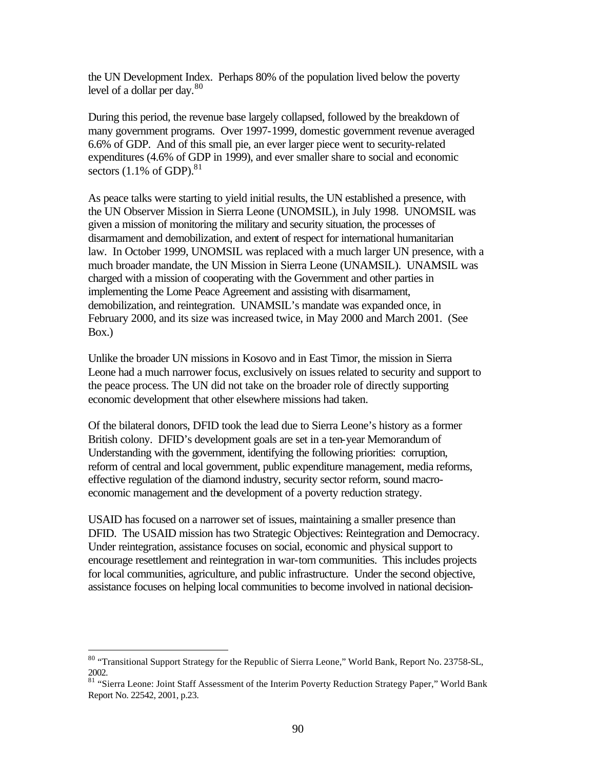the UN Development Index. Perhaps 80% of the population lived below the poverty level of a dollar per day.<sup>80</sup>

During this period, the revenue base largely collapsed, followed by the breakdown of many government programs. Over 1997-1999, domestic government revenue averaged 6.6% of GDP. And of this small pie, an ever larger piece went to security-related expenditures (4.6% of GDP in 1999), and ever smaller share to social and economic sectors  $(1.1\% \text{ of GDP})$ .<sup>81</sup>

As peace talks were starting to yield initial results, the UN established a presence, with the UN Observer Mission in Sierra Leone (UNOMSIL), in July 1998. UNOMSIL was given a mission of monitoring the military and security situation, the processes of disarmament and demobilization, and extent of respect for international humanitarian law. In October 1999, UNOMSIL was replaced with a much larger UN presence, with a much broader mandate, the UN Mission in Sierra Leone (UNAMSIL). UNAMSIL was charged with a mission of cooperating with the Government and other parties in implementing the Lome Peace Agreement and assisting with disarmament, demobilization, and reintegration. UNAMSIL's mandate was expanded once, in February 2000, and its size was increased twice, in May 2000 and March 2001. (See Box.)

Unlike the broader UN missions in Kosovo and in East Timor, the mission in Sierra Leone had a much narrower focus, exclusively on issues related to security and support to the peace process. The UN did not take on the broader role of directly supporting economic development that other elsewhere missions had taken.

Of the bilateral donors, DFID took the lead due to Sierra Leone's history as a former British colony. DFID's development goals are set in a ten-year Memorandum of Understanding with the government, identifying the following priorities: corruption, reform of central and local government, public expenditure management, media reforms, effective regulation of the diamond industry, security sector reform, sound macroeconomic management and the development of a poverty reduction strategy.

USAID has focused on a narrower set of issues, maintaining a smaller presence than DFID. The USAID mission has two Strategic Objectives: Reintegration and Democracy. Under reintegration, assistance focuses on social, economic and physical support to encourage resettlement and reintegration in war-torn communities. This includes projects for local communities, agriculture, and public infrastructure. Under the second objective, assistance focuses on helping local communities to become involved in national decision-

<sup>&</sup>lt;sup>80</sup> "Transitional Support Strategy for the Republic of Sierra Leone," World Bank, Report No. 23758-SL, 2002.

<sup>81 &</sup>quot;Sierra Leone: Joint Staff Assessment of the Interim Poverty Reduction Strategy Paper," World Bank Report No. 22542, 2001, p.23.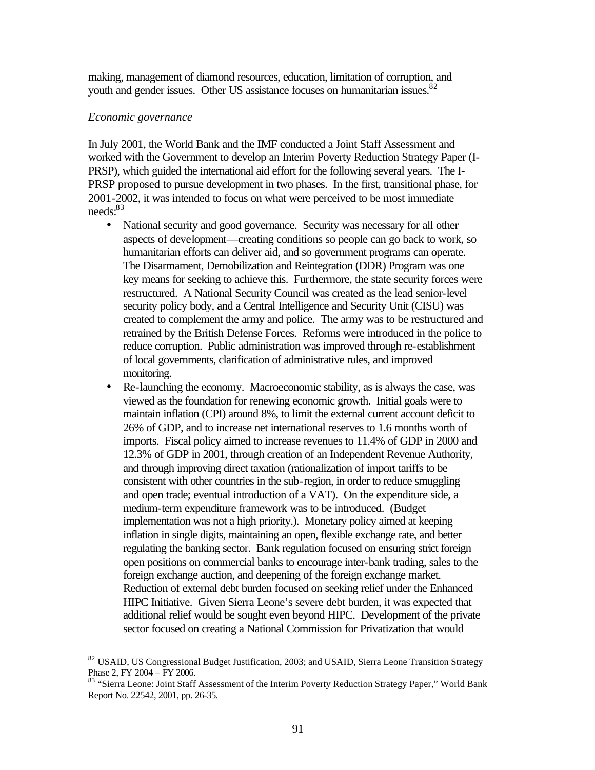making, management of diamond resources, education, limitation of corruption, and youth and gender issues. Other US assistance focuses on humanitarian issues.<sup>82</sup>

#### *Economic governance*

 $\overline{a}$ 

In July 2001, the World Bank and the IMF conducted a Joint Staff Assessment and worked with the Government to develop an Interim Poverty Reduction Strategy Paper (I-PRSP), which guided the international aid effort for the following several years. The I-PRSP proposed to pursue development in two phases. In the first, transitional phase, for 2001-2002, it was intended to focus on what were perceived to be most immediate needs:<sup>83</sup>

- National security and good governance. Security was necessary for all other aspects of development—creating conditions so people can go back to work, so humanitarian efforts can deliver aid, and so government programs can operate. The Disarmament, Demobilization and Reintegration (DDR) Program was one key means for seeking to achieve this. Furthermore, the state security forces were restructured. A National Security Council was created as the lead senior-level security policy body, and a Central Intelligence and Security Unit (CISU) was created to complement the army and police. The army was to be restructured and retrained by the British Defense Forces. Reforms were introduced in the police to reduce corruption. Public administration was improved through re-establishment of local governments, clarification of administrative rules, and improved monitoring.
- Re-launching the economy. Macroeconomic stability, as is always the case, was viewed as the foundation for renewing economic growth. Initial goals were to maintain inflation (CPI) around 8%, to limit the external current account deficit to 26% of GDP, and to increase net international reserves to 1.6 months worth of imports. Fiscal policy aimed to increase revenues to 11.4% of GDP in 2000 and 12.3% of GDP in 2001, through creation of an Independent Revenue Authority, and through improving direct taxation (rationalization of import tariffs to be consistent with other countries in the sub-region, in order to reduce smuggling and open trade; eventual introduction of a VAT). On the expenditure side, a medium-term expenditure framework was to be introduced. (Budget implementation was not a high priority.). Monetary policy aimed at keeping inflation in single digits, maintaining an open, flexible exchange rate, and better regulating the banking sector. Bank regulation focused on ensuring strict foreign open positions on commercial banks to encourage inter-bank trading, sales to the foreign exchange auction, and deepening of the foreign exchange market. Reduction of external debt burden focused on seeking relief under the Enhanced HIPC Initiative. Given Sierra Leone's severe debt burden, it was expected that additional relief would be sought even beyond HIPC. Development of the private sector focused on creating a National Commission for Privatization that would

<sup>&</sup>lt;sup>82</sup> USAID, US Congressional Budget Justification, 2003; and USAID, Sierra Leone Transition Strategy Phase 2, FY 2004 – FY 2006.

<sup>83 &</sup>quot;Sierra Leone: Joint Staff Assessment of the Interim Poverty Reduction Strategy Paper," World Bank Report No. 22542, 2001, pp. 26-35.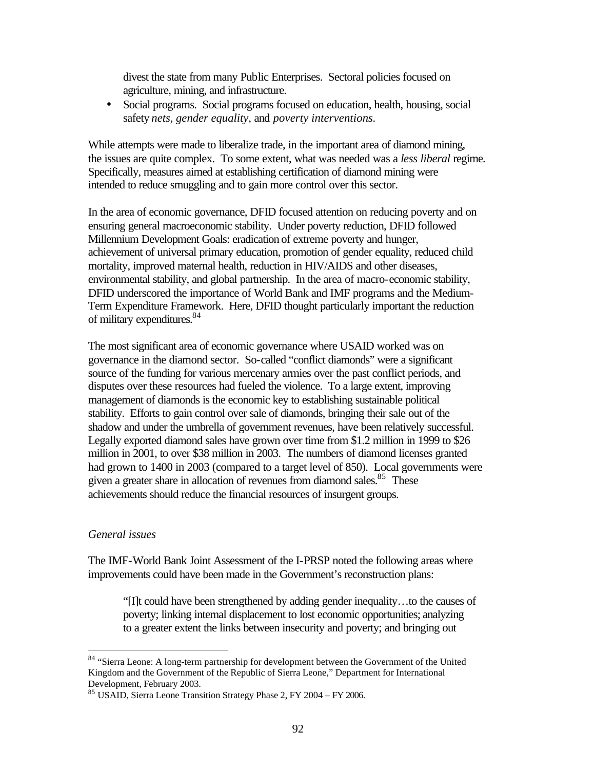divest the state from many Public Enterprises. Sectoral policies focused on agriculture, mining, and infrastructure.

• Social programs. Social programs focused on education, health, housing, social safety *nets, gender equality,* and *poverty interventions.*

While attempts were made to liberalize trade, in the important area of diamond mining, the issues are quite complex. To some extent, what was needed was a *less liberal* regime. Specifically, measures aimed at establishing certification of diamond mining were intended to reduce smuggling and to gain more control over this sector.

In the area of economic governance, DFID focused attention on reducing poverty and on ensuring general macroeconomic stability. Under poverty reduction, DFID followed Millennium Development Goals: eradication of extreme poverty and hunger, achievement of universal primary education, promotion of gender equality, reduced child mortality, improved maternal health, reduction in HIV/AIDS and other diseases, environmental stability, and global partnership. In the area of macro-economic stability, DFID underscored the importance of World Bank and IMF programs and the Medium-Term Expenditure Framework. Here, DFID thought particularly important the reduction of military expenditures.<sup>84</sup>

The most significant area of economic governance where USAID worked was on governance in the diamond sector. So-called "conflict diamonds" were a significant source of the funding for various mercenary armies over the past conflict periods, and disputes over these resources had fueled the violence. To a large extent, improving management of diamonds is the economic key to establishing sustainable political stability. Efforts to gain control over sale of diamonds, bringing their sale out of the shadow and under the umbrella of government revenues, have been relatively successful. Legally exported diamond sales have grown over time from \$1.2 million in 1999 to \$26 million in 2001, to over \$38 million in 2003. The numbers of diamond licenses granted had grown to 1400 in 2003 (compared to a target level of 850). Local governments were given a greater share in allocation of revenues from diamond sales.<sup>85</sup> These achievements should reduce the financial resources of insurgent groups.

#### *General issues*

 $\overline{a}$ 

The IMF-World Bank Joint Assessment of the I-PRSP noted the following areas where improvements could have been made in the Government's reconstruction plans:

"[I]t could have been strengthened by adding gender inequality…to the causes of poverty; linking internal displacement to lost economic opportunities; analyzing to a greater extent the links between insecurity and poverty; and bringing out

<sup>84 &</sup>quot;Sierra Leone: A long-term partnership for development between the Government of the United Kingdom and the Government of the Republic of Sierra Leone," Department for International Development, February 2003.

<sup>85</sup> USAID, Sierra Leone Transition Strategy Phase 2, FY 2004 – FY 2006.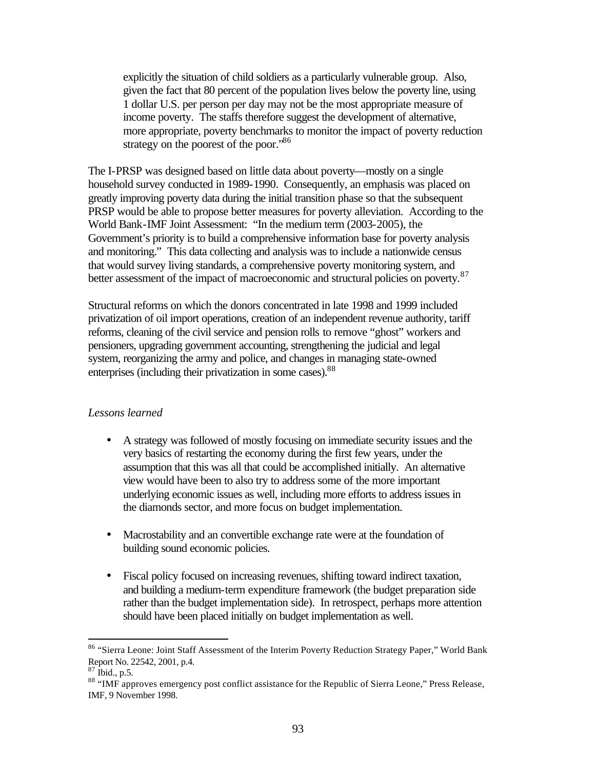explicitly the situation of child soldiers as a particularly vulnerable group. Also, given the fact that 80 percent of the population lives below the poverty line, using 1 dollar U.S. per person per day may not be the most appropriate measure of income poverty. The staffs therefore suggest the development of alternative, more appropriate, poverty benchmarks to monitor the impact of poverty reduction strategy on the poorest of the poor."<sup>86</sup>

The I-PRSP was designed based on little data about poverty—mostly on a single household survey conducted in 1989-1990. Consequently, an emphasis was placed on greatly improving poverty data during the initial transition phase so that the subsequent PRSP would be able to propose better measures for poverty alleviation. According to the World Bank-IMF Joint Assessment: "In the medium term (2003-2005), the Government's priority is to build a comprehensive information base for poverty analysis and monitoring." This data collecting and analysis was to include a nationwide census that would survey living standards, a comprehensive poverty monitoring system, and better assessment of the impact of macroeconomic and structural policies on poverty.<sup>87</sup>

Structural reforms on which the donors concentrated in late 1998 and 1999 included privatization of oil import operations, creation of an independent revenue authority, tariff reforms, cleaning of the civil service and pension rolls to remove "ghost" workers and pensioners, upgrading government accounting, strengthening the judicial and legal system, reorganizing the army and police, and changes in managing state-owned enterprises (including their privatization in some cases).<sup>88</sup>

#### *Lessons learned*

- A strategy was followed of mostly focusing on immediate security issues and the very basics of restarting the economy during the first few years, under the assumption that this was all that could be accomplished initially. An alternative view would have been to also try to address some of the more important underlying economic issues as well, including more efforts to address issues in the diamonds sector, and more focus on budget implementation.
- Macrostability and an convertible exchange rate were at the foundation of building sound economic policies.
- Fiscal policy focused on increasing revenues, shifting toward indirect taxation, and building a medium-term expenditure framework (the budget preparation side rather than the budget implementation side). In retrospect, perhaps more attention should have been placed initially on budget implementation as well.

<sup>86 &</sup>quot;Sierra Leone: Joint Staff Assessment of the Interim Poverty Reduction Strategy Paper," World Bank Report No. 22542, 2001, p.4.

 $87$  Ibid., p.5.

<sup>88 &</sup>quot;IMF approves emergency post conflict assistance for the Republic of Sierra Leone," Press Release, IMF, 9 November 1998.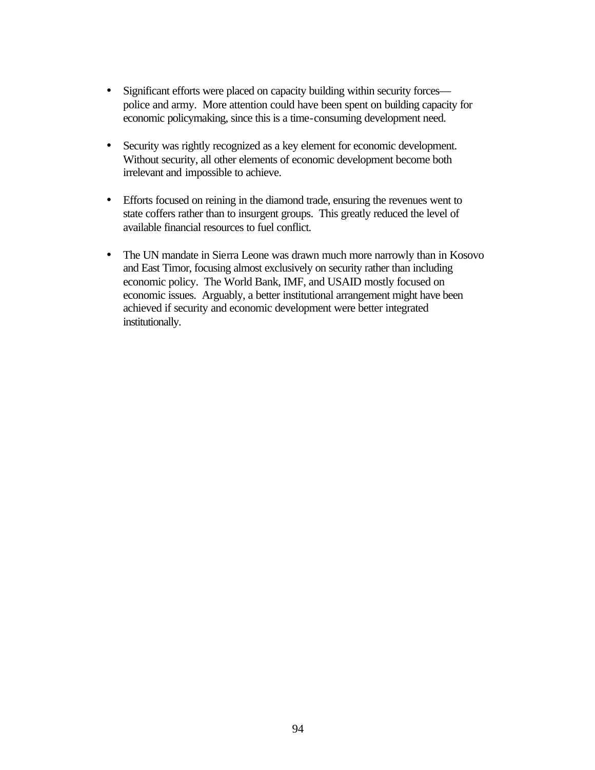- Significant efforts were placed on capacity building within security forces police and army. More attention could have been spent on building capacity for economic policymaking, since this is a time-consuming development need.
- Security was rightly recognized as a key element for economic development. Without security, all other elements of economic development become both irrelevant and impossible to achieve.
- Efforts focused on reining in the diamond trade, ensuring the revenues went to state coffers rather than to insurgent groups. This greatly reduced the level of available financial resources to fuel conflict.
- The UN mandate in Sierra Leone was drawn much more narrowly than in Kosovo and East Timor, focusing almost exclusively on security rather than including economic policy. The World Bank, IMF, and USAID mostly focused on economic issues. Arguably, a better institutional arrangement might have been achieved if security and economic development were better integrated institutionally.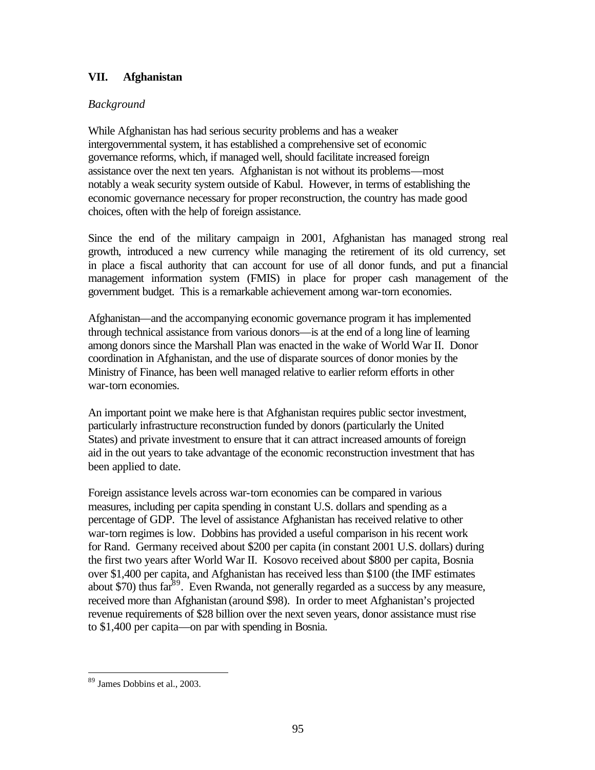# **VII. Afghanistan**

## *Background*

While Afghanistan has had serious security problems and has a weaker intergovernmental system, it has established a comprehensive set of economic governance reforms, which, if managed well, should facilitate increased foreign assistance over the next ten years. Afghanistan is not without its problems—most notably a weak security system outside of Kabul. However, in terms of establishing the economic governance necessary for proper reconstruction, the country has made good choices, often with the help of foreign assistance.

Since the end of the military campaign in 2001, Afghanistan has managed strong real growth, introduced a new currency while managing the retirement of its old currency, set in place a fiscal authority that can account for use of all donor funds, and put a financial management information system (FMIS) in place for proper cash management of the government budget. This is a remarkable achievement among war-torn economies.

Afghanistan—and the accompanying economic governance program it has implemented through technical assistance from various donors—is at the end of a long line of learning among donors since the Marshall Plan was enacted in the wake of World War II. Donor coordination in Afghanistan, and the use of disparate sources of donor monies by the Ministry of Finance, has been well managed relative to earlier reform efforts in other war-torn economies.

An important point we make here is that Afghanistan requires public sector investment, particularly infrastructure reconstruction funded by donors (particularly the United States) and private investment to ensure that it can attract increased amounts of foreign aid in the out years to take advantage of the economic reconstruction investment that has been applied to date.

Foreign assistance levels across war-torn economies can be compared in various measures, including per capita spending in constant U.S. dollars and spending as a percentage of GDP. The level of assistance Afghanistan has received relative to other war-torn regimes is low. Dobbins has provided a useful comparison in his recent work for Rand. Germany received about \$200 per capita (in constant 2001 U.S. dollars) during the first two years after World War II. Kosovo received about \$800 per capita, Bosnia over \$1,400 per capita, and Afghanistan has received less than \$100 (the IMF estimates about \$70) thus  $far^{89}$ . Even Rwanda, not generally regarded as a success by any measure, received more than Afghanistan (around \$98). In order to meet Afghanistan's projected revenue requirements of \$28 billion over the next seven years, donor assistance must rise to \$1,400 per capita—on par with spending in Bosnia.

<sup>89</sup> James Dobbins et al., 2003.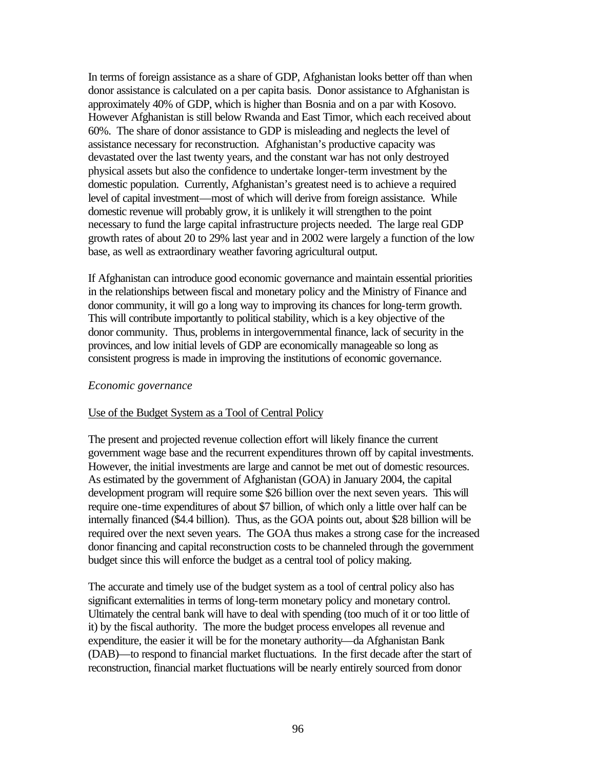In terms of foreign assistance as a share of GDP, Afghanistan looks better off than when donor assistance is calculated on a per capita basis. Donor assistance to Afghanistan is approximately 40% of GDP, which is higher than Bosnia and on a par with Kosovo. However Afghanistan is still below Rwanda and East Timor, which each received about 60%. The share of donor assistance to GDP is misleading and neglects the level of assistance necessary for reconstruction. Afghanistan's productive capacity was devastated over the last twenty years, and the constant war has not only destroyed physical assets but also the confidence to undertake longer-term investment by the domestic population. Currently, Afghanistan's greatest need is to achieve a required level of capital investment—most of which will derive from foreign assistance. While domestic revenue will probably grow, it is unlikely it will strengthen to the point necessary to fund the large capital infrastructure projects needed. The large real GDP growth rates of about 20 to 29% last year and in 2002 were largely a function of the low base, as well as extraordinary weather favoring agricultural output.

If Afghanistan can introduce good economic governance and maintain essential priorities in the relationships between fiscal and monetary policy and the Ministry of Finance and donor community, it will go a long way to improving its chances for long-term growth. This will contribute importantly to political stability, which is a key objective of the donor community. Thus, problems in intergovernmental finance, lack of security in the provinces, and low initial levels of GDP are economically manageable so long as consistent progress is made in improving the institutions of economic governance.

#### *Economic governance*

#### Use of the Budget System as a Tool of Central Policy

The present and projected revenue collection effort will likely finance the current government wage base and the recurrent expenditures thrown off by capital investments. However, the initial investments are large and cannot be met out of domestic resources. As estimated by the government of Afghanistan (GOA) in January 2004, the capital development program will require some \$26 billion over the next seven years. This will require one-time expenditures of about \$7 billion, of which only a little over half can be internally financed (\$4.4 billion). Thus, as the GOA points out, about \$28 billion will be required over the next seven years. The GOA thus makes a strong case for the increased donor financing and capital reconstruction costs to be channeled through the government budget since this will enforce the budget as a central tool of policy making.

The accurate and timely use of the budget system as a tool of central policy also has significant externalities in terms of long-term monetary policy and monetary control. Ultimately the central bank will have to deal with spending (too much of it or too little of it) by the fiscal authority. The more the budget process envelopes all revenue and expenditure, the easier it will be for the monetary authority—da Afghanistan Bank (DAB)—to respond to financial market fluctuations. In the first decade after the start of reconstruction, financial market fluctuations will be nearly entirely sourced from donor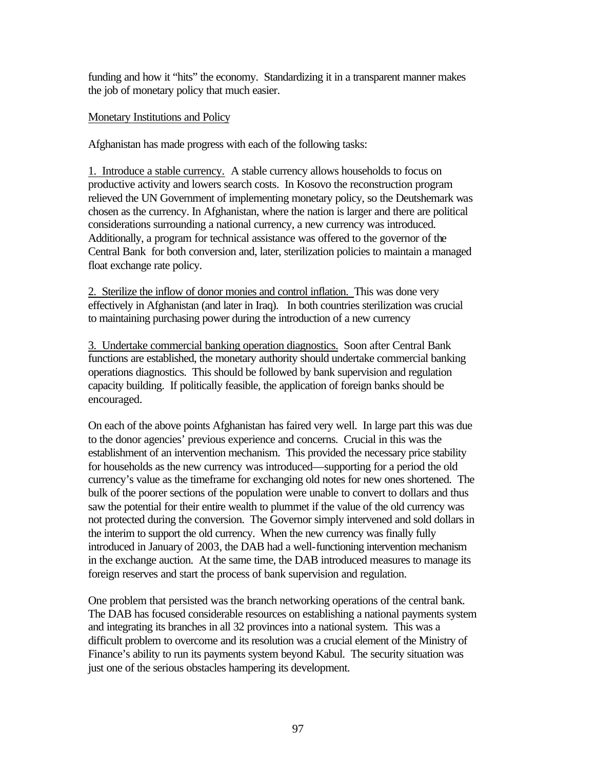funding and how it "hits" the economy. Standardizing it in a transparent manner makes the job of monetary policy that much easier.

#### Monetary Institutions and Policy

Afghanistan has made progress with each of the following tasks:

1. Introduce a stable currency. A stable currency allows households to focus on productive activity and lowers search costs. In Kosovo the reconstruction program relieved the UN Government of implementing monetary policy, so the Deutshemark was chosen as the currency. In Afghanistan, where the nation is larger and there are political considerations surrounding a national currency, a new currency was introduced. Additionally, a program for technical assistance was offered to the governor of the Central Bank for both conversion and, later, sterilization policies to maintain a managed float exchange rate policy.

2. Sterilize the inflow of donor monies and control inflation. This was done very effectively in Afghanistan (and later in Iraq). In both countries sterilization was crucial to maintaining purchasing power during the introduction of a new currency

3. Undertake commercial banking operation diagnostics.Soon after Central Bank functions are established, the monetary authority should undertake commercial banking operations diagnostics. This should be followed by bank supervision and regulation capacity building. If politically feasible, the application of foreign banks should be encouraged.

On each of the above points Afghanistan has faired very well. In large part this was due to the donor agencies' previous experience and concerns. Crucial in this was the establishment of an intervention mechanism. This provided the necessary price stability for households as the new currency was introduced—supporting for a period the old currency's value as the timeframe for exchanging old notes for new ones shortened. The bulk of the poorer sections of the population were unable to convert to dollars and thus saw the potential for their entire wealth to plummet if the value of the old currency was not protected during the conversion. The Governor simply intervened and sold dollars in the interim to support the old currency. When the new currency was finally fully introduced in January of 2003, the DAB had a well-functioning intervention mechanism in the exchange auction. At the same time, the DAB introduced measures to manage its foreign reserves and start the process of bank supervision and regulation.

One problem that persisted was the branch networking operations of the central bank. The DAB has focused considerable resources on establishing a national payments system and integrating its branches in all 32 provinces into a national system. This was a difficult problem to overcome and its resolution was a crucial element of the Ministry of Finance's ability to run its payments system beyond Kabul. The security situation was just one of the serious obstacles hampering its development.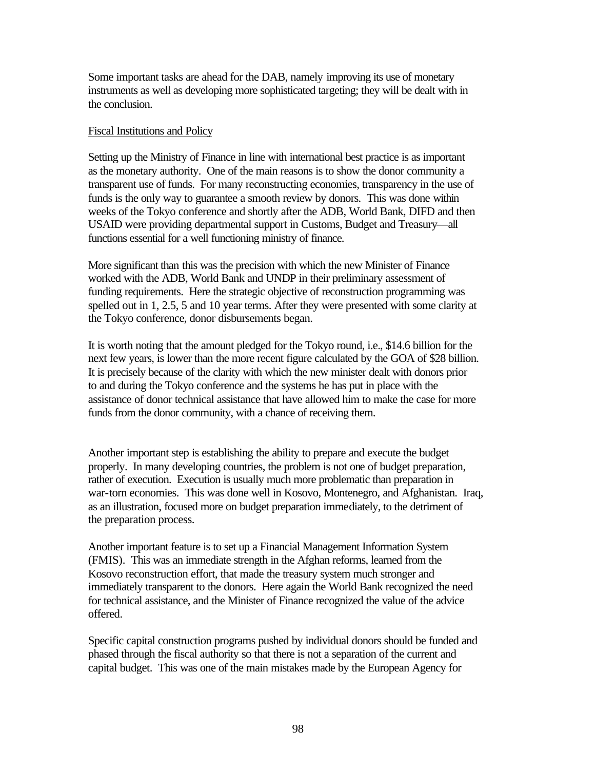Some important tasks are ahead for the DAB, namely improving its use of monetary instruments as well as developing more sophisticated targeting; they will be dealt with in the conclusion.

#### Fiscal Institutions and Policy

Setting up the Ministry of Finance in line with international best practice is as important as the monetary authority. One of the main reasons is to show the donor community a transparent use of funds. For many reconstructing economies, transparency in the use of funds is the only way to guarantee a smooth review by donors. This was done within weeks of the Tokyo conference and shortly after the ADB, World Bank, DIFD and then USAID were providing departmental support in Customs, Budget and Treasury—all functions essential for a well functioning ministry of finance.

More significant than this was the precision with which the new Minister of Finance worked with the ADB, World Bank and UNDP in their preliminary assessment of funding requirements. Here the strategic objective of reconstruction programming was spelled out in 1, 2.5, 5 and 10 year terms. After they were presented with some clarity at the Tokyo conference, donor disbursements began.

It is worth noting that the amount pledged for the Tokyo round, i.e., \$14.6 billion for the next few years, is lower than the more recent figure calculated by the GOA of \$28 billion. It is precisely because of the clarity with which the new minister dealt with donors prior to and during the Tokyo conference and the systems he has put in place with the assistance of donor technical assistance that have allowed him to make the case for more funds from the donor community, with a chance of receiving them.

Another important step is establishing the ability to prepare and execute the budget properly. In many developing countries, the problem is not one of budget preparation, rather of execution. Execution is usually much more problematic than preparation in war-torn economies. This was done well in Kosovo, Montenegro, and Afghanistan. Iraq, as an illustration, focused more on budget preparation immediately, to the detriment of the preparation process.

Another important feature is to set up a Financial Management Information System (FMIS). This was an immediate strength in the Afghan reforms, learned from the Kosovo reconstruction effort, that made the treasury system much stronger and immediately transparent to the donors. Here again the World Bank recognized the need for technical assistance, and the Minister of Finance recognized the value of the advice offered.

Specific capital construction programs pushed by individual donors should be funded and phased through the fiscal authority so that there is not a separation of the current and capital budget. This was one of the main mistakes made by the European Agency for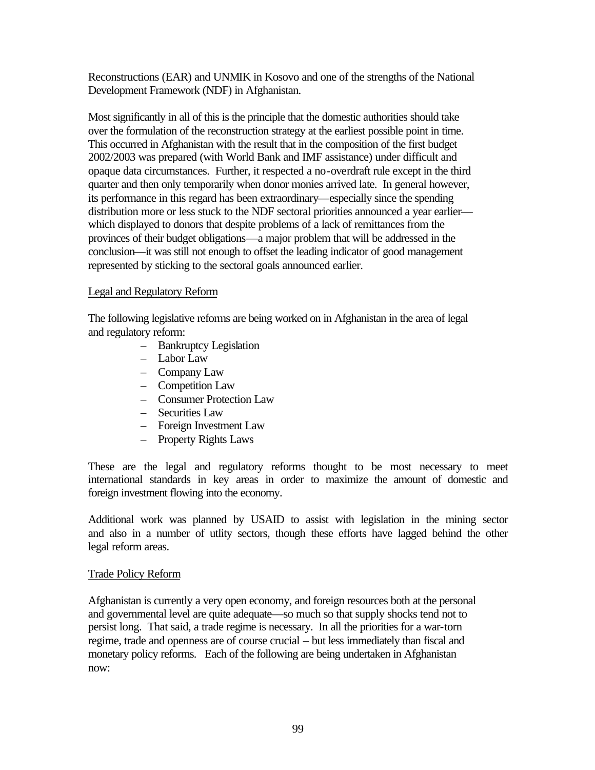Reconstructions (EAR) and UNMIK in Kosovo and one of the strengths of the National Development Framework (NDF) in Afghanistan.

Most significantly in all of this is the principle that the domestic authorities should take over the formulation of the reconstruction strategy at the earliest possible point in time. This occurred in Afghanistan with the result that in the composition of the first budget 2002/2003 was prepared (with World Bank and IMF assistance) under difficult and opaque data circumstances. Further, it respected a no-overdraft rule except in the third quarter and then only temporarily when donor monies arrived late. In general however, its performance in this regard has been extraordinary—especially since the spending distribution more or less stuck to the NDF sectoral priorities announced a year earlier which displayed to donors that despite problems of a lack of remittances from the provinces of their budget obligations—a major problem that will be addressed in the conclusion—it was still not enough to offset the leading indicator of good management represented by sticking to the sectoral goals announced earlier.

# Legal and Regulatory Reform

The following legislative reforms are being worked on in Afghanistan in the area of legal and regulatory reform:

- Bankruptcy Legislation
- Labor Law
- Company Law
- Competition Law
- Consumer Protection Law
- Securities Law
- Foreign Investment Law
- Property Rights Laws

These are the legal and regulatory reforms thought to be most necessary to meet international standards in key areas in order to maximize the amount of domestic and foreign investment flowing into the economy.

Additional work was planned by USAID to assist with legislation in the mining sector and also in a number of utlity sectors, though these efforts have lagged behind the other legal reform areas.

## Trade Policy Reform

Afghanistan is currently a very open economy, and foreign resources both at the personal and governmental level are quite adequate—so much so that supply shocks tend not to persist long. That said, a trade regime is necessary. In all the priorities for a war-torn regime, trade and openness are of course crucial – but less immediately than fiscal and monetary policy reforms. Each of the following are being undertaken in Afghanistan now: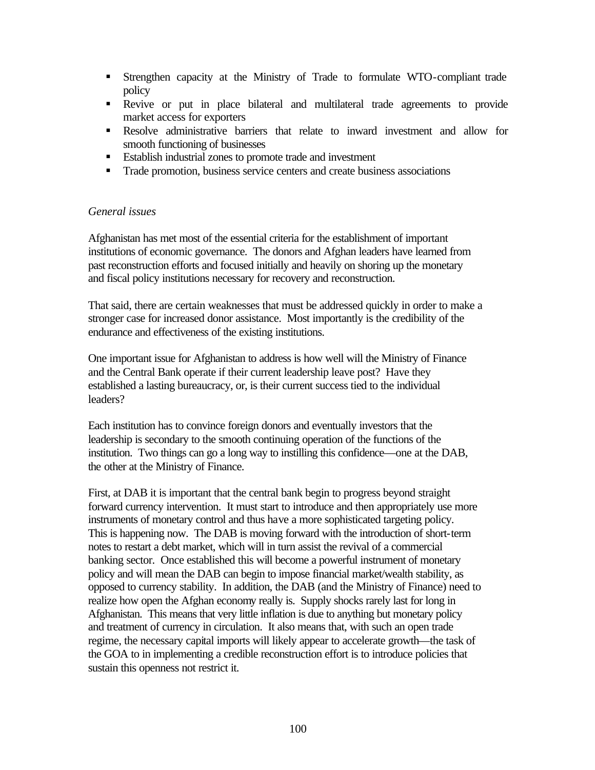- **Strengthen capacity at the Ministry of Trade to formulate WTO-compliant trade** policy
- ß Revive or put in place bilateral and multilateral trade agreements to provide market access for exporters
- ß Resolve administrative barriers that relate to inward investment and allow for smooth functioning of businesses
- Establish industrial zones to promote trade and investment
- Trade promotion, business service centers and create business associations

## *General issues*

Afghanistan has met most of the essential criteria for the establishment of important institutions of economic governance. The donors and Afghan leaders have learned from past reconstruction efforts and focused initially and heavily on shoring up the monetary and fiscal policy institutions necessary for recovery and reconstruction.

That said, there are certain weaknesses that must be addressed quickly in order to make a stronger case for increased donor assistance. Most importantly is the credibility of the endurance and effectiveness of the existing institutions.

One important issue for Afghanistan to address is how well will the Ministry of Finance and the Central Bank operate if their current leadership leave post? Have they established a lasting bureaucracy, or, is their current success tied to the individual leaders?

Each institution has to convince foreign donors and eventually investors that the leadership is secondary to the smooth continuing operation of the functions of the institution. Two things can go a long way to instilling this confidence—one at the DAB, the other at the Ministry of Finance.

First, at DAB it is important that the central bank begin to progress beyond straight forward currency intervention. It must start to introduce and then appropriately use more instruments of monetary control and thus have a more sophisticated targeting policy. This is happening now. The DAB is moving forward with the introduction of short-term notes to restart a debt market, which will in turn assist the revival of a commercial banking sector. Once established this will become a powerful instrument of monetary policy and will mean the DAB can begin to impose financial market/wealth stability, as opposed to currency stability. In addition, the DAB (and the Ministry of Finance) need to realize how open the Afghan economy really is. Supply shocks rarely last for long in Afghanistan. This means that very little inflation is due to anything but monetary policy and treatment of currency in circulation. It also means that, with such an open trade regime, the necessary capital imports will likely appear to accelerate growth—the task of the GOA to in implementing a credible reconstruction effort is to introduce policies that sustain this openness not restrict it.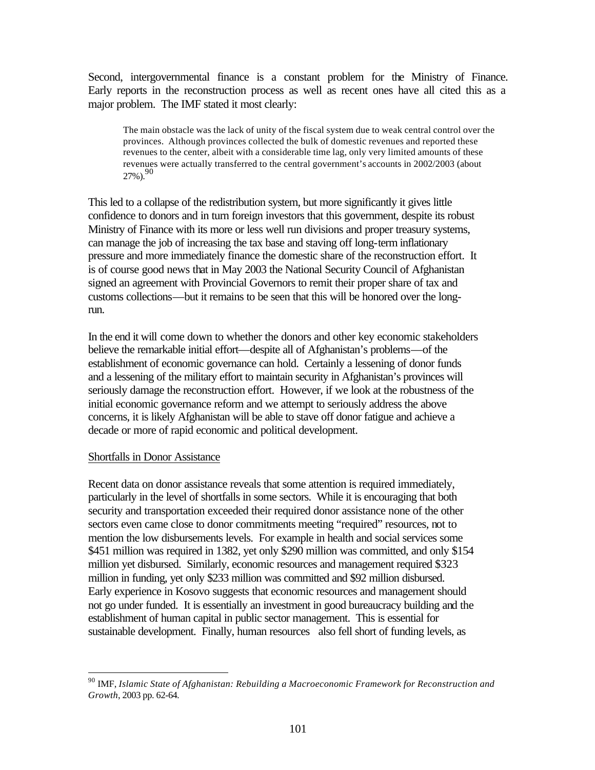Second, intergovernmental finance is a constant problem for the Ministry of Finance. Early reports in the reconstruction process as well as recent ones have all cited this as a major problem. The IMF stated it most clearly:

The main obstacle was the lack of unity of the fiscal system due to weak central control over the provinces. Although provinces collected the bulk of domestic revenues and reported these revenues to the center, albeit with a considerable time lag, only very limited amounts of these revenues were actually transferred to the central government's accounts in 2002/2003 (about  $27\%$ )<sup>90</sup>

This led to a collapse of the redistribution system, but more significantly it gives little confidence to donors and in turn foreign investors that this government, despite its robust Ministry of Finance with its more or less well run divisions and proper treasury systems, can manage the job of increasing the tax base and staving off long-term inflationary pressure and more immediately finance the domestic share of the reconstruction effort. It is of course good news that in May 2003 the National Security Council of Afghanistan signed an agreement with Provincial Governors to remit their proper share of tax and customs collections—but it remains to be seen that this will be honored over the longrun.

In the end it will come down to whether the donors and other key economic stakeholders believe the remarkable initial effort—despite all of Afghanistan's problems—of the establishment of economic governance can hold. Certainly a lessening of donor funds and a lessening of the military effort to maintain security in Afghanistan's provinces will seriously damage the reconstruction effort. However, if we look at the robustness of the initial economic governance reform and we attempt to seriously address the above concerns, it is likely Afghanistan will be able to stave off donor fatigue and achieve a decade or more of rapid economic and political development.

#### Shortfalls in Donor Assistance

 $\overline{a}$ 

Recent data on donor assistance reveals that some attention is required immediately, particularly in the level of shortfalls in some sectors. While it is encouraging that both security and transportation exceeded their required donor assistance none of the other sectors even came close to donor commitments meeting "required" resources, not to mention the low disbursements levels. For example in health and social services some \$451 million was required in 1382, yet only \$290 million was committed, and only \$154 million yet disbursed. Similarly, economic resources and management required \$323 million in funding, yet only \$233 million was committed and \$92 million disbursed. Early experience in Kosovo suggests that economic resources and management should not go under funded. It is essentially an investment in good bureaucracy building and the establishment of human capital in public sector management. This is essential for sustainable development. Finally, human resources also fell short of funding levels, as

<sup>90</sup> IMF, *Islamic State of Afghanistan: Rebuilding a Macroeconomic Framework for Reconstruction and Growth*, 2003 pp. 62-64.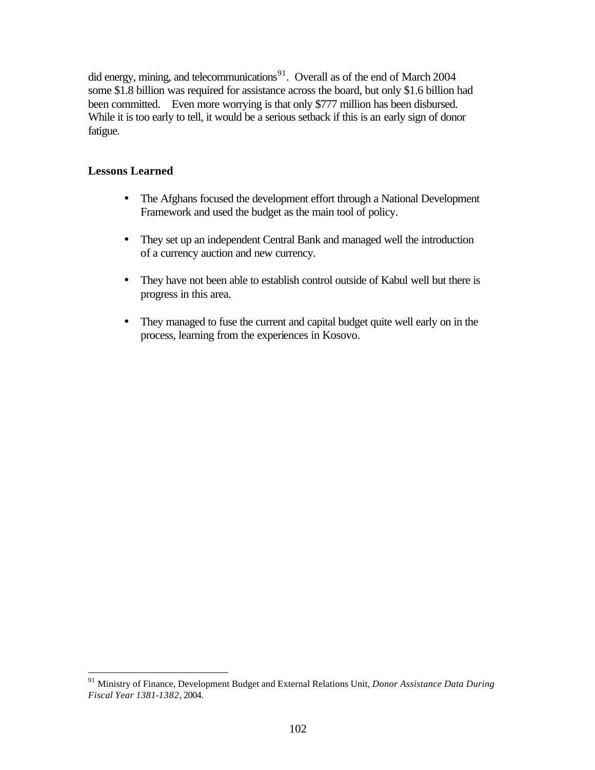did energy, mining, and telecommunications<sup>91</sup>. Overall as of the end of March 2004 some \$1.8 billion was required for assistance across the board, but only \$1.6 billion had been committed. Even more worrying is that only \$777 million has been disbursed. While it is too early to tell, it would be a serious setback if this is an early sign of donor fatigue.

# **Lessons Learned**

- The Afghans focused the development effort through a National Development Framework and used the budget as the main tool of policy.
- They set up an independent Central Bank and managed well the introduction of a currency auction and new currency.
- They have not been able to establish control outside of Kabul well but there is progress in this area.
- They managed to fuse the current and capital budget quite well early on in the process, learning from the experiences in Kosovo.

<sup>91</sup> Ministry of Finance, Development Budget and External Relations Unit, *Donor Assistance Data During Fiscal Year 1381-1382,* 2004.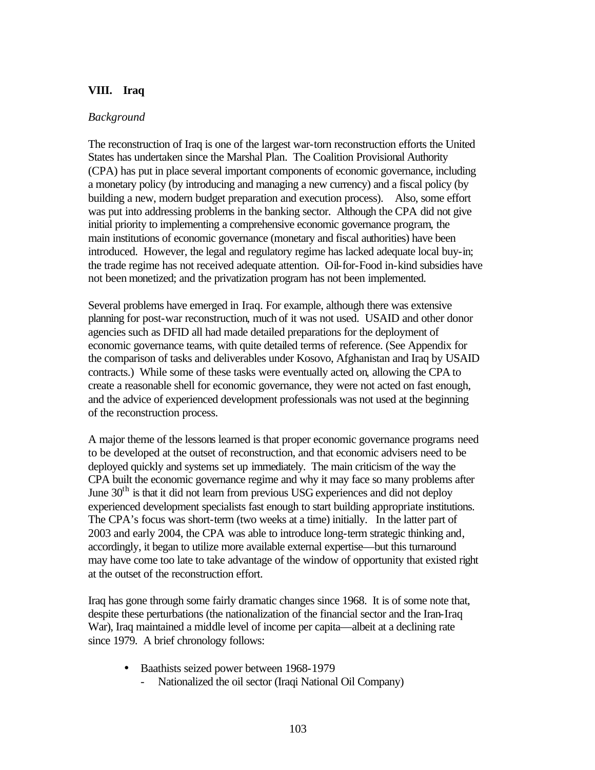# **VIII. Iraq**

## *Background*

The reconstruction of Iraq is one of the largest war-torn reconstruction efforts the United States has undertaken since the Marshal Plan. The Coalition Provisional Authority (CPA) has put in place several important components of economic governance, including a monetary policy (by introducing and managing a new currency) and a fiscal policy (by building a new, modern budget preparation and execution process). Also, some effort was put into addressing problems in the banking sector. Although the CPA did not give initial priority to implementing a comprehensive economic governance program, the main institutions of economic governance (monetary and fiscal authorities) have been introduced. However, the legal and regulatory regime has lacked adequate local buy-in; the trade regime has not received adequate attention. Oil-for-Food in-kind subsidies have not been monetized; and the privatization program has not been implemented.

Several problems have emerged in Iraq. For example, although there was extensive planning for post-war reconstruction, much of it was not used. USAID and other donor agencies such as DFID all had made detailed preparations for the deployment of economic governance teams, with quite detailed terms of reference. (See Appendix for the comparison of tasks and deliverables under Kosovo, Afghanistan and Iraq by USAID contracts.) While some of these tasks were eventually acted on, allowing the CPA to create a reasonable shell for economic governance, they were not acted on fast enough, and the advice of experienced development professionals was not used at the beginning of the reconstruction process.

A major theme of the lessons learned is that proper economic governance programs need to be developed at the outset of reconstruction, and that economic advisers need to be deployed quickly and systems set up immediately. The main criticism of the way the CPA built the economic governance regime and why it may face so many problems after June  $30<sup>th</sup>$  is that it did not learn from previous USG experiences and did not deploy experienced development specialists fast enough to start building appropriate institutions. The CPA's focus was short-term (two weeks at a time) initially. In the latter part of 2003 and early 2004, the CPA was able to introduce long-term strategic thinking and, accordingly, it began to utilize more available external expertise—but this turnaround may have come too late to take advantage of the window of opportunity that existed right at the outset of the reconstruction effort.

Iraq has gone through some fairly dramatic changes since 1968. It is of some note that, despite these perturbations (the nationalization of the financial sector and the Iran-Iraq War), Iraq maintained a middle level of income per capita—albeit at a declining rate since 1979. A brief chronology follows:

- Baathists seized power between 1968-1979
	- Nationalized the oil sector (Iraqi National Oil Company)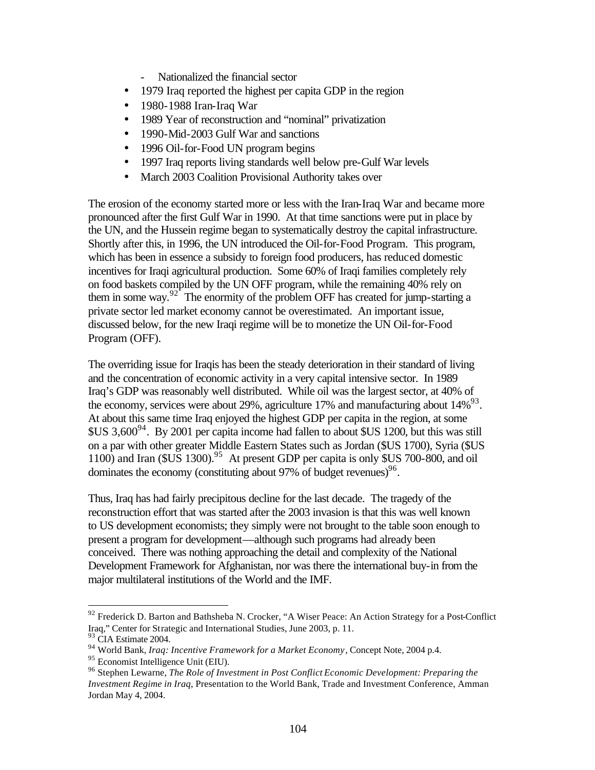- Nationalized the financial sector
- 1979 Iraq reported the highest per capita GDP in the region
- 1980-1988 Iran-Iraq War
- 1989 Year of reconstruction and "nominal" privatization
- 1990-Mid-2003 Gulf War and sanctions
- 1996 Oil-for-Food UN program begins
- 1997 Iraq reports living standards well below pre-Gulf War levels
- March 2003 Coalition Provisional Authority takes over

The erosion of the economy started more or less with the Iran-Iraq War and became more pronounced after the first Gulf War in 1990. At that time sanctions were put in place by the UN, and the Hussein regime began to systematically destroy the capital infrastructure. Shortly after this, in 1996, the UN introduced the Oil-for-Food Program. This program, which has been in essence a subsidy to foreign food producers, has reduced domestic incentives for Iraqi agricultural production. Some 60% of Iraqi families completely rely on food baskets compiled by the UN OFF program, while the remaining 40% rely on them in some way. $92^{\circ}$  The enormity of the problem OFF has created for jump-starting a private sector led market economy cannot be overestimated. An important issue, discussed below, for the new Iraqi regime will be to monetize the UN Oil-for-Food Program (OFF).

The overriding issue for Iraqis has been the steady deterioration in their standard of living and the concentration of economic activity in a very capital intensive sector. In 1989 Iraq's GDP was reasonably well distributed. While oil was the largest sector, at 40% of the economy, services were about 29%, agriculture 17% and manufacturing about  $14\%^{93}$ . At about this same time Iraq enjoyed the highest GDP per capita in the region, at some  $$US\,3,600^{94}$ . By 2001 per capita income had fallen to about  $$US\,1200$ , but this was still on a par with other greater Middle Eastern States such as Jordan (\$US 1700), Syria (\$US 1100) and Iran  $$US$  1300).<sup>95</sup> At present GDP per capita is only \$US 700-800, and oil dominates the economy (constituting about 97% of budget revenues) $96$ .

Thus, Iraq has had fairly precipitous decline for the last decade. The tragedy of the reconstruction effort that was started after the 2003 invasion is that this was well known to US development economists; they simply were not brought to the table soon enough to present a program for development—although such programs had already been conceived. There was nothing approaching the detail and complexity of the National Development Framework for Afghanistan, nor was there the international buy-in from the major multilateral institutions of the World and the IMF.

 $92$  Frederick D. Barton and Bathsheba N. Crocker, "A Wiser Peace: An Action Strategy for a Post-Conflict Iraq," Center for Strategic and International Studies, June 2003, p. 11.

<sup>&</sup>lt;sup>93</sup> CIA Estimate 2004.

<sup>94</sup> World Bank, *Iraq: Incentive Framework for a Market Economy*, Concept Note, 2004 p.4.

<sup>95</sup> Economist Intelligence Unit (EIU).

<sup>96</sup> Stephen Lewarne, *The Role of Investment in Post Conflict Economic Development: Preparing the Investment Regime in Iraq*, Presentation to the World Bank, Trade and Investment Conference, Amman Jordan May 4, 2004.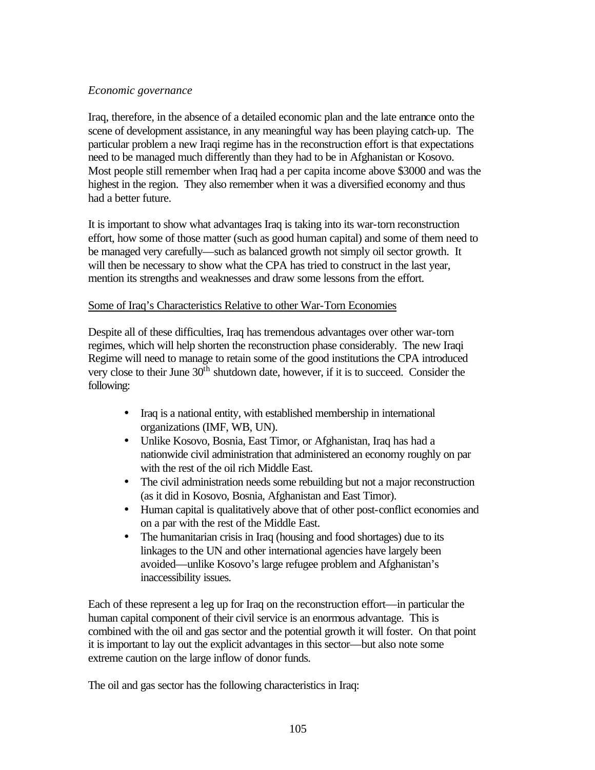# *Economic governance*

Iraq, therefore, in the absence of a detailed economic plan and the late entrance onto the scene of development assistance, in any meaningful way has been playing catch-up. The particular problem a new Iraqi regime has in the reconstruction effort is that expectations need to be managed much differently than they had to be in Afghanistan or Kosovo. Most people still remember when Iraq had a per capita income above \$3000 and was the highest in the region. They also remember when it was a diversified economy and thus had a better future.

It is important to show what advantages Iraq is taking into its war-torn reconstruction effort, how some of those matter (such as good human capital) and some of them need to be managed very carefully—such as balanced growth not simply oil sector growth. It will then be necessary to show what the CPA has tried to construct in the last year, mention its strengths and weaknesses and draw some lessons from the effort.

# Some of Iraq's Characteristics Relative to other War-Torn Economies

Despite all of these difficulties, Iraq has tremendous advantages over other war-torn regimes, which will help shorten the reconstruction phase considerably. The new Iraqi Regime will need to manage to retain some of the good institutions the CPA introduced very close to their June  $30<sup>th</sup>$  shutdown date, however, if it is to succeed. Consider the following:

- Iraq is a national entity, with established membership in international organizations (IMF, WB, UN).
- Unlike Kosovo, Bosnia, East Timor, or Afghanistan, Iraq has had a nationwide civil administration that administered an economy roughly on par with the rest of the oil rich Middle East.
- The civil administration needs some rebuilding but not a major reconstruction (as it did in Kosovo, Bosnia, Afghanistan and East Timor).
- Human capital is qualitatively above that of other post-conflict economies and on a par with the rest of the Middle East.
- The humanitarian crisis in Iraq (housing and food shortages) due to its linkages to the UN and other international agencies have largely been avoided—unlike Kosovo's large refugee problem and Afghanistan's inaccessibility issues.

Each of these represent a leg up for Iraq on the reconstruction effort—in particular the human capital component of their civil service is an enormous advantage. This is combined with the oil and gas sector and the potential growth it will foster. On that point it is important to lay out the explicit advantages in this sector—but also note some extreme caution on the large inflow of donor funds.

The oil and gas sector has the following characteristics in Iraq: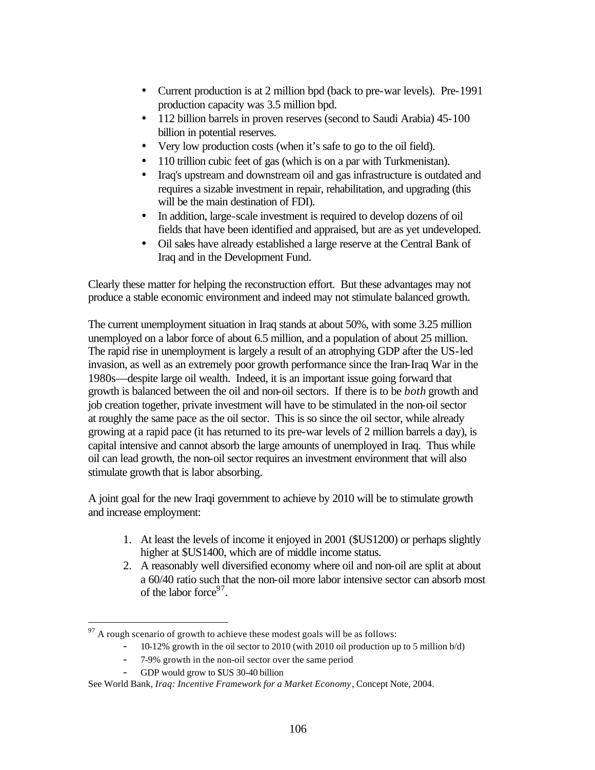- Current production is at 2 million bpd (back to pre-war levels). Pre-1991 production capacity was 3.5 million bpd.
- 112 billion barrels in proven reserves (second to Saudi Arabia) 45-100 billion in potential reserves.
- Very low production costs (when it's safe to go to the oil field).
- 110 trillion cubic feet of gas (which is on a par with Turkmenistan).
- Iraq's upstream and downstream oil and gas infrastructure is outdated and requires a sizable investment in repair, rehabilitation, and upgrading (this will be the main destination of FDI).
- In addition, large-scale investment is required to develop dozens of oil fields that have been identified and appraised, but are as yet undeveloped.
- Oil sales have already established a large reserve at the Central Bank of Iraq and in the Development Fund.

Clearly these matter for helping the reconstruction effort. But these advantages may not produce a stable economic environment and indeed may not stimulate balanced growth.

The current unemployment situation in Iraq stands at about 50%, with some 3.25 million unemployed on a labor force of about 6.5 million, and a population of about 25 million. The rapid rise in unemployment is largely a result of an atrophying GDP after the US-led invasion, as well as an extremely poor growth performance since the Iran-Iraq War in the 1980s—despite large oil wealth. Indeed, it is an important issue going forward that growth is balanced between the oil and non-oil sectors. If there is to be *both* growth and job creation together, private investment will have to be stimulated in the non-oil sector at roughly the same pace as the oil sector. This is so since the oil sector, while already growing at a rapid pace (it has returned to its pre-war levels of 2 million barrels a day), is capital intensive and cannot absorb the large amounts of unemployed in Iraq. Thus while oil can lead growth, the non-oil sector requires an investment environment that will also stimulate growth that is labor absorbing.

A joint goal for the new Iraqi government to achieve by 2010 will be to stimulate growth and increase employment:

- 1. At least the levels of income it enjoyed in 2001 (\$US1200) or perhaps slightly higher at  $US1400$ , which are of middle income status.
- 2. A reasonably well diversified economy where oil and non-oil are split at about a 60/40 ratio such that the non-oil more labor intensive sector can absorb most of the labor force<sup>97</sup>.

- 10-12% growth in the oil sector to 2010 (with 2010 oil production up to 5 million b/d)
- 7-9% growth in the non-oil sector over the same period
- GDP would grow to \$US 30-40 billion

 $97$  A rough scenario of growth to achieve these modest goals will be as follows:

See World Bank, *Iraq: Incentive Framework for a Market Economy*, Concept Note, 2004.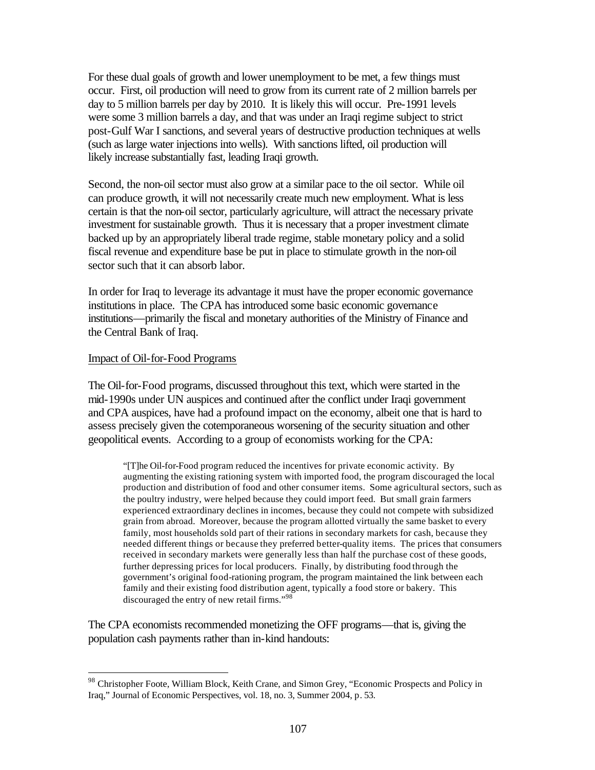For these dual goals of growth and lower unemployment to be met, a few things must occur. First, oil production will need to grow from its current rate of 2 million barrels per day to 5 million barrels per day by 2010. It is likely this will occur. Pre-1991 levels were some 3 million barrels a day, and that was under an Iraqi regime subject to strict post-Gulf War I sanctions, and several years of destructive production techniques at wells (such as large water injections into wells). With sanctions lifted, oil production will likely increase substantially fast, leading Iraqi growth.

Second, the non-oil sector must also grow at a similar pace to the oil sector. While oil can produce growth, it will not necessarily create much new employment. What is less certain is that the non-oil sector, particularly agriculture, will attract the necessary private investment for sustainable growth. Thus it is necessary that a proper investment climate backed up by an appropriately liberal trade regime, stable monetary policy and a solid fiscal revenue and expenditure base be put in place to stimulate growth in the non-oil sector such that it can absorb labor.

In order for Iraq to leverage its advantage it must have the proper economic governance institutions in place. The CPA has introduced some basic economic governance institutions—primarily the fiscal and monetary authorities of the Ministry of Finance and the Central Bank of Iraq.

#### Impact of Oil-for-Food Programs

 $\overline{a}$ 

The Oil-for-Food programs, discussed throughout this text, which were started in the mid-1990s under UN auspices and continued after the conflict under Iraqi government and CPA auspices, have had a profound impact on the economy, albeit one that is hard to assess precisely given the cotemporaneous worsening of the security situation and other geopolitical events. According to a group of economists working for the CPA:

"[T]he Oil-for-Food program reduced the incentives for private economic activity. By augmenting the existing rationing system with imported food, the program discouraged the local production and distribution of food and other consumer items. Some agricultural sectors, such as the poultry industry, were helped because they could import feed. But small grain farmers experienced extraordinary declines in incomes, because they could not compete with subsidized grain from abroad. Moreover, because the program allotted virtually the same basket to every family, most households sold part of their rations in secondary markets for cash, because they needed different things or because they preferred better-quality items. The prices that consumers received in secondary markets were generally less than half the purchase cost of these goods, further depressing prices for local producers. Finally, by distributing food through the government's original food-rationing program, the program maintained the link between each family and their existing food distribution agent, typically a food store or bakery. This discouraged the entry of new retail firms."<sup>98</sup>

The CPA economists recommended monetizing the OFF programs—that is, giving the population cash payments rather than in-kind handouts:

<sup>98</sup> Christopher Foote, William Block, Keith Crane, and Simon Grey, "Economic Prospects and Policy in Iraq," Journal of Economic Perspectives, vol. 18, no. 3, Summer 2004, p. 53.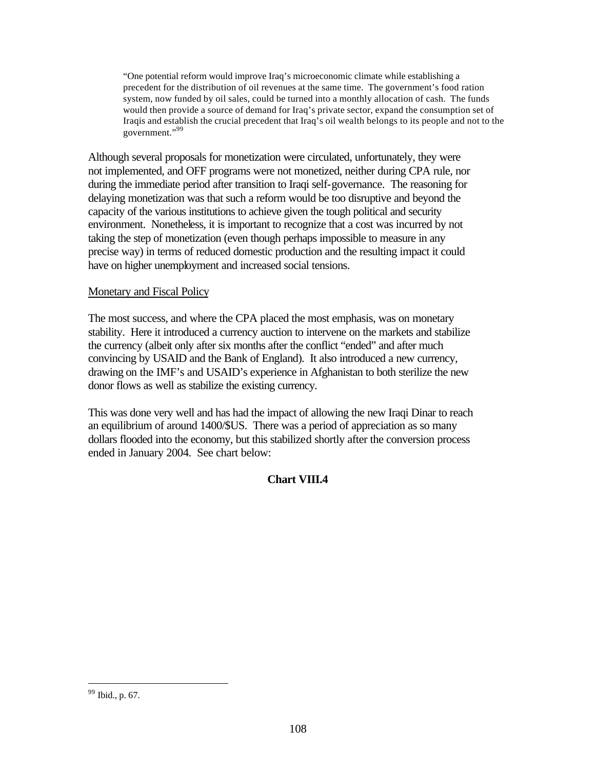"One potential reform would improve Iraq's microeconomic climate while establishing a precedent for the distribution of oil revenues at the same time. The government's food ration system, now funded by oil sales, could be turned into a monthly allocation of cash. The funds would then provide a source of demand for Iraq's private sector, expand the consumption set of Iraqis and establish the crucial precedent that Iraq's oil wealth belongs to its people and not to the government."<sup>99</sup>

Although several proposals for monetization were circulated, unfortunately, they were not implemented, and OFF programs were not monetized, neither during CPA rule, nor during the immediate period after transition to Iraqi self-governance. The reasoning for delaying monetization was that such a reform would be too disruptive and beyond the capacity of the various institutions to achieve given the tough political and security environment. Nonetheless, it is important to recognize that a cost was incurred by not taking the step of monetization (even though perhaps impossible to measure in any precise way) in terms of reduced domestic production and the resulting impact it could have on higher unemployment and increased social tensions.

# Monetary and Fiscal Policy

The most success, and where the CPA placed the most emphasis, was on monetary stability. Here it introduced a currency auction to intervene on the markets and stabilize the currency (albeit only after six months after the conflict "ended" and after much convincing by USAID and the Bank of England). It also introduced a new currency, drawing on the IMF's and USAID's experience in Afghanistan to both sterilize the new donor flows as well as stabilize the existing currency.

This was done very well and has had the impact of allowing the new Iraqi Dinar to reach an equilibrium of around 1400/\$US. There was a period of appreciation as so many dollars flooded into the economy, but this stabilized shortly after the conversion process ended in January 2004. See chart below:

# **Chart VIII.4**

<sup>99</sup> Ibid., p. 67.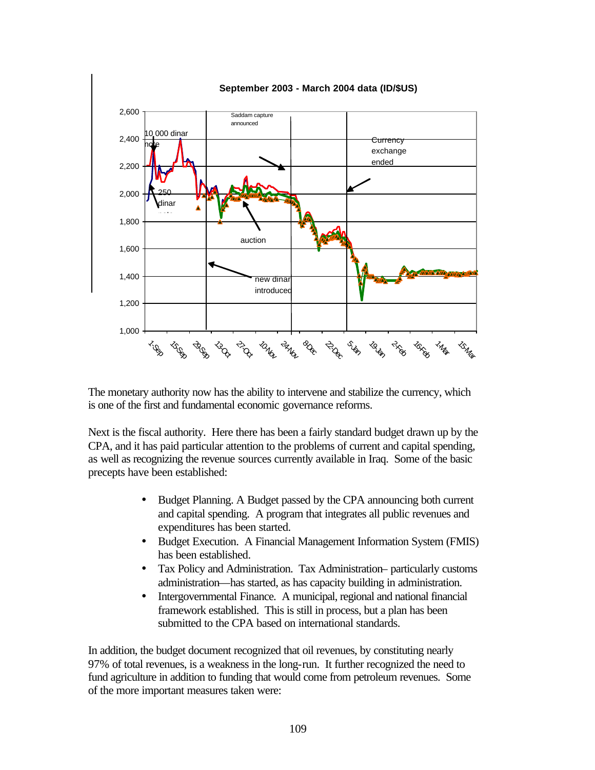

The monetary authority now has the ability to intervene and stabilize the currency, which is one of the first and fundamental economic governance reforms.

Next is the fiscal authority. Here there has been a fairly standard budget drawn up by the CPA, and it has paid particular attention to the problems of current and capital spending, as well as recognizing the revenue sources currently available in Iraq. Some of the basic precepts have been established:

- Budget Planning. A Budget passed by the CPA announcing both current and capital spending. A program that integrates all public revenues and expenditures has been started.
- Budget Execution. A Financial Management Information System (FMIS) has been established.
- Tax Policy and Administration. Tax Administration– particularly customs administration—has started, as has capacity building in administration.
- Intergovernmental Finance. A municipal, regional and national financial framework established. This is still in process, but a plan has been submitted to the CPA based on international standards.

In addition, the budget document recognized that oil revenues, by constituting nearly 97% of total revenues, is a weakness in the long-run. It further recognized the need to fund agriculture in addition to funding that would come from petroleum revenues. Some of the more important measures taken were: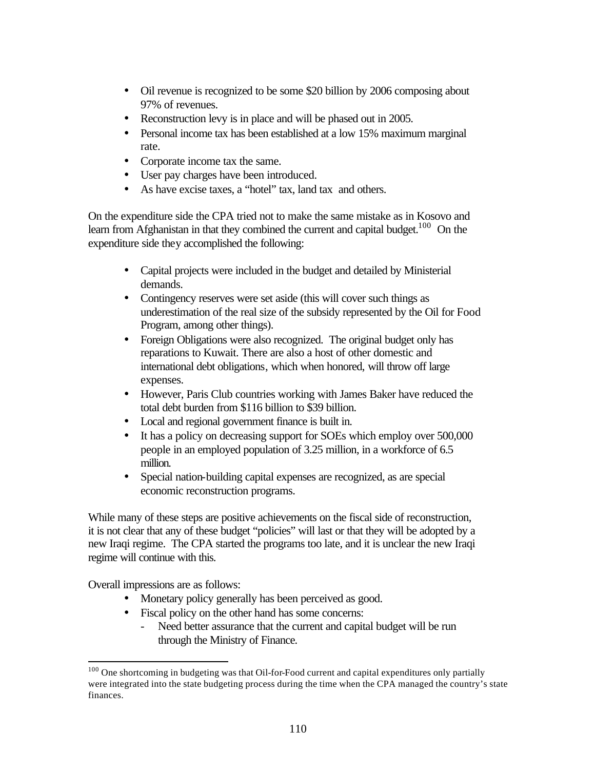- Oil revenue is recognized to be some \$20 billion by 2006 composing about 97% of revenues.
- Reconstruction levy is in place and will be phased out in 2005.
- Personal income tax has been established at a low 15% maximum marginal rate.
- Corporate income tax the same.
- User pay charges have been introduced.
- As have excise taxes, a "hotel" tax, land tax and others.

On the expenditure side the CPA tried not to make the same mistake as in Kosovo and learn from Afghanistan in that they combined the current and capital budget.<sup>100</sup> On the expenditure side they accomplished the following:

- Capital projects were included in the budget and detailed by Ministerial demands.
- Contingency reserves were set aside (this will cover such things as underestimation of the real size of the subsidy represented by the Oil for Food Program, among other things).
- Foreign Obligations were also recognized. The original budget only has reparations to Kuwait. There are also a host of other domestic and international debt obligations, which when honored, will throw off large expenses.
- However, Paris Club countries working with James Baker have reduced the total debt burden from \$116 billion to \$39 billion.
- Local and regional government finance is built in.
- It has a policy on decreasing support for SOEs which employ over 500,000 people in an employed population of 3.25 million, in a workforce of 6.5 million.
- Special nation-building capital expenses are recognized, as are special economic reconstruction programs.

While many of these steps are positive achievements on the fiscal side of reconstruction, it is not clear that any of these budget "policies" will last or that they will be adopted by a new Iraqi regime. The CPA started the programs too late, and it is unclear the new Iraqi regime will continue with this.

Overall impressions are as follows:

 $\overline{a}$ 

- Monetary policy generally has been perceived as good.
- Fiscal policy on the other hand has some concerns:
	- Need better assurance that the current and capital budget will be run through the Ministry of Finance.

<sup>&</sup>lt;sup>100</sup> One shortcoming in budgeting was that Oil-for-Food current and capital expenditures only partially were integrated into the state budgeting process during the time when the CPA managed the country's state finances.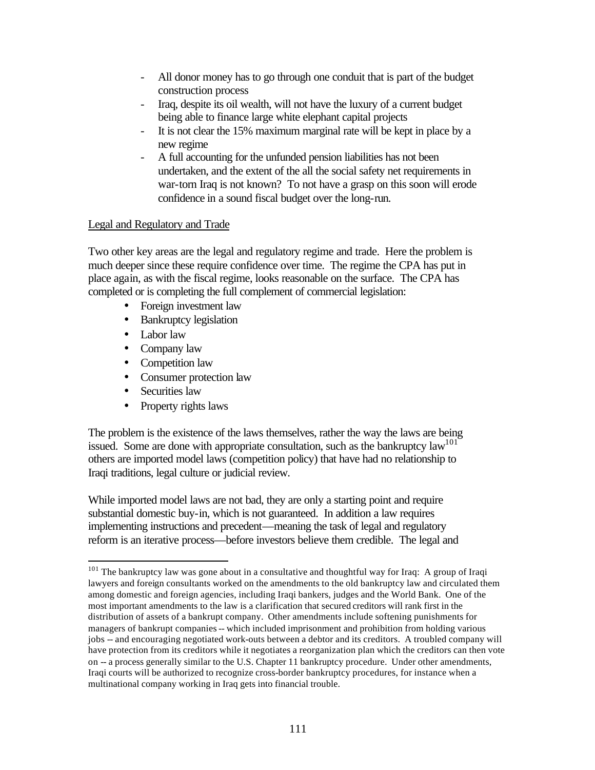- All donor money has to go through one conduit that is part of the budget construction process
- Iraq, despite its oil wealth, will not have the luxury of a current budget being able to finance large white elephant capital projects
- It is not clear the 15% maximum marginal rate will be kept in place by a new regime
- A full accounting for the unfunded pension liabilities has not been undertaken, and the extent of the all the social safety net requirements in war-torn Iraq is not known? To not have a grasp on this soon will erode confidence in a sound fiscal budget over the long-run.

## Legal and Regulatory and Trade

Two other key areas are the legal and regulatory regime and trade. Here the problem is much deeper since these require confidence over time. The regime the CPA has put in place again, as with the fiscal regime, looks reasonable on the surface. The CPA has completed or is completing the full complement of commercial legislation:

- Foreign investment law
- Bankruptcy legislation
- Labor law
- Company law
- Competition law
- Consumer protection law
- Securities law

 $\overline{a}$ 

• Property rights laws

The problem is the existence of the laws themselves, rather the way the laws are being issued. Some are done with appropriate consultation, such as the bankruptcy  $law^{101}$ others are imported model laws (competition policy) that have had no relationship to Iraqi traditions, legal culture or judicial review.

While imported model laws are not bad, they are only a starting point and require substantial domestic buy-in, which is not guaranteed. In addition a law requires implementing instructions and precedent—meaning the task of legal and regulatory reform is an iterative process—before investors believe them credible. The legal and

 $101$  The bankruptcy law was gone about in a consultative and thoughtful way for Iraq: A group of Iraqi lawyers and foreign consultants worked on the amendments to the old bankruptcy law and circulated them among domestic and foreign agencies, including Iraqi bankers, judges and the World Bank. One of the most important amendments to the law is a clarification that secured creditors will rank first in the distribution of assets of a bankrupt company. Other amendments include softening punishments for managers of bankrupt companies -- which included imprisonment and prohibition from holding various jobs -- and encouraging negotiated work-outs between a debtor and its creditors. A troubled company will have protection from its creditors while it negotiates a reorganization plan which the creditors can then vote on -- a process generally similar to the U.S. Chapter 11 bankruptcy procedure. Under other amendments, Iraqi courts will be authorized to recognize cross-border bankruptcy procedures, for instance when a multinational company working in Iraq gets into financial trouble.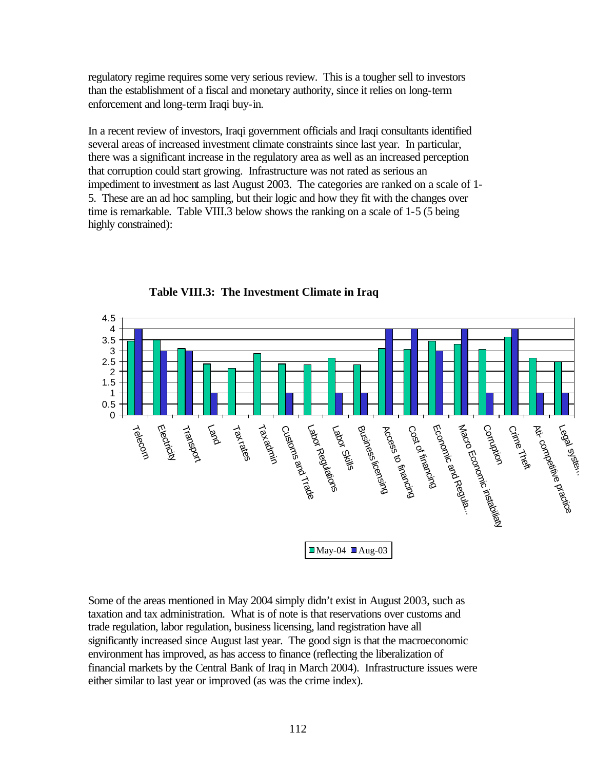regulatory regime requires some very serious review. This is a tougher sell to investors than the establishment of a fiscal and monetary authority, since it relies on long-term enforcement and long-term Iraqi buy-in.

In a recent review of investors, Iraqi government officials and Iraqi consultants identified several areas of increased investment climate constraints since last year. In particular, there was a significant increase in the regulatory area as well as an increased perception that corruption could start growing. Infrastructure was not rated as serious an impediment to investment as last August 2003. The categories are ranked on a scale of 1- 5. These are an ad hoc sampling, but their logic and how they fit with the changes over time is remarkable. Table VIII.3 below shows the ranking on a scale of 1-5 (5 being highly constrained):



**Table VIII.3: The Investment Climate in Iraq**

Some of the areas mentioned in May 2004 simply didn't exist in August 2003, such as taxation and tax administration. What is of note is that reservations over customs and trade regulation, labor regulation, business licensing, land registration have all significantly increased since August last year. The good sign is that the macroeconomic environment has improved, as has access to finance (reflecting the liberalization of financial markets by the Central Bank of Iraq in March 2004). Infrastructure issues were either similar to last year or improved (as was the crime index).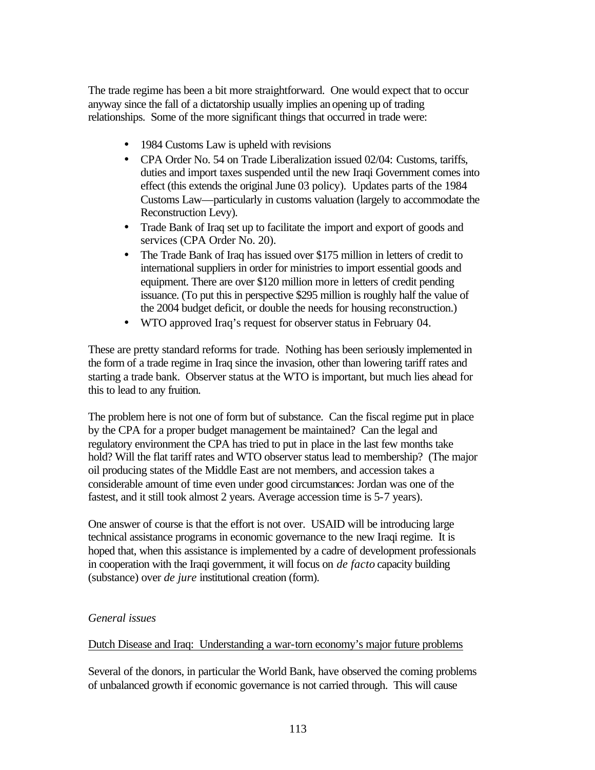The trade regime has been a bit more straightforward. One would expect that to occur anyway since the fall of a dictatorship usually implies an opening up of trading relationships. Some of the more significant things that occurred in trade were:

- 1984 Customs Law is upheld with revisions
- CPA Order No. 54 on Trade Liberalization issued 02/04: Customs, tariffs, duties and import taxes suspended until the new Iraqi Government comes into effect (this extends the original June 03 policy). Updates parts of the 1984 Customs Law—particularly in customs valuation (largely to accommodate the Reconstruction Levy).
- Trade Bank of Iraq set up to facilitate the import and export of goods and services (CPA Order No. 20).
- The Trade Bank of Iraq has issued over \$175 million in letters of credit to international suppliers in order for ministries to import essential goods and equipment. There are over \$120 million more in letters of credit pending issuance. (To put this in perspective \$295 million is roughly half the value of the 2004 budget deficit, or double the needs for housing reconstruction.)
- WTO approved Iraq's request for observer status in February 04.

These are pretty standard reforms for trade. Nothing has been seriously implemented in the form of a trade regime in Iraq since the invasion, other than lowering tariff rates and starting a trade bank. Observer status at the WTO is important, but much lies ahead for this to lead to any fruition.

The problem here is not one of form but of substance. Can the fiscal regime put in place by the CPA for a proper budget management be maintained? Can the legal and regulatory environment the CPA has tried to put in place in the last few months take hold? Will the flat tariff rates and WTO observer status lead to membership? (The major oil producing states of the Middle East are not members, and accession takes a considerable amount of time even under good circumstances: Jordan was one of the fastest, and it still took almost 2 years. Average accession time is 5-7 years).

One answer of course is that the effort is not over. USAID will be introducing large technical assistance programs in economic governance to the new Iraqi regime. It is hoped that, when this assistance is implemented by a cadre of development professionals in cooperation with the Iraqi government, it will focus on *de facto* capacity building (substance) over *de jure* institutional creation (form).

# *General issues*

### Dutch Disease and Iraq: Understanding a war-torn economy's major future problems

Several of the donors, in particular the World Bank, have observed the coming problems of unbalanced growth if economic governance is not carried through. This will cause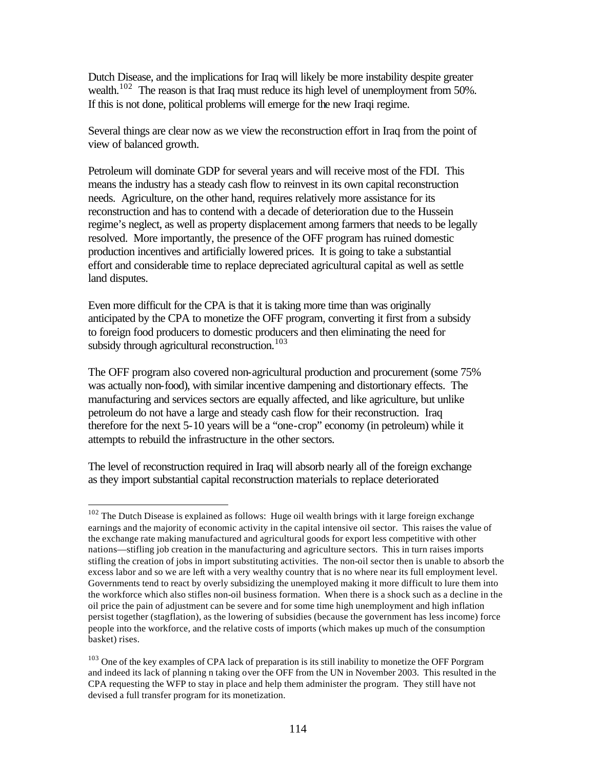Dutch Disease, and the implications for Iraq will likely be more instability despite greater wealth.<sup>102</sup> The reason is that Iraq must reduce its high level of unemployment from 50%. If this is not done, political problems will emerge for the new Iraqi regime.

Several things are clear now as we view the reconstruction effort in Iraq from the point of view of balanced growth.

Petroleum will dominate GDP for several years and will receive most of the FDI. This means the industry has a steady cash flow to reinvest in its own capital reconstruction needs. Agriculture, on the other hand, requires relatively more assistance for its reconstruction and has to contend with a decade of deterioration due to the Hussein regime's neglect, as well as property displacement among farmers that needs to be legally resolved. More importantly, the presence of the OFF program has ruined domestic production incentives and artificially lowered prices. It is going to take a substantial effort and considerable time to replace depreciated agricultural capital as well as settle land disputes.

Even more difficult for the CPA is that it is taking more time than was originally anticipated by the CPA to monetize the OFF program, converting it first from a subsidy to foreign food producers to domestic producers and then eliminating the need for subsidy through agricultural reconstruction.<sup>103</sup>

The OFF program also covered non-agricultural production and procurement (some 75% was actually non-food), with similar incentive dampening and distortionary effects. The manufacturing and services sectors are equally affected, and like agriculture, but unlike petroleum do not have a large and steady cash flow for their reconstruction. Iraq therefore for the next 5-10 years will be a "one-crop" economy (in petroleum) while it attempts to rebuild the infrastructure in the other sectors.

The level of reconstruction required in Iraq will absorb nearly all of the foreign exchange as they import substantial capital reconstruction materials to replace deteriorated

 $\overline{a}$ 

 $102$  The Dutch Disease is explained as follows: Huge oil wealth brings with it large foreign exchange earnings and the majority of economic activity in the capital intensive oil sector. This raises the value of the exchange rate making manufactured and agricultural goods for export less competitive with other nations—stifling job creation in the manufacturing and agriculture sectors. This in turn raises imports stifling the creation of jobs in import substituting activities. The non-oil sector then is unable to absorb the excess labor and so we are left with a very wealthy country that is no where near its full employment level. Governments tend to react by overly subsidizing the unemployed making it more difficult to lure them into the workforce which also stifles non-oil business formation. When there is a shock such as a decline in the oil price the pain of adjustment can be severe and for some time high unemployment and high inflation persist together (stagflation), as the lowering of subsidies (because the government has less income) force people into the workforce, and the relative costs of imports (which makes up much of the consumption basket) rises.

<sup>&</sup>lt;sup>103</sup> One of the key examples of CPA lack of preparation is its still inability to monetize the OFF Porgram and indeed its lack of planning n taking over the OFF from the UN in November 2003. This resulted in the CPA requesting the WFP to stay in place and help them administer the program. They still have not devised a full transfer program for its monetization.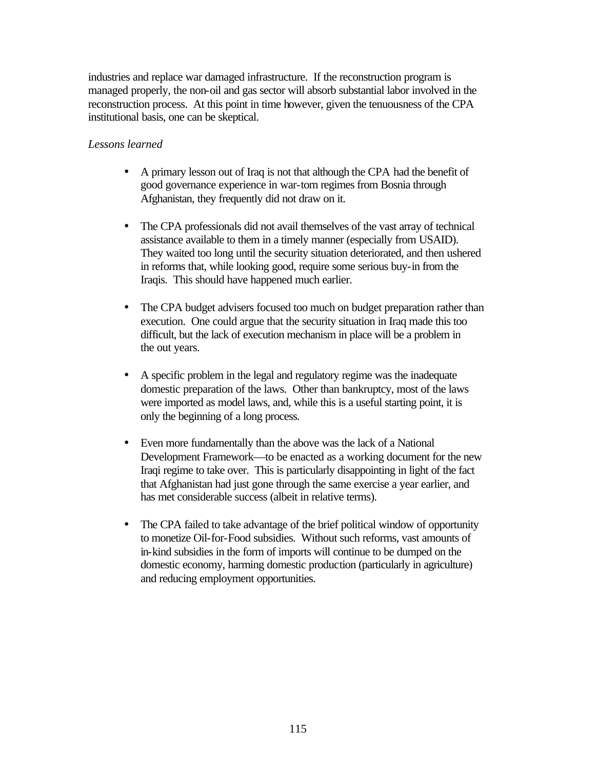industries and replace war damaged infrastructure. If the reconstruction program is managed properly, the non-oil and gas sector will absorb substantial labor involved in the reconstruction process. At this point in time however, given the tenuousness of the CPA institutional basis, one can be skeptical.

## *Lessons learned*

- A primary lesson out of Iraq is not that although the CPA had the benefit of good governance experience in war-torn regimes from Bosnia through Afghanistan, they frequently did not draw on it.
- The CPA professionals did not avail themselves of the vast array of technical assistance available to them in a timely manner (especially from USAID). They waited too long until the security situation deteriorated, and then ushered in reforms that, while looking good, require some serious buy-in from the Iraqis. This should have happened much earlier.
- The CPA budget advisers focused too much on budget preparation rather than execution. One could argue that the security situation in Iraq made this too difficult, but the lack of execution mechanism in place will be a problem in the out years.
- A specific problem in the legal and regulatory regime was the inadequate domestic preparation of the laws. Other than bankruptcy, most of the laws were imported as model laws, and, while this is a useful starting point, it is only the beginning of a long process.
- Even more fundamentally than the above was the lack of a National Development Framework—to be enacted as a working document for the new Iraqi regime to take over. This is particularly disappointing in light of the fact that Afghanistan had just gone through the same exercise a year earlier, and has met considerable success (albeit in relative terms).
- The CPA failed to take advantage of the brief political window of opportunity to monetize Oil-for-Food subsidies. Without such reforms, vast amounts of in-kind subsidies in the form of imports will continue to be dumped on the domestic economy, harming domestic production (particularly in agriculture) and reducing employment opportunities.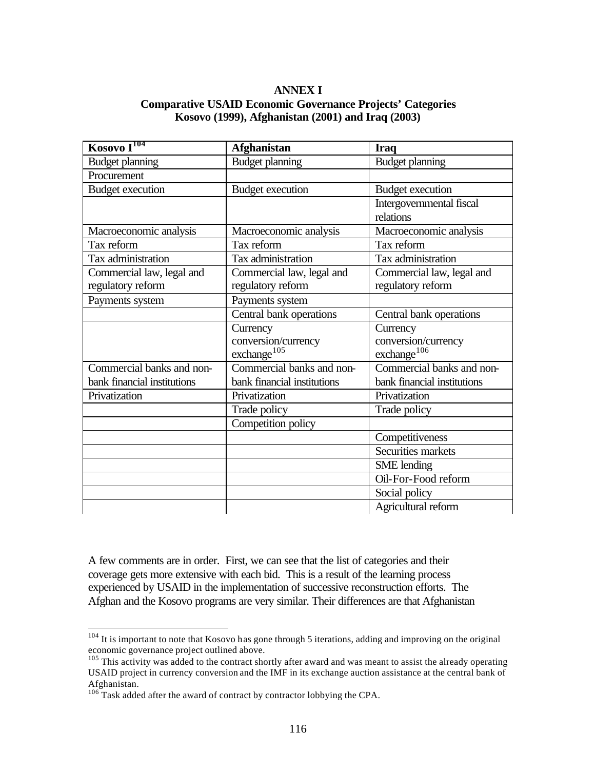### **ANNEX I Comparative USAID Economic Governance Projects' Categories Kosovo (1999), Afghanistan (2001) and Iraq (2003)**

| Kosovo I <sup>104</sup>     | <b>Afghanistan</b>          | <b>Iraq</b>                 |
|-----------------------------|-----------------------------|-----------------------------|
| <b>Budget planning</b>      | <b>Budget planning</b>      | <b>Budget planning</b>      |
| Procurement                 |                             |                             |
| <b>Budget execution</b>     | Budget execution            | <b>Budget</b> execution     |
|                             |                             | Intergovernmental fiscal    |
|                             |                             | relations                   |
| Macroeconomic analysis      | Macroeconomic analysis      | Macroeconomic analysis      |
| Tax reform                  | Tax reform                  | Tax reform                  |
| Tax administration          | Tax administration          | Tax administration          |
| Commercial law, legal and   | Commercial law, legal and   | Commercial law, legal and   |
| regulatory reform           | regulatory reform           | regulatory reform           |
| Payments system             | Payments system             |                             |
|                             | Central bank operations     | Central bank operations     |
|                             | Currency                    | Currency                    |
|                             | conversion/currency         | conversion/currency         |
|                             | exchange <sup>105</sup>     | exchange <sup>106</sup>     |
| Commercial banks and non-   | Commercial banks and non-   | Commercial banks and non-   |
| bank financial institutions | bank financial institutions | bank financial institutions |
| Privatization               | Privatization               | Privatization               |
|                             | Trade policy                | Trade policy                |
|                             | Competition policy          |                             |
|                             |                             | Competitiveness             |
|                             |                             | Securities markets          |
|                             |                             | <b>SME</b> lending          |
|                             |                             | Oil-For-Food reform         |
|                             |                             | Social policy               |
|                             |                             | Agricultural reform         |

A few comments are in order. First, we can see that the list of categories and their coverage gets more extensive with each bid. This is a result of the learning process experienced by USAID in the implementation of successive reconstruction efforts. The Afghan and the Kosovo programs are very similar. Their differences are that Afghanistan

 $\overline{a}$ 

 $104$  It is important to note that Kosovo has gone through 5 iterations, adding and improving on the original economic governance project outlined above.

<sup>&</sup>lt;sup>105</sup> This activity was added to the contract shortly after award and was meant to assist the already operating USAID project in currency conversion and the IMF in its exchange auction assistance at the central bank of Afghanistan.

 $106$  Task added after the award of contract by contractor lobbying the CPA.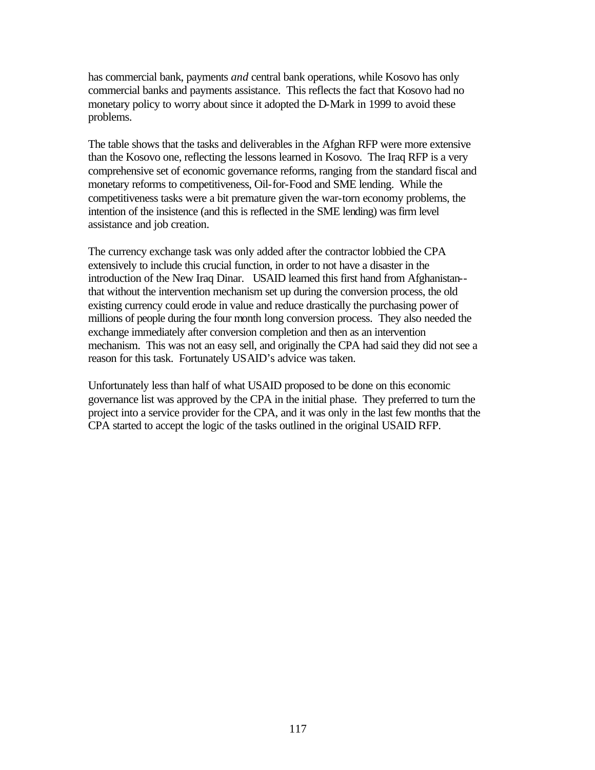has commercial bank, payments *and* central bank operations, while Kosovo has only commercial banks and payments assistance. This reflects the fact that Kosovo had no monetary policy to worry about since it adopted the D-Mark in 1999 to avoid these problems.

The table shows that the tasks and deliverables in the Afghan RFP were more extensive than the Kosovo one, reflecting the lessons learned in Kosovo. The Iraq RFP is a very comprehensive set of economic governance reforms, ranging from the standard fiscal and monetary reforms to competitiveness, Oil-for-Food and SME lending. While the competitiveness tasks were a bit premature given the war-torn economy problems, the intention of the insistence (and this is reflected in the SME lending) was firm level assistance and job creation.

The currency exchange task was only added after the contractor lobbied the CPA extensively to include this crucial function, in order to not have a disaster in the introduction of the New Iraq Dinar. USAID learned this first hand from Afghanistan- that without the intervention mechanism set up during the conversion process, the old existing currency could erode in value and reduce drastically the purchasing power of millions of people during the four month long conversion process. They also needed the exchange immediately after conversion completion and then as an intervention mechanism. This was not an easy sell, and originally the CPA had said they did not see a reason for this task. Fortunately USAID's advice was taken.

Unfortunately less than half of what USAID proposed to be done on this economic governance list was approved by the CPA in the initial phase. They preferred to turn the project into a service provider for the CPA, and it was only in the last few months that the CPA started to accept the logic of the tasks outlined in the original USAID RFP.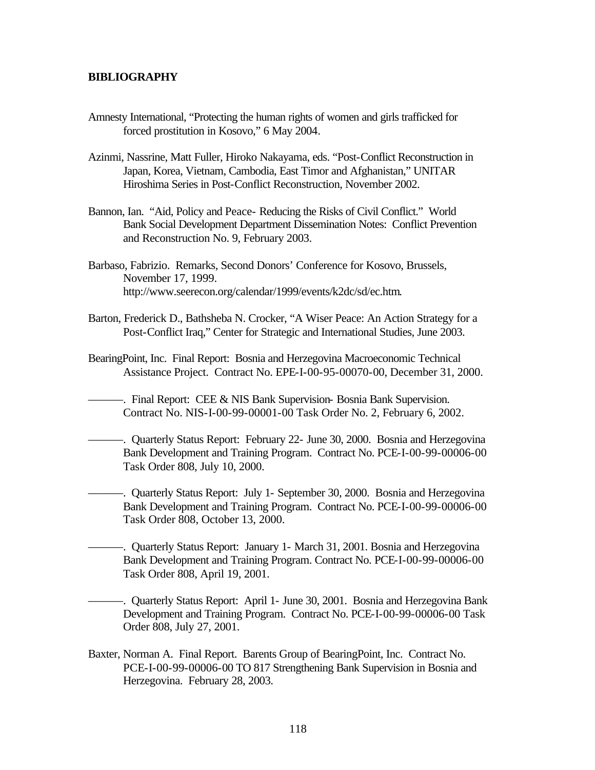#### **BIBLIOGRAPHY**

- Amnesty International, "Protecting the human rights of women and girls trafficked for forced prostitution in Kosovo," 6 May 2004.
- Azinmi, Nassrine, Matt Fuller, Hiroko Nakayama, eds. "Post-Conflict Reconstruction in Japan, Korea, Vietnam, Cambodia, East Timor and Afghanistan," UNITAR Hiroshima Series in Post-Conflict Reconstruction, November 2002.
- Bannon, Ian. "Aid, Policy and Peace- Reducing the Risks of Civil Conflict." World Bank Social Development Department Dissemination Notes: Conflict Prevention and Reconstruction No. 9, February 2003.
- Barbaso, Fabrizio. Remarks, Second Donors' Conference for Kosovo, Brussels, November 17, 1999. http://www.seerecon.org/calendar/1999/events/k2dc/sd/ec.htm.
- Barton, Frederick D., Bathsheba N. Crocker, "A Wiser Peace: An Action Strategy for a Post-Conflict Iraq," Center for Strategic and International Studies, June 2003.
- BearingPoint, Inc. Final Report: Bosnia and Herzegovina Macroeconomic Technical Assistance Project. Contract No. EPE-I-00-95-00070-00, December 31, 2000.
	- ———. Final Report: CEE & NIS Bank Supervision- Bosnia Bank Supervision. Contract No. NIS-I-00-99-00001-00 Task Order No. 2, February 6, 2002.
	- ———. Quarterly Status Report: February 22- June 30, 2000. Bosnia and Herzegovina Bank Development and Training Program. Contract No. PCE-I-00-99-00006-00 Task Order 808, July 10, 2000.
		- ———. Quarterly Status Report: July 1- September 30, 2000. Bosnia and Herzegovina Bank Development and Training Program. Contract No. PCE-I-00-99-00006-00 Task Order 808, October 13, 2000.
- ———. Quarterly Status Report: January 1- March 31, 2001. Bosnia and Herzegovina Bank Development and Training Program. Contract No. PCE-I-00-99-00006-00 Task Order 808, April 19, 2001.

———. Quarterly Status Report: April 1- June 30, 2001. Bosnia and Herzegovina Bank Development and Training Program. Contract No. PCE-I-00-99-00006-00 Task Order 808, July 27, 2001.

Baxter, Norman A. Final Report. Barents Group of BearingPoint, Inc. Contract No. PCE-I-00-99-00006-00 TO 817 Strengthening Bank Supervision in Bosnia and Herzegovina. February 28, 2003.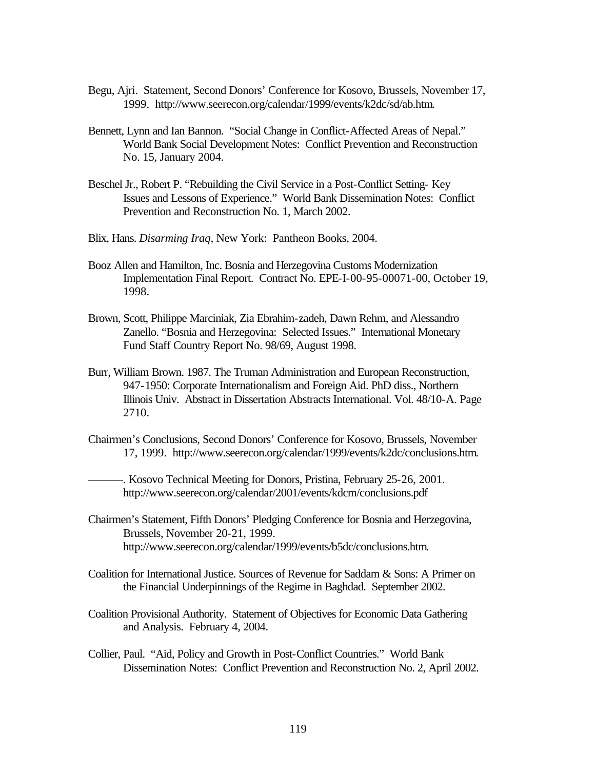- Begu, Ajri. Statement, Second Donors' Conference for Kosovo, Brussels, November 17, 1999. http://www.seerecon.org/calendar/1999/events/k2dc/sd/ab.htm.
- Bennett, Lynn and Ian Bannon. "Social Change in Conflict-Affected Areas of Nepal." World Bank Social Development Notes: Conflict Prevention and Reconstruction No. 15, January 2004.
- Beschel Jr., Robert P. "Rebuilding the Civil Service in a Post-Conflict Setting- Key Issues and Lessons of Experience." World Bank Dissemination Notes: Conflict Prevention and Reconstruction No. 1, March 2002.
- Blix, Hans. *Disarming Iraq*, New York: Pantheon Books, 2004.
- Booz Allen and Hamilton, Inc. Bosnia and Herzegovina Customs Modernization Implementation Final Report. Contract No. EPE-I-00-95-00071-00, October 19, 1998.
- Brown, Scott, Philippe Marciniak, Zia Ebrahim-zadeh, Dawn Rehm, and Alessandro Zanello. "Bosnia and Herzegovina: Selected Issues." International Monetary Fund Staff Country Report No. 98/69, August 1998.
- Burr, William Brown. 1987. The Truman Administration and European Reconstruction, 947-1950: Corporate Internationalism and Foreign Aid. PhD diss., Northern Illinois Univ. Abstract in Dissertation Abstracts International. Vol. 48/10-A. Page 2710.
- Chairmen's Conclusions, Second Donors' Conference for Kosovo, Brussels, November 17, 1999. http://www.seerecon.org/calendar/1999/events/k2dc/conclusions.htm.

———. Kosovo Technical Meeting for Donors, Pristina, February 25-26, 2001. http://www.seerecon.org/calendar/2001/events/kdcm/conclusions.pdf

- Chairmen's Statement, Fifth Donors' Pledging Conference for Bosnia and Herzegovina, Brussels, November 20-21, 1999. http://www.seerecon.org/calendar/1999/events/b5dc/conclusions.htm.
- Coalition for International Justice. Sources of Revenue for Saddam & Sons: A Primer on the Financial Underpinnings of the Regime in Baghdad. September 2002.
- Coalition Provisional Authority. Statement of Objectives for Economic Data Gathering and Analysis. February 4, 2004.
- Collier, Paul. "Aid, Policy and Growth in Post-Conflict Countries." World Bank Dissemination Notes: Conflict Prevention and Reconstruction No. 2, April 2002.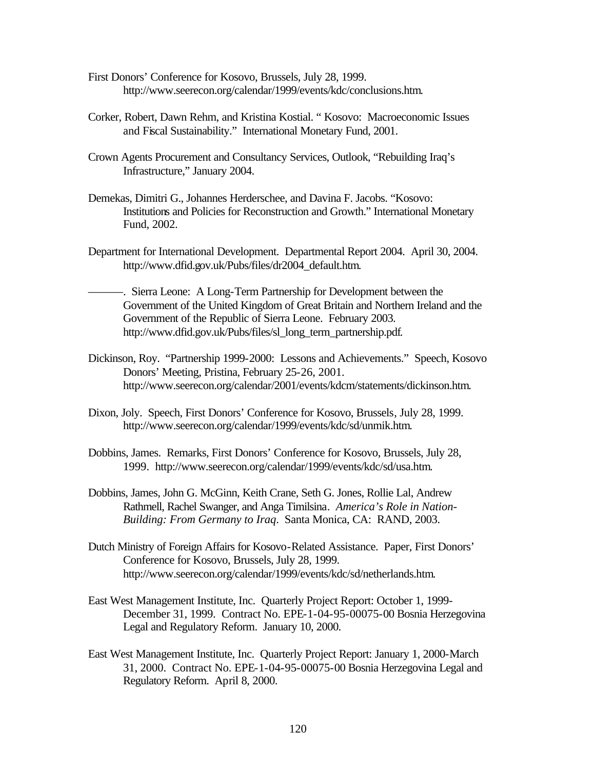- First Donors' Conference for Kosovo, Brussels, July 28, 1999. http://www.seerecon.org/calendar/1999/events/kdc/conclusions.htm.
- Corker, Robert, Dawn Rehm, and Kristina Kostial. " Kosovo: Macroeconomic Issues and Fiscal Sustainability." International Monetary Fund, 2001.
- Crown Agents Procurement and Consultancy Services, Outlook, "Rebuilding Iraq's Infrastructure," January 2004.
- Demekas, Dimitri G., Johannes Herderschee, and Davina F. Jacobs. "Kosovo: Institutions and Policies for Reconstruction and Growth." International Monetary Fund, 2002.
- Department for International Development. Departmental Report 2004. April 30, 2004. http://www.dfid.gov.uk/Pubs/files/dr2004\_default.htm.
- ———. Sierra Leone: A Long-Term Partnership for Development between the Government of the United Kingdom of Great Britain and Northern Ireland and the Government of the Republic of Sierra Leone. February 2003. http://www.dfid.gov.uk/Pubs/files/sl\_long\_term\_partnership.pdf.
- Dickinson, Roy. "Partnership 1999-2000: Lessons and Achievements." Speech, Kosovo Donors' Meeting, Pristina, February 25-26, 2001. http://www.seerecon.org/calendar/2001/events/kdcm/statements/dickinson.htm.
- Dixon, Joly. Speech, First Donors' Conference for Kosovo, Brussels, July 28, 1999. http://www.seerecon.org/calendar/1999/events/kdc/sd/unmik.htm.
- Dobbins, James. Remarks, First Donors' Conference for Kosovo, Brussels, July 28, 1999. http://www.seerecon.org/calendar/1999/events/kdc/sd/usa.htm.
- Dobbins, James, John G. McGinn, Keith Crane, Seth G. Jones, Rollie Lal, Andrew Rathmell, Rachel Swanger, and Anga Timilsina. *America's Role in Nation-Building: From Germany to Iraq*. Santa Monica, CA: RAND, 2003.
- Dutch Ministry of Foreign Affairs for Kosovo-Related Assistance. Paper, First Donors' Conference for Kosovo, Brussels, July 28, 1999. http://www.seerecon.org/calendar/1999/events/kdc/sd/netherlands.htm.
- East West Management Institute, Inc. Quarterly Project Report: October 1, 1999- December 31, 1999. Contract No. EPE-1-04-95-00075-00 Bosnia Herzegovina Legal and Regulatory Reform. January 10, 2000.
- East West Management Institute, Inc. Quarterly Project Report: January 1, 2000-March 31, 2000. Contract No. EPE-1-04-95-00075-00 Bosnia Herzegovina Legal and Regulatory Reform. April 8, 2000.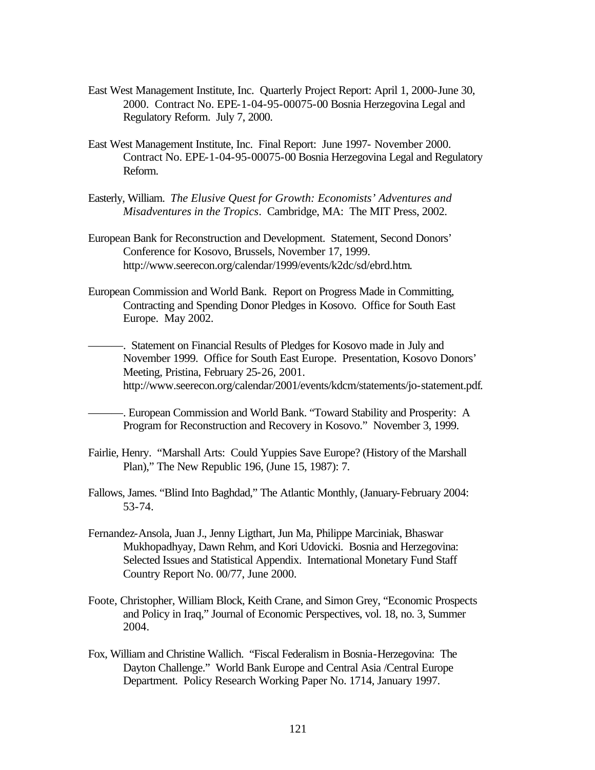- East West Management Institute, Inc. Quarterly Project Report: April 1, 2000-June 30, 2000. Contract No. EPE-1-04-95-00075-00 Bosnia Herzegovina Legal and Regulatory Reform. July 7, 2000.
- East West Management Institute, Inc. Final Report: June 1997- November 2000. Contract No. EPE-1-04-95-00075-00 Bosnia Herzegovina Legal and Regulatory Reform.
- Easterly, William. *The Elusive Quest for Growth: Economists' Adventures and Misadventures in the Tropics*. Cambridge, MA: The MIT Press, 2002.
- European Bank for Reconstruction and Development. Statement, Second Donors' Conference for Kosovo, Brussels, November 17, 1999. http://www.seerecon.org/calendar/1999/events/k2dc/sd/ebrd.htm.
- European Commission and World Bank. Report on Progress Made in Committing, Contracting and Spending Donor Pledges in Kosovo. Office for South East Europe. May 2002.

———. Statement on Financial Results of Pledges for Kosovo made in July and November 1999. Office for South East Europe. Presentation, Kosovo Donors' Meeting, Pristina, February 25-26, 2001. http://www.seerecon.org/calendar/2001/events/kdcm/statements/jo-statement.pdf.

- -. European Commission and World Bank. "Toward Stability and Prosperity: A Program for Reconstruction and Recovery in Kosovo." November 3, 1999.
- Fairlie, Henry. "Marshall Arts: Could Yuppies Save Europe? (History of the Marshall Plan)," The New Republic 196, (June 15, 1987): 7.
- Fallows, James. "Blind Into Baghdad," The Atlantic Monthly, (January-February 2004: 53-74.
- Fernandez-Ansola, Juan J., Jenny Ligthart, Jun Ma, Philippe Marciniak, Bhaswar Mukhopadhyay, Dawn Rehm, and Kori Udovicki. Bosnia and Herzegovina: Selected Issues and Statistical Appendix. International Monetary Fund Staff Country Report No. 00/77, June 2000.
- Foote, Christopher, William Block, Keith Crane, and Simon Grey, "Economic Prospects and Policy in Iraq," Journal of Economic Perspectives, vol. 18, no. 3, Summer 2004.
- Fox, William and Christine Wallich. "Fiscal Federalism in Bosnia-Herzegovina: The Dayton Challenge." World Bank Europe and Central Asia /Central Europe Department. Policy Research Working Paper No. 1714, January 1997.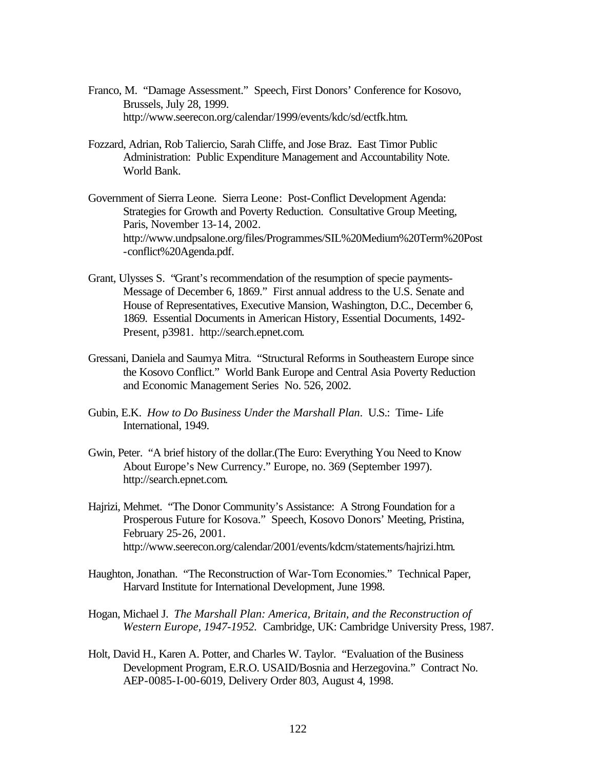- Franco, M. "Damage Assessment." Speech, First Donors' Conference for Kosovo, Brussels, July 28, 1999. http://www.seerecon.org/calendar/1999/events/kdc/sd/ectfk.htm.
- Fozzard, Adrian, Rob Taliercio, Sarah Cliffe, and Jose Braz. East Timor Public Administration: Public Expenditure Management and Accountability Note. World Bank.
- Government of Sierra Leone. Sierra Leone: Post-Conflict Development Agenda: Strategies for Growth and Poverty Reduction. Consultative Group Meeting, Paris, November 13-14, 2002. http://www.undpsalone.org/files/Programmes/SIL%20Medium%20Term%20Post -conflict%20Agenda.pdf.
- Grant, Ulysses S. "Grant's recommendation of the resumption of specie payments-Message of December 6, 1869." First annual address to the U.S. Senate and House of Representatives, Executive Mansion, Washington, D.C., December 6, 1869. Essential Documents in American History, Essential Documents, 1492- Present, p3981. http://search.epnet.com.
- Gressani, Daniela and Saumya Mitra. "Structural Reforms in Southeastern Europe since the Kosovo Conflict." World Bank Europe and Central Asia Poverty Reduction and Economic Management Series No. 526, 2002.
- Gubin, E.K. *How to Do Business Under the Marshall Plan*. U.S.: Time- Life International, 1949.
- Gwin, Peter. "A brief history of the dollar.(The Euro: Everything You Need to Know About Europe's New Currency." Europe, no. 369 (September 1997). http://search.epnet.com.
- Hajrizi, Mehmet. "The Donor Community's Assistance: A Strong Foundation for a Prosperous Future for Kosova." Speech, Kosovo Donors' Meeting, Pristina, February 25-26, 2001. http://www.seerecon.org/calendar/2001/events/kdcm/statements/hajrizi.htm.
- Haughton, Jonathan. "The Reconstruction of War-Torn Economies." Technical Paper, Harvard Institute for International Development, June 1998.
- Hogan, Michael J. *The Marshall Plan: America, Britain, and the Reconstruction of Western Europe, 1947-1952.* Cambridge, UK: Cambridge University Press, 1987.
- Holt, David H., Karen A. Potter, and Charles W. Taylor. "Evaluation of the Business Development Program, E.R.O. USAID/Bosnia and Herzegovina." Contract No. AEP-0085-I-00-6019, Delivery Order 803, August 4, 1998.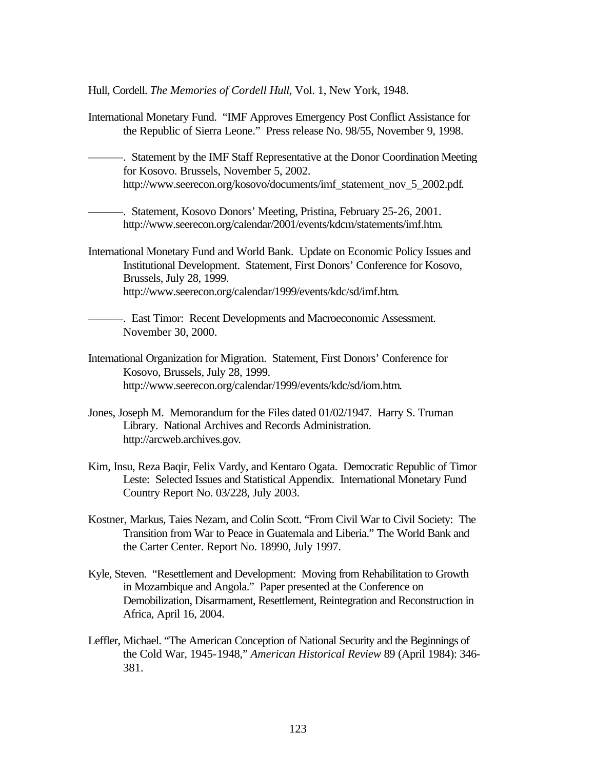Hull, Cordell. *The Memories of Cordell Hull*, Vol. 1, New York, 1948.

- International Monetary Fund. "IMF Approves Emergency Post Conflict Assistance for the Republic of Sierra Leone." Press release No. 98/55, November 9, 1998.
	- ———. Statement by the IMF Staff Representative at the Donor Coordination Meeting for Kosovo. Brussels, November 5, 2002. http://www.seerecon.org/kosovo/documents/imf\_statement\_nov\_5\_2002.pdf.

———. Statement, Kosovo Donors' Meeting, Pristina, February 25-26, 2001. http://www.seerecon.org/calendar/2001/events/kdcm/statements/imf.htm.

- International Monetary Fund and World Bank. Update on Economic Policy Issues and Institutional Development. Statement, First Donors' Conference for Kosovo, Brussels, July 28, 1999. http://www.seerecon.org/calendar/1999/events/kdc/sd/imf.htm.
	- ———. East Timor: Recent Developments and Macroeconomic Assessment. November 30, 2000.
- International Organization for Migration. Statement, First Donors' Conference for Kosovo, Brussels, July 28, 1999. http://www.seerecon.org/calendar/1999/events/kdc/sd/iom.htm.
- Jones, Joseph M. Memorandum for the Files dated 01/02/1947. Harry S. Truman Library. National Archives and Records Administration. http://arcweb.archives.gov.
- Kim, Insu, Reza Baqir, Felix Vardy, and Kentaro Ogata. Democratic Republic of Timor Leste: Selected Issues and Statistical Appendix. International Monetary Fund Country Report No. 03/228, July 2003.
- Kostner, Markus, Taies Nezam, and Colin Scott. "From Civil War to Civil Society: The Transition from War to Peace in Guatemala and Liberia." The World Bank and the Carter Center. Report No. 18990, July 1997.
- Kyle, Steven. "Resettlement and Development: Moving from Rehabilitation to Growth in Mozambique and Angola." Paper presented at the Conference on Demobilization, Disarmament, Resettlement, Reintegration and Reconstruction in Africa, April 16, 2004.
- Leffler, Michael. "The American Conception of National Security and the Beginnings of the Cold War, 1945-1948," *American Historical Review* 89 (April 1984): 346- 381.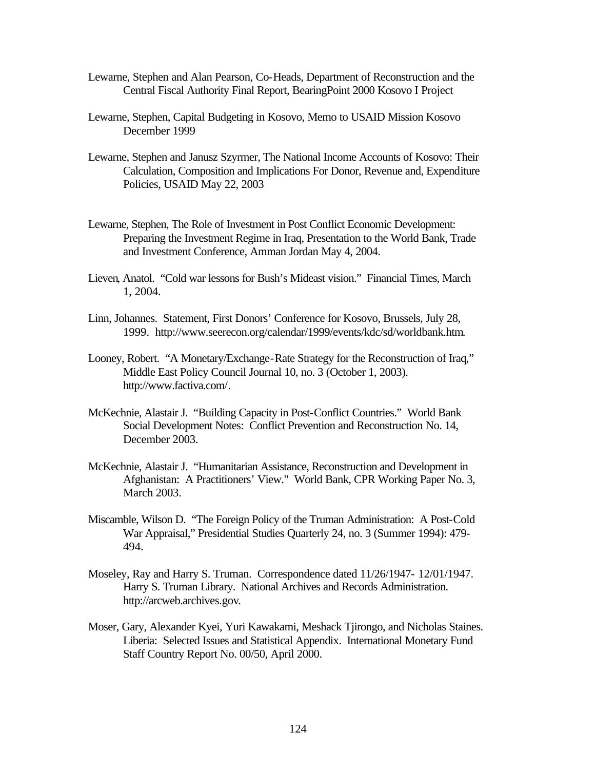- Lewarne, Stephen and Alan Pearson, Co-Heads, Department of Reconstruction and the Central Fiscal Authority Final Report, BearingPoint 2000 Kosovo I Project
- Lewarne, Stephen, Capital Budgeting in Kosovo, Memo to USAID Mission Kosovo December 1999
- Lewarne, Stephen and Janusz Szyrmer, The National Income Accounts of Kosovo: Their Calculation, Composition and Implications For Donor, Revenue and, Expenditure Policies, USAID May 22, 2003
- Lewarne, Stephen, The Role of Investment in Post Conflict Economic Development: Preparing the Investment Regime in Iraq, Presentation to the World Bank, Trade and Investment Conference, Amman Jordan May 4, 2004.
- Lieven, Anatol. "Cold war lessons for Bush's Mideast vision." Financial Times, March 1, 2004.
- Linn, Johannes. Statement, First Donors' Conference for Kosovo, Brussels, July 28, 1999. http://www.seerecon.org/calendar/1999/events/kdc/sd/worldbank.htm.
- Looney, Robert. "A Monetary/Exchange-Rate Strategy for the Reconstruction of Iraq," Middle East Policy Council Journal 10, no. 3 (October 1, 2003). http://www.factiva.com/.
- McKechnie, Alastair J. "Building Capacity in Post-Conflict Countries." World Bank Social Development Notes: Conflict Prevention and Reconstruction No. 14, December 2003.
- McKechnie, Alastair J. "Humanitarian Assistance, Reconstruction and Development in Afghanistan: A Practitioners' View." World Bank, CPR Working Paper No. 3, March 2003.
- Miscamble, Wilson D. "The Foreign Policy of the Truman Administration: A Post-Cold War Appraisal," Presidential Studies Quarterly 24, no. 3 (Summer 1994): 479- 494.
- Moseley, Ray and Harry S. Truman. Correspondence dated 11/26/1947- 12/01/1947. Harry S. Truman Library. National Archives and Records Administration. http://arcweb.archives.gov.
- Moser, Gary, Alexander Kyei, Yuri Kawakami, Meshack Tjirongo, and Nicholas Staines. Liberia: Selected Issues and Statistical Appendix. International Monetary Fund Staff Country Report No. 00/50, April 2000.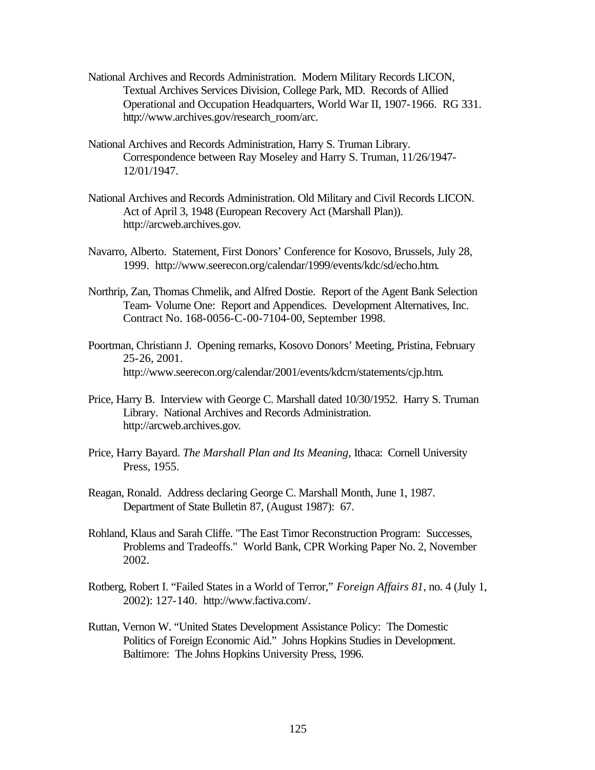- National Archives and Records Administration. Modern Military Records LICON, Textual Archives Services Division, College Park, MD. Records of Allied Operational and Occupation Headquarters, World War II, 1907-1966. RG 331. http://www.archives.gov/research\_room/arc.
- National Archives and Records Administration, Harry S. Truman Library. Correspondence between Ray Moseley and Harry S. Truman, 11/26/1947- 12/01/1947.
- National Archives and Records Administration. Old Military and Civil Records LICON. Act of April 3, 1948 (European Recovery Act (Marshall Plan)). http://arcweb.archives.gov.
- Navarro, Alberto. Statement, First Donors' Conference for Kosovo, Brussels, July 28, 1999. http://www.seerecon.org/calendar/1999/events/kdc/sd/echo.htm.
- Northrip, Zan, Thomas Chmelik, and Alfred Dostie. Report of the Agent Bank Selection Team- Volume One: Report and Appendices. Development Alternatives, Inc. Contract No. 168-0056-C-00-7104-00, September 1998.
- Poortman, Christiann J. Opening remarks, Kosovo Donors' Meeting, Pristina, February 25-26, 2001. http://www.seerecon.org/calendar/2001/events/kdcm/statements/cjp.htm.
- Price, Harry B. Interview with George C. Marshall dated 10/30/1952. Harry S. Truman Library. National Archives and Records Administration. http://arcweb.archives.gov.
- Price, Harry Bayard. *The Marshall Plan and Its Meaning,* Ithaca: Cornell University Press, 1955.
- Reagan, Ronald. Address declaring George C. Marshall Month, June 1, 1987. Department of State Bulletin 87, (August 1987): 67.
- Rohland, Klaus and Sarah Cliffe. "The East Timor Reconstruction Program: Successes, Problems and Tradeoffs." World Bank, CPR Working Paper No. 2, November 2002.
- Rotberg, Robert I. "Failed States in a World of Terror," *Foreign Affairs 81*, no. 4 (July 1, 2002): 127-140. http://www.factiva.com/.
- Ruttan, Vernon W. "United States Development Assistance Policy: The Domestic Politics of Foreign Economic Aid." Johns Hopkins Studies in Development. Baltimore: The Johns Hopkins University Press, 1996.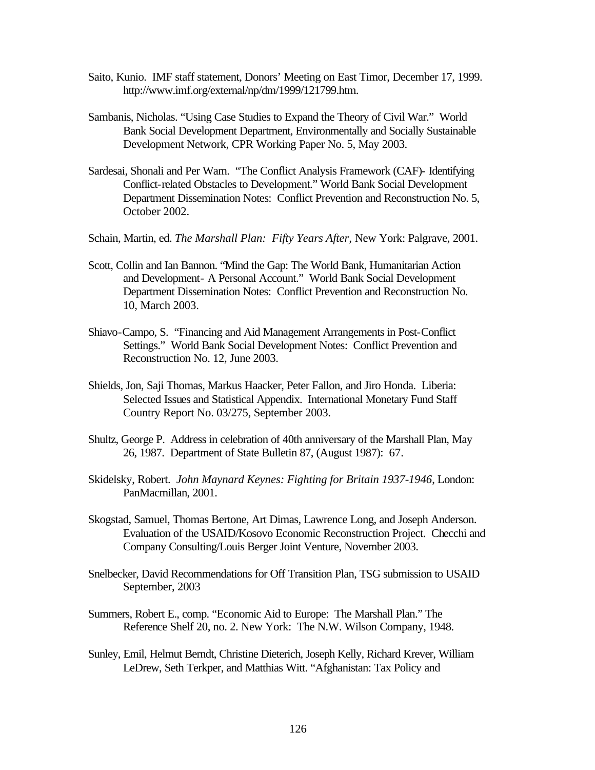- Saito, Kunio. IMF staff statement, Donors' Meeting on East Timor, December 17, 1999. http://www.imf.org/external/np/dm/1999/121799.htm.
- Sambanis, Nicholas. "Using Case Studies to Expand the Theory of Civil War." World Bank Social Development Department, Environmentally and Socially Sustainable Development Network, CPR Working Paper No. 5, May 2003.
- Sardesai, Shonali and Per Wam. "The Conflict Analysis Framework (CAF)- Identifying Conflict-related Obstacles to Development." World Bank Social Development Department Dissemination Notes: Conflict Prevention and Reconstruction No. 5, October 2002.
- Schain, Martin, ed. *The Marshall Plan: Fifty Years After,* New York: Palgrave, 2001.
- Scott, Collin and Ian Bannon. "Mind the Gap: The World Bank, Humanitarian Action and Development- A Personal Account." World Bank Social Development Department Dissemination Notes: Conflict Prevention and Reconstruction No. 10, March 2003.
- Shiavo-Campo, S. "Financing and Aid Management Arrangements in Post-Conflict Settings." World Bank Social Development Notes: Conflict Prevention and Reconstruction No. 12, June 2003.
- Shields, Jon, Saji Thomas, Markus Haacker, Peter Fallon, and Jiro Honda. Liberia: Selected Issues and Statistical Appendix. International Monetary Fund Staff Country Report No. 03/275, September 2003.
- Shultz, George P. Address in celebration of 40th anniversary of the Marshall Plan, May 26, 1987. Department of State Bulletin 87, (August 1987): 67.
- Skidelsky, Robert. *John Maynard Keynes: Fighting for Britain 1937-1946*, London: PanMacmillan, 2001.
- Skogstad, Samuel, Thomas Bertone, Art Dimas, Lawrence Long, and Joseph Anderson. Evaluation of the USAID/Kosovo Economic Reconstruction Project. Checchi and Company Consulting/Louis Berger Joint Venture, November 2003.
- Snelbecker, David Recommendations for Off Transition Plan, TSG submission to USAID September, 2003
- Summers, Robert E., comp. "Economic Aid to Europe: The Marshall Plan." The Reference Shelf 20, no. 2. New York: The N.W. Wilson Company, 1948.
- Sunley, Emil, Helmut Berndt, Christine Dieterich, Joseph Kelly, Richard Krever, William LeDrew, Seth Terkper, and Matthias Witt. "Afghanistan: Tax Policy and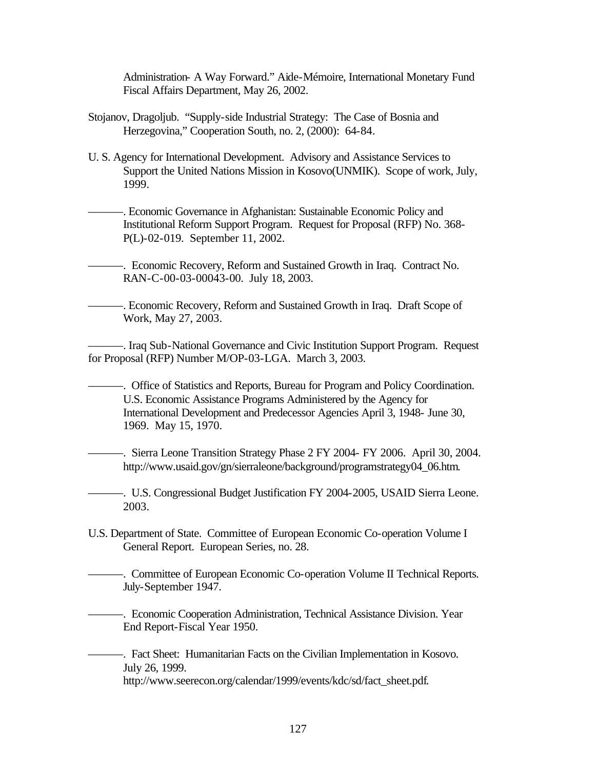Administration- A Way Forward." Aide-Mémoire, International Monetary Fund Fiscal Affairs Department, May 26, 2002.

- Stojanov, Dragoljub. "Supply-side Industrial Strategy: The Case of Bosnia and Herzegovina," Cooperation South, no. 2, (2000): 64-84.
- U. S. Agency for International Development. Advisory and Assistance Services to Support the United Nations Mission in Kosovo(UNMIK). Scope of work, July, 1999.

———. Economic Governance in Afghanistan: Sustainable Economic Policy and Institutional Reform Support Program. Request for Proposal (RFP) No. 368- P(L)-02-019. September 11, 2002.

———. Economic Recovery, Reform and Sustained Growth in Iraq. Contract No. RAN-C-00-03-00043-00. July 18, 2003.

———. Economic Recovery, Reform and Sustained Growth in Iraq. Draft Scope of Work, May 27, 2003.

———. Iraq Sub-National Governance and Civic Institution Support Program. Request for Proposal (RFP) Number M/OP-03-LGA. March 3, 2003.

———. Office of Statistics and Reports, Bureau for Program and Policy Coordination. U.S. Economic Assistance Programs Administered by the Agency for International Development and Predecessor Agencies April 3, 1948- June 30, 1969. May 15, 1970.

———. Sierra Leone Transition Strategy Phase 2 FY 2004- FY 2006. April 30, 2004. http://www.usaid.gov/gn/sierraleone/background/programstrategy04\_06.htm.

———. U.S. Congressional Budget Justification FY 2004-2005, USAID Sierra Leone. 2003.

U.S. Department of State. Committee of European Economic Co-operation Volume I General Report. European Series, no. 28.

———. Committee of European Economic Co-operation Volume II Technical Reports. July-September 1947.

———. Economic Cooperation Administration, Technical Assistance Division. Year End Report-Fiscal Year 1950.

———. Fact Sheet: Humanitarian Facts on the Civilian Implementation in Kosovo. July 26, 1999. http://www.seerecon.org/calendar/1999/events/kdc/sd/fact\_sheet.pdf.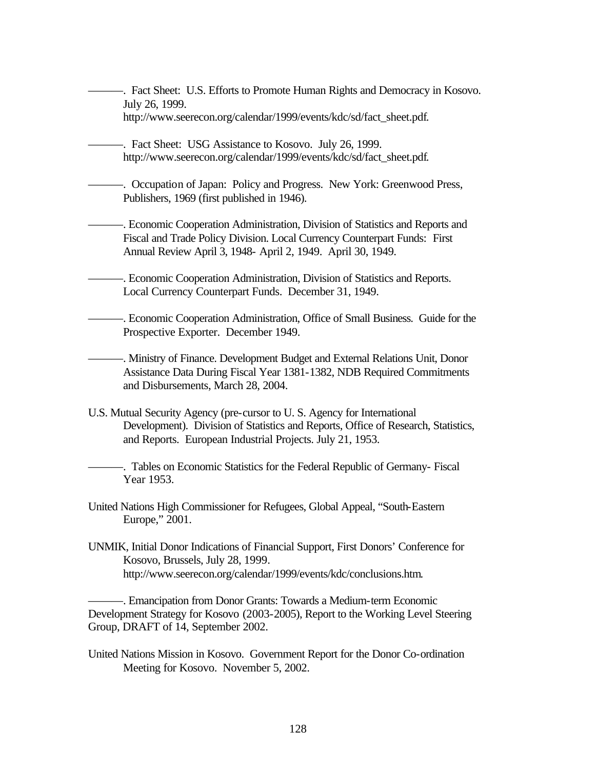———. Fact Sheet: U.S. Efforts to Promote Human Rights and Democracy in Kosovo. July 26, 1999. http://www.seerecon.org/calendar/1999/events/kdc/sd/fact\_sheet.pdf.

———. Fact Sheet: USG Assistance to Kosovo. July 26, 1999. http://www.seerecon.org/calendar/1999/events/kdc/sd/fact\_sheet.pdf.

———. Occupation of Japan: Policy and Progress. New York: Greenwood Press, Publishers, 1969 (first published in 1946).

———. Economic Cooperation Administration, Division of Statistics and Reports and Fiscal and Trade Policy Division. Local Currency Counterpart Funds: First Annual Review April 3, 1948- April 2, 1949. April 30, 1949.

- ———. Economic Cooperation Administration, Division of Statistics and Reports. Local Currency Counterpart Funds. December 31, 1949.
- ———. Economic Cooperation Administration, Office of Small Business. Guide for the Prospective Exporter. December 1949.

———. Ministry of Finance. Development Budget and External Relations Unit, Donor Assistance Data During Fiscal Year 1381-1382, NDB Required Commitments and Disbursements, March 28, 2004.

U.S. Mutual Security Agency (pre-cursor to U. S. Agency for International Development). Division of Statistics and Reports, Office of Research, Statistics, and Reports. European Industrial Projects. July 21, 1953.

———. Tables on Economic Statistics for the Federal Republic of Germany- Fiscal Year 1953.

United Nations High Commissioner for Refugees, Global Appeal, "South-Eastern Europe," 2001.

UNMIK, Initial Donor Indications of Financial Support, First Donors' Conference for Kosovo, Brussels, July 28, 1999. http://www.seerecon.org/calendar/1999/events/kdc/conclusions.htm.

———. Emancipation from Donor Grants: Towards a Medium-term Economic Development Strategy for Kosovo (2003-2005), Report to the Working Level Steering Group, DRAFT of 14, September 2002.

United Nations Mission in Kosovo. Government Report for the Donor Co-ordination Meeting for Kosovo. November 5, 2002.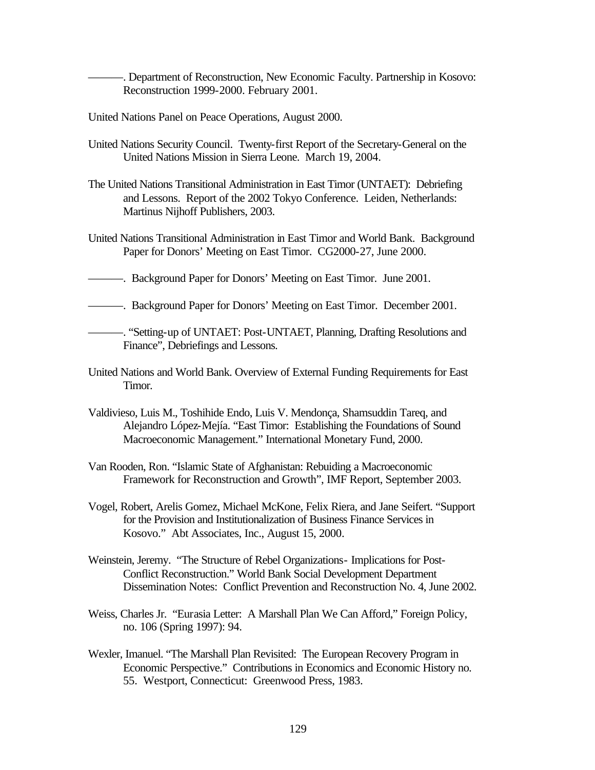———. Department of Reconstruction, New Economic Faculty. Partnership in Kosovo: Reconstruction 1999-2000. February 2001.

- United Nations Panel on Peace Operations, August 2000.
- United Nations Security Council. Twenty-first Report of the Secretary-General on the United Nations Mission in Sierra Leone. March 19, 2004.
- The United Nations Transitional Administration in East Timor (UNTAET): Debriefing and Lessons. Report of the 2002 Tokyo Conference. Leiden, Netherlands: Martinus Nijhoff Publishers, 2003.
- United Nations Transitional Administration in East Timor and World Bank. Background Paper for Donors' Meeting on East Timor. CG2000-27, June 2000.
- ———. Background Paper for Donors' Meeting on East Timor. June 2001.
- ———. Background Paper for Donors' Meeting on East Timor. December 2001.
- ———. "Setting-up of UNTAET: Post-UNTAET, Planning, Drafting Resolutions and Finance", Debriefings and Lessons.
- United Nations and World Bank. Overview of External Funding Requirements for East Timor.
- Valdivieso, Luis M., Toshihide Endo, Luis V. Mendonça, Shamsuddin Tareq, and Alejandro López-Mejía. "East Timor: Establishing the Foundations of Sound Macroeconomic Management." International Monetary Fund, 2000.
- Van Rooden, Ron. "Islamic State of Afghanistan: Rebuiding a Macroeconomic Framework for Reconstruction and Growth", IMF Report, September 2003.
- Vogel, Robert, Arelis Gomez, Michael McKone, Felix Riera, and Jane Seifert. "Support for the Provision and Institutionalization of Business Finance Services in Kosovo." Abt Associates, Inc., August 15, 2000.
- Weinstein, Jeremy. "The Structure of Rebel Organizations- Implications for Post-Conflict Reconstruction." World Bank Social Development Department Dissemination Notes: Conflict Prevention and Reconstruction No. 4, June 2002.
- Weiss, Charles Jr. "Eurasia Letter: A Marshall Plan We Can Afford," Foreign Policy, no. 106 (Spring 1997): 94.
- Wexler, Imanuel. "The Marshall Plan Revisited: The European Recovery Program in Economic Perspective." Contributions in Economics and Economic History no. 55. Westport, Connecticut: Greenwood Press, 1983.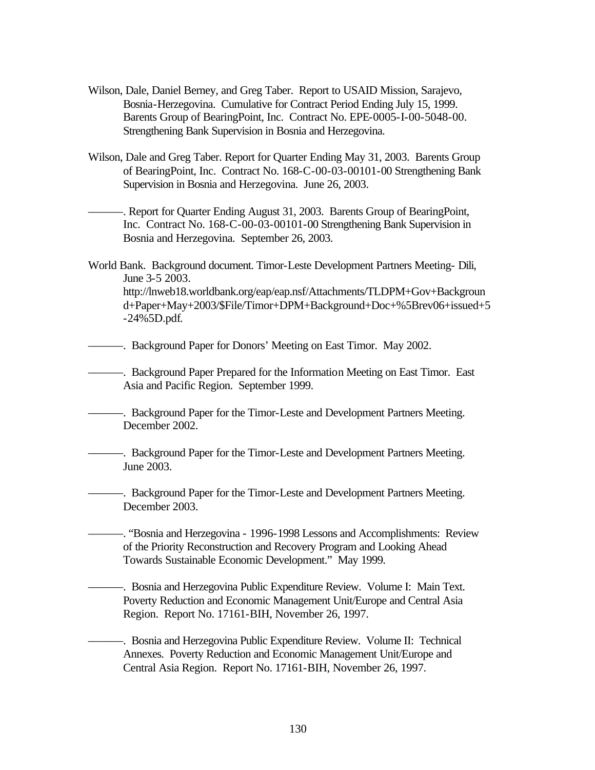- Wilson, Dale, Daniel Berney, and Greg Taber. Report to USAID Mission, Sarajevo, Bosnia-Herzegovina. Cumulative for Contract Period Ending July 15, 1999. Barents Group of BearingPoint, Inc. Contract No. EPE-0005-I-00-5048-00. Strengthening Bank Supervision in Bosnia and Herzegovina.
- Wilson, Dale and Greg Taber. Report for Quarter Ending May 31, 2003. Barents Group of BearingPoint, Inc. Contract No. 168-C-00-03-00101-00 Strengthening Bank Supervision in Bosnia and Herzegovina. June 26, 2003.

———. Report for Quarter Ending August 31, 2003. Barents Group of BearingPoint, Inc. Contract No. 168-C-00-03-00101-00 Strengthening Bank Supervision in Bosnia and Herzegovina. September 26, 2003.

World Bank. Background document. Timor-Leste Development Partners Meeting- Dili, June 3-5 2003. http://lnweb18.worldbank.org/eap/eap.nsf/Attachments/TLDPM+Gov+Backgroun d+Paper+May+2003/\$File/Timor+DPM+Background+Doc+%5Brev06+issued+5 -24%5D.pdf.

———. Background Paper for Donors' Meeting on East Timor. May 2002.

———. Background Paper Prepared for the Information Meeting on East Timor. East Asia and Pacific Region. September 1999.

———. Background Paper for the Timor-Leste and Development Partners Meeting. December 2002.

———. Background Paper for the Timor-Leste and Development Partners Meeting. June 2003.

———. Background Paper for the Timor-Leste and Development Partners Meeting. December 2003.

———. "Bosnia and Herzegovina - 1996-1998 Lessons and Accomplishments: Review of the Priority Reconstruction and Recovery Program and Looking Ahead Towards Sustainable Economic Development." May 1999.

———. Bosnia and Herzegovina Public Expenditure Review. Volume I: Main Text. Poverty Reduction and Economic Management Unit/Europe and Central Asia Region. Report No. 17161-BIH, November 26, 1997.

———. Bosnia and Herzegovina Public Expenditure Review. Volume II: Technical Annexes. Poverty Reduction and Economic Management Unit/Europe and Central Asia Region. Report No. 17161-BIH, November 26, 1997.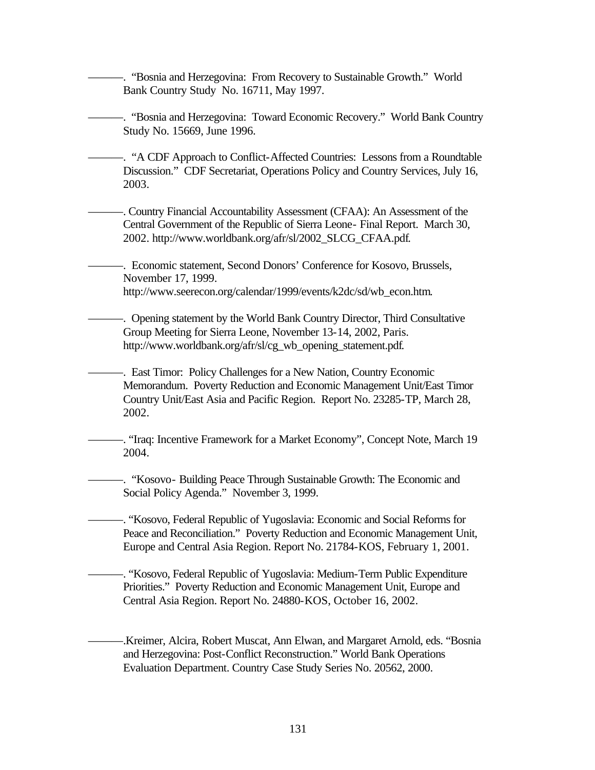———. "Bosnia and Herzegovina: From Recovery to Sustainable Growth." World Bank Country Study No. 16711, May 1997.

———. "Bosnia and Herzegovina: Toward Economic Recovery." World Bank Country Study No. 15669, June 1996.

———. "A CDF Approach to Conflict-Affected Countries: Lessons from a Roundtable Discussion." CDF Secretariat, Operations Policy and Country Services, July 16, 2003.

———. Country Financial Accountability Assessment (CFAA): An Assessment of the Central Government of the Republic of Sierra Leone- Final Report. March 30, 2002. http://www.worldbank.org/afr/sl/2002\_SLCG\_CFAA.pdf.

———. Economic statement, Second Donors' Conference for Kosovo, Brussels, November 17, 1999. http://www.seerecon.org/calendar/1999/events/k2dc/sd/wb\_econ.htm.

———. Opening statement by the World Bank Country Director, Third Consultative Group Meeting for Sierra Leone, November 13-14, 2002, Paris. http://www.worldbank.org/afr/sl/cg\_wb\_opening\_statement.pdf.

-. East Timor: Policy Challenges for a New Nation, Country Economic Memorandum. Poverty Reduction and Economic Management Unit/East Timor Country Unit/East Asia and Pacific Region. Report No. 23285-TP, March 28, 2002.

———. "Iraq: Incentive Framework for a Market Economy", Concept Note, March 19 2004.

———. "Kosovo- Building Peace Through Sustainable Growth: The Economic and Social Policy Agenda." November 3, 1999.

———. "Kosovo, Federal Republic of Yugoslavia: Economic and Social Reforms for Peace and Reconciliation." Poverty Reduction and Economic Management Unit, Europe and Central Asia Region. Report No. 21784-KOS, February 1, 2001.

———. "Kosovo, Federal Republic of Yugoslavia: Medium-Term Public Expenditure Priorities." Poverty Reduction and Economic Management Unit, Europe and Central Asia Region. Report No. 24880-KOS, October 16, 2002.

———.Kreimer, Alcira, Robert Muscat, Ann Elwan, and Margaret Arnold, eds. "Bosnia and Herzegovina: Post-Conflict Reconstruction." World Bank Operations Evaluation Department. Country Case Study Series No. 20562, 2000.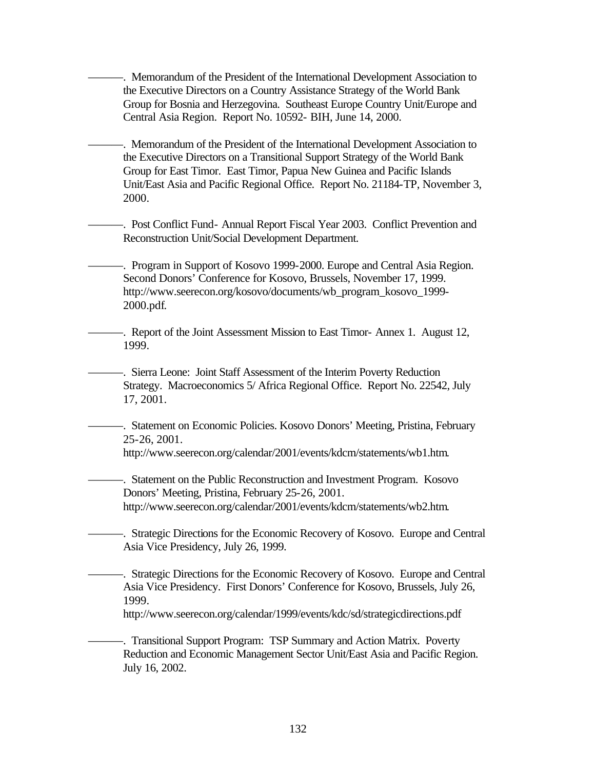———. Memorandum of the President of the International Development Association to the Executive Directors on a Country Assistance Strategy of the World Bank Group for Bosnia and Herzegovina. Southeast Europe Country Unit/Europe and Central Asia Region. Report No. 10592- BIH, June 14, 2000.

-. Memorandum of the President of the International Development Association to the Executive Directors on a Transitional Support Strategy of the World Bank Group for East Timor. East Timor, Papua New Guinea and Pacific Islands Unit/East Asia and Pacific Regional Office. Report No. 21184-TP, November 3, 2000.

———. Post Conflict Fund- Annual Report Fiscal Year 2003. Conflict Prevention and Reconstruction Unit/Social Development Department.

-. Program in Support of Kosovo 1999-2000. Europe and Central Asia Region. Second Donors' Conference for Kosovo, Brussels, November 17, 1999. http://www.seerecon.org/kosovo/documents/wb\_program\_kosovo\_1999- 2000.pdf.

———. Report of the Joint Assessment Mission to East Timor- Annex 1. August 12, 1999.

———. Sierra Leone: Joint Staff Assessment of the Interim Poverty Reduction Strategy. Macroeconomics 5/ Africa Regional Office. Report No. 22542, July 17, 2001.

———. Statement on Economic Policies. Kosovo Donors' Meeting, Pristina, February 25-26, 2001.

http://www.seerecon.org/calendar/2001/events/kdcm/statements/wb1.htm.

———. Statement on the Public Reconstruction and Investment Program. Kosovo Donors' Meeting, Pristina, February 25-26, 2001. http://www.seerecon.org/calendar/2001/events/kdcm/statements/wb2.htm.

———. Strategic Directions for the Economic Recovery of Kosovo. Europe and Central Asia Vice Presidency, July 26, 1999.

———. Strategic Directions for the Economic Recovery of Kosovo. Europe and Central Asia Vice Presidency. First Donors' Conference for Kosovo, Brussels, July 26, 1999.

http://www.seerecon.org/calendar/1999/events/kdc/sd/strategicdirections.pdf

-. Transitional Support Program: TSP Summary and Action Matrix. Poverty Reduction and Economic Management Sector Unit/East Asia and Pacific Region. July 16, 2002.